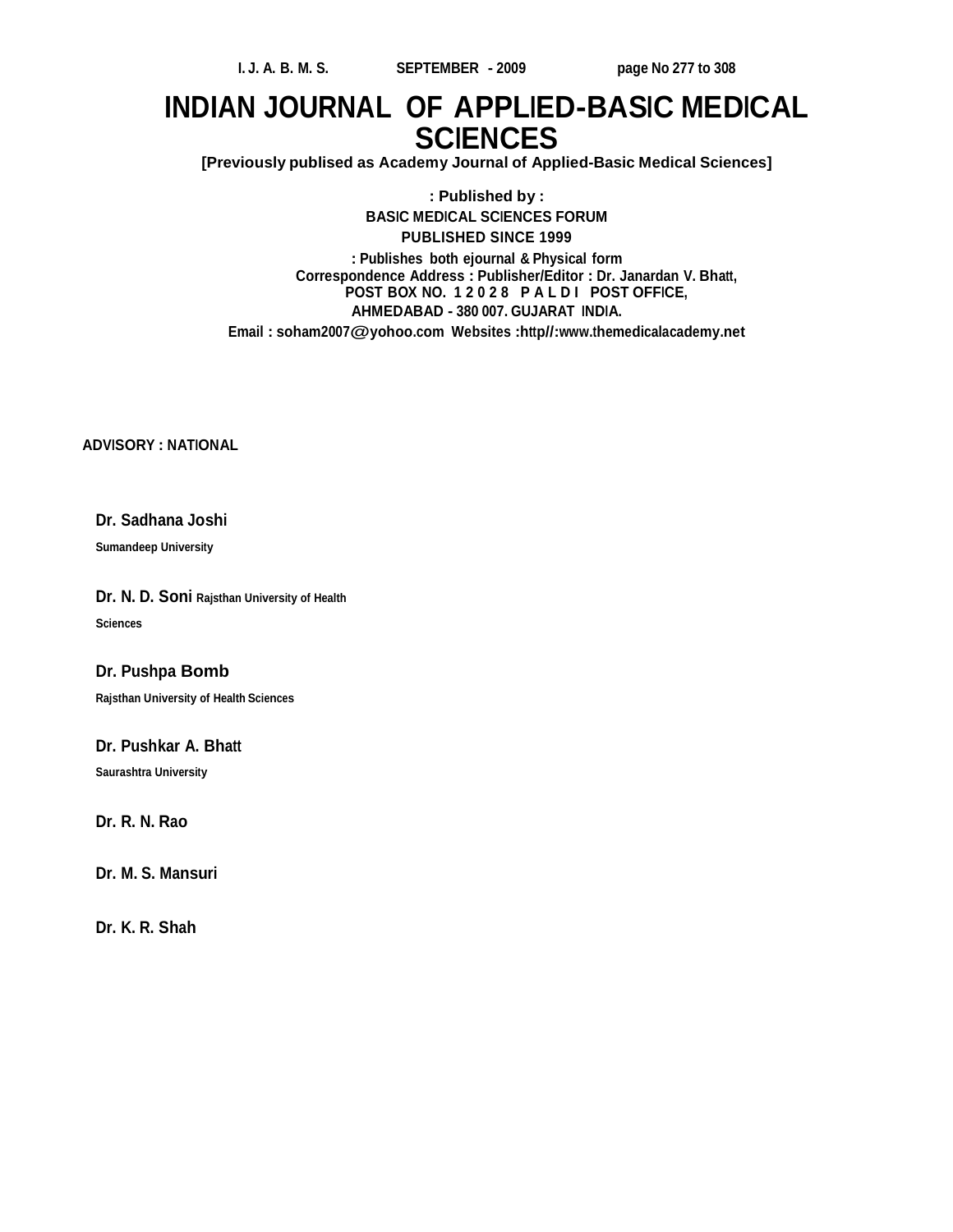## **INDIAN JOURNAL OF APPLIED-BASIC MEDICAL SCIENCES**

**[Previously publised as Academy Journal of Applied-Basic Medical Sciences]**

**: Published by : BASIC MEDICAL SCIENCES FORUM PUBLISHED SINCE 1999 : Publishes both ejournal & Physical form Correspondence Address : Publisher/Editor : Dr. Janardan V. Bhatt, POST BOX NO. 1 2 0 2 8 P A L D I POST OFFICE, AHMEDABAD - 380 007. GUJARAT INDIA. Email : soham2007@yohoo.com Websites :http//:www.themedicalacademy.net**

**ADVISORY : NATIONAL**

#### **Dr. Sadhana Joshi**

**Sumandeep University**

**Dr. N. D. Soni Rajsthan University of Health Sciences**

#### **Dr. Pushpa Bomb**

**Rajsthan University of Health Sciences**

#### **Dr. Pushkar A. Bhatt**

**Saurashtra University**

**Dr. R. N. Rao**

**Dr. M. S. Mansuri**

**Dr. K. R. Shah**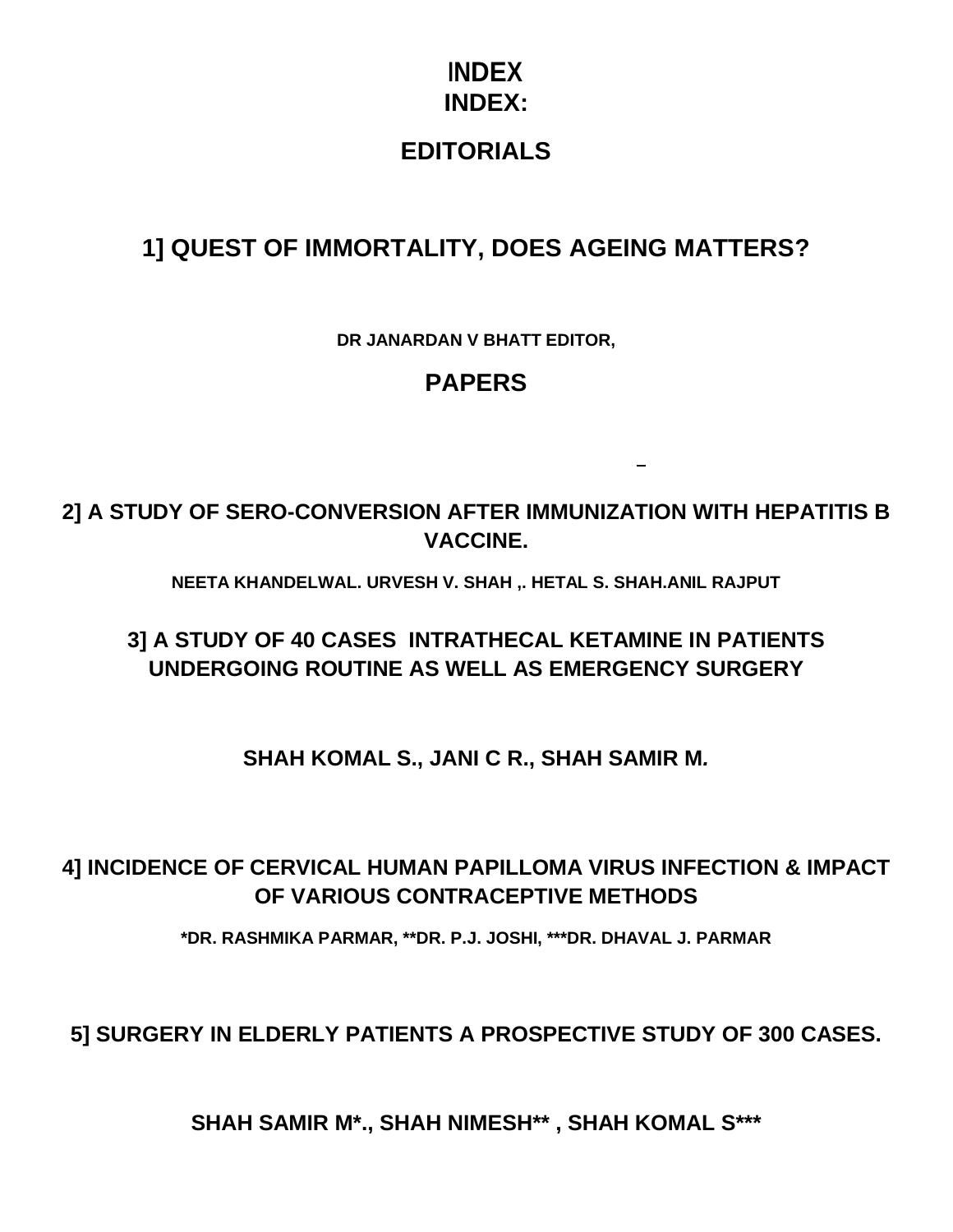## **INDEX INDEX:**

## **EDITORIALS**

## **1] QUEST OF IMMORTALITY, DOES AGEING MATTERS?**

**DR JANARDAN V BHATT EDITOR,**

## **PAPERS**

**2] A STUDY OF SERO-CONVERSION AFTER IMMUNIZATION WITH HEPATITIS B VACCINE.**

**NEETA KHANDELWAL. URVESH V. SHAH ,. HETAL S. SHAH.ANIL RAJPUT**

## **3] A STUDY OF 40 CASES INTRATHECAL KETAMINE IN PATIENTS UNDERGOING ROUTINE AS WELL AS EMERGENCY SURGERY**

**SHAH KOMAL S., JANI C R., SHAH SAMIR M***.*

## **4] INCIDENCE OF CERVICAL HUMAN PAPILLOMA VIRUS INFECTION & IMPACT OF VARIOUS CONTRACEPTIVE METHODS**

**\*DR. RASHMIKA PARMAR, \*\*DR. P.J. JOSHI, \*\*\*DR. DHAVAL J. PARMAR**

**5] SURGERY IN ELDERLY PATIENTS A PROSPECTIVE STUDY OF 300 CASES.**

**SHAH SAMIR M\*., SHAH NIMESH\*\* , SHAH KOMAL S\*\*\***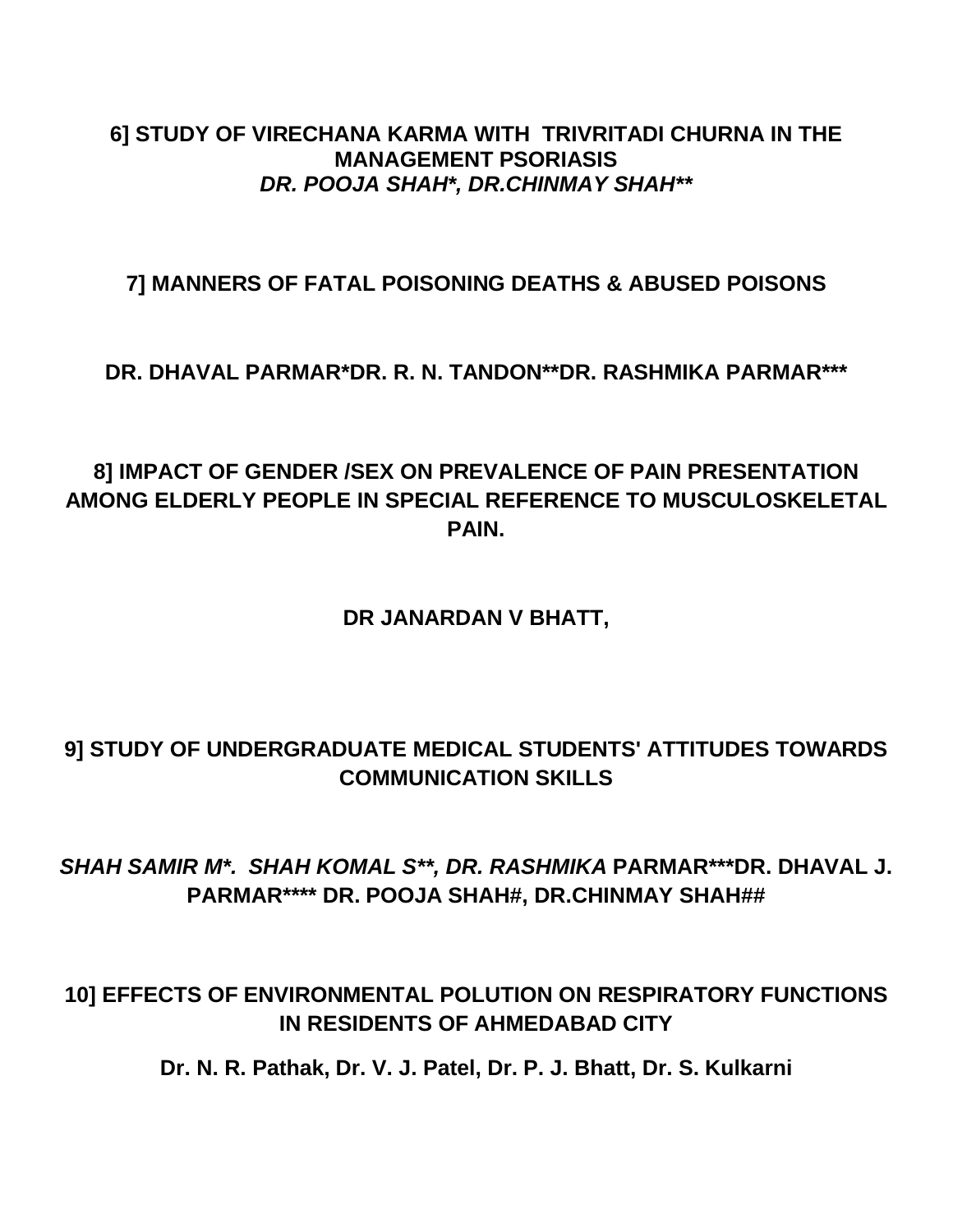### **6] STUDY OF VIRECHANA KARMA WITH TRIVRITADI CHURNA IN THE MANAGEMENT PSORIASIS** *DR. POOJA SHAH\*, DR.CHINMAY SHAH\*\**

### **7] MANNERS OF FATAL POISONING DEATHS & ABUSED POISONS**

### **DR. DHAVAL PARMAR\*DR. R. N. TANDON\*\*DR. RASHMIKA PARMAR\*\*\***

## **8] IMPACT OF GENDER /SEX ON PREVALENCE OF PAIN PRESENTATION AMONG ELDERLY PEOPLE IN SPECIAL REFERENCE TO MUSCULOSKELETAL PAIN.**

### **DR JANARDAN V BHATT,**

## **9] STUDY OF UNDERGRADUATE MEDICAL STUDENTS' ATTITUDES TOWARDS COMMUNICATION SKILLS**

## *SHAH SAMIR M\*. SHAH KOMAL S\*\*, DR. RASHMIKA* **PARMAR\*\*\*DR. DHAVAL J. PARMAR\*\*\*\* DR. POOJA SHAH#, DR.CHINMAY SHAH##**

## **10] EFFECTS OF ENVIRONMENTAL POLUTION ON RESPIRATORY FUNCTIONS IN RESIDENTS OF AHMEDABAD CITY**

**Dr. N. R. Pathak, Dr. V. J. Patel, Dr. P. J. Bhatt, Dr. S. Kulkarni**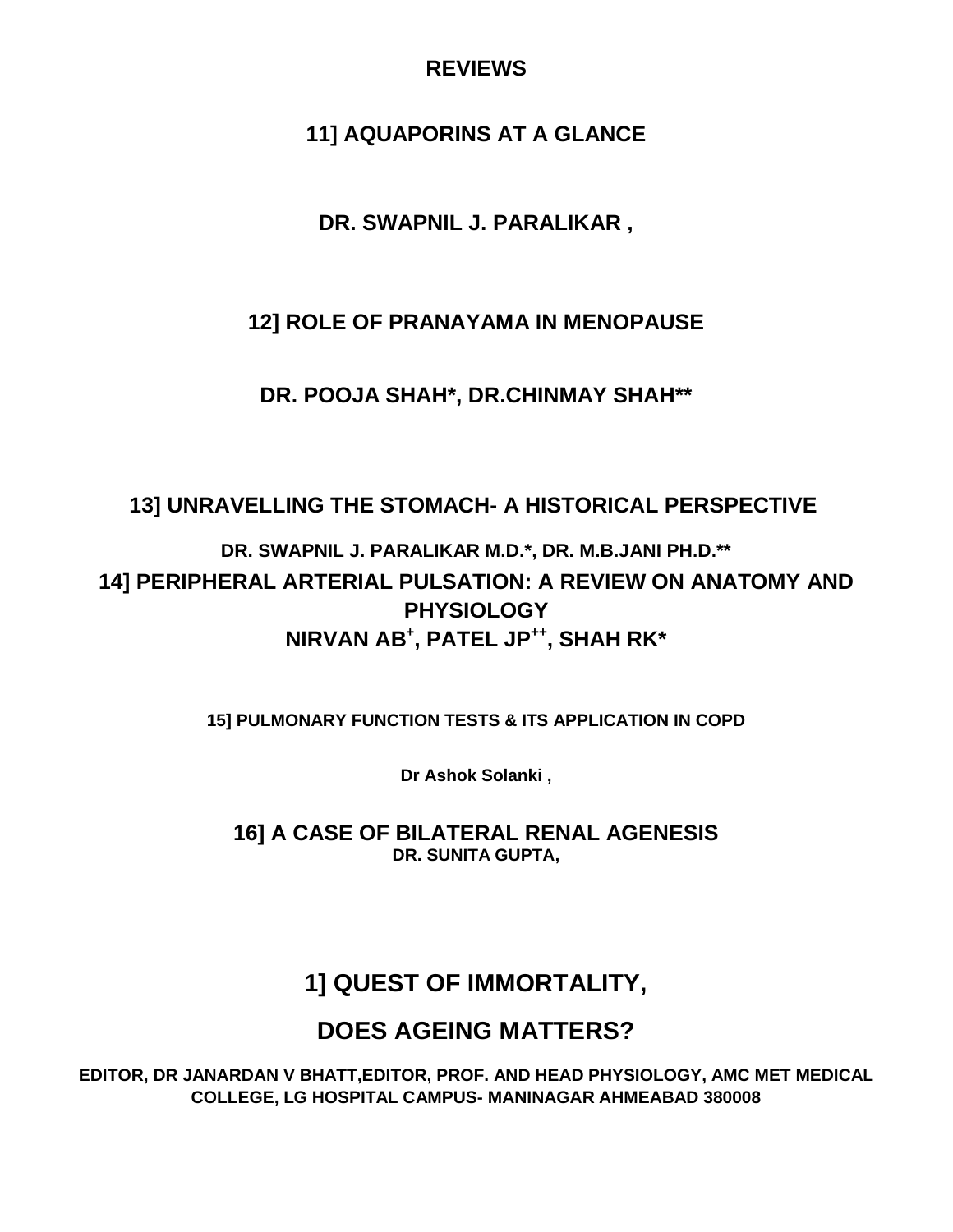### **REVIEWS**

## **11] AQUAPORINS AT A GLANCE**

## **DR. SWAPNIL J. PARALIKAR ,**

### **12] ROLE OF PRANAYAMA IN MENOPAUSE**

**DR. POOJA SHAH\*, DR.CHINMAY SHAH\*\***

## **13] UNRAVELLING THE STOMACH- A HISTORICAL PERSPECTIVE**

**DR. SWAPNIL J. PARALIKAR M.D.\*, DR. M.B.JANI PH.D.\*\* 14] PERIPHERAL ARTERIAL PULSATION: A REVIEW ON ANATOMY AND PHYSIOLOGY NIRVAN AB+ , PATEL JP++, SHAH RK\***

**15] PULMONARY FUNCTION TESTS & ITS APPLICATION IN COPD**

**Dr Ashok Solanki ,**

**16] A CASE OF BILATERAL RENAL AGENESIS DR. SUNITA GUPTA,**

## **1] QUEST OF IMMORTALITY,**

## **DOES AGEING MATTERS?**

**EDITOR, DR JANARDAN V BHATT,EDITOR, PROF. AND HEAD PHYSIOLOGY, AMC MET MEDICAL COLLEGE, LG HOSPITAL CAMPUS- MANINAGAR AHMEABAD 380008**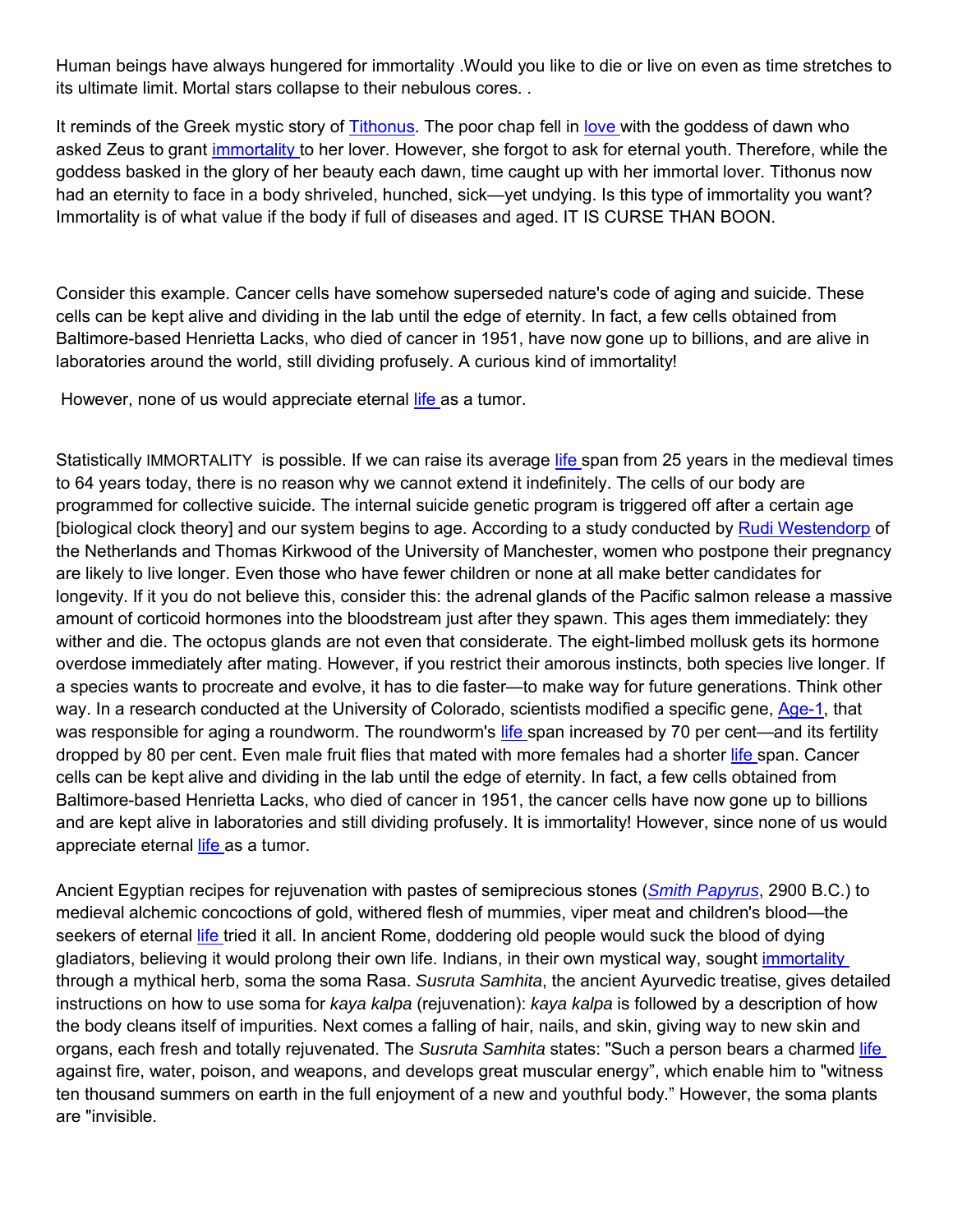Human beings have always hungered for immortality .Would you like to die or live on even as time stretches to its ultimate limit. Mortal stars collapse to their nebulous cores. .

It reminds of the Greek mystic story of Tithonus. The poor chap fell in love with the goddess of dawn who asked Zeus to grant immortality to her lover. However, she forgot to ask for eternal youth. Therefore, while the goddess basked in the glory of her beauty each dawn, time caught up with her immortal lover. Tithonus now had an eternity to face in a body shriveled, hunched, sick—yet undying. Is this type of immortality you want? Immortality is of what value if the body if full of diseases and aged. IT IS CURSE THAN BOON.

Consider this example. Cancer cells have somehow superseded nature's code of aging and suicide. These cells can be kept alive and dividing in the lab until the edge of eternity. In fact, a few cells obtained from Baltimore-based Henrietta Lacks, who died of cancer in 1951, have now gone up to billions, and are alive in laboratories around the world, still dividing profusely. A curious kind of immortality!

However, none of us would appreciate eternal *life* as a tumor.

Statistically IMMORTALITY is possible. If we can raise its average life span from 25 years in the medieval times to 64 years today, there is no reason why we cannot extend it indefinitely. The cells of our body are programmed for collective suicide. The internal suicide genetic program is triggered off after a certain age [biological clock theory] and our system begins to age. According to a study conducted by Rudi Westendorp of the Netherlands and Thomas Kirkwood of the University of Manchester, women who postpone their pregnancy are likely to live longer. Even those who have fewer children or none at all make better candidates for longevity. If it you do not believe this, consider this: the adrenal glands of the Pacific salmon release a massive amount of corticoid hormones into the bloodstream just after they spawn. This ages them immediately: they wither and die. The octopus glands are not even that considerate. The eight-limbed mollusk gets its hormone overdose immediately after mating. However, if you restrict their amorous instincts, both species live longer. If a species wants to procreate and evolve, it has to die faster—to make way for future generations. Think other way. In a research conducted at the University of Colorado, scientists modified a specific gene, Age-1, that was responsible for aging a roundworm. The roundworm's life span increased by 70 per cent—and its fertility dropped by 80 per cent. Even male fruit flies that mated with more females had a shorter life span. Cancer cells can be kept alive and dividing in the lab until the edge of eternity. In fact, a few cells obtained from Baltimore-based Henrietta Lacks, who died of cancer in 1951, the cancer cells have now gone up to billions and are kept alive in laboratories and still dividing profusely. It is immortality! However, since none of us would appreciate eternal life as a tumor.

Ancient Egyptian recipes for rejuvenation with pastes of semiprecious stones (*Smith Papyrus*, 2900 B.C.) to medieval alchemic concoctions of gold, withered flesh of mummies, viper meat and children's blood—the seekers of eternal life tried it all. In ancient Rome, doddering old people would suck the blood of dying gladiators, believing it would prolong their own life. Indians, in their own mystical way, sought immortality through a mythical herb, soma the soma Rasa. *Susruta Samhita*, the ancient Ayurvedic treatise, gives detailed instructions on how to use soma for *kaya kalpa* (rejuvenation): *kaya kalpa* is followed by a description of how the body cleans itself of impurities. Next comes a falling of hair, nails, and skin, giving way to new skin and organs, each fresh and totally rejuvenated. The *Susruta Samhita* states: "Such a person bears a charmed life against fire, water, poison, and weapons, and develops great muscular energy", which enable him to "witness ten thousand summers on earth in the full enjoyment of a new and youthful body." However, the soma plants are "invisible.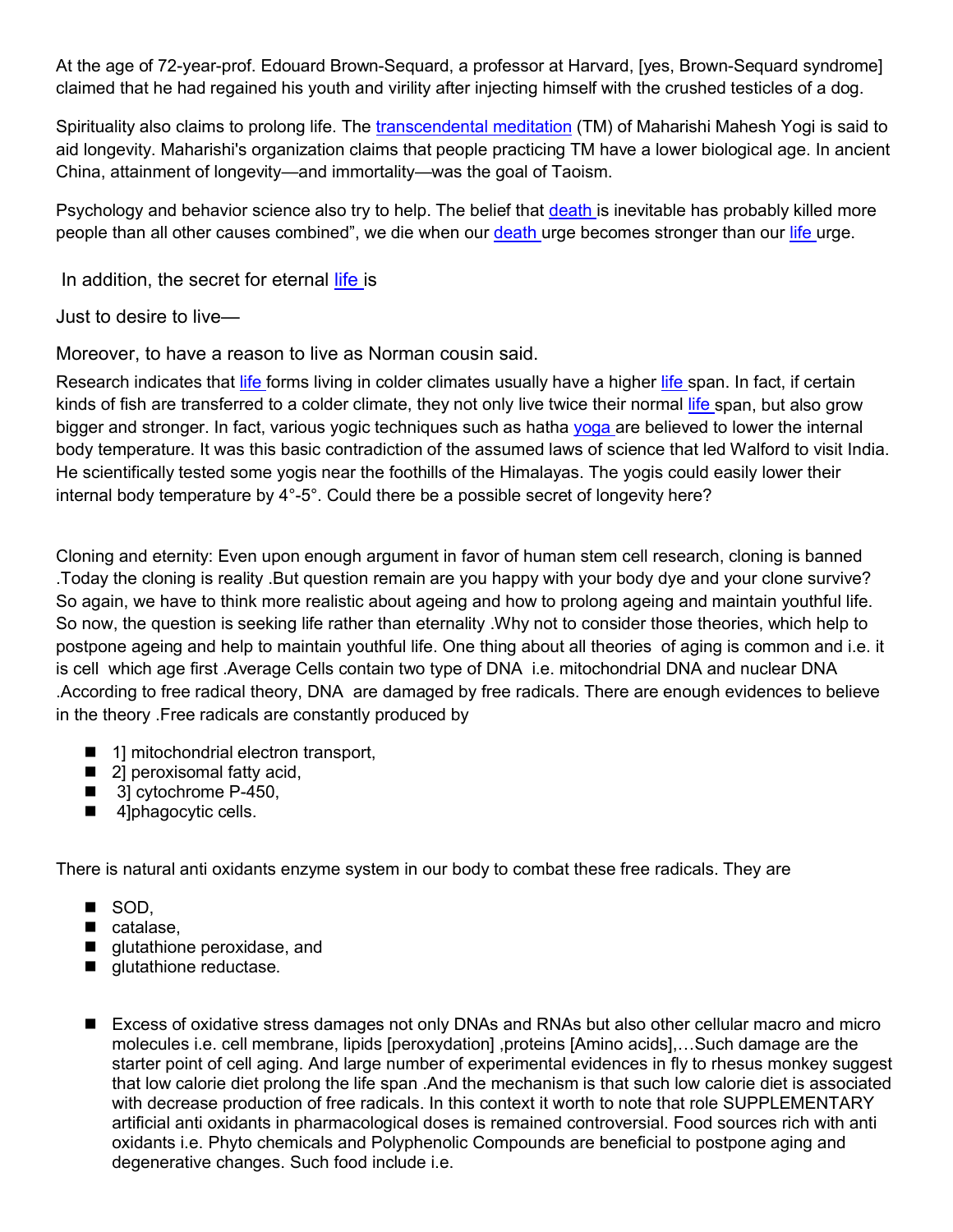At the age of 72-year-prof. Edouard Brown-Sequard, a professor at Harvard, [yes, Brown-Sequard syndrome] claimed that he had regained his youth and virility after injecting himself with the crushed testicles of a dog.

Spirituality also claims to prolong life. The transcendental meditation (TM) of Maharishi Mahesh Yogi is said to aid longevity. Maharishi's organization claims that people practicing TM have a lower biological age. In ancient China, attainment of longevity—and immortality—was the goal of Taoism.

Psychology and behavior science also try to help. The belief that death is inevitable has probably killed more people than all other causes combined", we die when our death urge becomes stronger than our life urge.

In addition, the secret for eternal life is

Just to desire to live—

Moreover, to have a reason to live as Norman cousin said.

Research indicates that life forms living in colder climates usually have a higher life span. In fact, if certain kinds of fish are transferred to a colder climate, they not only live twice their normal life span, but also grow bigger and stronger. In fact, various yogic techniques such as hatha yoga are believed to lower the internal body temperature. It was this basic contradiction of the assumed laws of science that led Walford to visit India. He scientifically tested some yogis near the foothills of the Himalayas. The yogis could easily lower their internal body temperature by 4°-5°. Could there be a possible secret of longevity here?

Cloning and eternity: Even upon enough argument in favor of human stem cell research, cloning is banned .Today the cloning is reality .But question remain are you happy with your body dye and your clone survive? So again, we have to think more realistic about ageing and how to prolong ageing and maintain youthful life. So now, the question is seeking life rather than eternality .Why not to consider those theories, which help to postpone ageing and help to maintain youthful life. One thing about all theories of aging is common and i.e. it is cell which age first .Average Cells contain two type of DNA i.e. mitochondrial DNA and nuclear DNA .According to free radical theory, DNA are damaged by free radicals. There are enough evidences to believe in the theory .Free radicals are constantly produced by

- 1] mitochondrial electron transport,
- 21 peroxisomal fatty acid.
- 3] cytochrome P-450,
- 4]phagocytic cells.

There is natural anti oxidants enzyme system in our body to combat these free radicals. They are

- SOD,
- catalase.
- **quidibibile peroxidase, and**
- **glutathione reductase.**
- Excess of oxidative stress damages not only DNAs and RNAs but also other cellular macro and micro molecules i.e. cell membrane, lipids [peroxydation] ,proteins [Amino acids],…Such damage are the starter point of cell aging. And large number of experimental evidences in fly to rhesus monkey suggest that low calorie diet prolong the life span .And the mechanism is that such low calorie diet is associated with decrease production of free radicals. In this context it worth to note that role SUPPLEMENTARY artificial anti oxidants in pharmacological doses is remained controversial. Food sources rich with anti oxidants i.e. Phyto chemicals and Polyphenolic Compounds are beneficial to postpone aging and degenerative changes. Such food include i.e.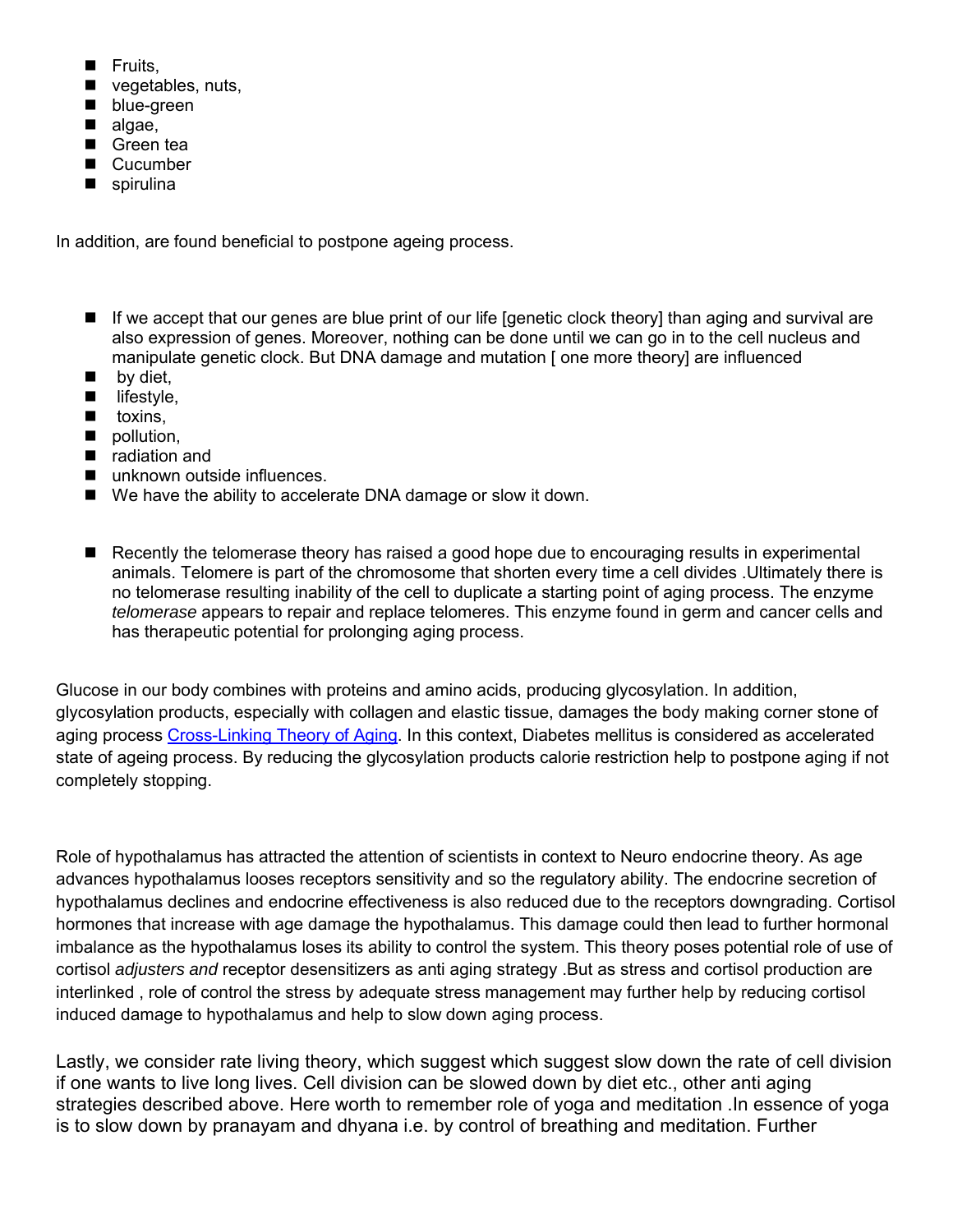- Fruits,
- vegetables, nuts,
- **De** blue-green
- algae,
- Green tea
- Cucumber
- spirulina

In addition, are found beneficial to postpone ageing process.

- If we accept that our genes are blue print of our life [genetic clock theory] than aging and survival are also expression of genes. Moreover, nothing can be done until we can go in to the cell nucleus and manipulate genetic clock. But DNA damage and mutation [ one more theory] are influenced
- $\blacksquare$  by diet,
- $\blacksquare$  lifestyle,
- $\blacksquare$  toxins,
- pollution,
- radiation and
- unknown outside influences.
- We have the ability to accelerate DNA damage or slow it down.
- Recently the telomerase theory has raised a good hope due to encouraging results in experimental animals. Telomere is part of the chromosome that shorten every time a cell divides .Ultimately there is no telomerase resulting inability of the cell to duplicate a starting point of aging process. The enzyme *telomerase* appears to repair and replace telomeres. This enzyme found in germ and cancer cells and has therapeutic potential for prolonging aging process.

Glucose in our body combines with proteins and amino acids, producing glycosylation. In addition, glycosylation products, especially with collagen and elastic tissue, damages the body making corner stone of aging process Cross-Linking Theory of Aging. In this context, Diabetes mellitus is considered as accelerated state of ageing process. By reducing the glycosylation products calorie restriction help to postpone aging if not completely stopping.

Role of hypothalamus has attracted the attention of scientists in context to Neuro endocrine theory. As age advances hypothalamus looses receptors sensitivity and so the regulatory ability. The endocrine secretion of hypothalamus declines and endocrine effectiveness is also reduced due to the receptors downgrading. Cortisol hormones that increase with age damage the hypothalamus. This damage could then lead to further hormonal imbalance as the hypothalamus loses its ability to control the system. This theory poses potential role of use of cortisol *adjusters and* receptor desensitizers as anti aging strategy .But as stress and cortisol production are interlinked , role of control the stress by adequate stress management may further help by reducing cortisol induced damage to hypothalamus and help to slow down aging process.

Lastly, we consider rate living theory, which suggest which suggest slow down the rate of cell division if one wants to live long lives. Cell division can be slowed down by diet etc., other anti aging strategies described above. Here worth to remember role of yoga and meditation .In essence of yoga is to slow down by pranayam and dhyana i.e. by control of breathing and meditation. Further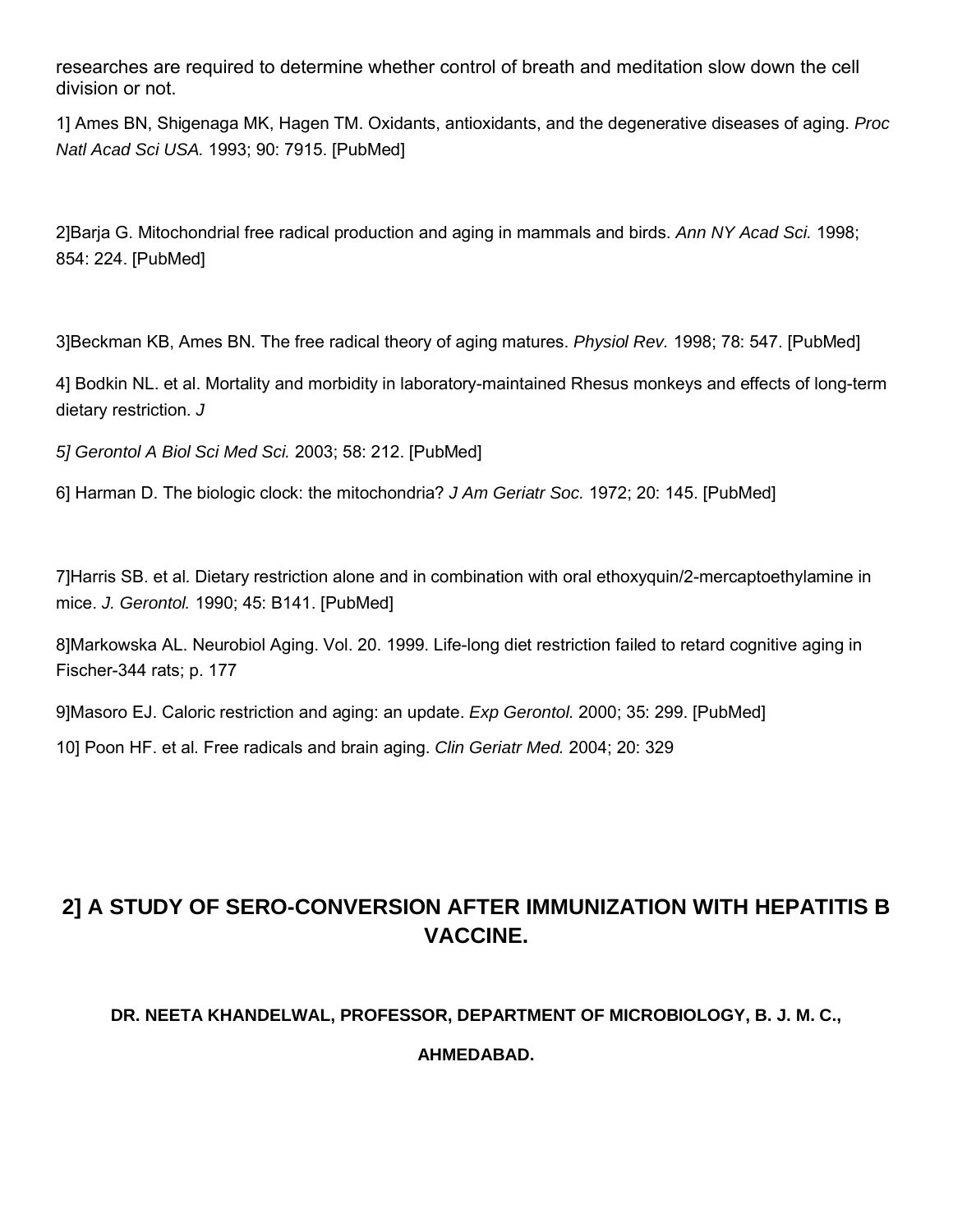researches are required to determine whether control of breath and meditation slow down the cell division or not.

1] Ames BN, Shigenaga MK, Hagen TM. Oxidants, antioxidants, and the degenerative diseases of aging. *Proc Natl Acad Sci USA.* 1993; 90: 7915. [PubMed]

2]Barja G. Mitochondrial free radical production and aging in mammals and birds. *Ann NY Acad Sci.* 1998; 854: 224. [PubMed]

3]Beckman KB, Ames BN. The free radical theory of aging matures. *Physiol Rev.* 1998; 78: 547. [PubMed]

4] Bodkin NL. et al. Mortality and morbidity in laboratory-maintained Rhesus monkeys and effects of long-term dietary restriction. *J*

*5] Gerontol A Biol Sci Med Sci.* 2003; 58: 212. [PubMed]

6] Harman D. The biologic clock: the mitochondria? *J Am Geriatr Soc.* 1972; 20: 145. [PubMed]

7]Harris SB. et al. Dietary restriction alone and in combination with oral ethoxyquin/2-mercaptoethylamine in mice. *J. Gerontol.* 1990; 45: B141. [PubMed]

8]Markowska AL. Neurobiol Aging. Vol. 20. 1999. Life-long diet restriction failed to retard cognitive aging in Fischer-344 rats; p. 177

9]Masoro EJ. Caloric restriction and aging: an update. *Exp Gerontol.* 2000; 35: 299. [PubMed]

10] Poon HF. et al. Free radicals and brain aging. *Clin Geriatr Med.* 2004; 20: 329

## **2] A STUDY OF SERO-CONVERSION AFTER IMMUNIZATION WITH HEPATITIS B VACCINE.**

### **DR. NEETA KHANDELWAL, PROFESSOR, DEPARTMENT OF MICROBIOLOGY, B. J. M. C.,**

**AHMEDABAD.**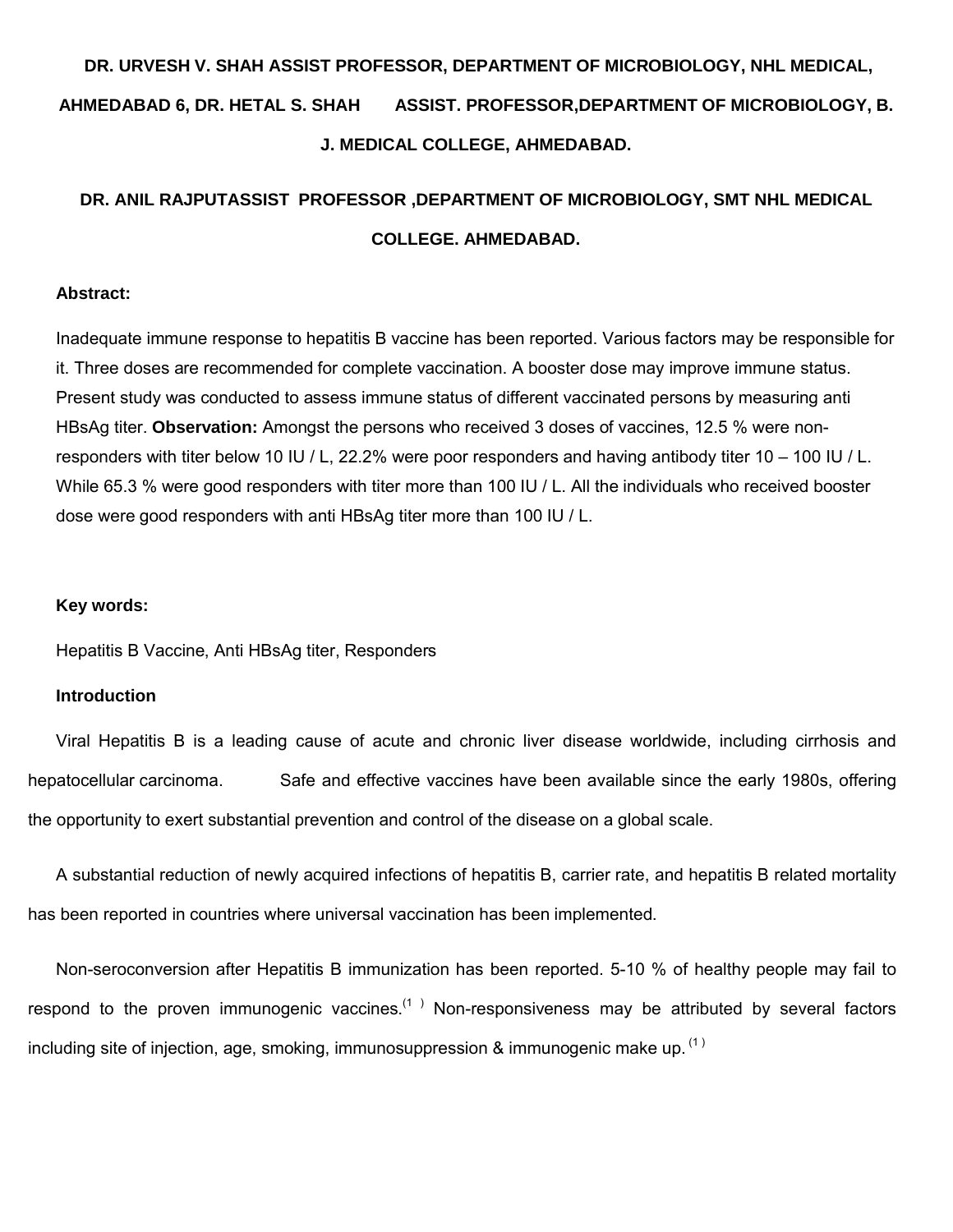## **DR. URVESH V. SHAH ASSIST PROFESSOR, DEPARTMENT OF MICROBIOLOGY, NHL MEDICAL, AHMEDABAD 6, DR. HETAL S. SHAH ASSIST. PROFESSOR,DEPARTMENT OF MICROBIOLOGY, B. J. MEDICAL COLLEGE, AHMEDABAD.**

## **DR. ANIL RAJPUTASSIST PROFESSOR ,DEPARTMENT OF MICROBIOLOGY, SMT NHL MEDICAL COLLEGE. AHMEDABAD.**

#### **Abstract:**

Inadequate immune response to hepatitis B vaccine has been reported. Various factors may be responsible for it. Three doses are recommended for complete vaccination. A booster dose may improve immune status. Present study was conducted to assess immune status of different vaccinated persons by measuring anti HBsAg titer. **Observation:** Amongst the persons who received 3 doses of vaccines, 12.5 % were nonresponders with titer below 10 IU / L, 22.2% were poor responders and having antibody titer 10 – 100 IU / L. While 65.3 % were good responders with titer more than 100 IU / L. All the individuals who received booster dose were good responders with anti HBsAg titer more than 100 IU / L.

#### **Key words:**

Hepatitis B Vaccine, Anti HBsAg titer, Responders

#### **Introduction**

Viral Hepatitis B is a leading cause of acute and chronic liver disease worldwide, including cirrhosis and hepatocellular carcinoma. Safe and effective vaccines have been available since the early 1980s, offering the opportunity to exert substantial prevention and control of the disease on a global scale.

A substantial reduction of newly acquired infections of hepatitis B, carrier rate, and hepatitis B related mortality has been reported in countries where universal vaccination has been implemented.

Non-seroconversion after Hepatitis B immunization has been reported. 5-10 % of healthy people may fail to respond to the proven immunogenic vaccines.<sup>(1)</sup> Non-responsiveness may be attributed by several factors including site of injection, age, smoking, immunosuppression & immunogenic make up.  $(1)$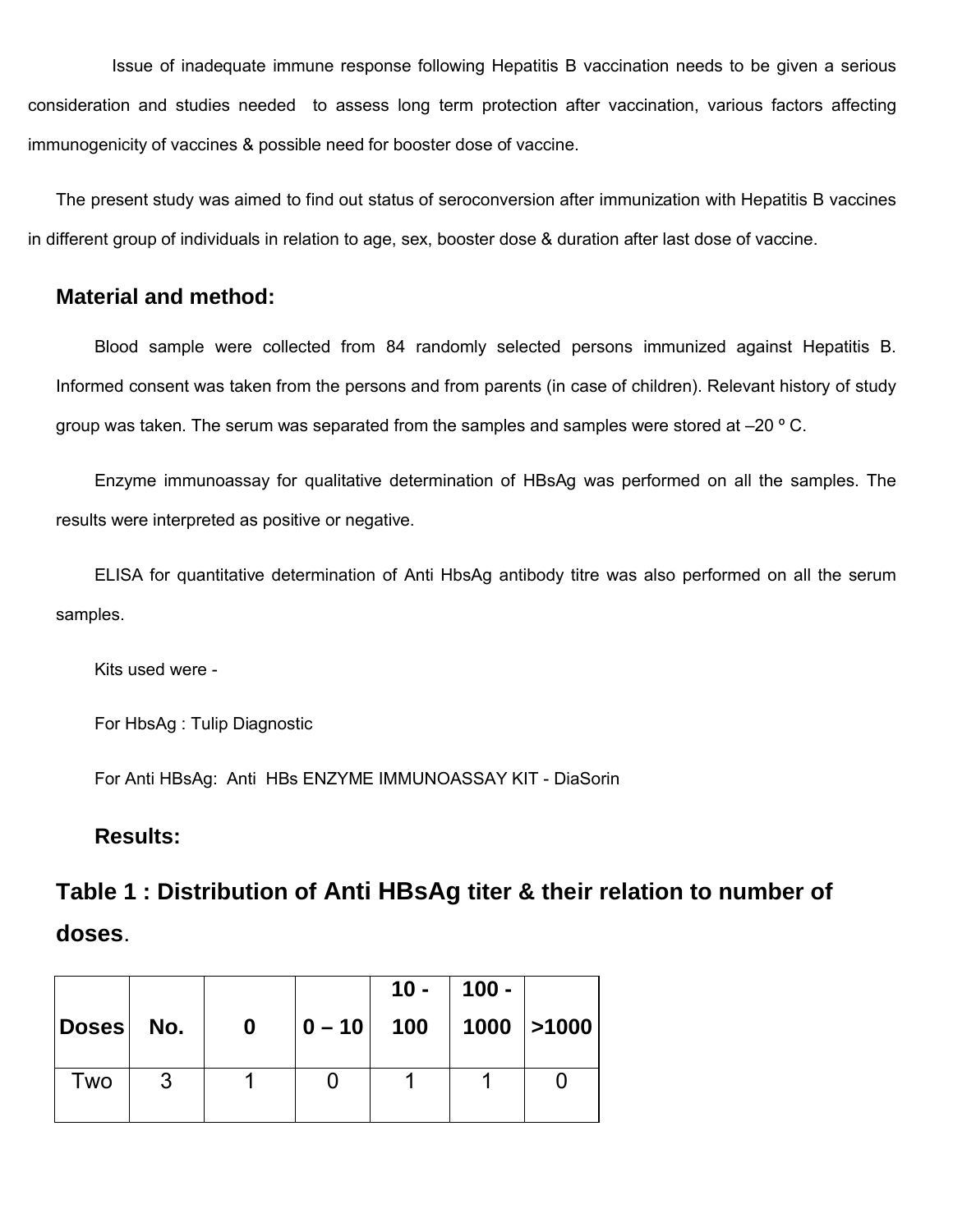Issue of inadequate immune response following Hepatitis B vaccination needs to be given a serious consideration and studies needed to assess long term protection after vaccination, various factors affecting immunogenicity of vaccines & possible need for booster dose of vaccine.

The present study was aimed to find out status of seroconversion after immunization with Hepatitis B vaccines in different group of individuals in relation to age, sex, booster dose & duration after last dose of vaccine.

### **Material and method:**

Blood sample were collected from 84 randomly selected persons immunized against Hepatitis B. Informed consent was taken from the persons and from parents (in case of children). Relevant history of study group was taken. The serum was separated from the samples and samples were stored at  $-20$  ° C.

Enzyme immunoassay for qualitative determination of HBsAg was performed on all the samples. The results were interpreted as positive or negative.

ELISA for quantitative determination of Anti HbsAg antibody titre was also performed on all the serum samples.

Kits used were -

For HbsAg : Tulip Diagnostic

For Anti HBsAg: Anti HBs ENZYME IMMUNOASSAY KIT - DiaSorin

### **Results:**

## **Table 1 : Distribution of Anti HBsAg titer & their relation to number of doses**.

| Doses No. |   | $\mathbf 0$ | $ 0 - 10 $ 100 | 10 - | $100 -$ | $ 1000 $ >1000 |
|-----------|---|-------------|----------------|------|---------|----------------|
| Two       | 3 |             |                |      |         |                |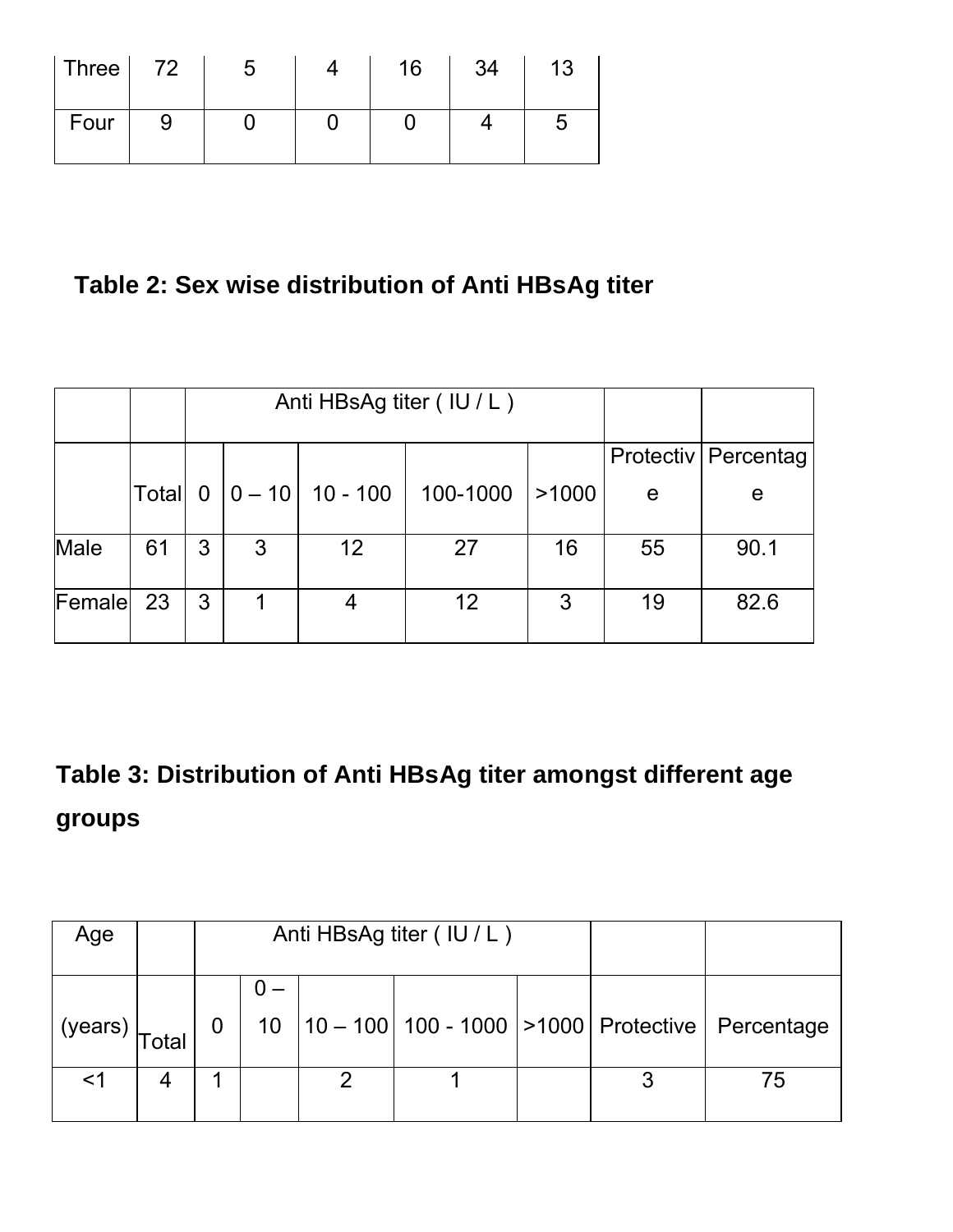| $ $ Three $ $ 72 | G | 16 | 34 | 13 |
|------------------|---|----|----|----|
| Four             |   |    |    |    |

## **Table 2: Sex wise distribution of Anti HBsAg titer**

|        |       |                |            | Anti HBsAg titer (IU/L) |          |       |    |                       |
|--------|-------|----------------|------------|-------------------------|----------|-------|----|-----------------------|
|        |       |                |            |                         |          |       |    | Protectiv   Percentag |
|        | Total | $\overline{0}$ | $ 0 - 10 $ | 10 - 100                | 100-1000 | >1000 | e  | e                     |
| Male   | 61    | 3              | 3          | 12                      | 27       | 16    | 55 | 90.1                  |
| Female | 23    | 3              |            | 4                       | 12       | 3     | 19 | 82.6                  |

# **Table 3: Distribution of Anti HBsAg titer amongst different age groups**

| Age                                      |       | Anti HBsAg titer (IU/L) |  |  |  |  |                                                               |
|------------------------------------------|-------|-------------------------|--|--|--|--|---------------------------------------------------------------|
| $(years)$ <sub><math>T_{c1}</math></sub> | Total | $\overline{0}$          |  |  |  |  | 10   10 - 100   100 - 1000   > 1000   Protective   Percentage |
|                                          |       |                         |  |  |  |  | 75                                                            |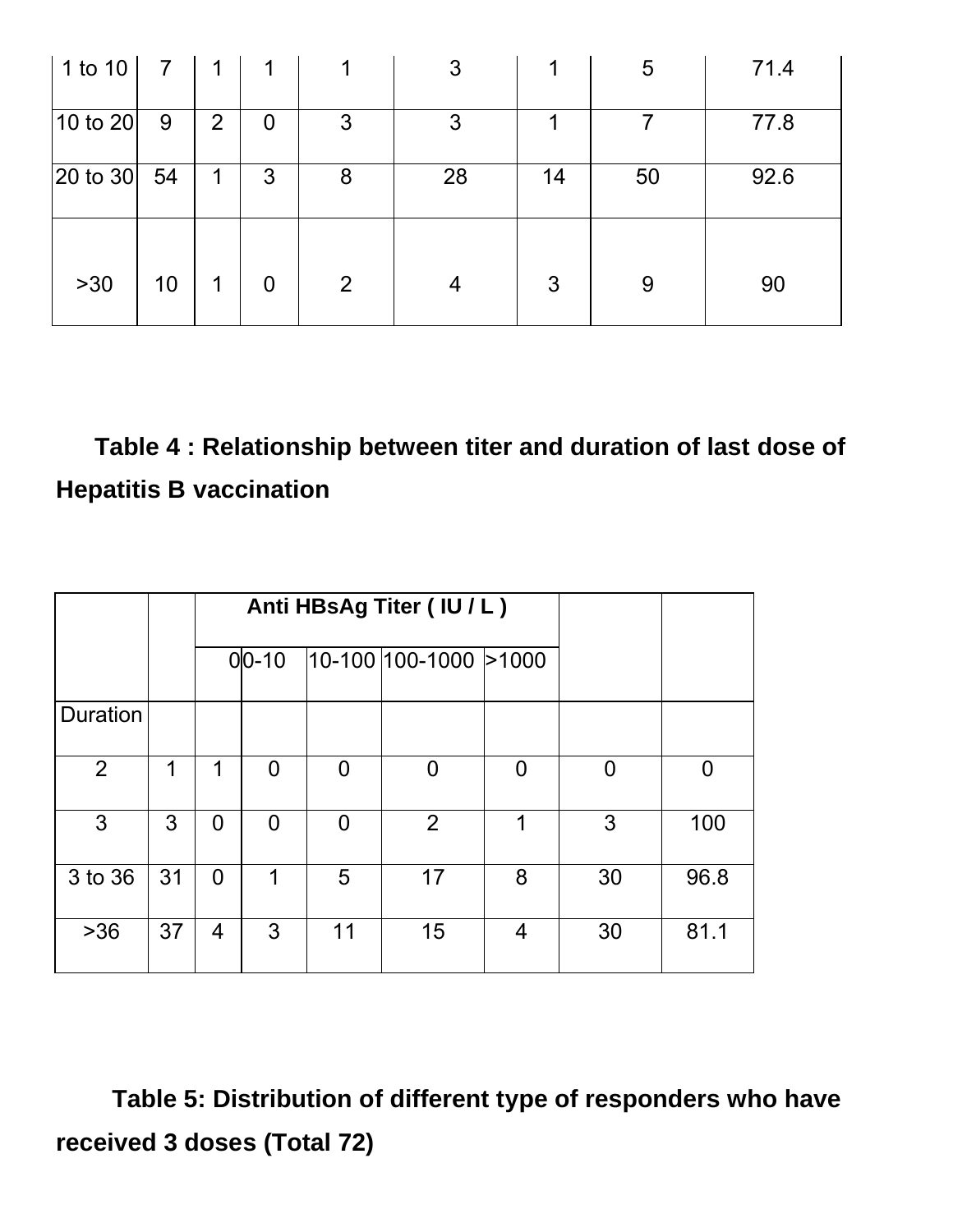| $ 1$ to 10 $ $           | $\overline{7}$ | 1              |                |                | 3  |    | 5  | 71.4 |
|--------------------------|----------------|----------------|----------------|----------------|----|----|----|------|
| $ 10 \text{ to } 20 $    | 9              | $\overline{2}$ | $\overline{0}$ | 3              | 3  |    |    | 77.8 |
| $ 20 \text{ to } 30 $ 54 |                | $\mathbf 1$    | 3              | 8              | 28 | 14 | 50 | 92.6 |
|                          |                |                |                |                |    |    |    |      |
| $>30$                    | 10             | $\mathbf 1$    | $\overline{0}$ | $\overline{2}$ | 4  | 3  | 9  | 90   |

# **Table 4 : Relationship between titer and duration of last dose of Hepatitis B vaccination**

|                |    |                |                | Anti HBsAg Titer (IU/L) |                          |   |    |          |
|----------------|----|----------------|----------------|-------------------------|--------------------------|---|----|----------|
|                |    |                | $0 0-10$       |                         | $ 10-100 100-1000 >1000$ |   |    |          |
| Duration       |    |                |                |                         |                          |   |    |          |
| $\overline{2}$ | 1  | 1              | 0              | O                       | 0                        | 0 | O  | $\Omega$ |
| 3              | 3  | $\overline{0}$ | $\overline{0}$ | $\Omega$                | 2                        | 1 | 3  | 100      |
| 3 to 36        | 31 | $\Omega$       | 1              | 5                       | 17                       | 8 | 30 | 96.8     |
| $>36$          | 37 | 4              | 3              | 11                      | 15                       | 4 | 30 | 81.1     |

**Table 5: Distribution of different type of responders who have received 3 doses (Total 72)**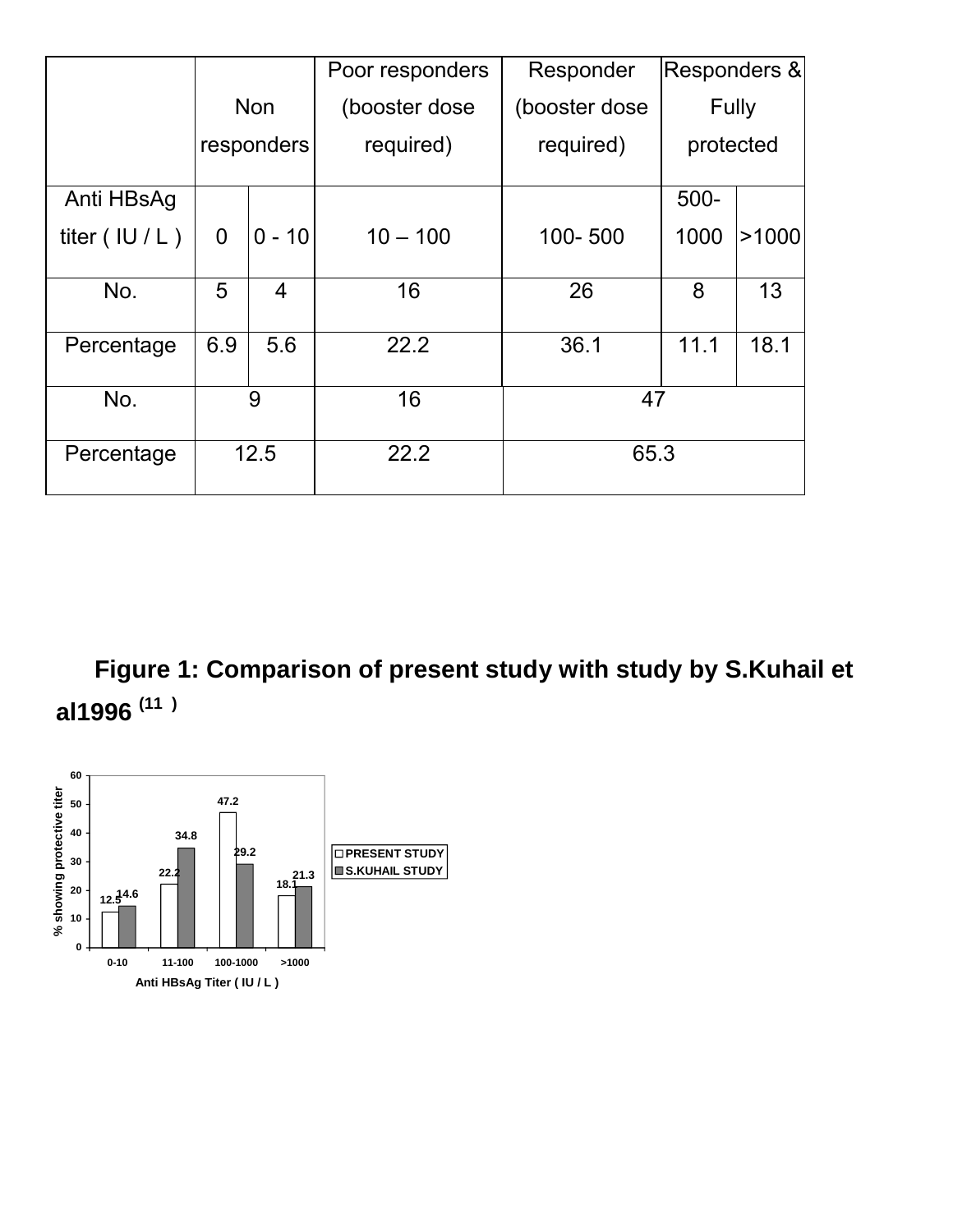|                     |                |            | Poor responders | Responder      | Responders & |       |
|---------------------|----------------|------------|-----------------|----------------|--------------|-------|
|                     |                | <b>Non</b> | (booster dose   | (booster dose) |              | Fully |
|                     |                | responders | required)       | required)      | protected    |       |
| Anti HBsAg          |                |            |                 |                | $500 -$      |       |
| titer $($ IU $/$ L) | $\overline{0}$ | $0 - 10$   | $10 - 100$      | 100-500        | 1000         | >1000 |
| No.                 | 5              | 4          | 16              | 26             | 8            | 13    |
| Percentage          | 6.9            | 5.6        | 22.2            | 36.1           | 11.1         | 18.1  |
| No.                 | 9              |            | 16              | 47             |              |       |
| Percentage          | 12.5           |            | 22.2            | 65.3           |              |       |

**Figure 1: Comparison of present study with study by S.Kuhail et al1996 (11 )**

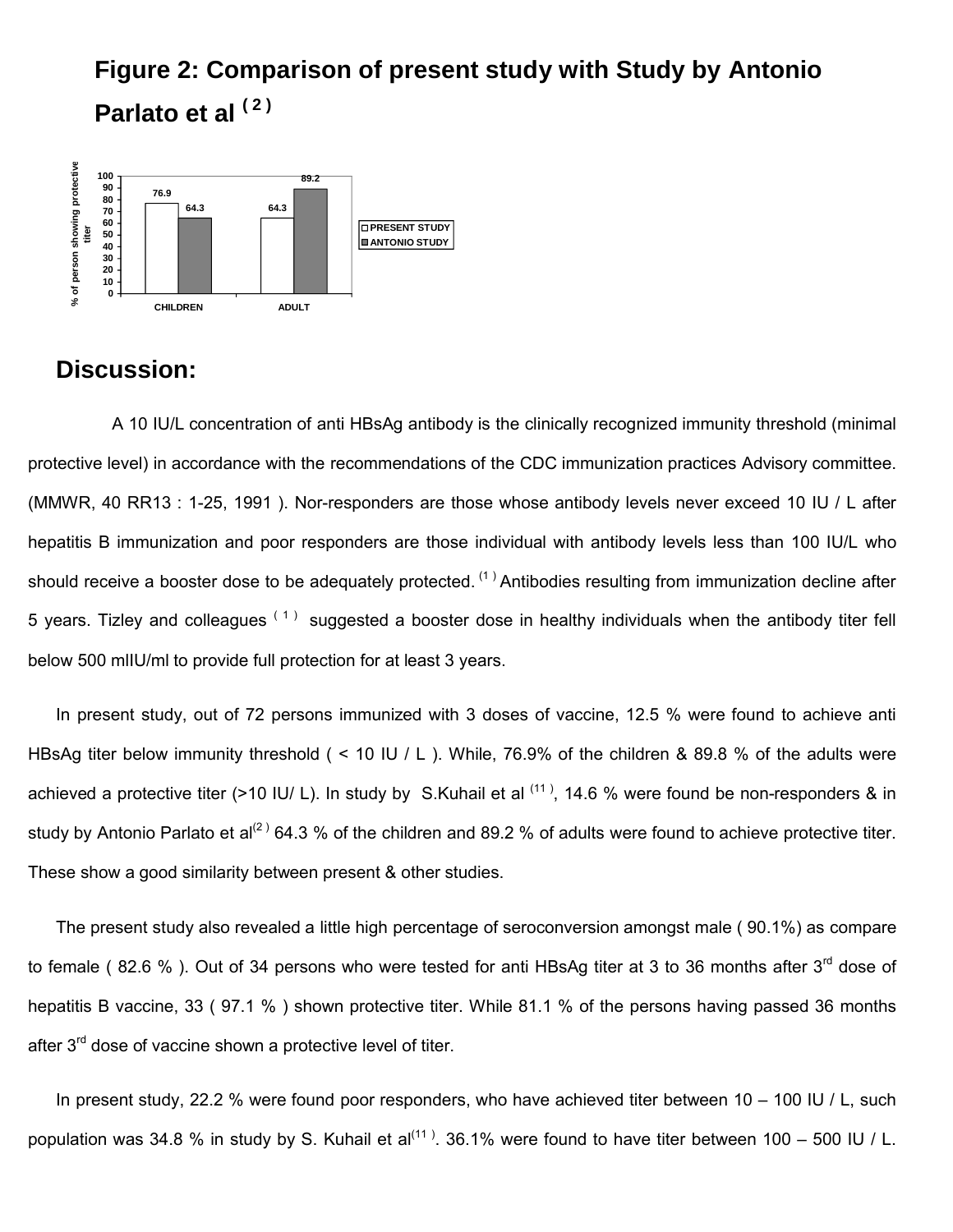## **Figure 2: Comparison of present study with Study by Antonio Parlato et al ( 2 )**



### **Discussion:**

A 10 IU/L concentration of anti HBsAg antibody is the clinically recognized immunity threshold (minimal protective level) in accordance with the recommendations of the CDC immunization practices Advisory committee. (MMWR, 40 RR13 : 1-25, 1991 ). Nor-responders are those whose antibody levels never exceed 10 IU / L after hepatitis B immunization and poor responders are those individual with antibody levels less than 100 IU/L who should receive a booster dose to be adequately protected. <sup>(1)</sup> Antibodies resulting from immunization decline after 5 years. Tizley and colleagues  $(1)$  suggested a booster dose in healthy individuals when the antibody titer fell below 500 mlIU/ml to provide full protection for at least 3 years.

In present study, out of 72 persons immunized with 3 doses of vaccine, 12.5 % were found to achieve anti HBsAg titer below immunity threshold ( < 10 IU / L ). While, 76.9% of the children & 89.8 % of the adults were achieved a protective titer (>10 IU/ L). In study by S.Kuhail et al  $(11)$ , 14.6 % were found be non-responders & in study by Antonio Parlato et al<sup>(2)</sup> 64.3 % of the children and 89.2 % of adults were found to achieve protective titer. These show a good similarity between present & other studies.

The present study also revealed a little high percentage of seroconversion amongst male ( 90.1%) as compare to female (82.6 %). Out of 34 persons who were tested for anti HBsAg titer at 3 to 36 months after 3<sup>rd</sup> dose of hepatitis B vaccine, 33 (97.1 %) shown protective titer. While 81.1 % of the persons having passed 36 months after  $3<sup>rd</sup>$  dose of vaccine shown a protective level of titer.

In present study, 22.2 % were found poor responders, who have achieved titer between 10 – 100 IU / L, such population was 34.8 % in study by S. Kuhail et al<sup>(11)</sup>. 36.1% were found to have titer between 100 – 500 IU / L.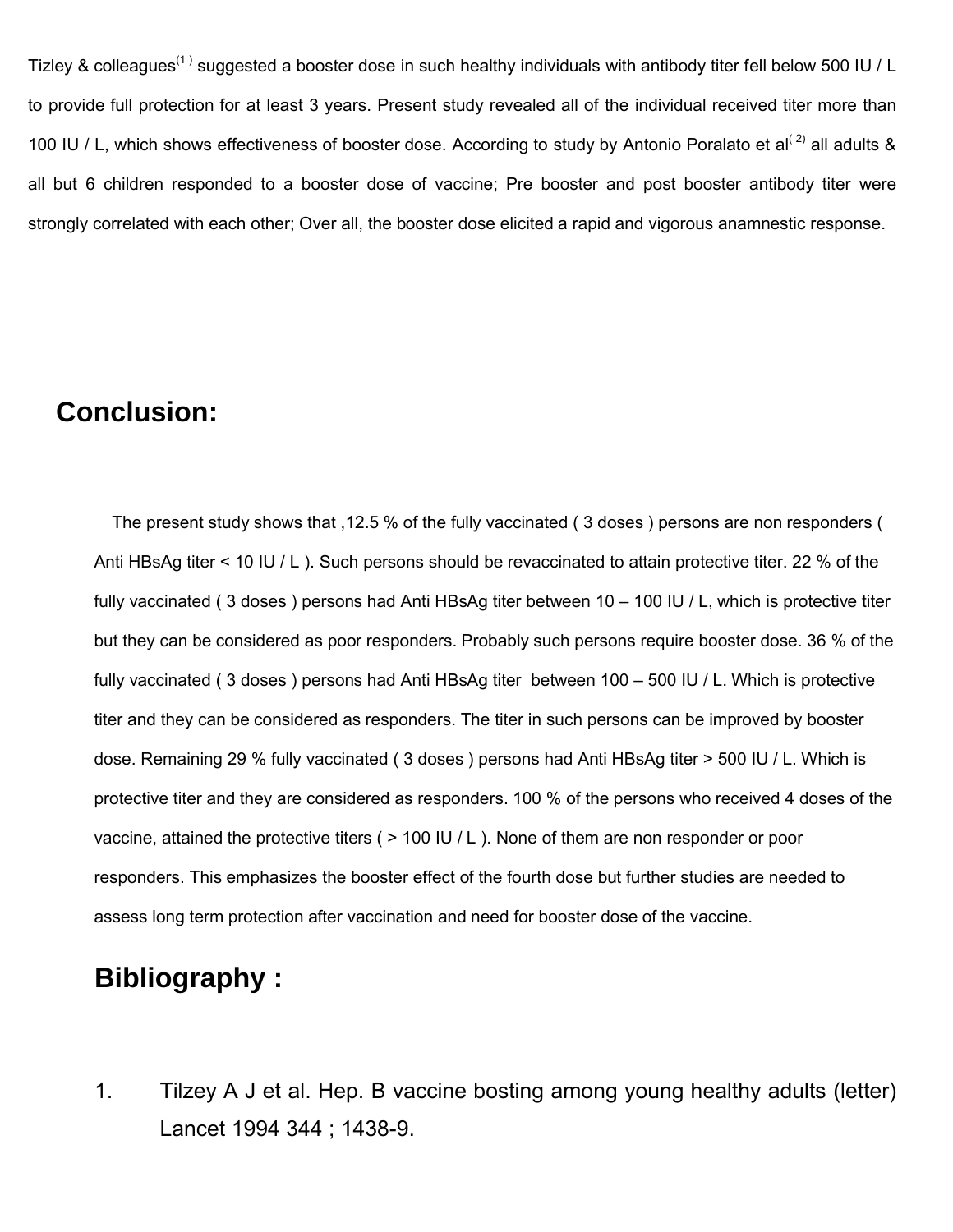Tizley & colleagues<sup>(1)</sup> suggested a booster dose in such healthy individuals with antibody titer fell below 500 IU / L to provide full protection for at least 3 years. Present study revealed all of the individual received titer more than 100 IU / L, which shows effectiveness of booster dose. According to study by Antonio Poralato et al<sup>(2)</sup> all adults & all but 6 children responded to a booster dose of vaccine; Pre booster and post booster antibody titer were strongly correlated with each other; Over all, the booster dose elicited a rapid and vigorous anamnestic response.

## **Conclusion:**

The present study shows that ,12.5 % of the fully vaccinated ( 3 doses ) persons are non responders ( Anti HBsAg titer < 10 IU / L ). Such persons should be revaccinated to attain protective titer. 22 % of the fully vaccinated ( 3 doses ) persons had Anti HBsAg titer between 10 – 100 IU / L, which is protective titer but they can be considered as poor responders. Probably such persons require booster dose. 36 % of the fully vaccinated ( 3 doses ) persons had Anti HBsAg titer between 100 – 500 IU / L. Which is protective titer and they can be considered as responders. The titer in such persons can be improved by booster dose. Remaining 29 % fully vaccinated ( 3 doses ) persons had Anti HBsAg titer > 500 IU / L. Which is protective titer and they are considered as responders. 100 % of the persons who received 4 doses of the vaccine, attained the protective titers ( > 100 IU / L ). None of them are non responder or poor responders. This emphasizes the booster effect of the fourth dose but further studies are needed to assess long term protection after vaccination and need for booster dose of the vaccine.

## **Bibliography :**

1. Tilzey A J et al. Hep. B vaccine bosting among young healthy adults (letter) Lancet 1994 344 ; 1438-9.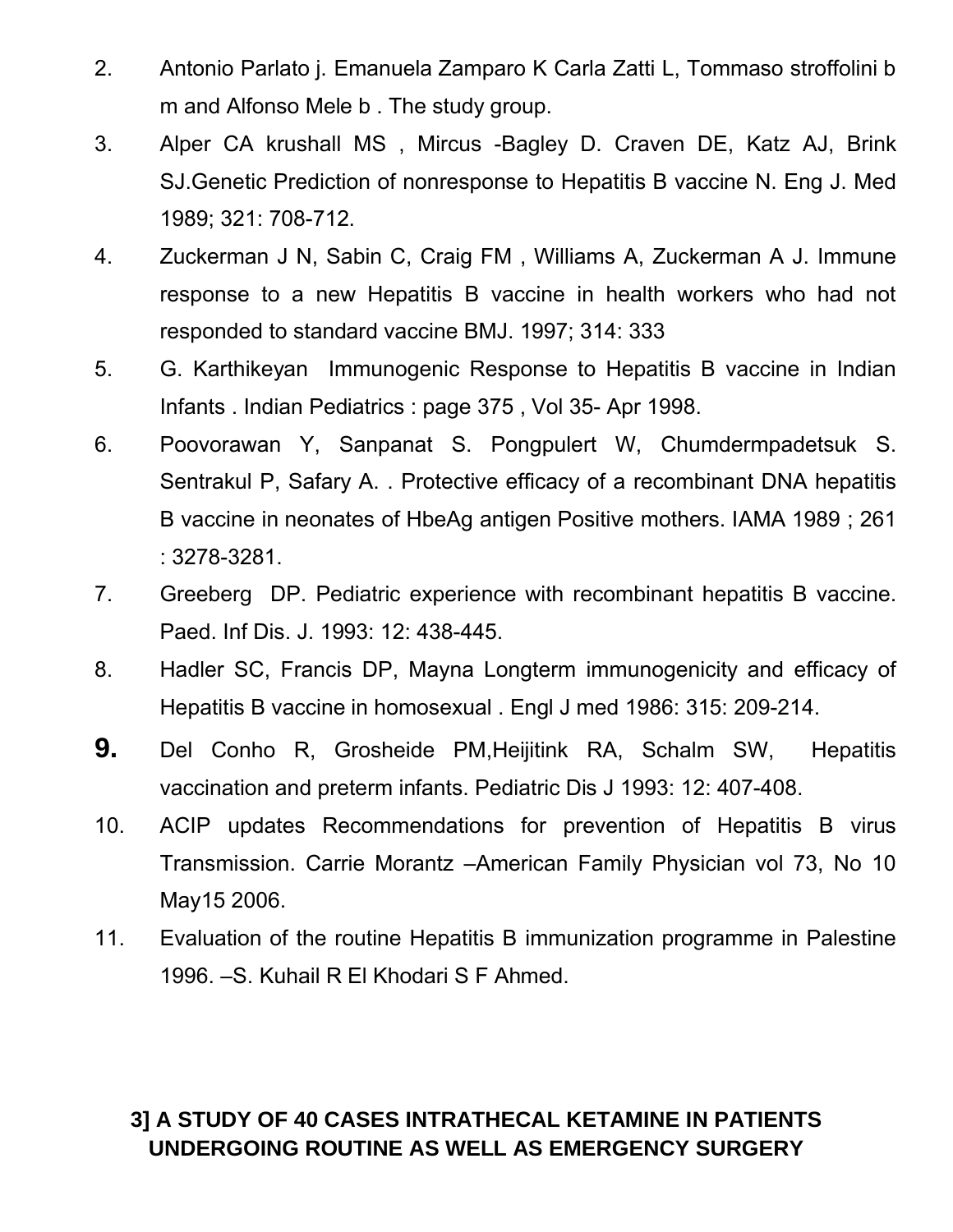- 2. Antonio Parlato j. Emanuela Zamparo K Carla Zatti L, Tommaso stroffolini b m and Alfonso Mele b . The study group.
- 3. Alper CA krushall MS , Mircus -Bagley D. Craven DE, Katz AJ, Brink SJ.Genetic Prediction of nonresponse to Hepatitis B vaccine N. Eng J. Med 1989; 321: 708-712.
- 4. Zuckerman J N, Sabin C, Craig FM , Williams A, Zuckerman A J. Immune response to a new Hepatitis B vaccine in health workers who had not responded to standard vaccine BMJ. 1997; 314: 333
- 5. G. Karthikeyan Immunogenic Response to Hepatitis B vaccine in Indian Infants . Indian Pediatrics : page 375 , Vol 35- Apr 1998.
- 6. Poovorawan Y, Sanpanat S. Pongpulert W, Chumdermpadetsuk S. Sentrakul P, Safary A. . Protective efficacy of a recombinant DNA hepatitis B vaccine in neonates of HbeAg antigen Positive mothers. IAMA 1989 ; 261 : 3278-3281.
- 7. Greeberg DP. Pediatric experience with recombinant hepatitis B vaccine. Paed. Inf Dis. J. 1993: 12: 438-445.
- 8. Hadler SC, Francis DP, Mayna Longterm immunogenicity and efficacy of Hepatitis B vaccine in homosexual . Engl J med 1986: 315: 209-214.
- **9.** Del Conho R, Grosheide PM,Heijitink RA, Schalm SW, Hepatitis vaccination and preterm infants. Pediatric Dis J 1993: 12: 407-408.
- 10. ACIP updates Recommendations for prevention of Hepatitis B virus Transmission. Carrie Morantz –American Family Physician vol 73, No 10 May15 2006.
- 11. Evaluation of the routine Hepatitis B immunization programme in Palestine 1996. –S. Kuhail R El Khodari S F Ahmed.

## **3] A STUDY OF 40 CASES INTRATHECAL KETAMINE IN PATIENTS UNDERGOING ROUTINE AS WELL AS EMERGENCY SURGERY**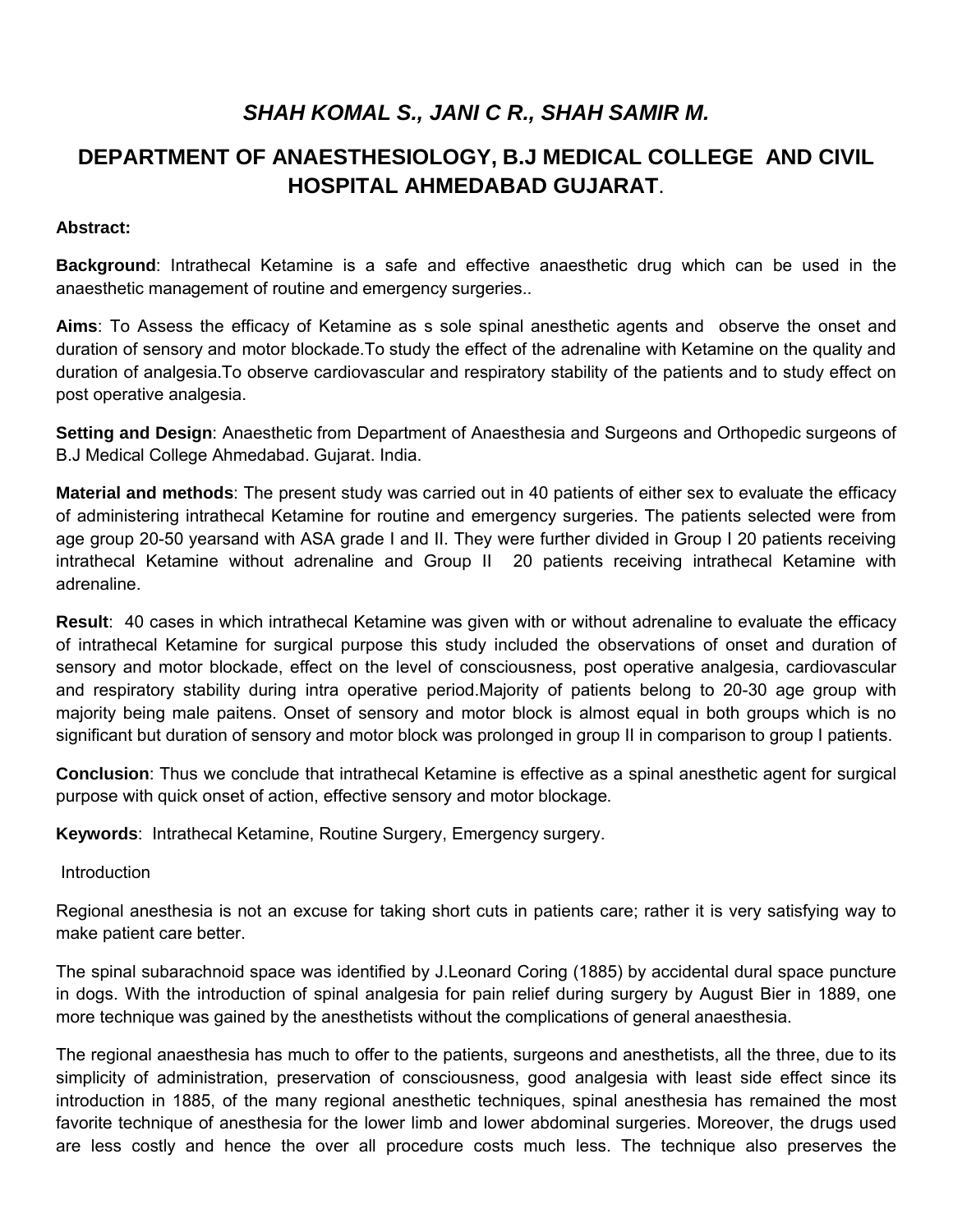## *SHAH KOMAL S., JANI C R., SHAH SAMIR M.*

## **DEPARTMENT OF ANAESTHESIOLOGY, B.J MEDICAL COLLEGE AND CIVIL HOSPITAL AHMEDABAD GUJARAT**.

#### **Abstract:**

**Background**: Intrathecal Ketamine is a safe and effective anaesthetic drug which can be used in the anaesthetic management of routine and emergency surgeries..

**Aims**: To Assess the efficacy of Ketamine as s sole spinal anesthetic agents and observe the onset and duration of sensory and motor blockade.To study the effect of the adrenaline with Ketamine on the quality and duration of analgesia.To observe cardiovascular and respiratory stability of the patients and to study effect on post operative analgesia.

**Setting and Design**: Anaesthetic from Department of Anaesthesia and Surgeons and Orthopedic surgeons of B.J Medical College Ahmedabad. Gujarat. India.

**Material and methods**: The present study was carried out in 40 patients of either sex to evaluate the efficacy of administering intrathecal Ketamine for routine and emergency surgeries. The patients selected were from age group 20-50 yearsand with ASA grade I and II. They were further divided in Group I 20 patients receiving intrathecal Ketamine without adrenaline and Group II 20 patients receiving intrathecal Ketamine with adrenaline.

**Result**: 40 cases in which intrathecal Ketamine was given with or without adrenaline to evaluate the efficacy of intrathecal Ketamine for surgical purpose this study included the observations of onset and duration of sensory and motor blockade, effect on the level of consciousness, post operative analgesia, cardiovascular and respiratory stability during intra operative period.Majority of patients belong to 20-30 age group with majority being male paitens. Onset of sensory and motor block is almost equal in both groups which is no significant but duration of sensory and motor block was prolonged in group II in comparison to group I patients.

**Conclusion**: Thus we conclude that intrathecal Ketamine is effective as a spinal anesthetic agent for surgical purpose with quick onset of action, effective sensory and motor blockage.

**Keywords**: Intrathecal Ketamine, Routine Surgery, Emergency surgery.

**Introduction** 

Regional anesthesia is not an excuse for taking short cuts in patients care; rather it is very satisfying way to make patient care better.

The spinal subarachnoid space was identified by J.Leonard Coring (1885) by accidental dural space puncture in dogs. With the introduction of spinal analgesia for pain relief during surgery by August Bier in 1889, one more technique was gained by the anesthetists without the complications of general anaesthesia.

The regional anaesthesia has much to offer to the patients, surgeons and anesthetists, all the three, due to its simplicity of administration, preservation of consciousness, good analgesia with least side effect since its introduction in 1885, of the many regional anesthetic techniques, spinal anesthesia has remained the most favorite technique of anesthesia for the lower limb and lower abdominal surgeries. Moreover, the drugs used are less costly and hence the over all procedure costs much less. The technique also preserves the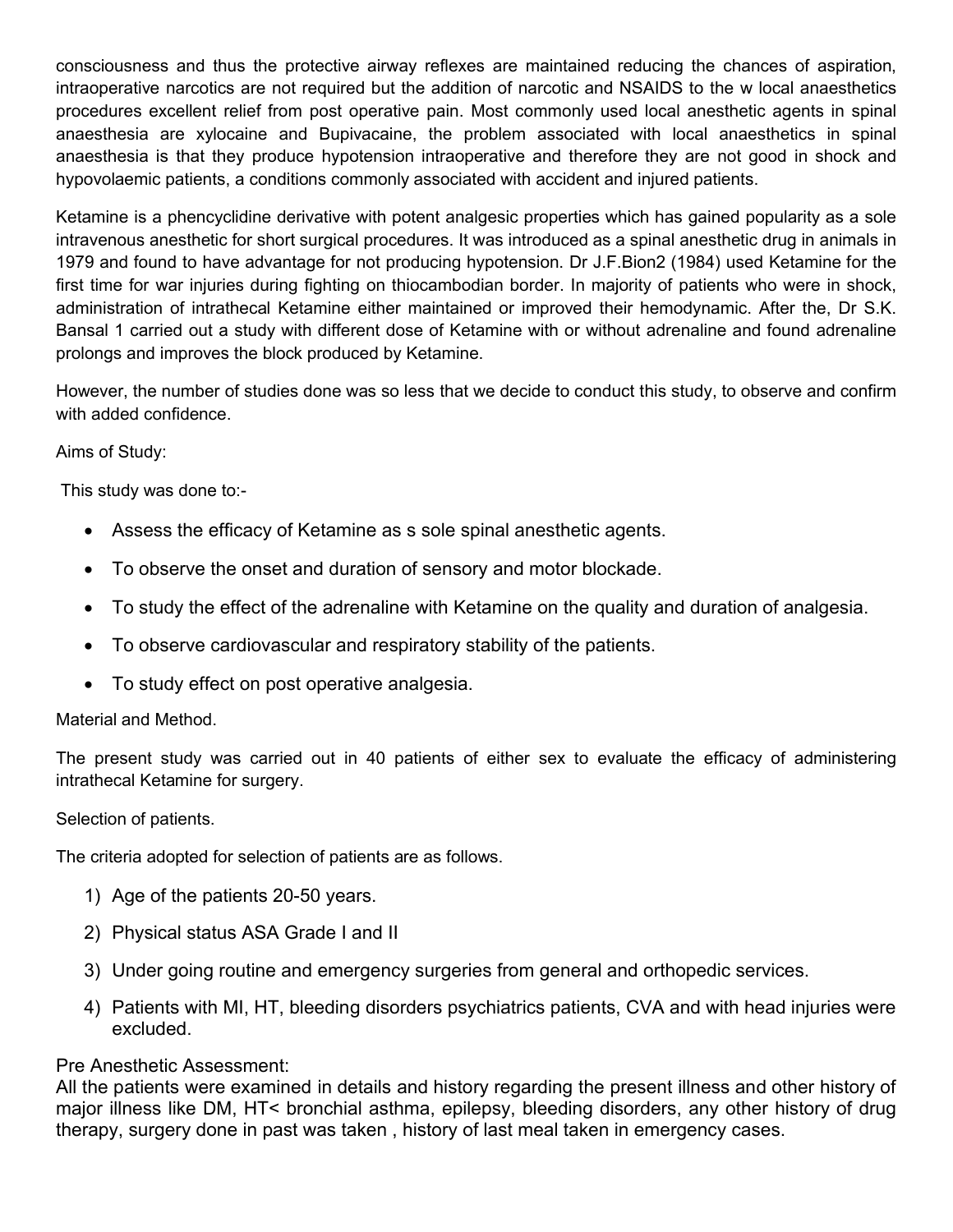consciousness and thus the protective airway reflexes are maintained reducing the chances of aspiration, intraoperative narcotics are not required but the addition of narcotic and NSAIDS to the w local anaesthetics procedures excellent relief from post operative pain. Most commonly used local anesthetic agents in spinal anaesthesia are xylocaine and Bupivacaine, the problem associated with local anaesthetics in spinal anaesthesia is that they produce hypotension intraoperative and therefore they are not good in shock and hypovolaemic patients, a conditions commonly associated with accident and injured patients.

Ketamine is a phencyclidine derivative with potent analgesic properties which has gained popularity as a sole intravenous anesthetic for short surgical procedures. It was introduced as a spinal anesthetic drug in animals in 1979 and found to have advantage for not producing hypotension. Dr J.F.Bion2 (1984) used Ketamine for the first time for war injuries during fighting on thiocambodian border. In majority of patients who were in shock, administration of intrathecal Ketamine either maintained or improved their hemodynamic. After the, Dr S.K. Bansal 1 carried out a study with different dose of Ketamine with or without adrenaline and found adrenaline prolongs and improves the block produced by Ketamine.

However, the number of studies done was so less that we decide to conduct this study, to observe and confirm with added confidence.

Aims of Study:

This study was done to:-

- Assess the efficacy of Ketamine as s sole spinal anesthetic agents.
- To observe the onset and duration of sensory and motor blockade.
- To study the effect of the adrenaline with Ketamine on the quality and duration of analgesia.
- To observe cardiovascular and respiratory stability of the patients.
- To study effect on post operative analgesia.

### Material and Method.

The present study was carried out in 40 patients of either sex to evaluate the efficacy of administering intrathecal Ketamine for surgery.

### Selection of patients.

The criteria adopted for selection of patients are as follows.

- 1) Age of the patients 20-50 years.
- 2) Physical status ASA Grade I and II
- 3) Under going routine and emergency surgeries from general and orthopedic services.
- 4) Patients with MI, HT, bleeding disorders psychiatrics patients, CVA and with head injuries were excluded.

### Pre Anesthetic Assessment:

All the patients were examined in details and history regarding the present illness and other history of major illness like DM, HT< bronchial asthma, epilepsy, bleeding disorders, any other history of drug therapy, surgery done in past was taken , history of last meal taken in emergency cases.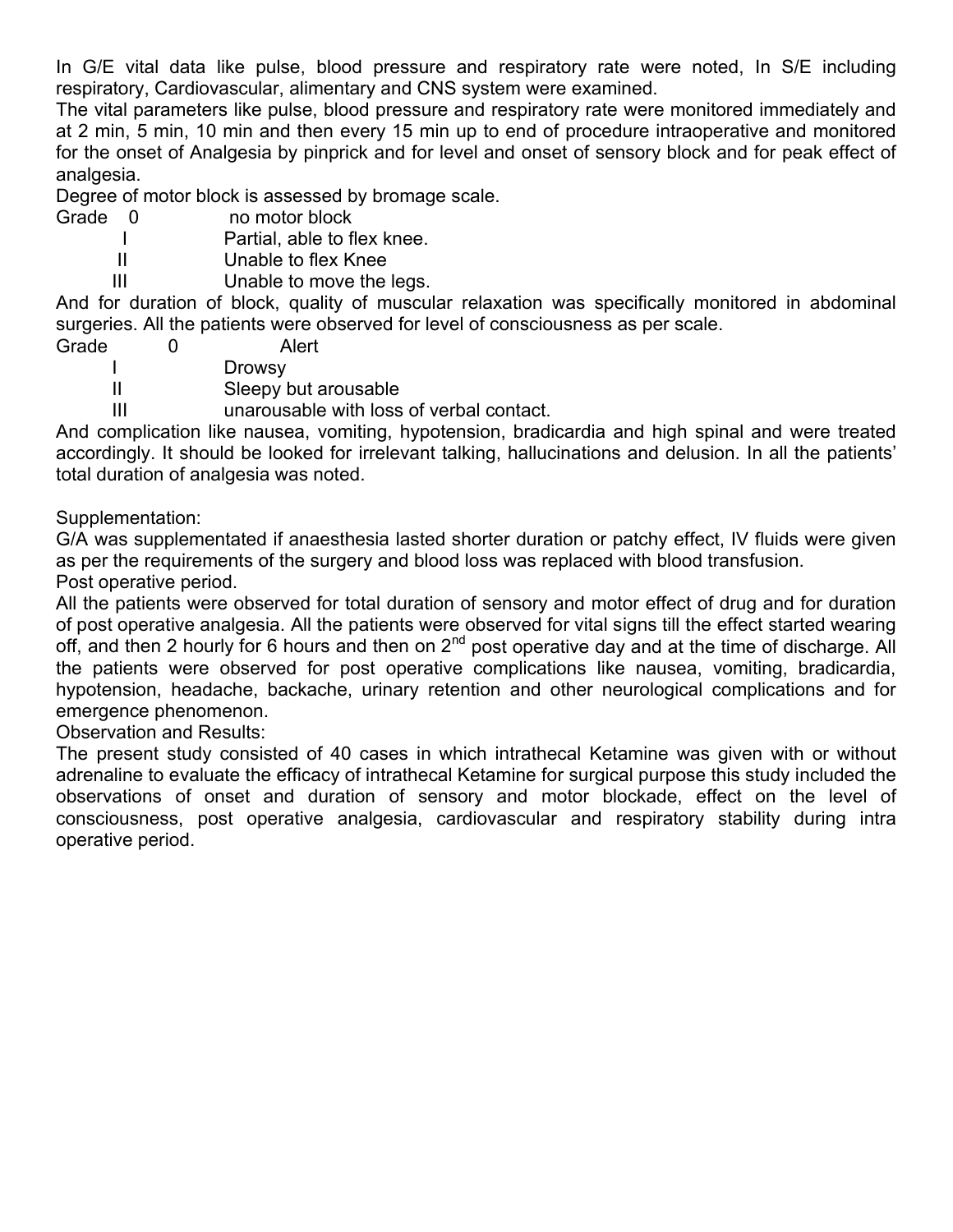In G/E vital data like pulse, blood pressure and respiratory rate were noted, In S/E including respiratory, Cardiovascular, alimentary and CNS system were examined.

The vital parameters like pulse, blood pressure and respiratory rate were monitored immediately and at 2 min, 5 min, 10 min and then every 15 min up to end of procedure intraoperative and monitored for the onset of Analgesia by pinprick and for level and onset of sensory block and for peak effect of analgesia.

Degree of motor block is assessed by bromage scale.

Grade 0 no motor block

I Partial, able to flex knee.<br>Il Dhable to flex Knee

Unable to flex Knee

III Unable to move the legs.

And for duration of block, quality of muscular relaxation was specifically monitored in abdominal surgeries. All the patients were observed for level of consciousness as per scale.

- Grade 0 Alert
	- I Drowsy
	- II Sleepy but arousable

III unarousable with loss of verbal contact.

And complication like nausea, vomiting, hypotension, bradicardia and high spinal and were treated accordingly. It should be looked for irrelevant talking, hallucinations and delusion. In all the patients' total duration of analgesia was noted.

Supplementation:

G/A was supplementated if anaesthesia lasted shorter duration or patchy effect, IV fluids were given as per the requirements of the surgery and blood loss was replaced with blood transfusion. Post operative period.

All the patients were observed for total duration of sensory and motor effect of drug and for duration of post operative analgesia. All the patients were observed for vital signs till the effect started wearing off, and then 2 hourly for 6 hours and then on 2<sup>nd</sup> post operative day and at the time of discharge. All the patients were observed for post operative complications like nausea, vomiting, bradicardia, hypotension, headache, backache, urinary retention and other neurological complications and for emergence phenomenon.

Observation and Results:

The present study consisted of 40 cases in which intrathecal Ketamine was given with or without adrenaline to evaluate the efficacy of intrathecal Ketamine for surgical purpose this study included the observations of onset and duration of sensory and motor blockade, effect on the level of consciousness, post operative analgesia, cardiovascular and respiratory stability during intra operative period.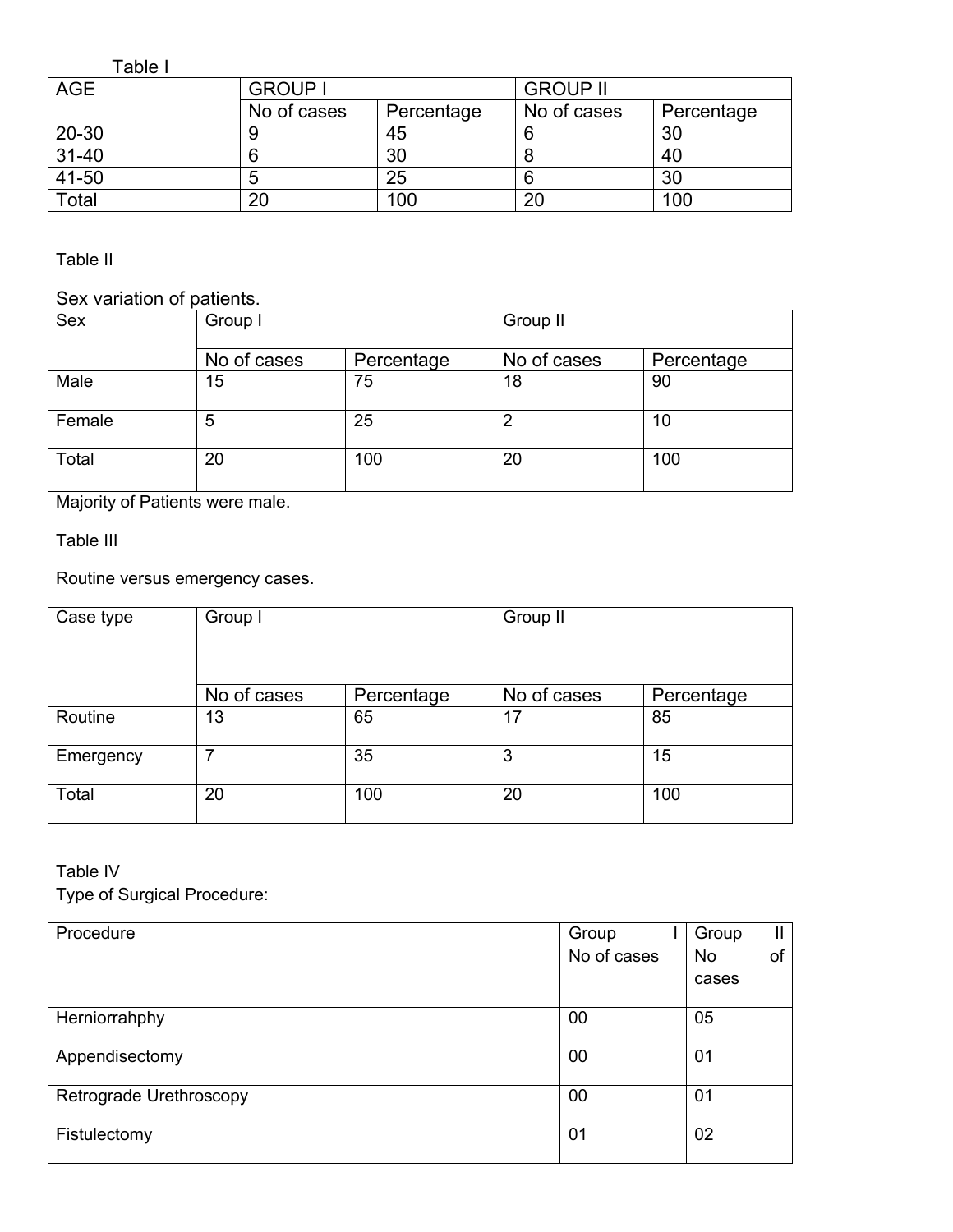Table I

| <b>AGE</b> | <b>GROUP I</b> |            | <b>GROUP II</b> |            |  |
|------------|----------------|------------|-----------------|------------|--|
|            | No of cases    | Percentage | No of cases     | Percentage |  |
| $20 - 30$  |                | 45         |                 | 30         |  |
| $31 - 40$  |                | 30         | О               | 40         |  |
| 41-50      | о              | 25         | 6               | 30         |  |
| Total      | 20             | 100        | 20              | 100        |  |

Table II

### Sex variation of patients.

| <b>Sex</b> | Group I     |            | Group II    |            |  |
|------------|-------------|------------|-------------|------------|--|
|            | No of cases | Percentage | No of cases | Percentage |  |
| Male       | 15          | 75         | 18          | 90         |  |
| Female     | 5           | 25         | 2           | 10         |  |
| Total      | 20          | 100        | 20          | 100        |  |

Majority of Patients were male.

Table III

Routine versus emergency cases.

| Case type | Group I     |            | Group II    |            |  |
|-----------|-------------|------------|-------------|------------|--|
|           | No of cases | Percentage | No of cases | Percentage |  |
| Routine   | 13          | 65         | 17          | 85         |  |
| Emergency | 7           | 35         | 3           | 15         |  |
| Total     | 20          | 100        | 20          | 100        |  |

### Table IV

Type of Surgical Procedure:

| Procedure               | Group       | Group     | Ш. |
|-------------------------|-------------|-----------|----|
|                         | No of cases | <b>No</b> | of |
|                         |             | cases     |    |
| Herniorrahphy           | 00          | 05        |    |
| Appendisectomy          | 00          | 01        |    |
| Retrograde Urethroscopy | 00          | 01        |    |
| Fistulectomy            | 01          | 02        |    |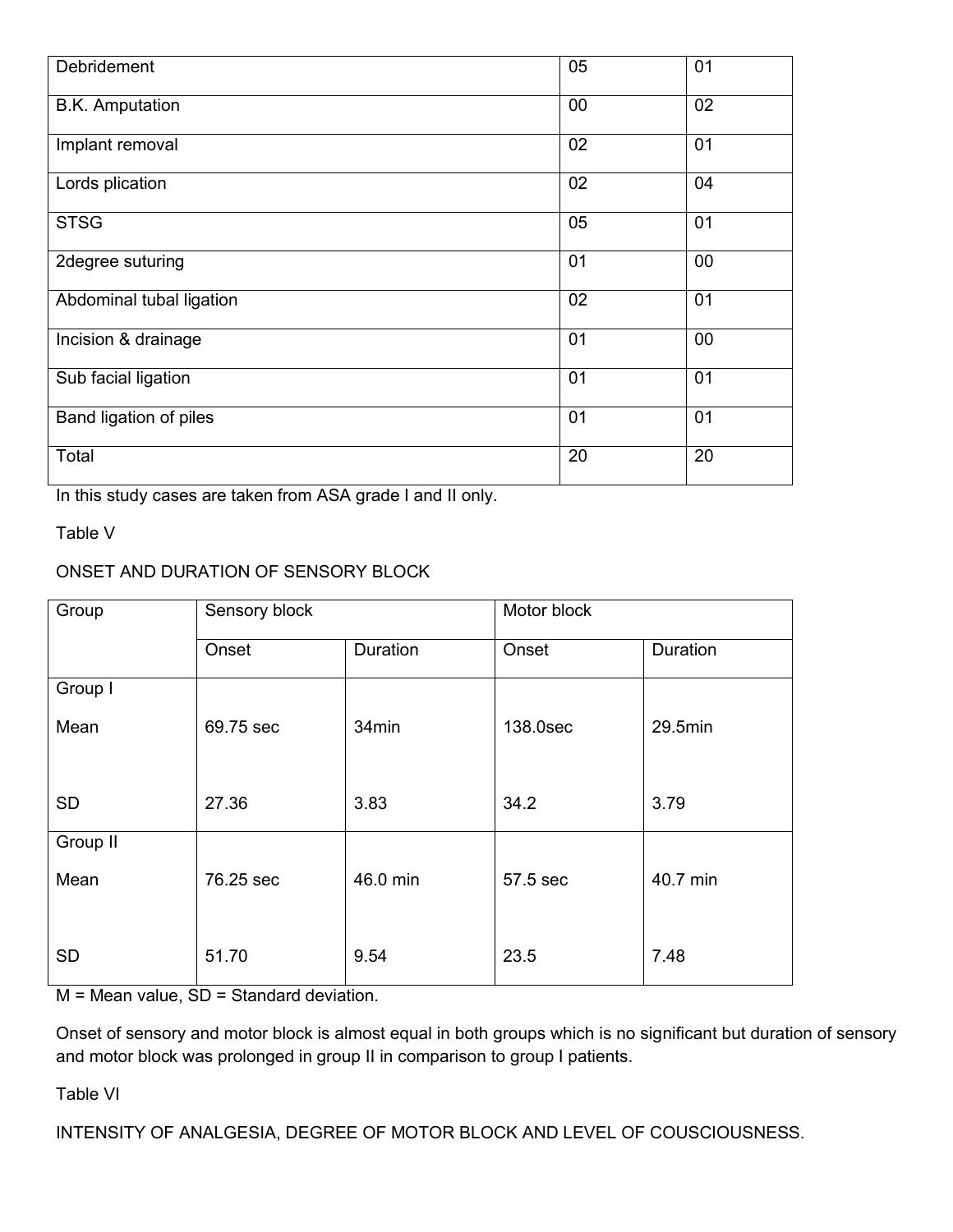| Debridement              | 05     | 01 |
|--------------------------|--------|----|
| <b>B.K.</b> Amputation   | $00\,$ | 02 |
| Implant removal          | 02     | 01 |
| Lords plication          | 02     | 04 |
| <b>STSG</b>              | 05     | 01 |
| 2degree suturing         | 01     | 00 |
| Abdominal tubal ligation | 02     | 01 |
| Incision & drainage      | 01     | 00 |
| Sub facial ligation      | 01     | 01 |
| Band ligation of piles   | 01     | 01 |
| Total                    | 20     | 20 |

In this study cases are taken from ASA grade I and II only.

Table V

### ONSET AND DURATION OF SENSORY BLOCK

| Group     | Sensory block |          | Motor block |          |  |
|-----------|---------------|----------|-------------|----------|--|
|           | Onset         | Duration | Onset       | Duration |  |
| Group I   |               |          |             |          |  |
| Mean      | 69.75 sec     | 34min    | 138.0sec    | 29.5min  |  |
|           |               |          |             |          |  |
| <b>SD</b> | 27.36         | 3.83     | 34.2        | 3.79     |  |
| Group II  |               |          |             |          |  |
| Mean      | 76.25 sec     | 46.0 min | 57.5 sec    | 40.7 min |  |
|           |               |          |             |          |  |
| <b>SD</b> | 51.70         | 9.54     | 23.5        | 7.48     |  |

M = Mean value, SD = Standard deviation.

Onset of sensory and motor block is almost equal in both groups which is no significant but duration of sensory and motor block was prolonged in group II in comparison to group I patients.

Table VI

INTENSITY OF ANALGESIA, DEGREE OF MOTOR BLOCK AND LEVEL OF COUSCIOUSNESS.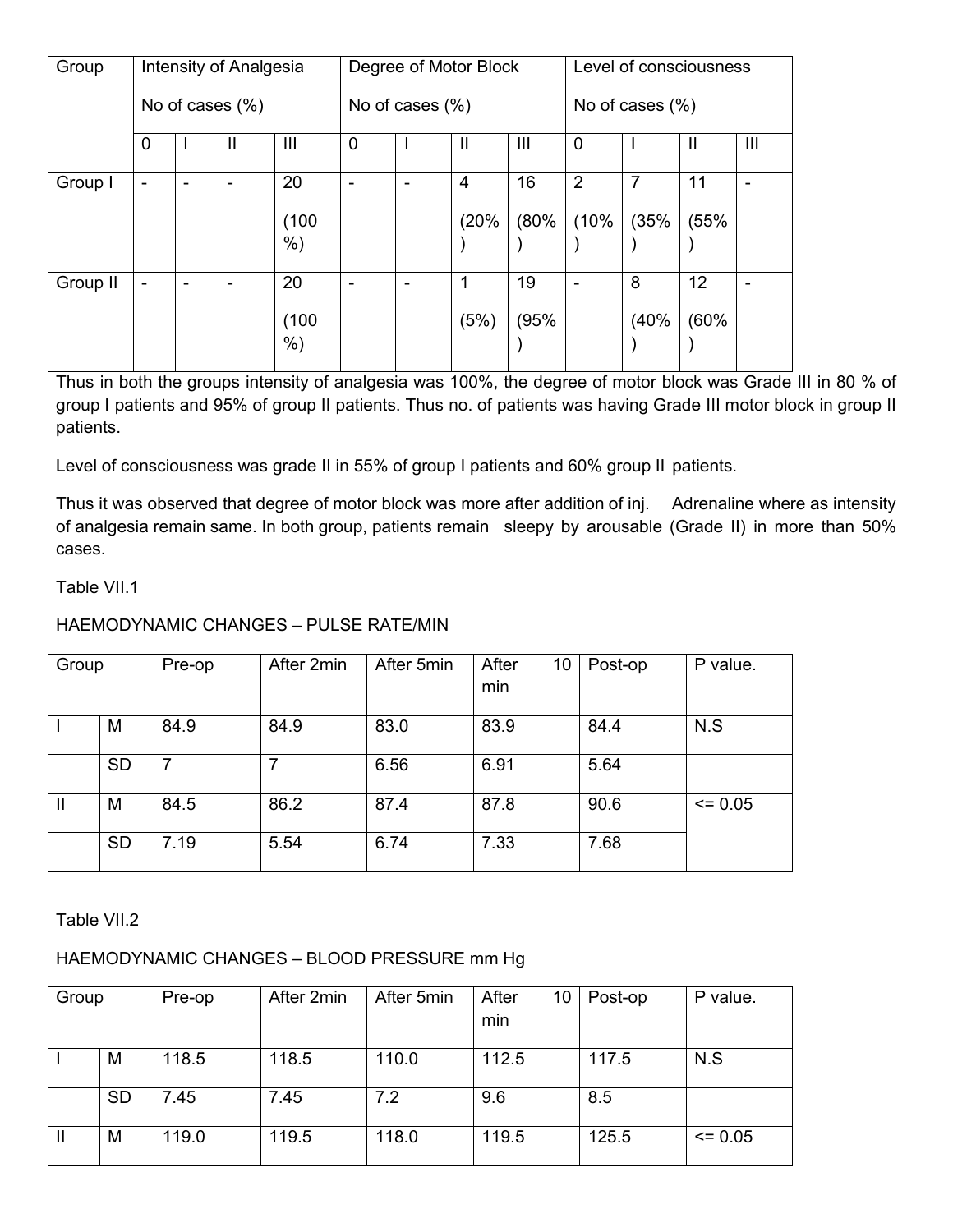| Group    | Intensity of Analgesia   |  |                       |                    | Degree of Motor Block    |   |              |                    | Level of consciousness |      |                 |                |
|----------|--------------------------|--|-----------------------|--------------------|--------------------------|---|--------------|--------------------|------------------------|------|-----------------|----------------|
|          | No of cases $(\%)$       |  |                       | No of cases $(\%)$ |                          |   |              | No of cases $(\%)$ |                        |      |                 |                |
|          | 0                        |  | $\mathbf{\mathsf{I}}$ | $\mathbf{III}$     | $\overline{0}$           |   | $\mathsf{I}$ | $\mathbf{III}$     | $\overline{0}$         |      | H               | $\mathbf{III}$ |
| Group I  | ۰                        |  | ۰                     | 20                 | $\overline{\phantom{0}}$ | ۰ | 4            | 16                 | $\overline{2}$         | 7    | 11              | ۰              |
|          |                          |  |                       | (100)              |                          |   | (20%         | (80%               | (10%                   | (35% | (55%            |                |
|          |                          |  |                       | $%$ )              |                          |   |              |                    |                        |      |                 |                |
| Group II | $\overline{\phantom{a}}$ |  | ۰                     | 20                 |                          | ۰ | 1            | 19                 | ۰                      | 8    | 12 <sup>2</sup> |                |
|          |                          |  |                       | (100)<br>$%$ )     |                          |   | (5%)         | (95%               |                        | (40% | (60%            |                |

Thus in both the groups intensity of analgesia was 100%, the degree of motor block was Grade III in 80 % of group I patients and 95% of group II patients. Thus no. of patients was having Grade III motor block in group II patients.

Level of consciousness was grade II in 55% of group I patients and 60% group II patients.

Thus it was observed that degree of motor block was more after addition of inj. Adrenaline where as intensity of analgesia remain same. In both group, patients remain sleepy by arousable (Grade II) in more than 50% cases.

### Table VII.1

### HAEMODYNAMIC CHANGES – PULSE RATE/MIN

| Group |           | Pre-op | After 2min | After 5min | After<br>10<br>min | Post-op | P value. |
|-------|-----------|--------|------------|------------|--------------------|---------|----------|
|       | M         | 84.9   | 84.9       | 83.0       | 83.9               | 84.4    | N.S      |
|       | <b>SD</b> |        |            | 6.56       | 6.91               | 5.64    |          |
| Ш     | M         | 84.5   | 86.2       | 87.4       | 87.8               | 90.6    | $= 0.05$ |
|       | <b>SD</b> | 7.19   | 5.54       | 6.74       | 7.33               | 7.68    |          |

Table VII.2

### HAEMODYNAMIC CHANGES – BLOOD PRESSURE mm Hg

| Group |           | Pre-op | After 2min | After 5min | After<br>10<br>min | Post-op | P value.    |
|-------|-----------|--------|------------|------------|--------------------|---------|-------------|
|       | M         | 118.5  | 118.5      | 110.0      | 112.5              | 117.5   | N.S         |
|       |           |        |            |            |                    |         |             |
|       | <b>SD</b> | 7.45   | 7.45       | 7.2        | 9.6                | 8.5     |             |
| H     | M         | 119.0  | 119.5      | 118.0      | 119.5              | 125.5   | $\leq 0.05$ |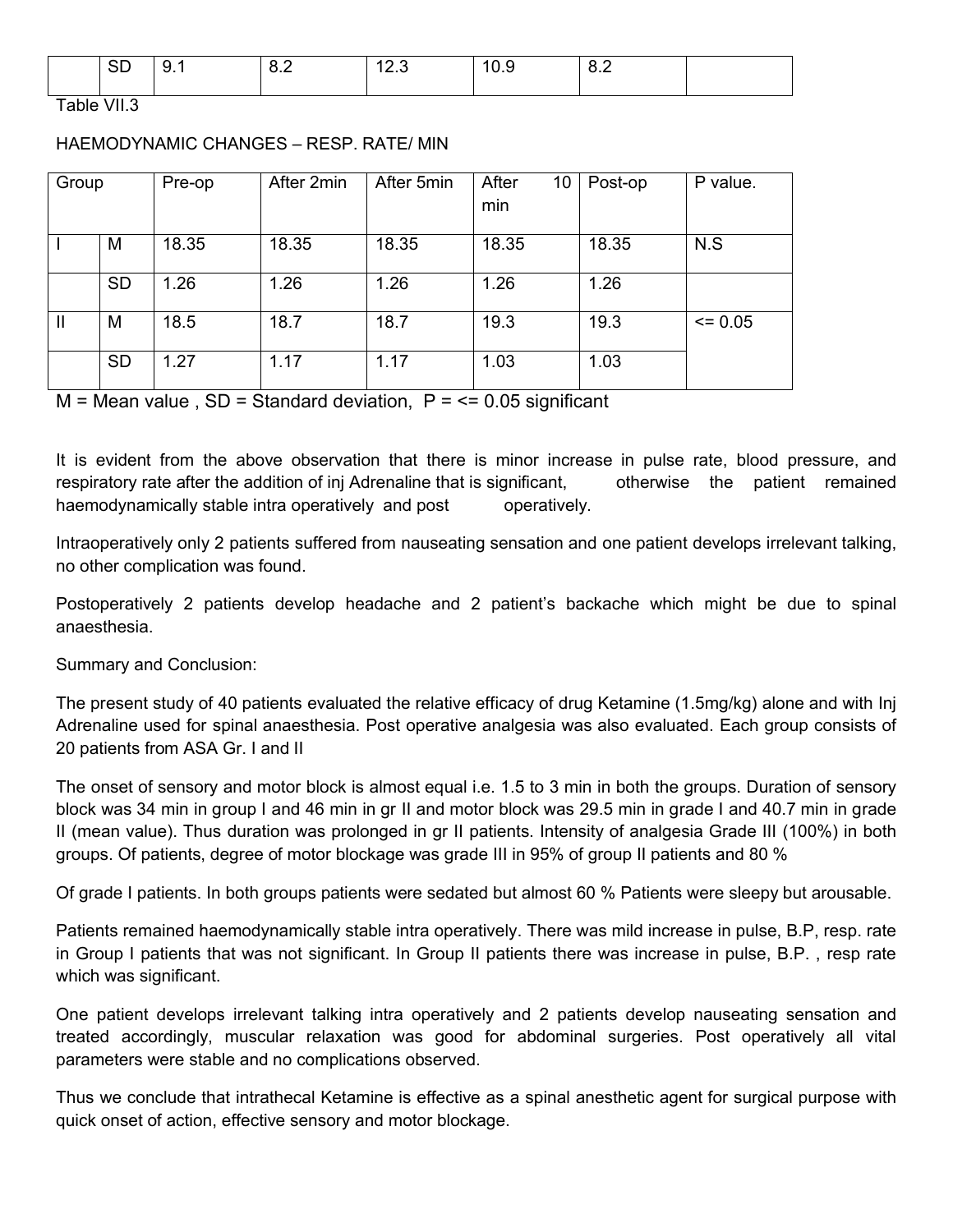| חר<br>◡◡ | .<br>$\sim$ $\sim$ | $\ddotsc$ | $\overline{a}$<br>. <del>.</del> | . . | $\overline{ }$<br>$\ddotsc$<br>- - - |  |
|----------|--------------------|-----------|----------------------------------|-----|--------------------------------------|--|
|          |                    |           |                                  |     |                                      |  |

Table VII.3

### HAEMODYNAMIC CHANGES – RESP. RATE/ MIN

| Group        |           | Pre-op | After 2min | After 5min | After<br>10<br>min | Post-op | P value.    |
|--------------|-----------|--------|------------|------------|--------------------|---------|-------------|
|              | M         | 18.35  | 18.35      | 18.35      | 18.35              | 18.35   | N.S         |
|              | <b>SD</b> | 1.26   | 1.26       | 1.26       | 1.26               | 1.26    |             |
| $\mathbf{I}$ | M         | 18.5   | 18.7       | 18.7       | 19.3               | 19.3    | $\leq 0.05$ |
|              | <b>SD</b> | 1.27   | 1.17       | 1.17       | 1.03               | 1.03    |             |

 $M = Mean$  value,  $SD = Standard$  deviation,  $P = \le 0.05$  significant

It is evident from the above observation that there is minor increase in pulse rate, blood pressure, and respiratory rate after the addition of inj Adrenaline that is significant, otherwise the patient remained haemodynamically stable intra operatively and post operatively.

Intraoperatively only 2 patients suffered from nauseating sensation and one patient develops irrelevant talking, no other complication was found.

Postoperatively 2 patients develop headache and 2 patient's backache which might be due to spinal anaesthesia.

Summary and Conclusion:

The present study of 40 patients evaluated the relative efficacy of drug Ketamine (1.5mg/kg) alone and with Inj Adrenaline used for spinal anaesthesia. Post operative analgesia was also evaluated. Each group consists of 20 patients from ASA Gr. I and II

The onset of sensory and motor block is almost equal i.e. 1.5 to 3 min in both the groups. Duration of sensory block was 34 min in group I and 46 min in gr II and motor block was 29.5 min in grade I and 40.7 min in grade II (mean value). Thus duration was prolonged in gr II patients. Intensity of analgesia Grade III (100%) in both groups. Of patients, degree of motor blockage was grade III in 95% of group II patients and 80 %

Of grade I patients. In both groups patients were sedated but almost 60 % Patients were sleepy but arousable.

Patients remained haemodynamically stable intra operatively. There was mild increase in pulse, B.P, resp. rate in Group I patients that was not significant. In Group II patients there was increase in pulse, B.P. , resp rate which was significant.

One patient develops irrelevant talking intra operatively and 2 patients develop nauseating sensation and treated accordingly, muscular relaxation was good for abdominal surgeries. Post operatively all vital parameters were stable and no complications observed.

Thus we conclude that intrathecal Ketamine is effective as a spinal anesthetic agent for surgical purpose with quick onset of action, effective sensory and motor blockage.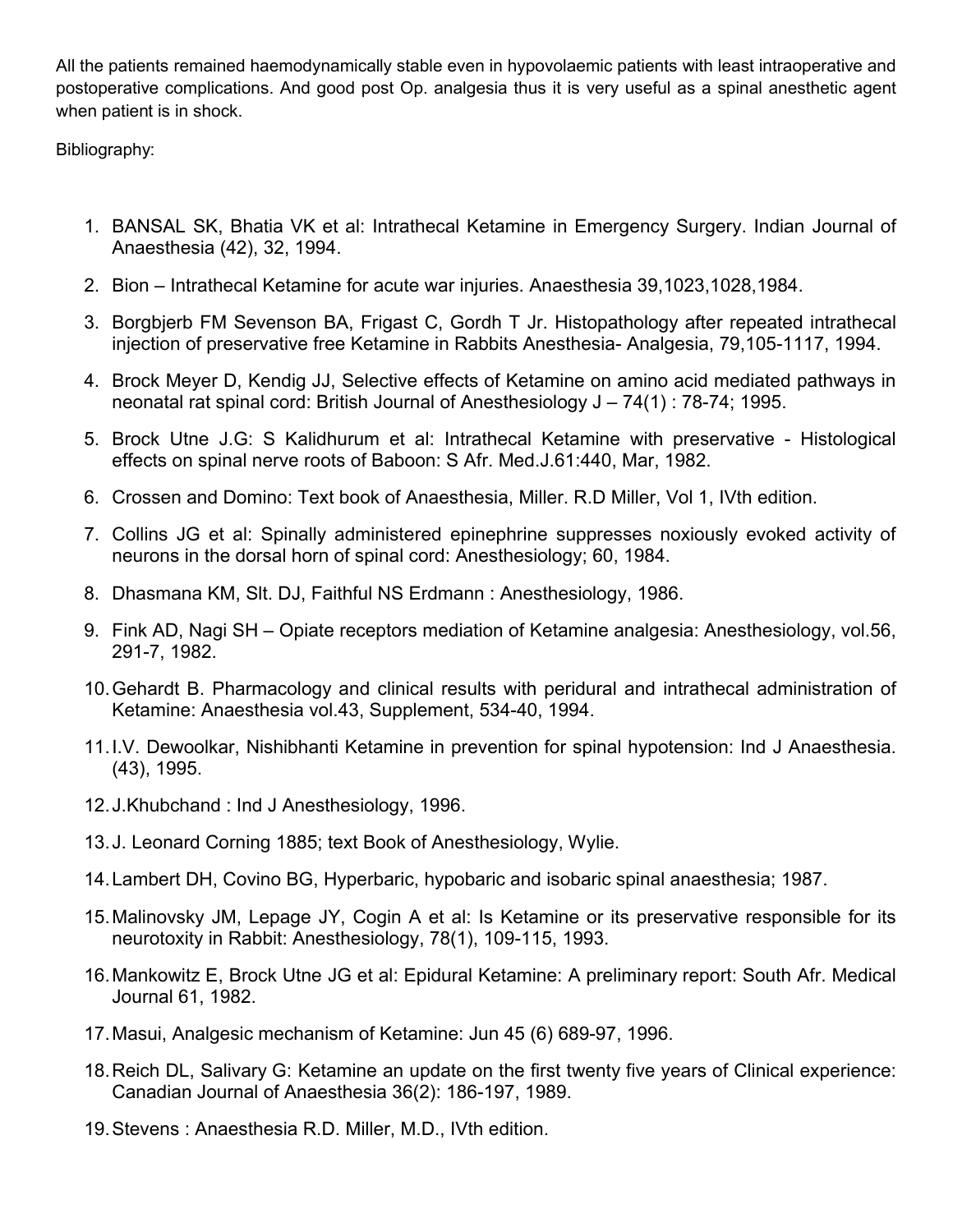All the patients remained haemodynamically stable even in hypovolaemic patients with least intraoperative and postoperative complications. And good post Op. analgesia thus it is very useful as a spinal anesthetic agent when patient is in shock.

Bibliography:

- 1. BANSAL SK, Bhatia VK et al: Intrathecal Ketamine in Emergency Surgery. Indian Journal of Anaesthesia (42), 32, 1994.
- 2. Bion Intrathecal Ketamine for acute war injuries. Anaesthesia 39,1023,1028,1984.
- 3. Borgbjerb FM Sevenson BA, Frigast C, Gordh T Jr. Histopathology after repeated intrathecal injection of preservative free Ketamine in Rabbits Anesthesia- Analgesia, 79,105-1117, 1994.
- 4. Brock Meyer D, Kendig JJ, Selective effects of Ketamine on amino acid mediated pathways in neonatal rat spinal cord: British Journal of Anesthesiology J – 74(1) : 78-74; 1995.
- 5. Brock Utne J.G: S Kalidhurum et al: Intrathecal Ketamine with preservative Histological effects on spinal nerve roots of Baboon: S Afr. Med.J.61:440, Mar, 1982.
- 6. Crossen and Domino: Text book of Anaesthesia, Miller. R.D Miller, Vol 1, IVth edition.
- 7. Collins JG et al: Spinally administered epinephrine suppresses noxiously evoked activity of neurons in the dorsal horn of spinal cord: Anesthesiology; 60, 1984.
- 8. Dhasmana KM, Slt. DJ, Faithful NS Erdmann : Anesthesiology, 1986.
- 9. Fink AD, Nagi SH Opiate receptors mediation of Ketamine analgesia: Anesthesiology, vol.56, 291-7, 1982.
- 10.Gehardt B. Pharmacology and clinical results with peridural and intrathecal administration of Ketamine: Anaesthesia vol.43, Supplement, 534-40, 1994.
- 11.I.V. Dewoolkar, Nishibhanti Ketamine in prevention for spinal hypotension: Ind J Anaesthesia. (43), 1995.
- 12.J.Khubchand : Ind J Anesthesiology, 1996.
- 13.J. Leonard Corning 1885; text Book of Anesthesiology, Wylie.
- 14.Lambert DH, Covino BG, Hyperbaric, hypobaric and isobaric spinal anaesthesia; 1987.
- 15.Malinovsky JM, Lepage JY, Cogin A et al: Is Ketamine or its preservative responsible for its neurotoxity in Rabbit: Anesthesiology, 78(1), 109-115, 1993.
- 16.Mankowitz E, Brock Utne JG et al: Epidural Ketamine: A preliminary report: South Afr. Medical Journal 61, 1982.
- 17.Masui, Analgesic mechanism of Ketamine: Jun 45 (6) 689-97, 1996.
- 18.Reich DL, Salivary G: Ketamine an update on the first twenty five years of Clinical experience: Canadian Journal of Anaesthesia 36(2): 186-197, 1989.
- 19.Stevens : Anaesthesia R.D. Miller, M.D., IVth edition.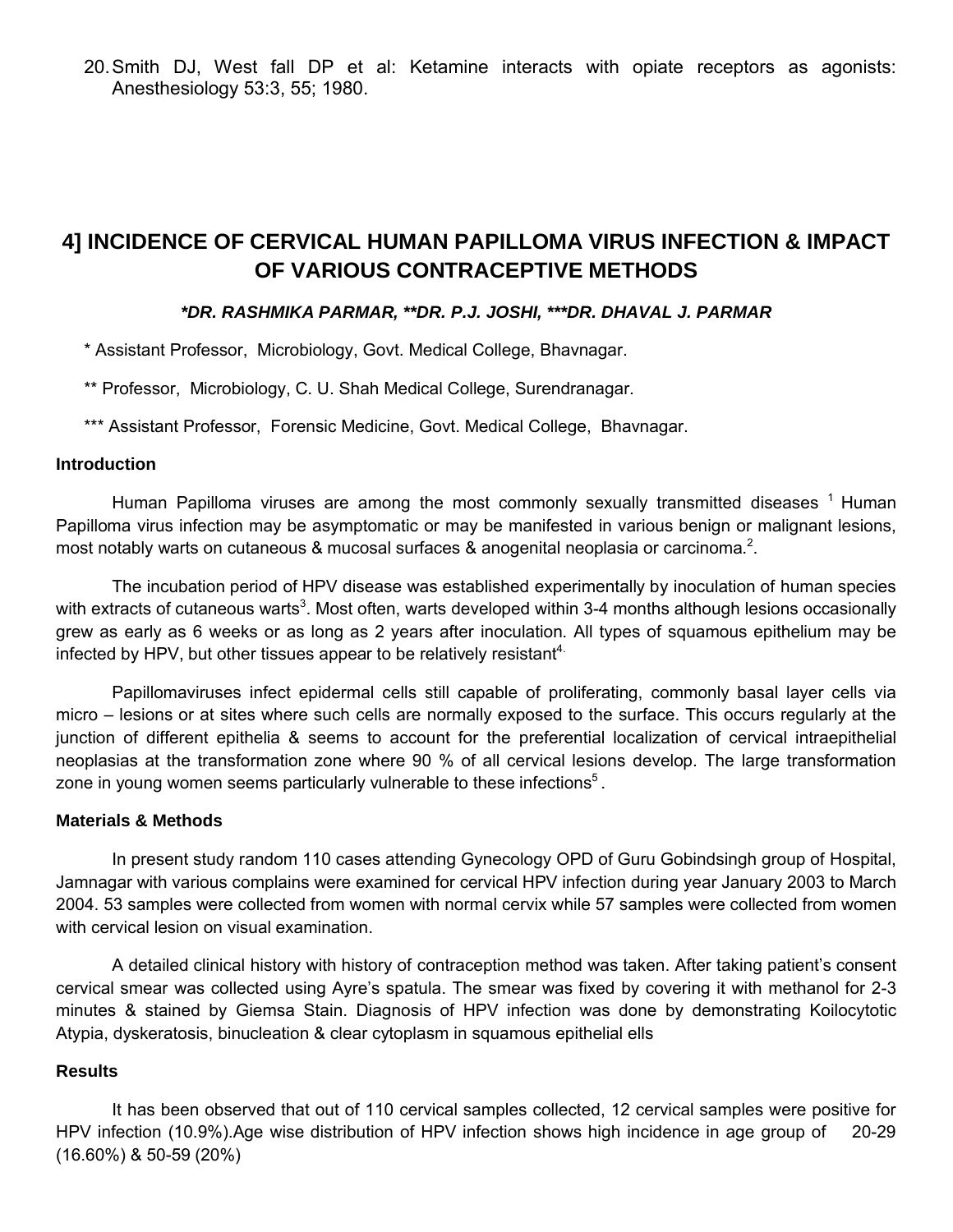20.Smith DJ, West fall DP et al: Ketamine interacts with opiate receptors as agonists: Anesthesiology 53:3, 55; 1980.

## **4] INCIDENCE OF CERVICAL HUMAN PAPILLOMA VIRUS INFECTION & IMPACT OF VARIOUS CONTRACEPTIVE METHODS**

#### *\*DR. RASHMIKA PARMAR, \*\*DR. P.J. JOSHI, \*\*\*DR. DHAVAL J. PARMAR*

\* Assistant Professor, Microbiology, Govt. Medical College, Bhavnagar.

\*\* Professor, Microbiology, C. U. Shah Medical College, Surendranagar.

\*\*\* Assistant Professor, Forensic Medicine, Govt. Medical College, Bhavnagar.

#### **Introduction**

Human Papilloma viruses are among the most commonly sexually transmitted diseases  $<sup>1</sup>$  Human</sup> Papilloma virus infection may be asymptomatic or may be manifested in various benign or malignant lesions, most notably warts on cutaneous & mucosal surfaces & anogenital neoplasia or carcinoma.<sup>2</sup>.

The incubation period of HPV disease was established experimentally by inoculation of human species with extracts of cutaneous warts<sup>3</sup>. Most often, warts developed within 3-4 months although lesions occasionally grew as early as 6 weeks or as long as 2 years after inoculation. All types of squamous epithelium may be infected by HPV, but other tissues appear to be relatively resistant<sup>4.</sup>

Papillomaviruses infect epidermal cells still capable of proliferating, commonly basal layer cells via micro – lesions or at sites where such cells are normally exposed to the surface. This occurs regularly at the junction of different epithelia & seems to account for the preferential localization of cervical intraepithelial neoplasias at the transformation zone where 90 % of all cervical lesions develop. The large transformation zone in young women seems particularly vulnerable to these infections<sup>5</sup>.

### **Materials & Methods**

In present study random 110 cases attending Gynecology OPD of Guru Gobindsingh group of Hospital, Jamnagar with various complains were examined for cervical HPV infection during year January 2003 to March 2004. 53 samples were collected from women with normal cervix while 57 samples were collected from women with cervical lesion on visual examination.

A detailed clinical history with history of contraception method was taken. After taking patient's consent cervical smear was collected using Ayre's spatula. The smear was fixed by covering it with methanol for 2-3 minutes & stained by Giemsa Stain. Diagnosis of HPV infection was done by demonstrating Koilocytotic Atypia, dyskeratosis, binucleation & clear cytoplasm in squamous epithelial ells

#### **Results**

It has been observed that out of 110 cervical samples collected, 12 cervical samples were positive for HPV infection (10.9%).Age wise distribution of HPV infection shows high incidence in age group of 20-29 (16.60%) & 50-59 (20%)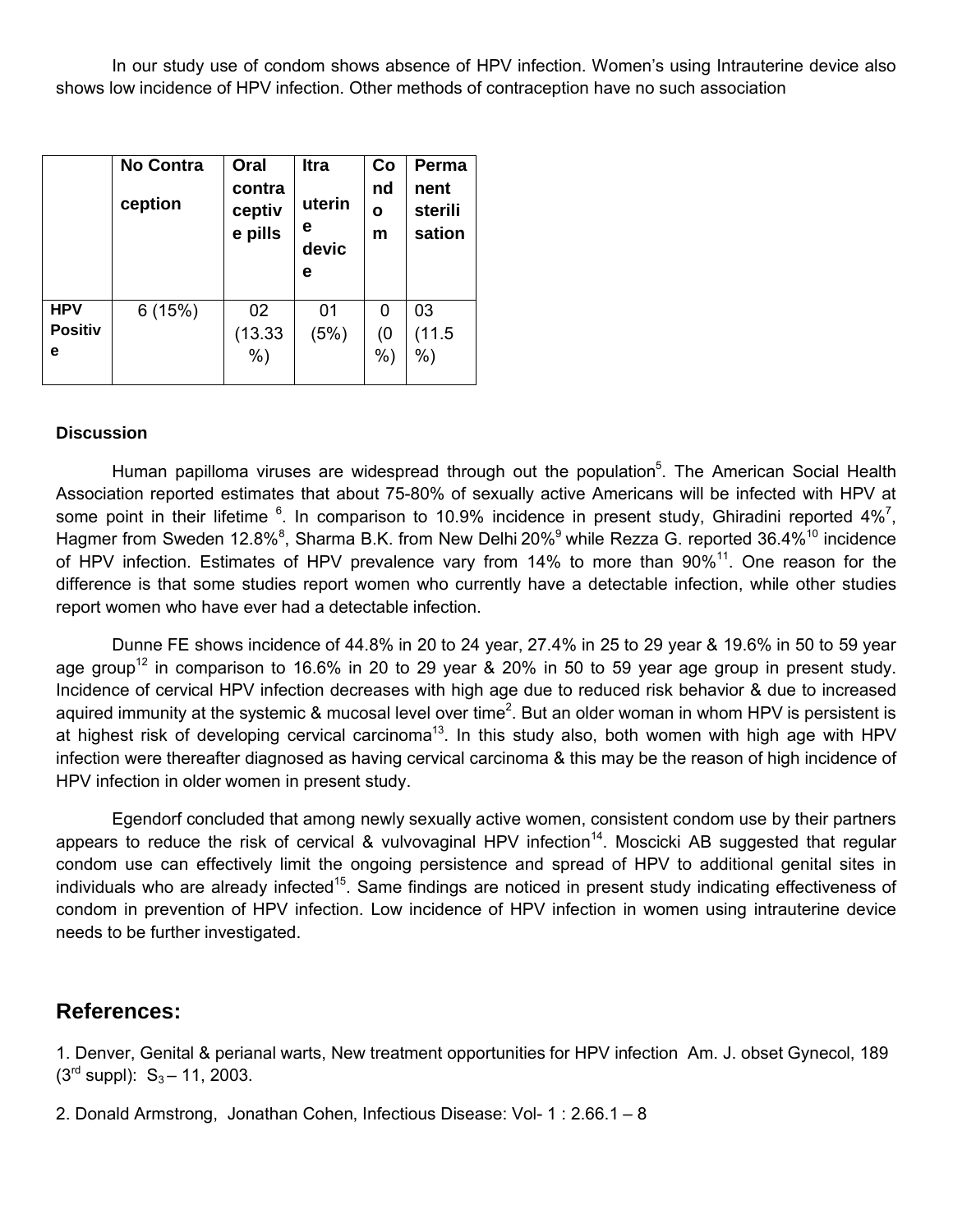In our study use of condom shows absence of HPV infection. Women's using Intrauterine device also shows low incidence of HPV infection. Other methods of contraception have no such association

|                                   | <b>No Contra</b><br>ception | Oral<br>contra<br>ceptiv<br>e pills | <b>Itra</b><br>uterin<br>е<br>devic<br>е | Co<br>nd<br>Ο<br>m | Perma<br>nent<br>sterili<br>sation |
|-----------------------------------|-----------------------------|-------------------------------------|------------------------------------------|--------------------|------------------------------------|
| <b>HPV</b><br><b>Positiv</b><br>е | 6(15%)                      | 02<br>(13.33)                       | 01<br>(5%)                               | 0<br>(0)           | 03<br>(11.5)                       |
|                                   |                             | $%$ )                               |                                          | $%$ )              | $%$ )                              |

### **Discussion**

Human papilloma viruses are widespread through out the population<sup>5</sup>. The American Social Health Association reported estimates that about 75-80% of sexually active Americans will be infected with HPV at some point in their lifetime  $6$ . In comparison to 10.9% incidence in present study, Ghiradini reported 4%<sup>7</sup>, Hagmer from Sweden 12.8%<sup>8</sup>, Sharma B.K. from New Delhi 20%<sup>9</sup> while Rezza G. reported 36.4%<sup>10</sup> incidence of HPV infection. Estimates of HPV prevalence vary from 14% to more than 90%<sup>11</sup>. One reason for the difference is that some studies report women who currently have a detectable infection, while other studies report women who have ever had a detectable infection.

Dunne FE shows incidence of 44.8% in 20 to 24 year, 27.4% in 25 to 29 year & 19.6% in 50 to 59 year age group<sup>12</sup> in comparison to 16.6% in 20 to 29 year & 20% in 50 to 59 year age group in present study. Incidence of cervical HPV infection decreases with high age due to reduced risk behavior & due to increased aquired immunity at the systemic & mucosal level over time<sup>2</sup>. But an older woman in whom HPV is persistent is at highest risk of developing cervical carcinoma<sup>13</sup>. In this study also, both women with high age with HPV infection were thereafter diagnosed as having cervical carcinoma & this may be the reason of high incidence of HPV infection in older women in present study.

Egendorf concluded that among newly sexually active women, consistent condom use by their partners appears to reduce the risk of cervical & vulvovaginal HPV infection<sup>14</sup>. Moscicki AB suggested that regular condom use can effectively limit the ongoing persistence and spread of HPV to additional genital sites in individuals who are already infected<sup>15</sup>. Same findings are noticed in present study indicating effectiveness of condom in prevention of HPV infection. Low incidence of HPV infection in women using intrauterine device needs to be further investigated.

### **References:**

1. Denver, Genital & perianal warts, New treatment opportunities for HPV infection Am. J. obset Gynecol, 189  $(3<sup>rd</sup> supp!)$ : S<sub>3</sub> – 11, 2003.

2. Donald Armstrong, Jonathan Cohen, Infectious Disease: Vol- 1 : 2.66.1 – 8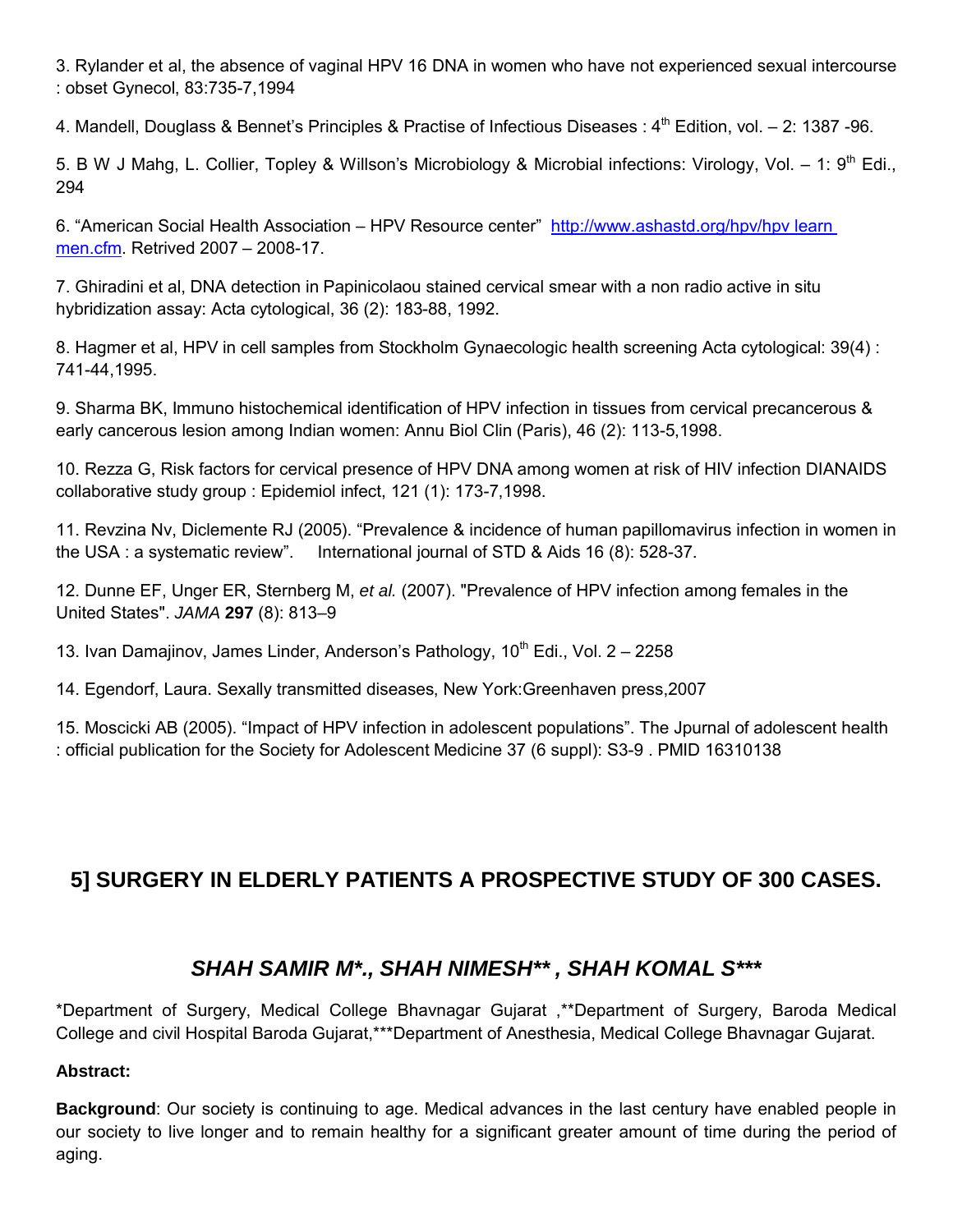3. Rylander et al, the absence of vaginal HPV 16 DNA in women who have not experienced sexual intercourse : obset Gynecol, 83:735-7,1994

4. Mandell, Douglass & Bennet's Principles & Practise of Infectious Diseases :  $4^{\text{th}}$  Edition, vol. – 2: 1387 -96.

5. B W J Mahg, L. Collier, Topley & Willson's Microbiology & Microbial infections: Virology, Vol. – 1: 9<sup>th</sup> Edi., 294

6. "American Social Health Association – HPV Resource center" http://www.ashastd.org/hpv/hpv learn men.cfm. Retrived 2007 – 2008-17.

7. Ghiradini et al, DNA detection in Papinicolaou stained cervical smear with a non radio active in situ hybridization assay: Acta cytological, 36 (2): 183-88, 1992.

8. Hagmer et al, HPV in cell samples from Stockholm Gynaecologic health screening Acta cytological: 39(4) : 741-44,1995.

9. Sharma BK, Immuno histochemical identification of HPV infection in tissues from cervical precancerous & early cancerous lesion among Indian women: Annu Biol Clin (Paris), 46 (2): 113-5,1998.

10. Rezza G, Risk factors for cervical presence of HPV DNA among women at risk of HIV infection DIANAIDS collaborative study group : Epidemiol infect, 121 (1): 173-7,1998.

11. Revzina Nv, Diclemente RJ (2005). "Prevalence & incidence of human papillomavirus infection in women in the USA : a systematic review". International journal of STD & Aids 16 (8): 528-37.

12. Dunne EF, Unger ER, Sternberg M, *et al.* (2007). "Prevalence of HPV infection among females in the United States". *JAMA* **297** (8): 813–9

13. Ivan Damajinov, James Linder, Anderson's Pathology,  $10<sup>th</sup>$  Edi., Vol. 2 – 2258

14. Egendorf, Laura. Sexally transmitted diseases, New York:Greenhaven press,2007

15. Moscicki AB (2005). "Impact of HPV infection in adolescent populations". The Jpurnal of adolescent health : official publication for the Society for Adolescent Medicine 37 (6 suppl): S3-9 . PMID 16310138

## **5] SURGERY IN ELDERLY PATIENTS A PROSPECTIVE STUDY OF 300 CASES.**

## *SHAH SAMIR M\*., SHAH NIMESH\*\* , SHAH KOMAL S\*\*\**

\*Department of Surgery, Medical College Bhavnagar Gujarat ,\*\*Department of Surgery, Baroda Medical College and civil Hospital Baroda Gujarat,\*\*\*Department of Anesthesia, Medical College Bhavnagar Gujarat.

### **Abstract:**

**Background**: Our society is continuing to age. Medical advances in the last century have enabled people in our society to live longer and to remain healthy for a significant greater amount of time during the period of aging.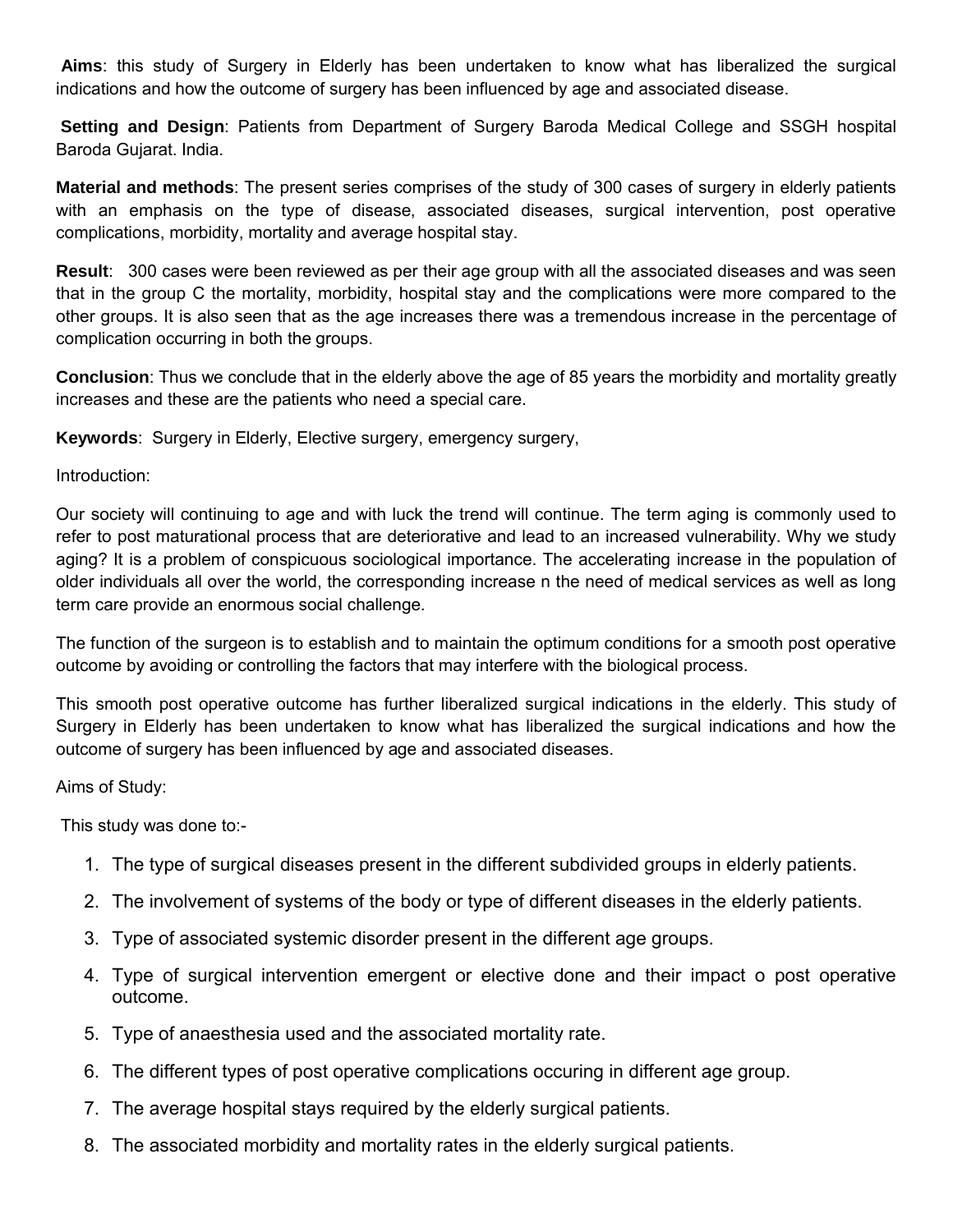**Aims**: this study of Surgery in Elderly has been undertaken to know what has liberalized the surgical indications and how the outcome of surgery has been influenced by age and associated disease.

**Setting and Design**: Patients from Department of Surgery Baroda Medical College and SSGH hospital Baroda Gujarat. India.

**Material and methods**: The present series comprises of the study of 300 cases of surgery in elderly patients with an emphasis on the type of disease, associated diseases, surgical intervention, post operative complications, morbidity, mortality and average hospital stay.

**Result**: 300 cases were been reviewed as per their age group with all the associated diseases and was seen that in the group C the mortality, morbidity, hospital stay and the complications were more compared to the other groups. It is also seen that as the age increases there was a tremendous increase in the percentage of complication occurring in both the groups.

**Conclusion**: Thus we conclude that in the elderly above the age of 85 years the morbidity and mortality greatly increases and these are the patients who need a special care.

**Keywords**: Surgery in Elderly, Elective surgery, emergency surgery,

Introduction:

Our society will continuing to age and with luck the trend will continue. The term aging is commonly used to refer to post maturational process that are deteriorative and lead to an increased vulnerability. Why we study aging? It is a problem of conspicuous sociological importance. The accelerating increase in the population of older individuals all over the world, the corresponding increase n the need of medical services as well as long term care provide an enormous social challenge.

The function of the surgeon is to establish and to maintain the optimum conditions for a smooth post operative outcome by avoiding or controlling the factors that may interfere with the biological process.

This smooth post operative outcome has further liberalized surgical indications in the elderly. This study of Surgery in Elderly has been undertaken to know what has liberalized the surgical indications and how the outcome of surgery has been influenced by age and associated diseases.

Aims of Study:

This study was done to:-

- 1. The type of surgical diseases present in the different subdivided groups in elderly patients.
- 2. The involvement of systems of the body or type of different diseases in the elderly patients.
- 3. Type of associated systemic disorder present in the different age groups.
- 4. Type of surgical intervention emergent or elective done and their impact o post operative outcome.
- 5. Type of anaesthesia used and the associated mortality rate.
- 6. The different types of post operative complications occuring in different age group.
- 7. The average hospital stays required by the elderly surgical patients.
- 8. The associated morbidity and mortality rates in the elderly surgical patients.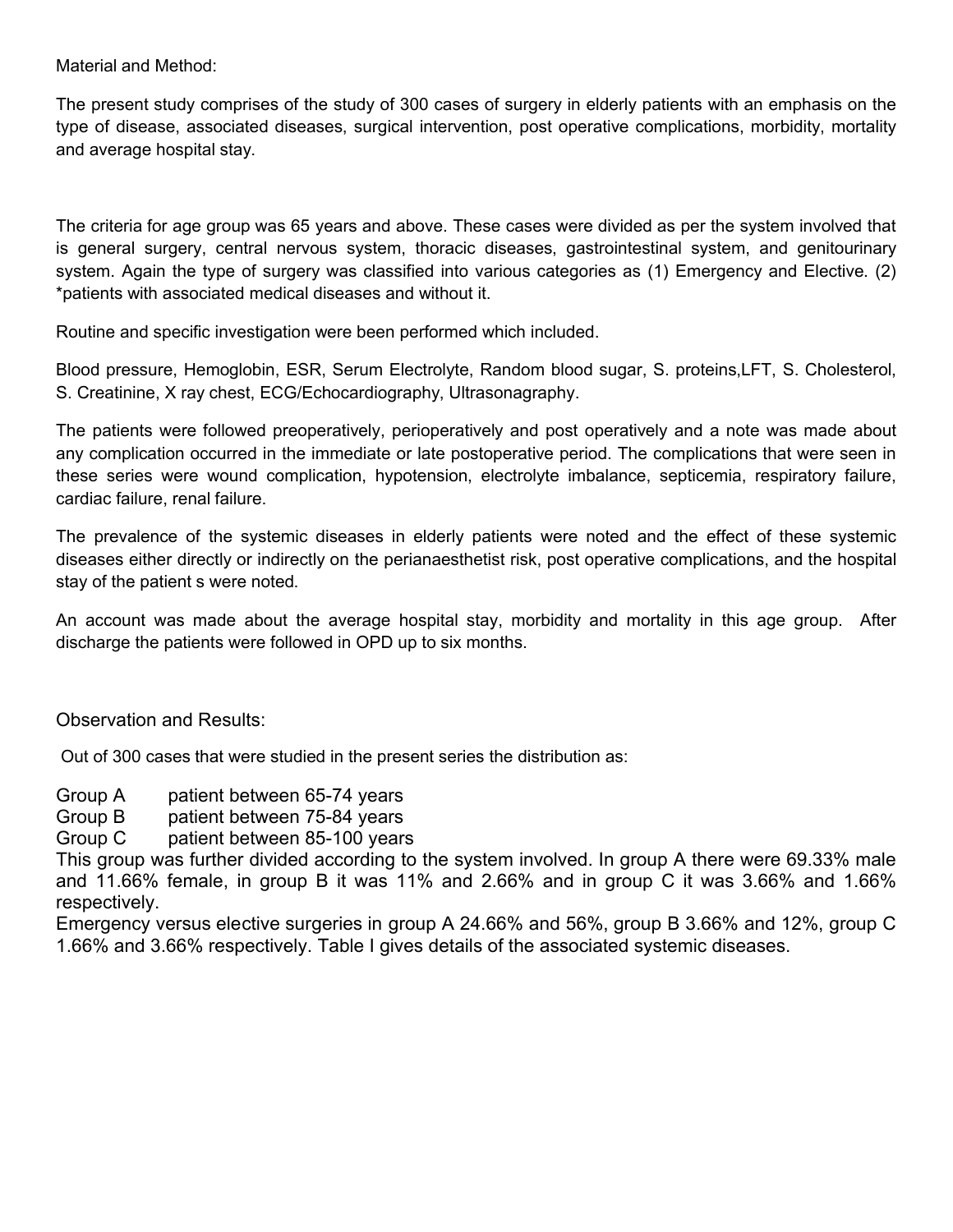Material and Method:

The present study comprises of the study of 300 cases of surgery in elderly patients with an emphasis on the type of disease, associated diseases, surgical intervention, post operative complications, morbidity, mortality and average hospital stay.

The criteria for age group was 65 years and above. These cases were divided as per the system involved that is general surgery, central nervous system, thoracic diseases, gastrointestinal system, and genitourinary system. Again the type of surgery was classified into various categories as (1) Emergency and Elective. (2) \*patients with associated medical diseases and without it.

Routine and specific investigation were been performed which included.

Blood pressure, Hemoglobin, ESR, Serum Electrolyte, Random blood sugar, S. proteins,LFT, S. Cholesterol, S. Creatinine, X ray chest, ECG/Echocardiography, Ultrasonagraphy.

The patients were followed preoperatively, perioperatively and post operatively and a note was made about any complication occurred in the immediate or late postoperative period. The complications that were seen in these series were wound complication, hypotension, electrolyte imbalance, septicemia, respiratory failure, cardiac failure, renal failure.

The prevalence of the systemic diseases in elderly patients were noted and the effect of these systemic diseases either directly or indirectly on the perianaesthetist risk, post operative complications, and the hospital stay of the patient s were noted.

An account was made about the average hospital stay, morbidity and mortality in this age group. After discharge the patients were followed in OPD up to six months.

Observation and Results:

Out of 300 cases that were studied in the present series the distribution as:

- Group A patient between 65-74 years
- Group B patient between 75-84 years

Group C patient between 85-100 years

This group was further divided according to the system involved. In group A there were 69.33% male and 11.66% female, in group B it was 11% and 2.66% and in group C it was 3.66% and 1.66% respectively.

Emergency versus elective surgeries in group A 24.66% and 56%, group B 3.66% and 12%, group C 1.66% and 3.66% respectively. Table I gives details of the associated systemic diseases.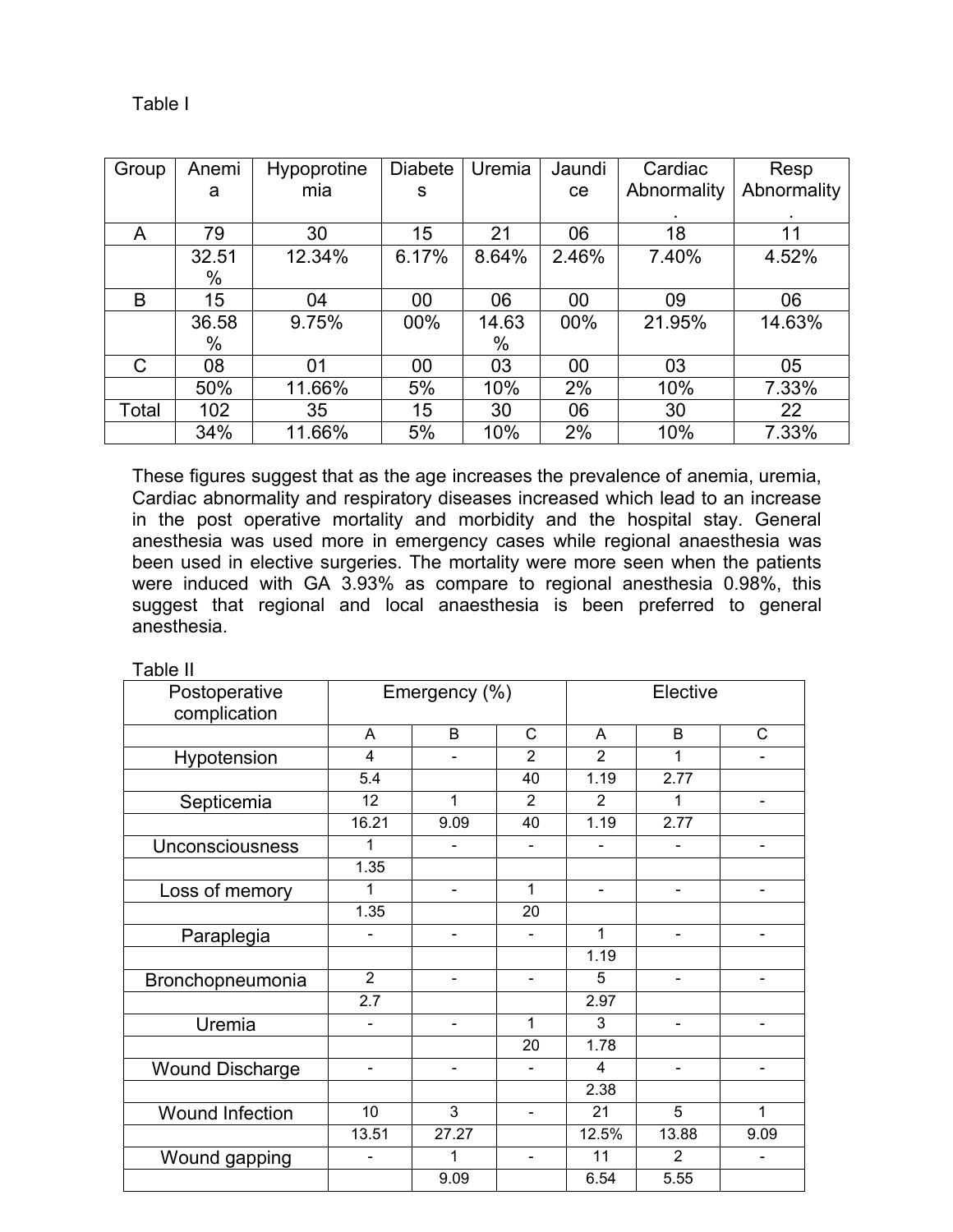| Group | Anemi | <b>Hypoprotine</b> | <b>Diabete</b> | Uremia | Jaundi | Cardiac     | Resp        |
|-------|-------|--------------------|----------------|--------|--------|-------------|-------------|
|       | a     | mia                | S              |        | ce     | Abnormality | Abnormality |
|       |       |                    |                |        |        |             |             |
| A     | 79    | 30                 | 15             | 21     | 06     | 18          | 11          |
|       | 32.51 | 12.34%             | 6.17%          | 8.64%  | 2.46%  | 7.40%       | 4.52%       |
|       | %     |                    |                |        |        |             |             |
| B     | 15    | 04                 | 00             | 06     | 00     | 09          | 06          |
|       | 36.58 | 9.75%              | 00%            | 14.63  | 00%    | 21.95%      | 14.63%      |
|       | %     |                    |                | %      |        |             |             |
| C     | 08    | 01                 | 00             | 03     | 00     | 03          | 05          |
|       | 50%   | 11.66%             | 5%             | 10%    | 2%     | 10%         | 7.33%       |
| Total | 102   | 35                 | 15             | 30     | 06     | 30          | 22          |
|       | 34%   | 11.66%             | 5%             | 10%    | 2%     | 10%         | 7.33%       |

These figures suggest that as the age increases the prevalence of anemia, uremia, Cardiac abnormality and respiratory diseases increased which lead to an increase in the post operative mortality and morbidity and the hospital stay. General anesthesia was used more in emergency cases while regional anaesthesia was been used in elective surgeries. The mortality were more seen when the patients were induced with GA 3.93% as compare to regional anesthesia 0.98%, this suggest that regional and local anaesthesia is been preferred to general anesthesia.

Table II

| Postoperative          | Emergency (%)    |                          |                          | Elective                 |                          |                          |
|------------------------|------------------|--------------------------|--------------------------|--------------------------|--------------------------|--------------------------|
| complication           |                  |                          |                          |                          |                          |                          |
|                        | A                | B                        | C                        | A                        | B                        | C                        |
| Hypotension            | $\overline{4}$   |                          | $\overline{2}$           | $\overline{2}$           | 1                        |                          |
|                        | 5.4              |                          | 40                       | 1.19                     | 2.77                     |                          |
| Septicemia             | 12               | 1                        | 2                        | $\overline{2}$           | 1                        |                          |
|                        | 16.21            | 9.09                     | 40                       | 1.19                     | 2.77                     |                          |
| Unconsciousness        | 1                | $\overline{\phantom{0}}$ | $\overline{\phantom{a}}$ | $\overline{\phantom{a}}$ | $\blacksquare$           | $\blacksquare$           |
|                        | 1.35             |                          |                          |                          |                          |                          |
| Loss of memory         | 1                | $\overline{\phantom{0}}$ | $\mathbf{1}$             | $\overline{\phantom{a}}$ | $\overline{\phantom{a}}$ |                          |
|                        | 1.35             |                          | 20                       |                          |                          |                          |
| Paraplegia             |                  |                          | $\overline{a}$           | 1                        | $\blacksquare$           |                          |
|                        |                  |                          |                          | 1.19                     |                          |                          |
| Bronchopneumonia       | $\overline{2}$   | $\overline{a}$           | $\blacksquare$           | 5                        |                          |                          |
|                        | $\overline{2.7}$ |                          |                          | 2.97                     |                          |                          |
| Uremia                 |                  | -                        | 1                        | 3                        | $\blacksquare$           |                          |
|                        |                  |                          | 20                       | 1.78                     |                          |                          |
| <b>Wound Discharge</b> | $\blacksquare$   | $\overline{\phantom{0}}$ | $\blacksquare$           | 4                        | $\blacksquare$           | $\overline{\phantom{0}}$ |
|                        |                  |                          |                          | 2.38                     |                          |                          |
| <b>Wound Infection</b> | 10               | 3                        | $\overline{\phantom{a}}$ | 21                       | 5                        | 1                        |
|                        | 13.51            | 27.27                    |                          | 12.5%                    | 13.88                    | 9.09                     |
| Wound gapping          |                  | 1                        | $\blacksquare$           | 11                       | 2                        |                          |
|                        |                  | 9.09                     |                          | 6.54                     | 5.55                     |                          |

### Table I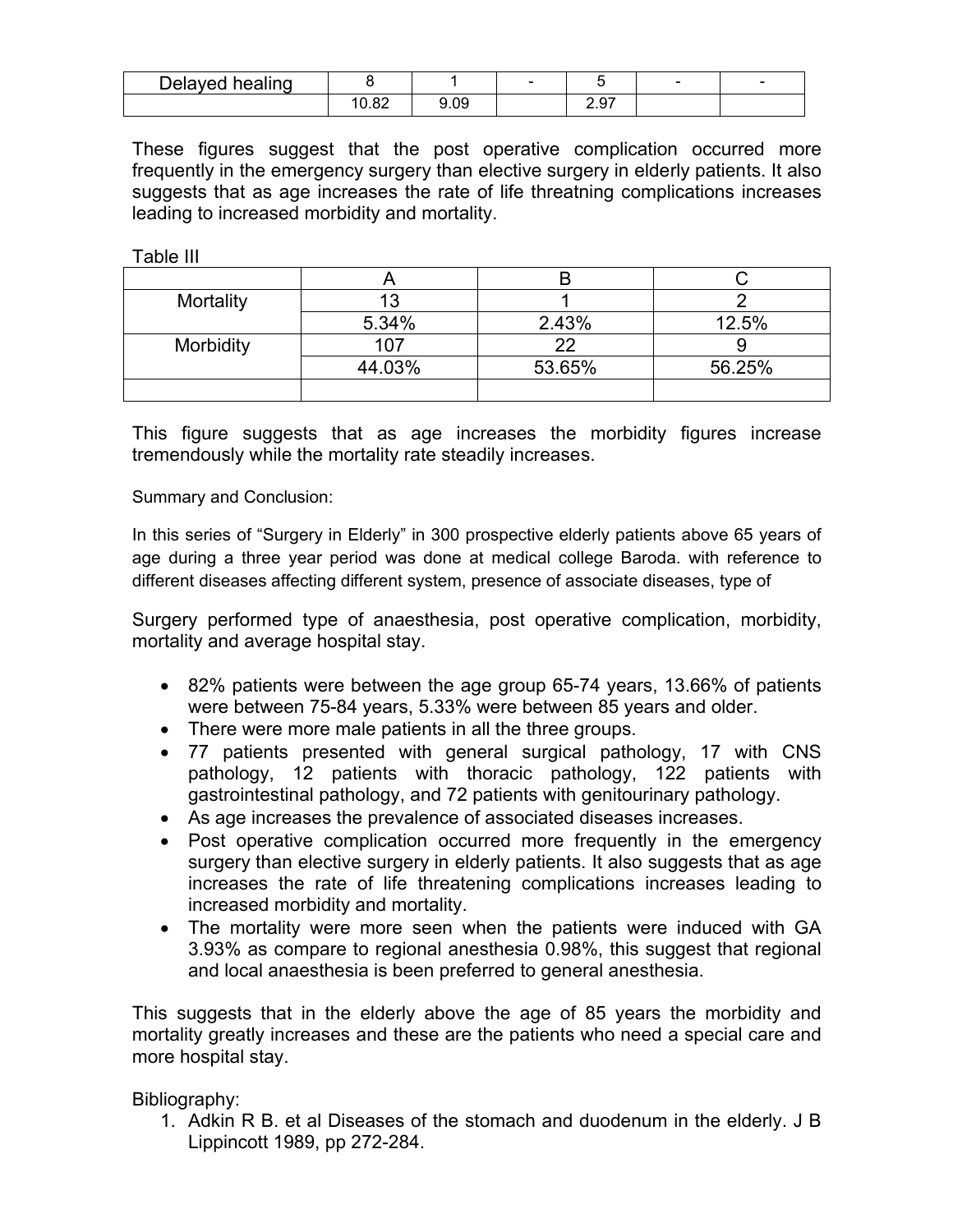| Delayed healing |              |      | $\sim$ |       | - | - |
|-----------------|--------------|------|--------|-------|---|---|
|                 | ററ<br>∣ ∪.∪∠ | 9.09 |        | ا ت.ع |   |   |

These figures suggest that the post operative complication occurred more frequently in the emergency surgery than elective surgery in elderly patients. It also suggests that as age increases the rate of life threatning complications increases leading to increased morbidity and mortality.

Table III

| Mortality        | 13     |        |        |
|------------------|--------|--------|--------|
|                  | 5.34%  | 2.43%  | 12.5%  |
| <b>Morbidity</b> | 107    | つつ     |        |
|                  | 44.03% | 53.65% | 56.25% |
|                  |        |        |        |

This figure suggests that as age increases the morbidity figures increase tremendously while the mortality rate steadily increases.

Summary and Conclusion:

In this series of "Surgery in Elderly" in 300 prospective elderly patients above 65 years of age during a three year period was done at medical college Baroda. with reference to different diseases affecting different system, presence of associate diseases, type of

Surgery performed type of anaesthesia, post operative complication, morbidity, mortality and average hospital stay.

- 82% patients were between the age group 65-74 years, 13.66% of patients were between 75-84 years, 5.33% were between 85 years and older.
- There were more male patients in all the three groups.
- 77 patients presented with general surgical pathology, 17 with CNS pathology, 12 patients with thoracic pathology, 122 patients with gastrointestinal pathology, and 72 patients with genitourinary pathology.
- As age increases the prevalence of associated diseases increases.
- Post operative complication occurred more frequently in the emergency surgery than elective surgery in elderly patients. It also suggests that as age increases the rate of life threatening complications increases leading to increased morbidity and mortality.
- The mortality were more seen when the patients were induced with GA 3.93% as compare to regional anesthesia 0.98%, this suggest that regional and local anaesthesia is been preferred to general anesthesia.

This suggests that in the elderly above the age of 85 years the morbidity and mortality greatly increases and these are the patients who need a special care and more hospital stay.

Bibliography:

1. Adkin R B. et al Diseases of the stomach and duodenum in the elderly. J B Lippincott 1989, pp 272-284.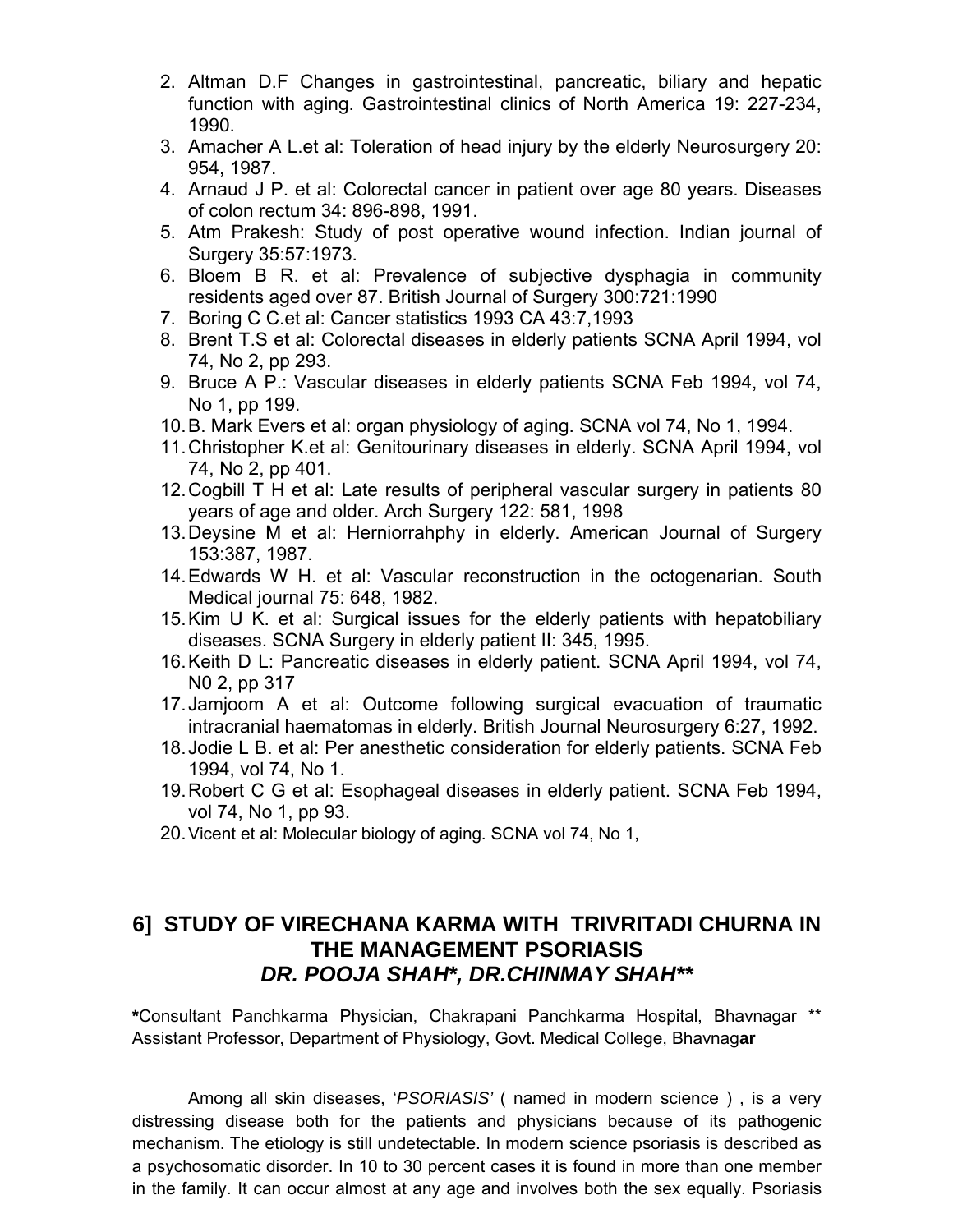- 2. Altman D.F Changes in gastrointestinal, pancreatic, biliary and hepatic function with aging. Gastrointestinal clinics of North America 19: 227-234, 1990.
- 3. Amacher A L.et al: Toleration of head injury by the elderly Neurosurgery 20: 954, 1987.
- 4. Arnaud J P. et al: Colorectal cancer in patient over age 80 years. Diseases of colon rectum 34: 896-898, 1991.
- 5. Atm Prakesh: Study of post operative wound infection. Indian journal of Surgery 35:57:1973.
- 6. Bloem B R. et al: Prevalence of subjective dysphagia in community residents aged over 87. British Journal of Surgery 300:721:1990
- 7. Boring C C.et al: Cancer statistics 1993 CA 43:7,1993
- 8. Brent T.S et al: Colorectal diseases in elderly patients SCNA April 1994, vol 74, No 2, pp 293.
- 9. Bruce A P.: Vascular diseases in elderly patients SCNA Feb 1994, vol 74, No 1, pp 199.
- 10.B. Mark Evers et al: organ physiology of aging. SCNA vol 74, No 1, 1994.
- 11.Christopher K.et al: Genitourinary diseases in elderly. SCNA April 1994, vol 74, No 2, pp 401.
- 12.Cogbill T H et al: Late results of peripheral vascular surgery in patients 80 years of age and older. Arch Surgery 122: 581, 1998
- 13.Deysine M et al: Herniorrahphy in elderly. American Journal of Surgery 153:387, 1987.
- 14.Edwards W H. et al: Vascular reconstruction in the octogenarian. South Medical journal 75: 648, 1982.
- 15.Kim U K. et al: Surgical issues for the elderly patients with hepatobiliary diseases. SCNA Surgery in elderly patient II: 345, 1995.
- 16.Keith D L: Pancreatic diseases in elderly patient. SCNA April 1994, vol 74, N0 2, pp 317
- 17.Jamjoom A et al: Outcome following surgical evacuation of traumatic intracranial haematomas in elderly. British Journal Neurosurgery 6:27, 1992.
- 18.Jodie L B. et al: Per anesthetic consideration for elderly patients. SCNA Feb 1994, vol 74, No 1.
- 19.Robert C G et al: Esophageal diseases in elderly patient. SCNA Feb 1994, vol 74, No 1, pp 93.
- 20.Vicent et al: Molecular biology of aging. SCNA vol 74, No 1,

### **6] STUDY OF VIRECHANA KARMA WITH TRIVRITADI CHURNA IN THE MANAGEMENT PSORIASIS** *DR. POOJA SHAH\*, DR.CHINMAY SHAH\*\**

**\***Consultant Panchkarma Physician, Chakrapani Panchkarma Hospital, Bhavnagar \*\* Assistant Professor, Department of Physiology, Govt. Medical College, Bhavnag**ar**

Among all skin diseases, '*PSORIASIS'* ( named in modern science ) , is a very distressing disease both for the patients and physicians because of its pathogenic mechanism. The etiology is still undetectable. In modern science psoriasis is described as a psychosomatic disorder. In 10 to 30 percent cases it is found in more than one member in the family. It can occur almost at any age and involves both the sex equally. Psoriasis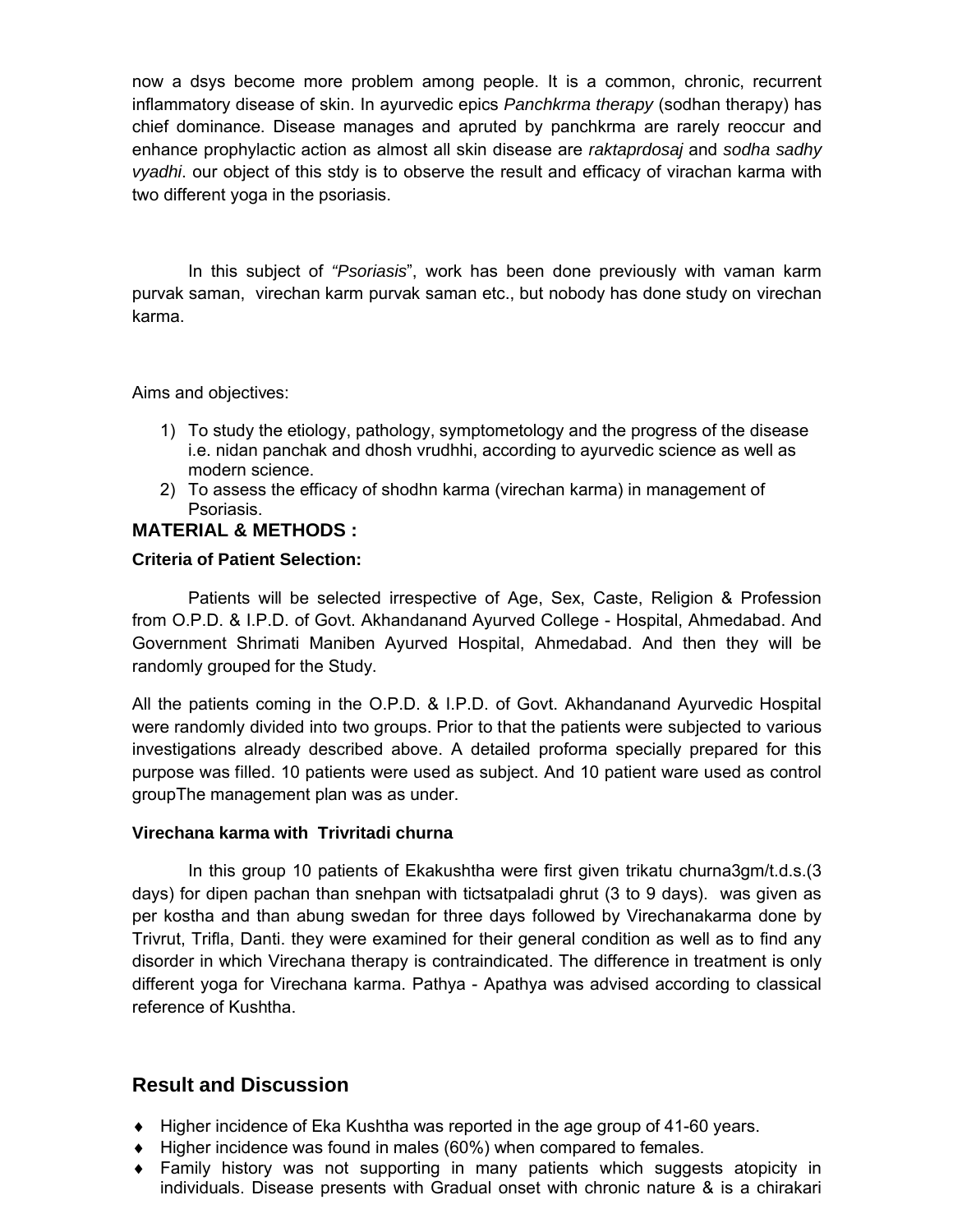now a dsys become more problem among people. It is a common, chronic, recurrent inflammatory disease of skin. In ayurvedic epics *Panchkrma therapy* (sodhan therapy) has chief dominance. Disease manages and apruted by panchkrma are rarely reoccur and enhance prophylactic action as almost all skin disease are *raktaprdosaj* and *sodha sadhy vyadhi*. our object of this stdy is to observe the result and efficacy of virachan karma with two different yoga in the psoriasis.

In this subject of *"Psoriasis*", work has been done previously with vaman karm purvak saman, virechan karm purvak saman etc., but nobody has done study on virechan karma.

Aims and objectives:

- 1) To study the etiology, pathology, symptometology and the progress of the disease i.e. nidan panchak and dhosh vrudhhi, according to ayurvedic science as well as modern science.
- 2) To assess the efficacy of shodhn karma (virechan karma) in management of Psoriasis.

### **MATERIAL & METHODS :**

### **Criteria of Patient Selection:**

Patients will be selected irrespective of Age, Sex, Caste, Religion & Profession from O.P.D. & I.P.D. of Govt. Akhandanand Ayurved College - Hospital, Ahmedabad. And Government Shrimati Maniben Ayurved Hospital, Ahmedabad. And then they will be randomly grouped for the Study.

All the patients coming in the O.P.D. & I.P.D. of Govt. Akhandanand Ayurvedic Hospital were randomly divided into two groups. Prior to that the patients were subjected to various investigations already described above. A detailed proforma specially prepared for this purpose was filled. 10 patients were used as subject. And 10 patient ware used as control groupThe management plan was as under.

### **Virechana karma with Trivritadi churna**

In this group 10 patients of Ekakushtha were first given trikatu churna3gm/t.d.s.(3 days) for dipen pachan than snehpan with tictsatpaladi ghrut (3 to 9 days). was given as per kostha and than abung swedan for three days followed by Virechanakarma done by Trivrut, Trifla, Danti. they were examined for their general condition as well as to find any disorder in which Virechana therapy is contraindicated. The difference in treatment is only different yoga for Virechana karma. Pathya - Apathya was advised according to classical reference of Kushtha.

### **Result and Discussion**

- ◆ Higher incidence of Eka Kushtha was reported in the age group of 41-60 years.
- $\blacklozenge$  Higher incidence was found in males (60%) when compared to females.
- Family history was not supporting in many patients which suggests atopicity in individuals. Disease presents with Gradual onset with chronic nature & is a chirakari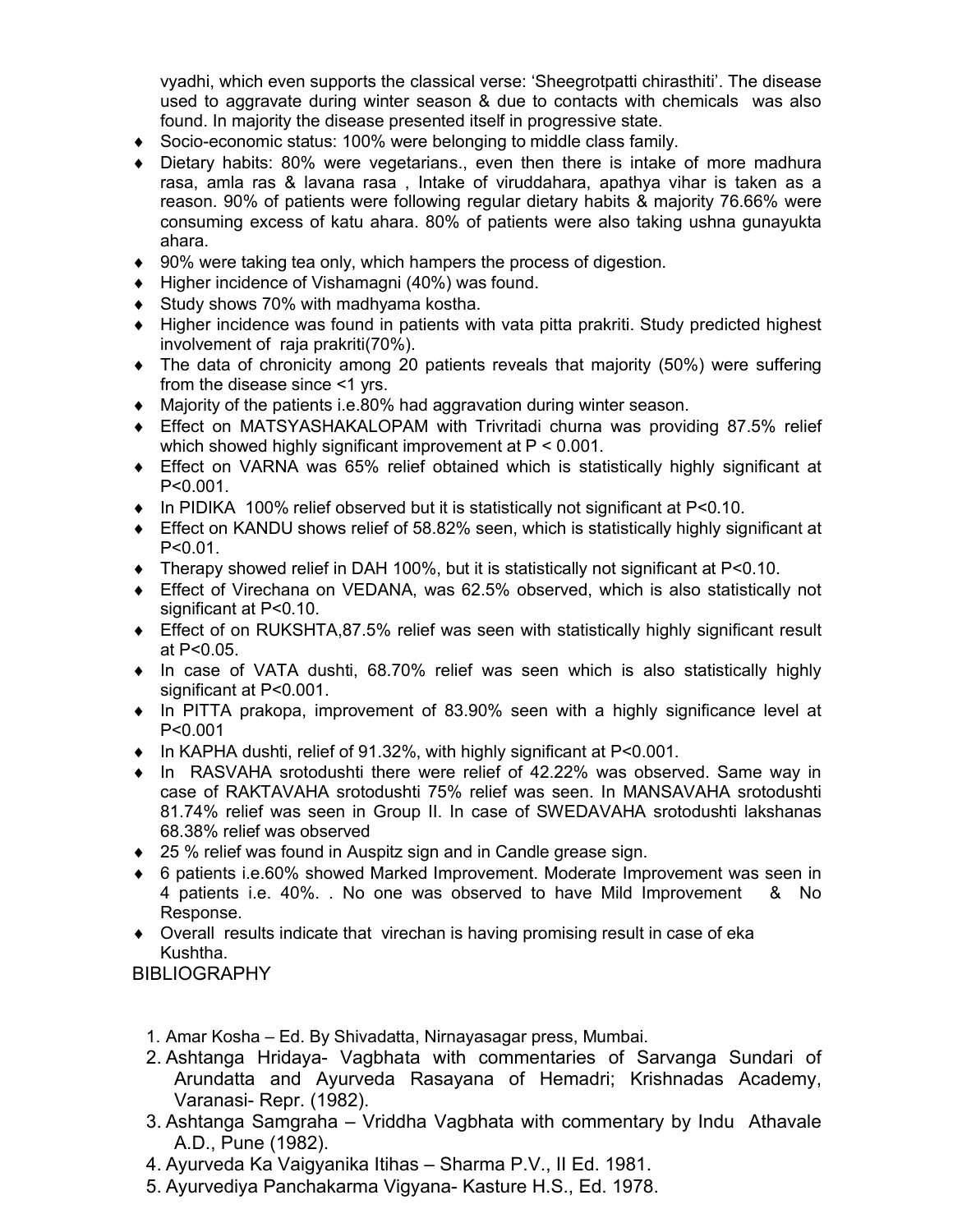vyadhi, which even supports the classical verse: 'Sheegrotpatti chirasthiti'. The disease used to aggravate during winter season & due to contacts with chemicals was also found. In majority the disease presented itself in progressive state.

- Socio-economic status: 100% were belonging to middle class family.
- Dietary habits: 80% were vegetarians., even then there is intake of more madhura rasa, amla ras & lavana rasa , Intake of viruddahara, apathya vihar is taken as a reason. 90% of patients were following regular dietary habits & majority 76.66% were consuming excess of katu ahara. 80% of patients were also taking ushna gunayukta ahara.
- 90% were taking tea only, which hampers the process of digestion.
- $\blacklozenge$  Higher incidence of Vishamagni (40%) was found.
- ◆ Study shows 70% with madhyama kostha.
- Higher incidence was found in patients with vata pitta prakriti. Study predicted highest involvement of raja prakriti(70%).
- The data of chronicity among 20 patients reveals that majority (50%) were suffering from the disease since <1 yrs.
- Majority of the patients i.e.80% had aggravation during winter season.
- Effect on MATSYASHAKALOPAM with Trivritadi churna was providing 87.5% relief which showed highly significant improvement at P < 0.001.
- Effect on VARNA was 65% relief obtained which is statistically highly significant at P<0.001.
- $\bullet$  In PIDIKA 100% relief observed but it is statistically not significant at P<0.10.
- Effect on KANDU shows relief of 58.82% seen, which is statistically highly significant at P<0.01.
- Therapy showed relief in DAH 100%, but it is statistically not significant at P<0.10.
- Effect of Virechana on VEDANA, was 62.5% observed, which is also statistically not significant at P<0.10.
- Effect of on RUKSHTA,87.5% relief was seen with statistically highly significant result at P<0.05.
- In case of VATA dushti, 68.70% relief was seen which is also statistically highly significant at P<0.001.
- In PITTA prakopa, improvement of 83.90% seen with a highly significance level at P<0.001
- ◆ In KAPHA dushti, relief of 91.32%, with highly significant at P<0.001.
- $\bullet$  In RASVAHA srotodushti there were relief of 42.22% was observed. Same way in case of RAKTAVAHA srotodushti 75% relief was seen. In MANSAVAHA srotodushti 81.74% relief was seen in Group II. In case of SWEDAVAHA srotodushti lakshanas 68.38% relief was observed
- ◆ 25 % relief was found in Auspitz sign and in Candle grease sign.
- 6 patients i.e.60% showed Marked Improvement. Moderate Improvement was seen in 4 patients i.e. 40%. . No one was observed to have Mild Improvement & No Response.
- Overall results indicate that virechan is having promising result in case of eka Kushtha.

**BIBLIOGRAPHY** 

- 1. Amar Kosha Ed. By Shivadatta, Nirnayasagar press, Mumbai.
- 2. Ashtanga Hridaya- Vagbhata with commentaries of Sarvanga Sundari of Arundatta and Ayurveda Rasayana of Hemadri; Krishnadas Academy, Varanasi- Repr. (1982).
- 3. Ashtanga Samgraha Vriddha Vagbhata with commentary by Indu Athavale A.D., Pune (1982).
- 4. Ayurveda Ka Vaigyanika Itihas Sharma P.V., II Ed. 1981.
- 5. Ayurvediya Panchakarma Vigyana- Kasture H.S., Ed. 1978.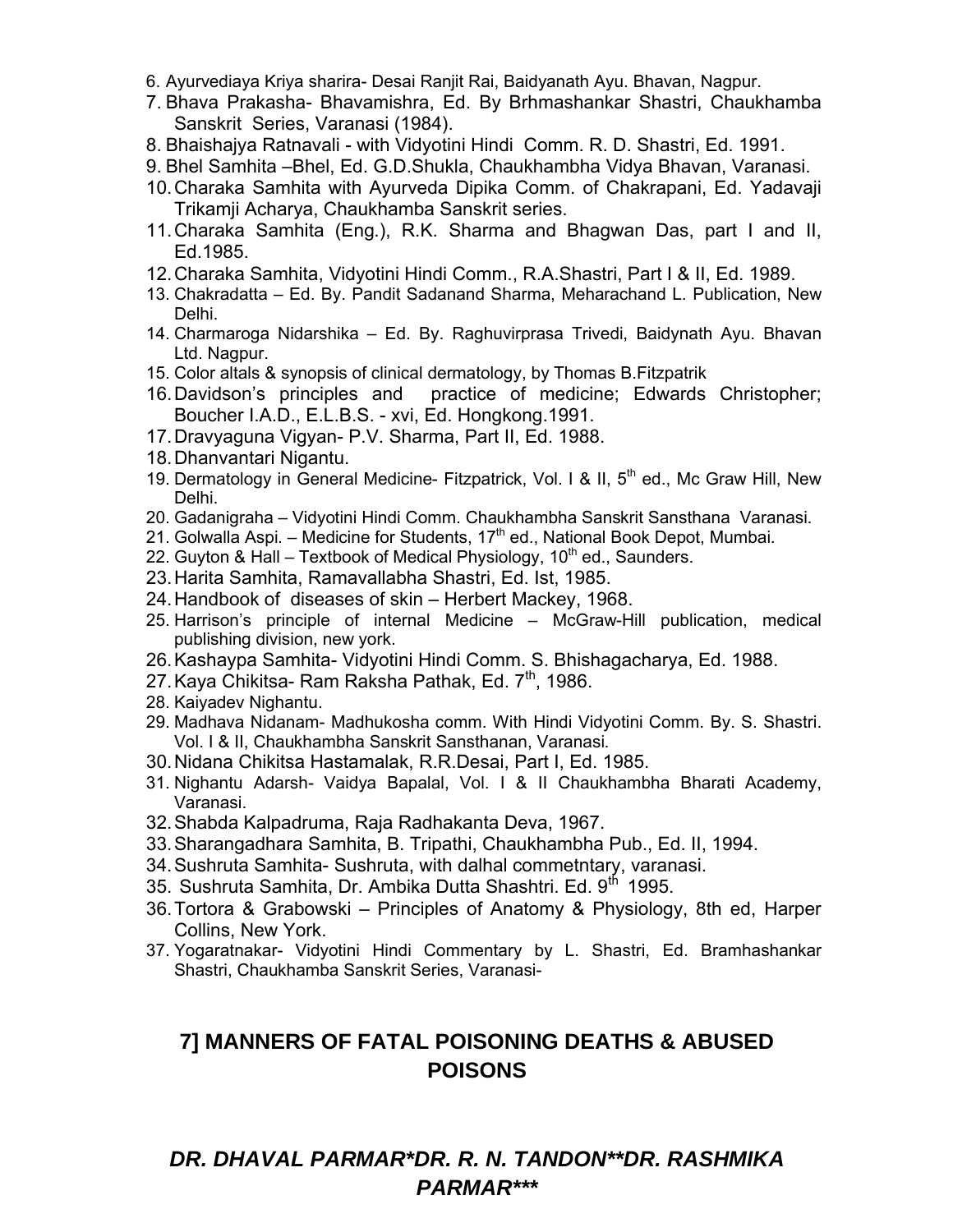- 6. Ayurvediaya Kriya sharira- Desai Ranjit Rai, Baidyanath Ayu. Bhavan, Nagpur.
- 7. Bhava Prakasha- Bhavamishra, Ed. By Brhmashankar Shastri, Chaukhamba Sanskrit Series, Varanasi (1984).
- 8. Bhaishajya Ratnavali with Vidyotini Hindi Comm. R. D. Shastri, Ed. 1991.
- 9. Bhel Samhita –Bhel, Ed. G.D.Shukla, Chaukhambha Vidya Bhavan, Varanasi.
- 10.Charaka Samhita with Ayurveda Dipika Comm. of Chakrapani, Ed. Yadavaji Trikamji Acharya, Chaukhamba Sanskrit series.
- 11.Charaka Samhita (Eng.), R.K. Sharma and Bhagwan Das, part I and II, Ed.1985.
- 12.Charaka Samhita, Vidyotini Hindi Comm., R.A.Shastri, Part I & II, Ed. 1989.
- 13. Chakradatta Ed. By. Pandit Sadanand Sharma, Meharachand L. Publication, New Delhi.
- 14. Charmaroga Nidarshika Ed. By. Raghuvirprasa Trivedi, Baidynath Ayu. Bhavan Ltd. Nagpur.
- 15. Color altals & synopsis of clinical dermatology, by Thomas B.Fitzpatrik
- 16.Davidson's principles and practice of medicine; Edwards Christopher; Boucher I.A.D., E.L.B.S. - xvi, Ed. Hongkong.1991.
- 17.Dravyaguna Vigyan- P.V. Sharma, Part II, Ed. 1988.
- 18.Dhanvantari Nigantu.
- 19. Dermatology in General Medicine- Fitzpatrick, Vol. I & II,  $5<sup>th</sup>$  ed., Mc Graw Hill, New Delhi.
- 20. Gadanigraha Vidyotini Hindi Comm. Chaukhambha Sanskrit Sansthana Varanasi.
- 21. Golwalla Aspi. Medicine for Students, 17<sup>th</sup> ed., National Book Depot, Mumbai.
- 22. Guyton & Hall Textbook of Medical Physiology, 10<sup>th</sup> ed., Saunders.
- 23.Harita Samhita, Ramavallabha Shastri, Ed. Ist, 1985.
- 24.Handbook of diseases of skin Herbert Mackey, 1968.
- 25. Harrison's principle of internal Medicine McGraw-Hill publication, medical publishing division, new york.
- 26.Kashaypa Samhita- Vidyotini Hindi Comm. S. Bhishagacharya, Ed. 1988.
- 27. Kaya Chikitsa- Ram Raksha Pathak, Ed. 7<sup>th</sup>, 1986.
- 28. Kaiyadev Nighantu.
- 29. Madhava Nidanam- Madhukosha comm. With Hindi Vidyotini Comm. By. S. Shastri. Vol. I & II, Chaukhambha Sanskrit Sansthanan, Varanasi.
- 30.Nidana Chikitsa Hastamalak, R.R.Desai, Part I, Ed. 1985.
- 31. Nighantu Adarsh- Vaidya Bapalal, Vol. I & II Chaukhambha Bharati Academy, Varanasi.
- 32.Shabda Kalpadruma, Raja Radhakanta Deva, 1967.
- 33.Sharangadhara Samhita, B. Tripathi, Chaukhambha Pub., Ed. II, 1994.
- 34.Sushruta Samhita- Sushruta, with dalhal commetntary, varanasi.
- 35. Sushruta Samhita, Dr. Ambika Dutta Shashtri. Ed. 9<sup>th</sup> 1995.
- 36.Tortora & Grabowski Principles of Anatomy & Physiology, 8th ed, Harper Collins, New York.
- 37. Yogaratnakar- Vidyotini Hindi Commentary by L. Shastri, Ed. Bramhashankar Shastri, Chaukhamba Sanskrit Series, Varanasi-

### **7] MANNERS OF FATAL POISONING DEATHS & ABUSED POISONS**

### *DR. DHAVAL PARMAR\*DR. R. N. TANDON\*\*DR. RASHMIKA PARMAR\*\*\**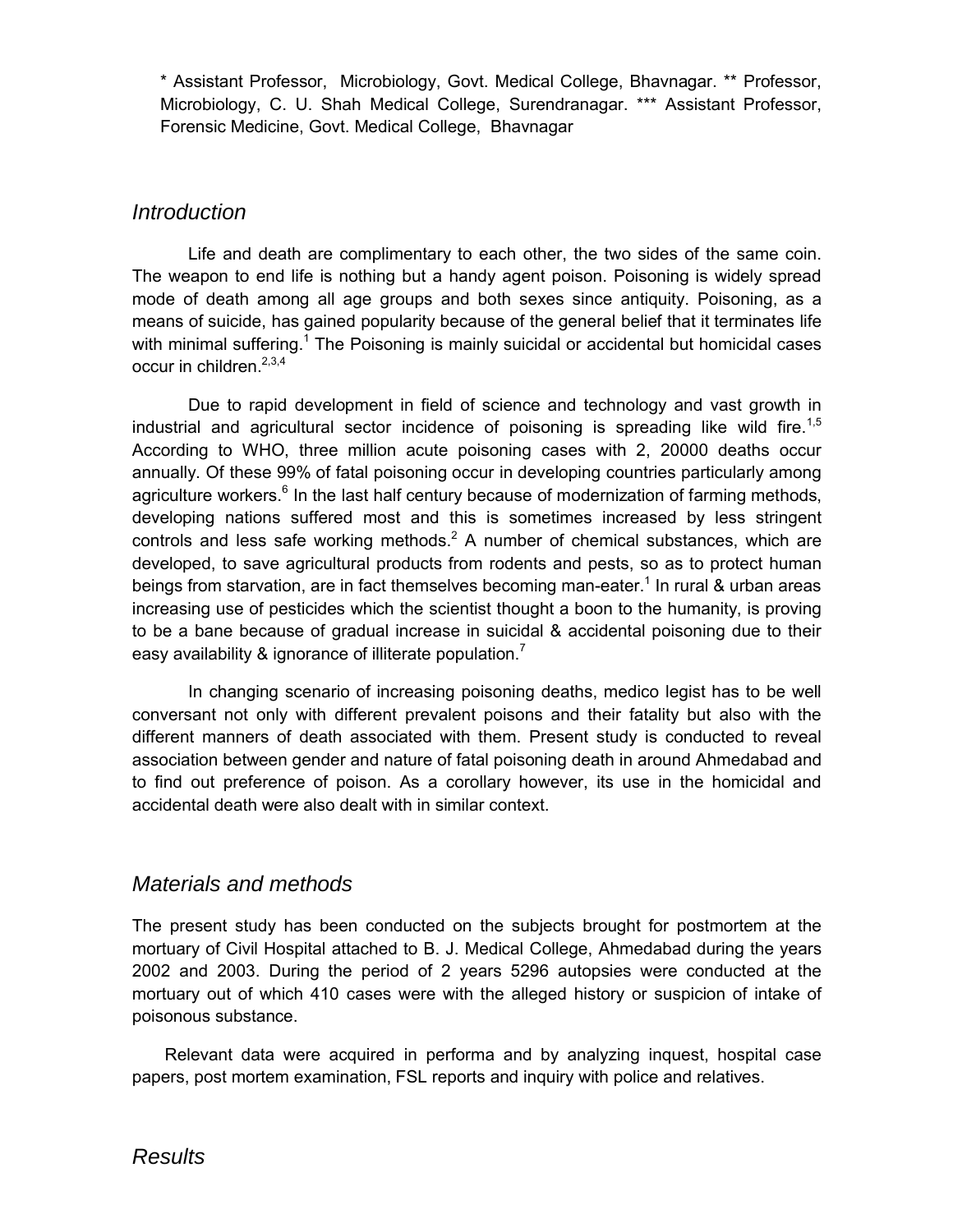\* Assistant Professor, Microbiology, Govt. Medical College, Bhavnagar. \*\* Professor, Microbiology, C. U. Shah Medical College, Surendranagar. \*\*\* Assistant Professor, Forensic Medicine, Govt. Medical College, Bhavnagar

### *Introduction*

Life and death are complimentary to each other, the two sides of the same coin. The weapon to end life is nothing but a handy agent poison. Poisoning is widely spread mode of death among all age groups and both sexes since antiquity. Poisoning, as a means of suicide, has gained popularity because of the general belief that it terminates life with minimal suffering.<sup>1</sup> The Poisoning is mainly suicidal or accidental but homicidal cases occur in children. $2,3,4$ 

Due to rapid development in field of science and technology and vast growth in industrial and agricultural sector incidence of poisoning is spreading like wild fire.<sup>1,5</sup> According to WHO, three million acute poisoning cases with 2, 20000 deaths occur annually. Of these 99% of fatal poisoning occur in developing countries particularly among agriculture workers. $6$  In the last half century because of modernization of farming methods, developing nations suffered most and this is sometimes increased by less stringent controls and less safe working methods.<sup>2</sup> A number of chemical substances, which are developed, to save agricultural products from rodents and pests, so as to protect human beings from starvation, are in fact themselves becoming man-eater.<sup>1</sup> In rural & urban areas increasing use of pesticides which the scientist thought a boon to the humanity, is proving to be a bane because of gradual increase in suicidal & accidental poisoning due to their easy availability & ignorance of illiterate population.<sup>7</sup>

In changing scenario of increasing poisoning deaths, medico legist has to be well conversant not only with different prevalent poisons and their fatality but also with the different manners of death associated with them. Present study is conducted to reveal association between gender and nature of fatal poisoning death in around Ahmedabad and to find out preference of poison. As a corollary however, its use in the homicidal and accidental death were also dealt with in similar context.

### *Materials and methods*

The present study has been conducted on the subjects brought for postmortem at the mortuary of Civil Hospital attached to B. J. Medical College, Ahmedabad during the years 2002 and 2003. During the period of 2 years 5296 autopsies were conducted at the mortuary out of which 410 cases were with the alleged history or suspicion of intake of poisonous substance.

Relevant data were acquired in performa and by analyzing inquest, hospital case papers, post mortem examination, FSL reports and inquiry with police and relatives.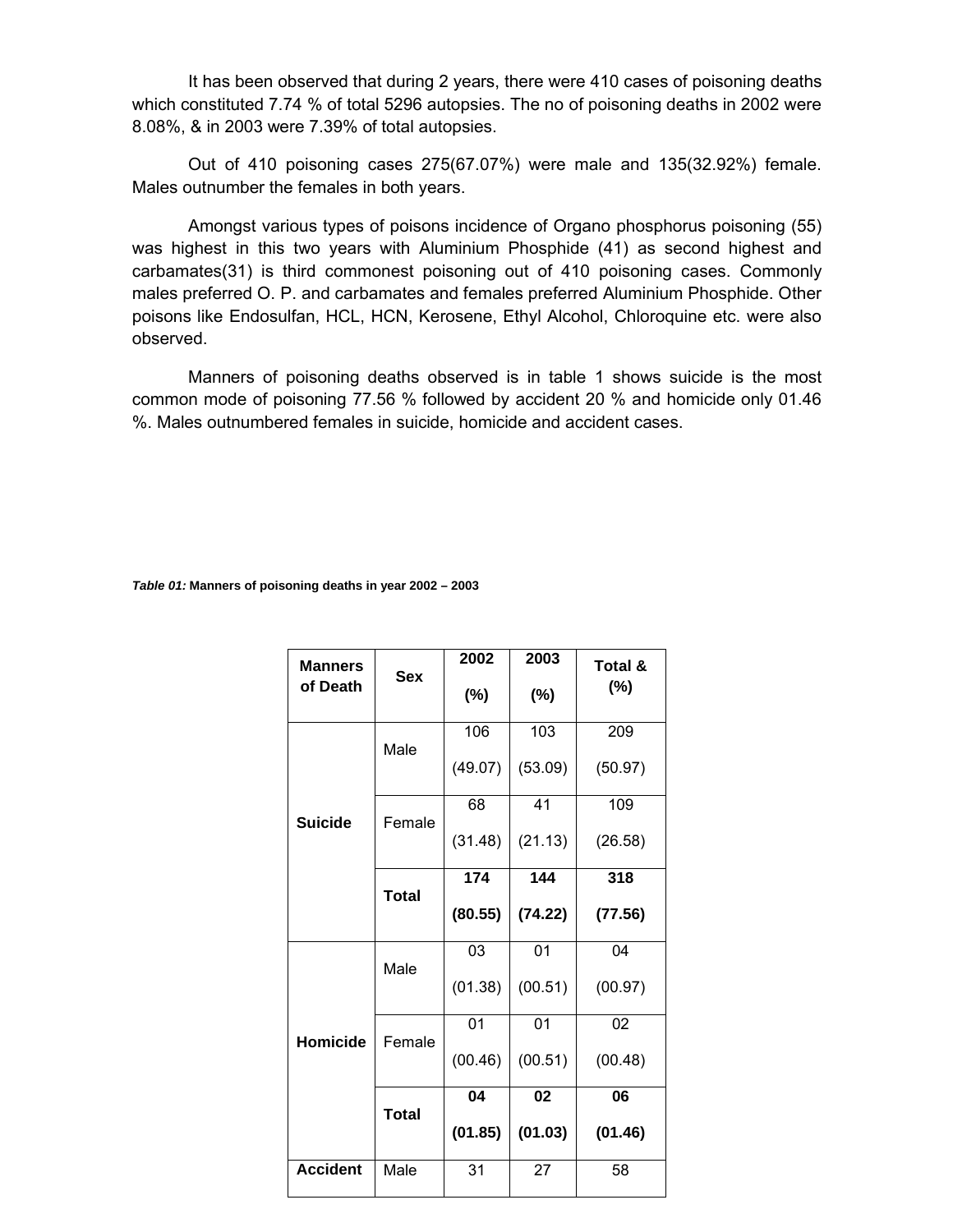It has been observed that during 2 years, there were 410 cases of poisoning deaths which constituted 7.74 % of total 5296 autopsies. The no of poisoning deaths in 2002 were 8.08%, & in 2003 were 7.39% of total autopsies.

Out of 410 poisoning cases 275(67.07%) were male and 135(32.92%) female. Males outnumber the females in both years.

Amongst various types of poisons incidence of Organo phosphorus poisoning (55) was highest in this two years with Aluminium Phosphide (41) as second highest and carbamates(31) is third commonest poisoning out of 410 poisoning cases. Commonly males preferred O. P. and carbamates and females preferred Aluminium Phosphide. Other poisons like Endosulfan, HCL, HCN, Kerosene, Ethyl Alcohol, Chloroquine etc. were also observed.

Manners of poisoning deaths observed is in table 1 shows suicide is the most common mode of poisoning 77.56 % followed by accident 20 % and homicide only 01.46 %. Males outnumbered females in suicide, homicide and accident cases.

*Table 01:* **Manners of poisoning deaths in year 2002 – 2003** 

| <b>Manners</b><br>of Death | <b>Sex</b>   | 2002<br>$(\%)$ | 2003<br>$(\%)$ | Total &<br>$(\%)$ |
|----------------------------|--------------|----------------|----------------|-------------------|
|                            | Male         | 106            | 103            | 209               |
|                            |              | (49.07)        | (53.09)        | (50.97)           |
| <b>Suicide</b>             | Female       | 68             | 41             | 109               |
|                            |              | (31.48)        | (21.13)        | (26.58)           |
|                            | <b>Total</b> | 144<br>174     |                | 318               |
|                            |              | (80.55)        | (74.22)        | (77.56)           |
|                            | Male         | 03             | 01             | 04                |
|                            |              | (01.38)        | (00.51)        | (00.97)           |
| Homicide                   | Female       | 01             | 01             | 02                |
|                            |              | (00.46)        | (00.51)        | (00.48)           |
|                            | <b>Total</b> | 04             | 02             | 06                |
|                            |              | (01.85)        | (01.03)        | (01.46)           |
| <b>Accident</b>            | Male         | 31             | 27             | 58                |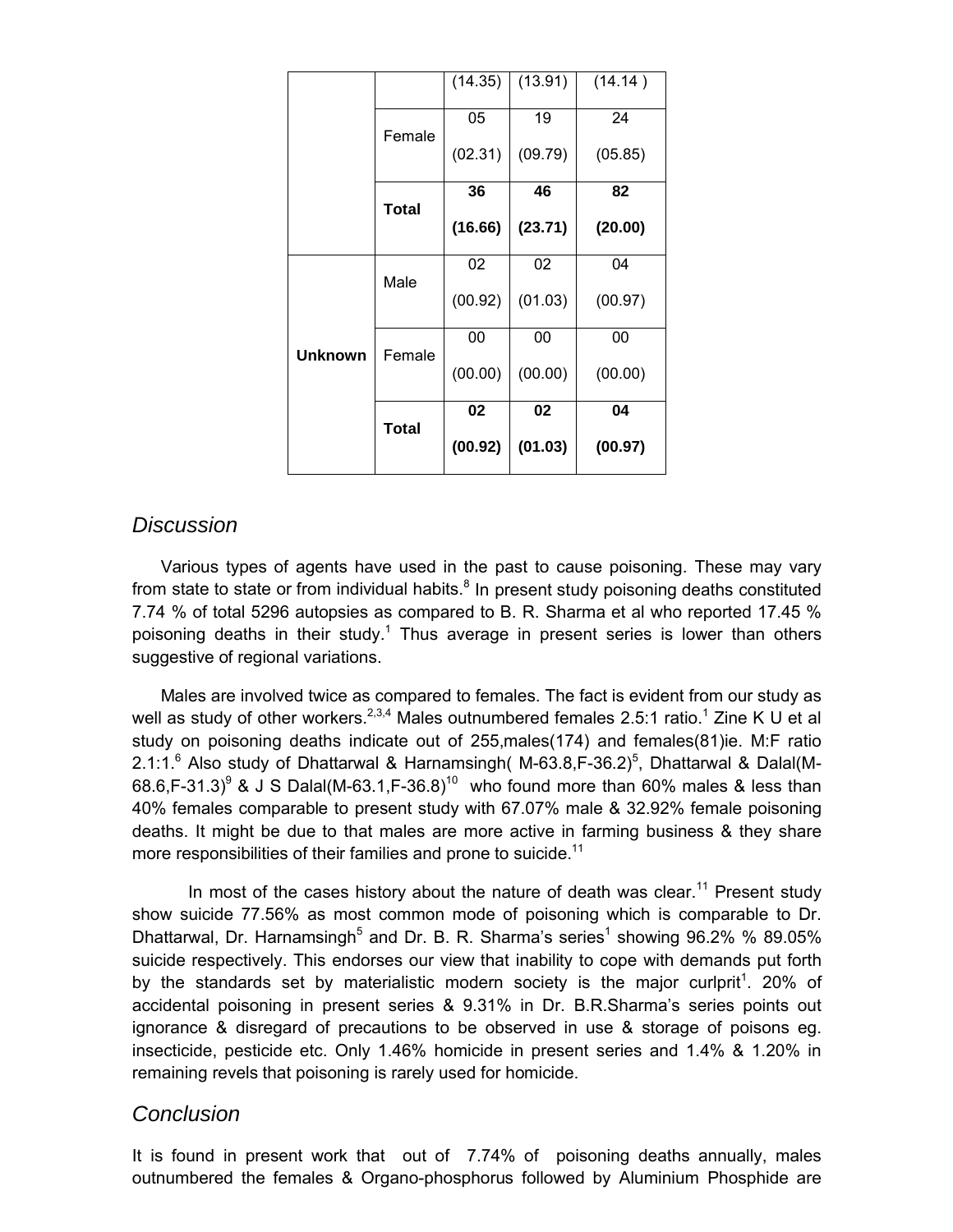|                |              | (14.35) | (13.91) | (14.14) |
|----------------|--------------|---------|---------|---------|
|                | Female       | 05      | 19      | 24      |
|                |              | (02.31) | (09.79) | (05.85) |
|                | Total        | 36      | 46      | 82      |
|                |              | (16.66) | (23.71) | (20.00) |
|                | Male         | 02      | 02      | 04      |
|                |              | (00.92) | (01.03) | (00.97) |
| <b>Unknown</b> | Female       | 00      | 00      | 00      |
|                |              | (00.00) | (00.00) | (00.00) |
|                | <b>Total</b> | 02      | 02      | 04      |
|                |              | (00.92) | (01.03) | (00.97) |

### *Discussion*

 Various types of agents have used in the past to cause poisoning. These may vary from state to state or from individual habits. $8 \text{ In present study poisoning deaths constituted}$ 7.74 % of total 5296 autopsies as compared to B. R. Sharma et al who reported 17.45 % poisoning deaths in their study.<sup>1</sup> Thus average in present series is lower than others suggestive of regional variations.

 Males are involved twice as compared to females. The fact is evident from our study as well as study of other workers.<sup>2,3,4</sup> Males outnumbered females 2.5:1 ratio.<sup>1</sup> Zine K U et al study on poisoning deaths indicate out of 255,males(174) and females(81)ie. M:F ratio 2.1:1. $^6$  Also study of Dhattarwal & Harnamsingh( M-63.8, F-36.2)<sup>5</sup>, Dhattarwal & Dalal(M-68.6, F-31.3)<sup>9</sup> & J S Dalal(M-63.1, F-36.8)<sup>10</sup> who found more than 60% males & less than 40% females comparable to present study with 67.07% male & 32.92% female poisoning deaths. It might be due to that males are more active in farming business & they share more responsibilities of their families and prone to suicide.<sup>11</sup>

In most of the cases history about the nature of death was clear.<sup>11</sup> Present study show suicide 77.56% as most common mode of poisoning which is comparable to Dr. Dhattarwal, Dr. Harnamsingh<sup>5</sup> and Dr. B. R. Sharma's series<sup>1</sup> showing 96.2% % 89.05% suicide respectively. This endorses our view that inability to cope with demands put forth by the standards set by materialistic modern society is the major curlprit<sup>1</sup>. 20% of accidental poisoning in present series & 9.31% in Dr. B.R.Sharma's series points out ignorance & disregard of precautions to be observed in use & storage of poisons eg. insecticide, pesticide etc. Only 1.46% homicide in present series and 1.4% & 1.20% in remaining revels that poisoning is rarely used for homicide.

### *Conclusion*

It is found in present work that out of 7.74% of poisoning deaths annually, males outnumbered the females & Organo-phosphorus followed by Aluminium Phosphide are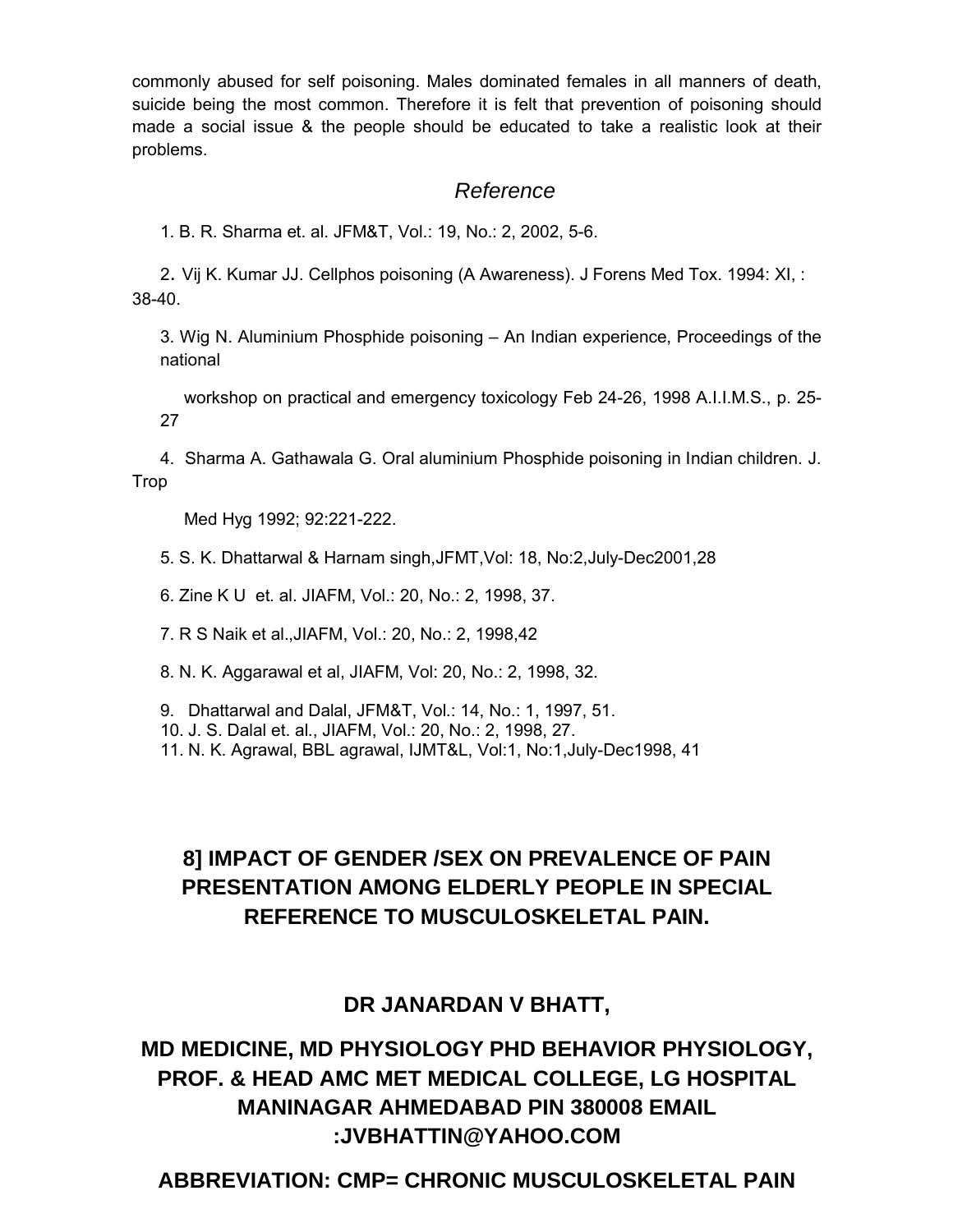commonly abused for self poisoning. Males dominated females in all manners of death, suicide being the most common. Therefore it is felt that prevention of poisoning should made a social issue & the people should be educated to take a realistic look at their problems.

## *Reference*

1. B. R. Sharma et. al. JFM&T, Vol.: 19, No.: 2, 2002, 5-6.

2. Vij K. Kumar JJ. Cellphos poisoning (A Awareness). J Forens Med Tox. 1994: XI, : 38-40.

3. Wig N. Aluminium Phosphide poisoning – An Indian experience, Proceedings of the national

 workshop on practical and emergency toxicology Feb 24-26, 1998 A.I.I.M.S., p. 25- 27

4. Sharma A. Gathawala G. Oral aluminium Phosphide poisoning in Indian children. J. Trop

Med Hyg 1992; 92:221-222.

5. S. K. Dhattarwal & Harnam singh,JFMT,Vol: 18, No:2,July-Dec2001,28

6. Zine K U et. al. JIAFM, Vol.: 20, No.: 2, 1998, 37.

7. R S Naik et al.,JIAFM, Vol.: 20, No.: 2, 1998,42

8. N. K. Aggarawal et al, JIAFM, Vol: 20, No.: 2, 1998, 32.

9. Dhattarwal and Dalal, JFM&T, Vol.: 14, No.: 1, 1997, 51.

10. J. S. Dalal et. al., JIAFM, Vol.: 20, No.: 2, 1998, 27.

11. N. K. Agrawal, BBL agrawal, IJMT&L, Vol:1, No:1,July-Dec1998, 41

# **8] IMPACT OF GENDER /SEX ON PREVALENCE OF PAIN PRESENTATION AMONG ELDERLY PEOPLE IN SPECIAL REFERENCE TO MUSCULOSKELETAL PAIN.**

## **DR JANARDAN V BHATT,**

**MD MEDICINE, MD PHYSIOLOGY PHD BEHAVIOR PHYSIOLOGY, PROF. & HEAD AMC MET MEDICAL COLLEGE, LG HOSPITAL MANINAGAR AHMEDABAD PIN 380008 EMAIL :JVBHATTIN@YAHOO.COM**

# **ABBREVIATION: CMP= CHRONIC MUSCULOSKELETAL PAIN**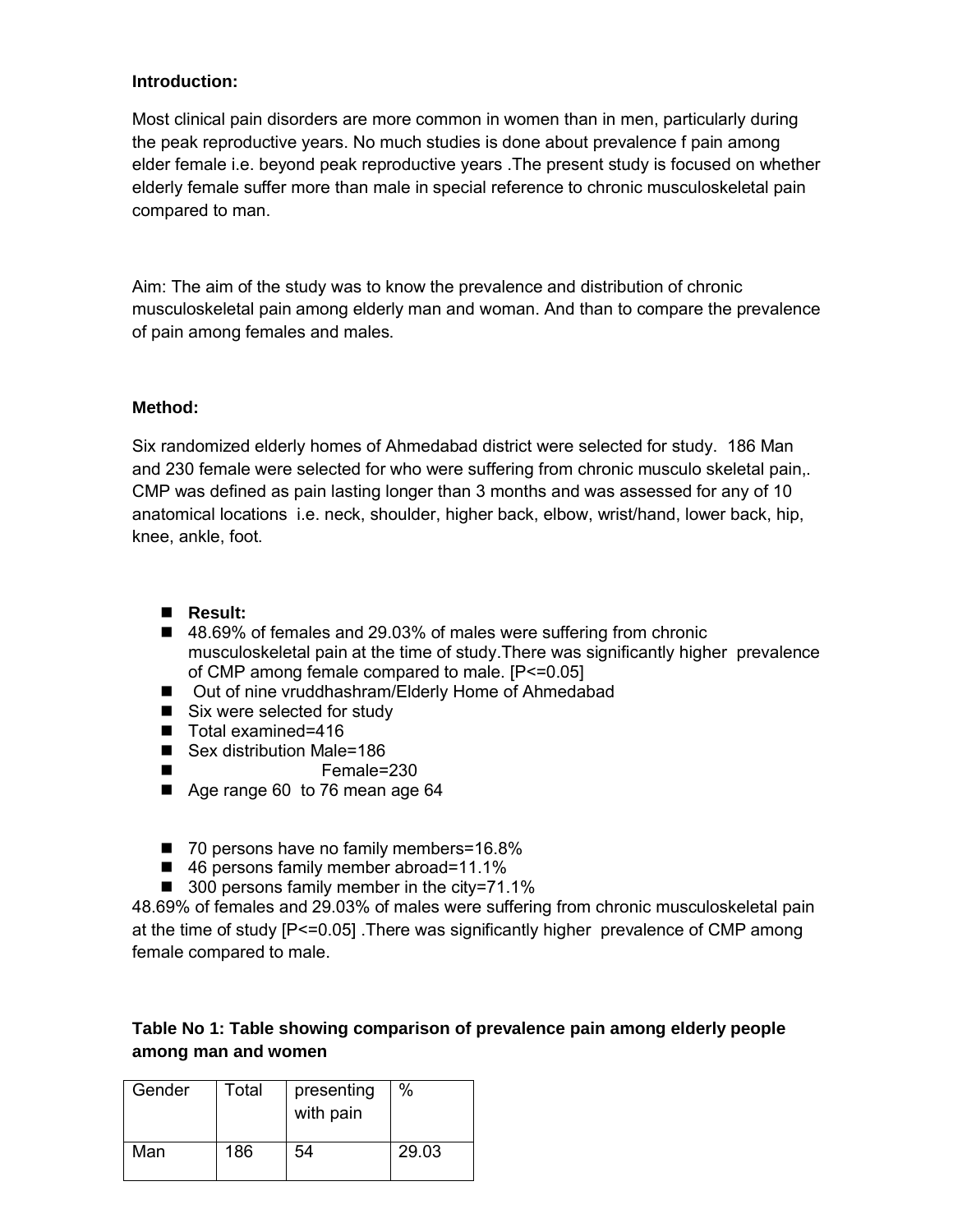#### **Introduction:**

Most clinical pain disorders are more common in women than in men, particularly during the peak reproductive years. No much studies is done about prevalence f pain among elder female i.e. beyond peak reproductive years .The present study is focused on whether elderly female suffer more than male in special reference to chronic musculoskeletal pain compared to man.

Aim: The aim of the study was to know the prevalence and distribution of chronic musculoskeletal pain among elderly man and woman. And than to compare the prevalence of pain among females and males.

#### **Method:**

Six randomized elderly homes of Ahmedabad district were selected for study. 186 Man and 230 female were selected for who were suffering from chronic musculo skeletal pain,. CMP was defined as pain lasting longer than 3 months and was assessed for any of 10 anatomical locations i.e. neck, shoulder, higher back, elbow, wrist/hand, lower back, hip, knee, ankle, foot.

- **Result:**
- 48.69% of females and 29.03% of males were suffering from chronic musculoskeletal pain at the time of study.There was significantly higher prevalence of CMP among female compared to male. [P<=0.05]
- Out of nine vruddhashram/Elderly Home of Ahmedabad
- Six were selected for study
- Total examined=416
- Sex distribution Male=186
- Female=230
- Age range 60 to 76 mean age 64
- 70 persons have no family members=16.8%
- 46 persons family member abroad=11.1%
- 300 persons family member in the city=71.1%

48.69% of females and 29.03% of males were suffering from chronic musculoskeletal pain at the time of study [P<=0.05] .There was significantly higher prevalence of CMP among female compared to male.

### **Table No 1: Table showing comparison of prevalence pain among elderly people among man and women**

| Gender | Total | presenting<br>with pain | $\%$  |
|--------|-------|-------------------------|-------|
| Man    | 186   | 54                      | 29.03 |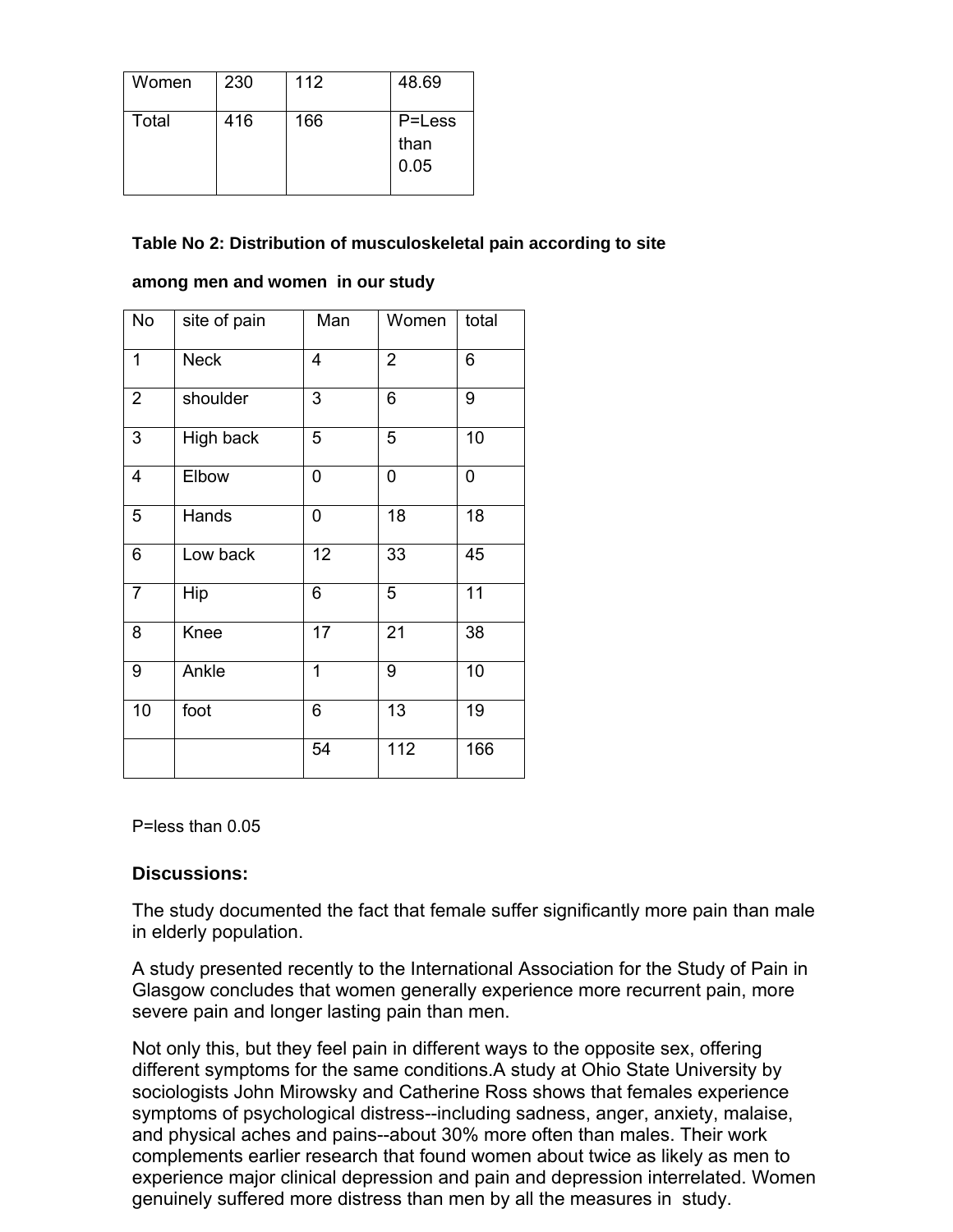| Women | 230 | 112 | 48.69                  |
|-------|-----|-----|------------------------|
| Total | 416 | 166 | P=Less<br>than<br>0.05 |

### **Table No 2: Distribution of musculoskeletal pain according to site**

| No             | site of pain | Man             | Women          | total |
|----------------|--------------|-----------------|----------------|-------|
| 1              | <b>Neck</b>  | 4               | $\overline{2}$ | 6     |
| $\overline{2}$ | shoulder     | 3               | 6              | 9     |
| 3              | High back    | 5               | 5              | 10    |
| 4              | Elbow        | 0               | 0              | 0     |
| 5              | Hands        | 0               | 18             | 18    |
| 6              | Low back     | 12              | 33             | 45    |
| $\overline{7}$ | Hip          | 6               | 5              | 11    |
| 8              | Knee         | $\overline{17}$ | 21             | 38    |
| 9              | Ankle        | 1               | 9              | 10    |
| 10             | foot         | 6               | 13             | 19    |
|                |              | 54              | 112            | 166   |

#### **among men and women in our study**

P=less than 0.05

#### **Discussions:**

The study documented the fact that female suffer significantly more pain than male in elderly population.

A study presented recently to the International Association for the Study of Pain in Glasgow concludes that women generally experience more recurrent pain, more severe pain and longer lasting pain than men.

Not only this, but they feel pain in different ways to the opposite sex, offering different symptoms for the same conditions.A study at Ohio State University by sociologists John Mirowsky and Catherine Ross shows that females experience symptoms of psychological distress--including sadness, anger, anxiety, malaise, and physical aches and pains--about 30% more often than males. Their work complements earlier research that found women about twice as likely as men to experience major clinical depression and pain and depression interrelated. Women genuinely suffered more distress than men by all the measures in study.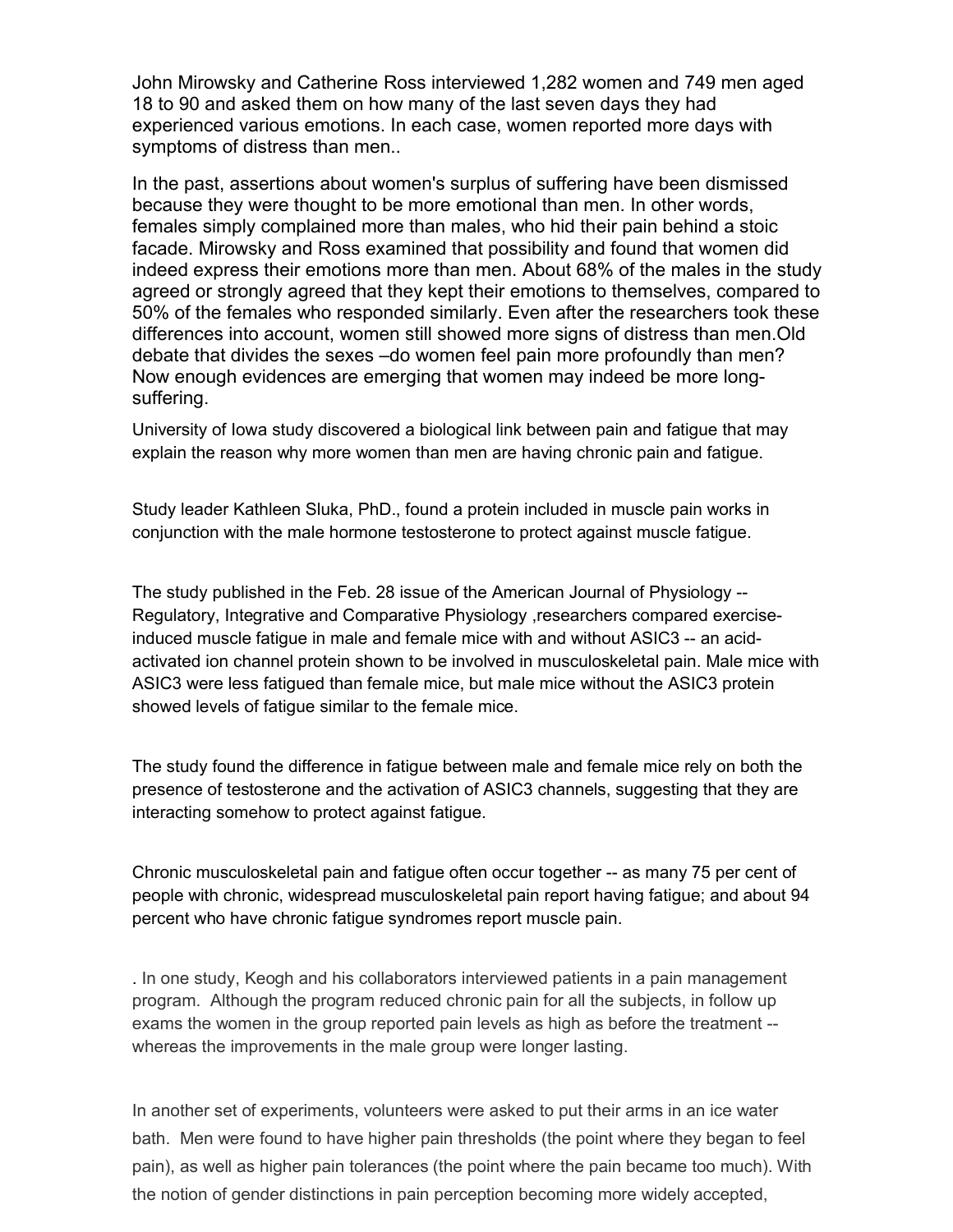John Mirowsky and Catherine Ross interviewed 1,282 women and 749 men aged 18 to 90 and asked them on how many of the last seven days they had experienced various emotions. In each case, women reported more days with symptoms of distress than men..

In the past, assertions about women's surplus of suffering have been dismissed because they were thought to be more emotional than men. In other words, females simply complained more than males, who hid their pain behind a stoic facade. Mirowsky and Ross examined that possibility and found that women did indeed express their emotions more than men. About 68% of the males in the study agreed or strongly agreed that they kept their emotions to themselves, compared to 50% of the females who responded similarly. Even after the researchers took these differences into account, women still showed more signs of distress than men.Old debate that divides the sexes –do women feel pain more profoundly than men? Now enough evidences are emerging that women may indeed be more longsuffering.

University of Iowa study discovered a biological link between pain and fatigue that may explain the reason why more women than men are having chronic pain and fatigue.

Study leader Kathleen Sluka, PhD., found a protein included in muscle pain works in conjunction with the male hormone testosterone to protect against muscle fatigue.

The study published in the Feb. 28 issue of the American Journal of Physiology -- Regulatory, Integrative and Comparative Physiology ,researchers compared exerciseinduced muscle fatigue in male and female mice with and without ASIC3 -- an acidactivated ion channel protein shown to be involved in musculoskeletal pain. Male mice with ASIC3 were less fatigued than female mice, but male mice without the ASIC3 protein showed levels of fatigue similar to the female mice.

The study found the difference in fatigue between male and female mice rely on both the presence of testosterone and the activation of ASIC3 channels, suggesting that they are interacting somehow to protect against fatigue.

Chronic musculoskeletal pain and fatigue often occur together -- as many 75 per cent of people with chronic, widespread musculoskeletal pain report having fatigue; and about 94 percent who have chronic fatigue syndromes report muscle pain.

. In one study, Keogh and his collaborators interviewed patients in a pain management program. Although the program reduced chronic pain for all the subjects, in follow up exams the women in the group reported pain levels as high as before the treatment - whereas the improvements in the male group were longer lasting.

In another set of experiments, volunteers were asked to put their arms in an ice water bath. Men were found to have higher pain thresholds (the point where they began to feel pain), as well as higher pain tolerances (the point where the pain became too much). With the notion of gender distinctions in pain perception becoming more widely accepted,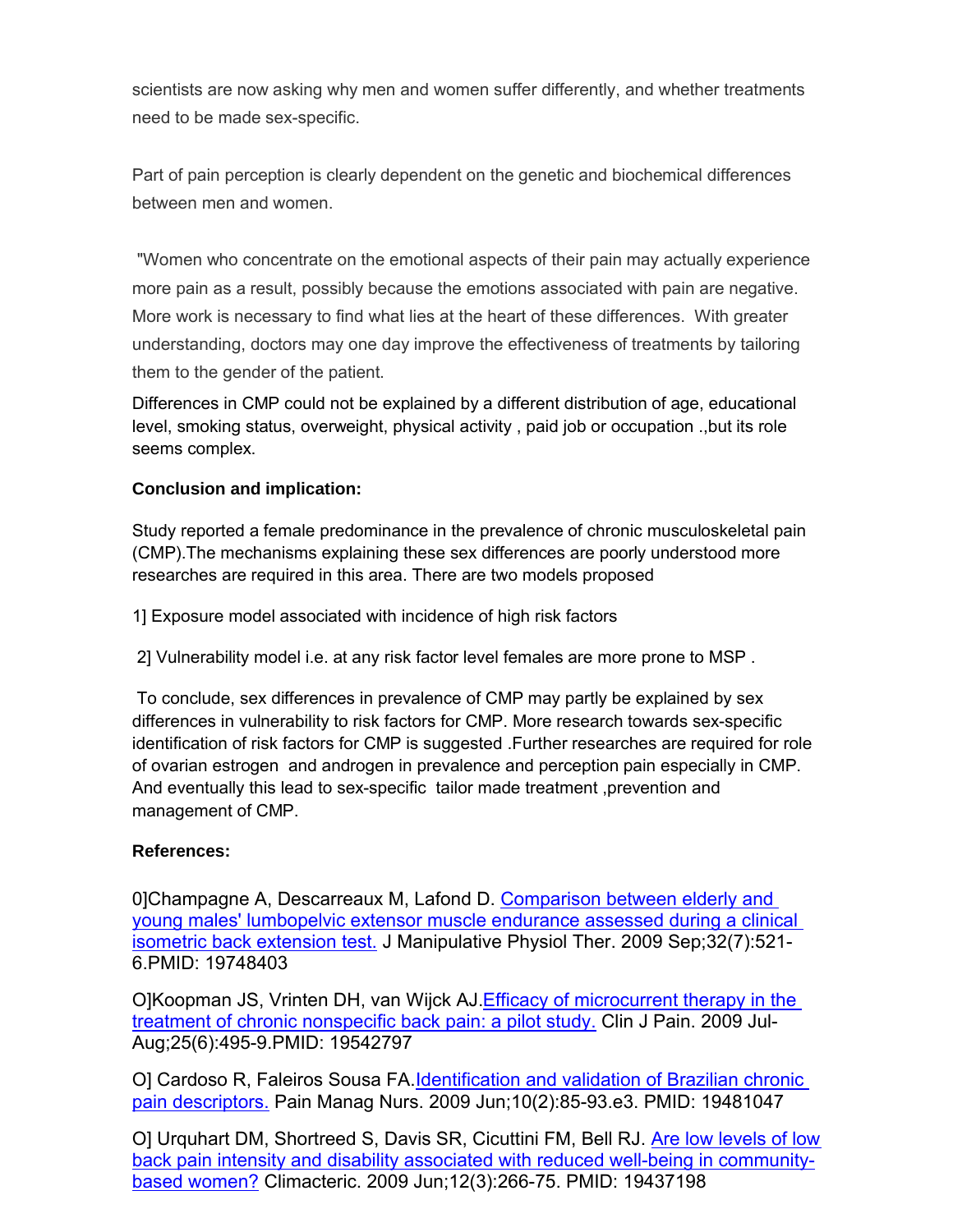scientists are now asking why men and women suffer differently, and whether treatments need to be made sex-specific.

Part of pain perception is clearly dependent on the genetic and biochemical differences between men and women.

"Women who concentrate on the emotional aspects of their pain may actually experience more pain as a result, possibly because the emotions associated with pain are negative. More work is necessary to find what lies at the heart of these differences. With greater understanding, doctors may one day improve the effectiveness of treatments by tailoring them to the gender of the patient.

Differences in CMP could not be explained by a different distribution of age, educational level, smoking status, overweight, physical activity , paid job or occupation .,but its role seems complex.

### **Conclusion and implication:**

Study reported a female predominance in the prevalence of chronic musculoskeletal pain (CMP).The mechanisms explaining these sex differences are poorly understood more researches are required in this area. There are two models proposed

1] Exposure model associated with incidence of high risk factors

2] Vulnerability model i.e. at any risk factor level females are more prone to MSP .

To conclude, sex differences in prevalence of CMP may partly be explained by sex differences in vulnerability to risk factors for CMP. More research towards sex-specific identification of risk factors for CMP is suggested .Further researches are required for role of ovarian estrogen and androgen in prevalence and perception pain especially in CMP. And eventually this lead to sex-specific tailor made treatment ,prevention and management of CMP.

### **References:**

0]Champagne A, Descarreaux M, Lafond D. Comparison between elderly and young males' lumbopelvic extensor muscle endurance assessed during a clinical isometric back extension test. J Manipulative Physiol Ther. 2009 Sep;32(7):521- 6.PMID: 19748403

O]Koopman JS, Vrinten DH, van Wijck AJ. Efficacy of microcurrent therapy in the treatment of chronic nonspecific back pain: a pilot study. Clin J Pain. 2009 Jul-Aug;25(6):495-9.PMID: 19542797

O] Cardoso R, Faleiros Sousa FA.Identification and validation of Brazilian chronic pain descriptors. Pain Manag Nurs. 2009 Jun;10(2):85-93.e3. PMID: 19481047

O] Urquhart DM, Shortreed S, Davis SR, Cicuttini FM, Bell RJ. Are low levels of low back pain intensity and disability associated with reduced well-being in communitybased women? Climacteric. 2009 Jun;12(3):266-75. PMID: 19437198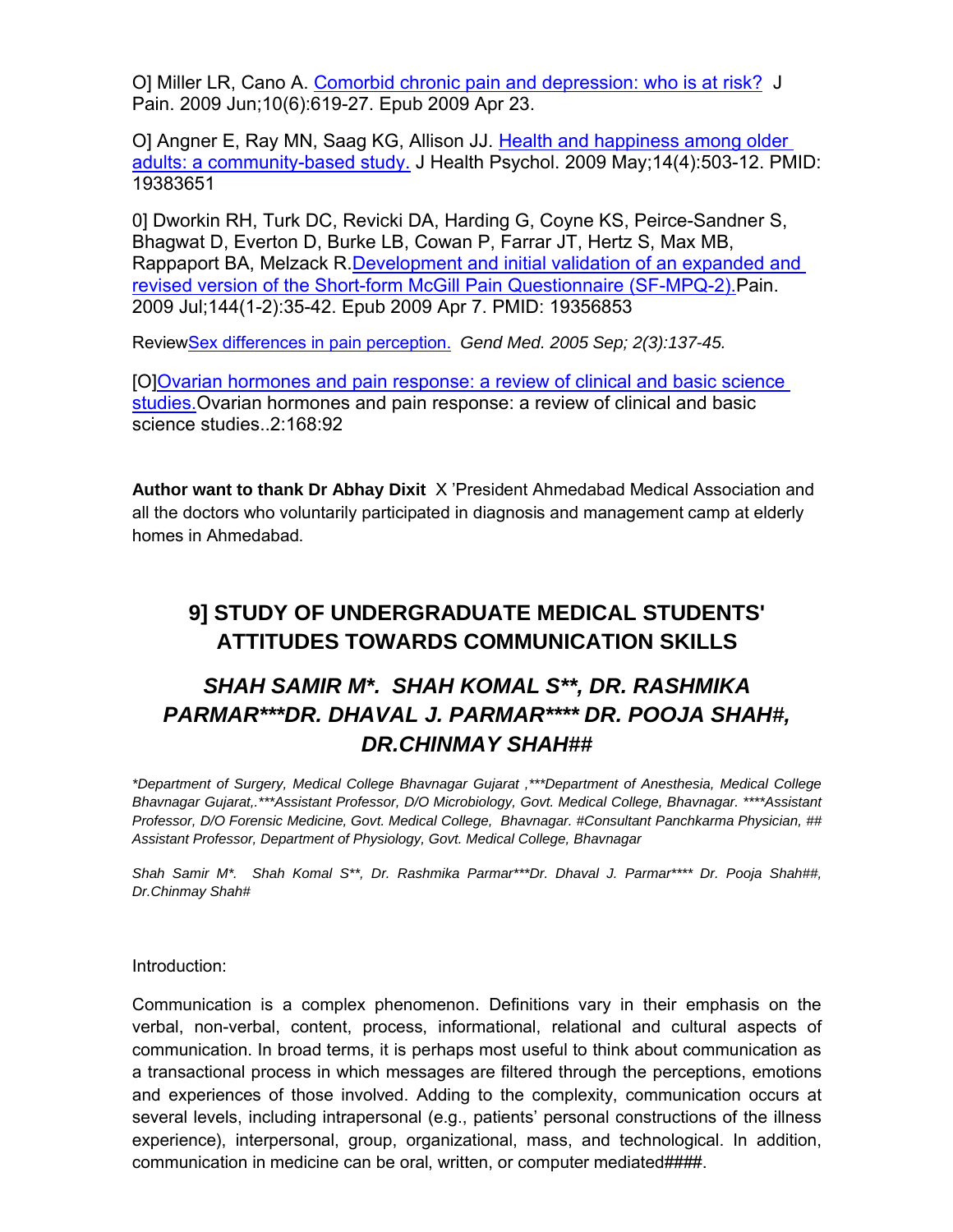O] Miller LR, Cano A. Comorbid chronic pain and depression: who is at risk? J Pain. 2009 Jun;10(6):619-27. Epub 2009 Apr 23.

O] Angner E, Ray MN, Saag KG, Allison JJ. Health and happiness among older adults: a community-based study. J Health Psychol. 2009 May;14(4):503-12. PMID: 19383651

0] Dworkin RH, Turk DC, Revicki DA, Harding G, Coyne KS, Peirce-Sandner S, Bhagwat D, Everton D, Burke LB, Cowan P, Farrar JT, Hertz S, Max MB, Rappaport BA, Melzack R.Development and initial validation of an expanded and revised version of the Short-form McGill Pain Questionnaire (SF-MPQ-2).Pain. 2009 Jul;144(1-2):35-42. Epub 2009 Apr 7. PMID: 19356853

ReviewSex differences in pain perception. *Gend Med. 2005 Sep; 2(3):137-45.* 

[O]Ovarian hormones and pain response: a review of clinical and basic science studies.Ovarian hormones and pain response: a review of clinical and basic science studies..2:168:92

**Author want to thank Dr Abhay Dixit** X 'President Ahmedabad Medical Association and all the doctors who voluntarily participated in diagnosis and management camp at elderly homes in Ahmedabad.

# **9] STUDY OF UNDERGRADUATE MEDICAL STUDENTS' ATTITUDES TOWARDS COMMUNICATION SKILLS**

# *SHAH SAMIR M\*. SHAH KOMAL S\*\*, DR. RASHMIKA PARMAR\*\*\*DR. DHAVAL J. PARMAR\*\*\*\* DR. POOJA SHAH#, DR.CHINMAY SHAH##*

*\*Department of Surgery, Medical College Bhavnagar Gujarat ,\*\*\*Department of Anesthesia, Medical College Bhavnagar Gujarat,.\*\*\*Assistant Professor, D/O Microbiology, Govt. Medical College, Bhavnagar. \*\*\*\*Assistant Professor, D/O Forensic Medicine, Govt. Medical College, Bhavnagar. #Consultant Panchkarma Physician, ## Assistant Professor, Department of Physiology, Govt. Medical College, Bhavnagar*

*Shah Samir M\*. Shah Komal S\*\*, Dr. Rashmika Parmar\*\*\*Dr. Dhaval J. Parmar\*\*\*\* Dr. Pooja Shah##, Dr.Chinmay Shah#*

Introduction:

Communication is a complex phenomenon. Definitions vary in their emphasis on the verbal, non-verbal, content, process, informational, relational and cultural aspects of communication. In broad terms, it is perhaps most useful to think about communication as a transactional process in which messages are filtered through the perceptions, emotions and experiences of those involved. Adding to the complexity, communication occurs at several levels, including intrapersonal (e.g., patients' personal constructions of the illness experience), interpersonal, group, organizational, mass, and technological. In addition, communication in medicine can be oral, written, or computer mediated####.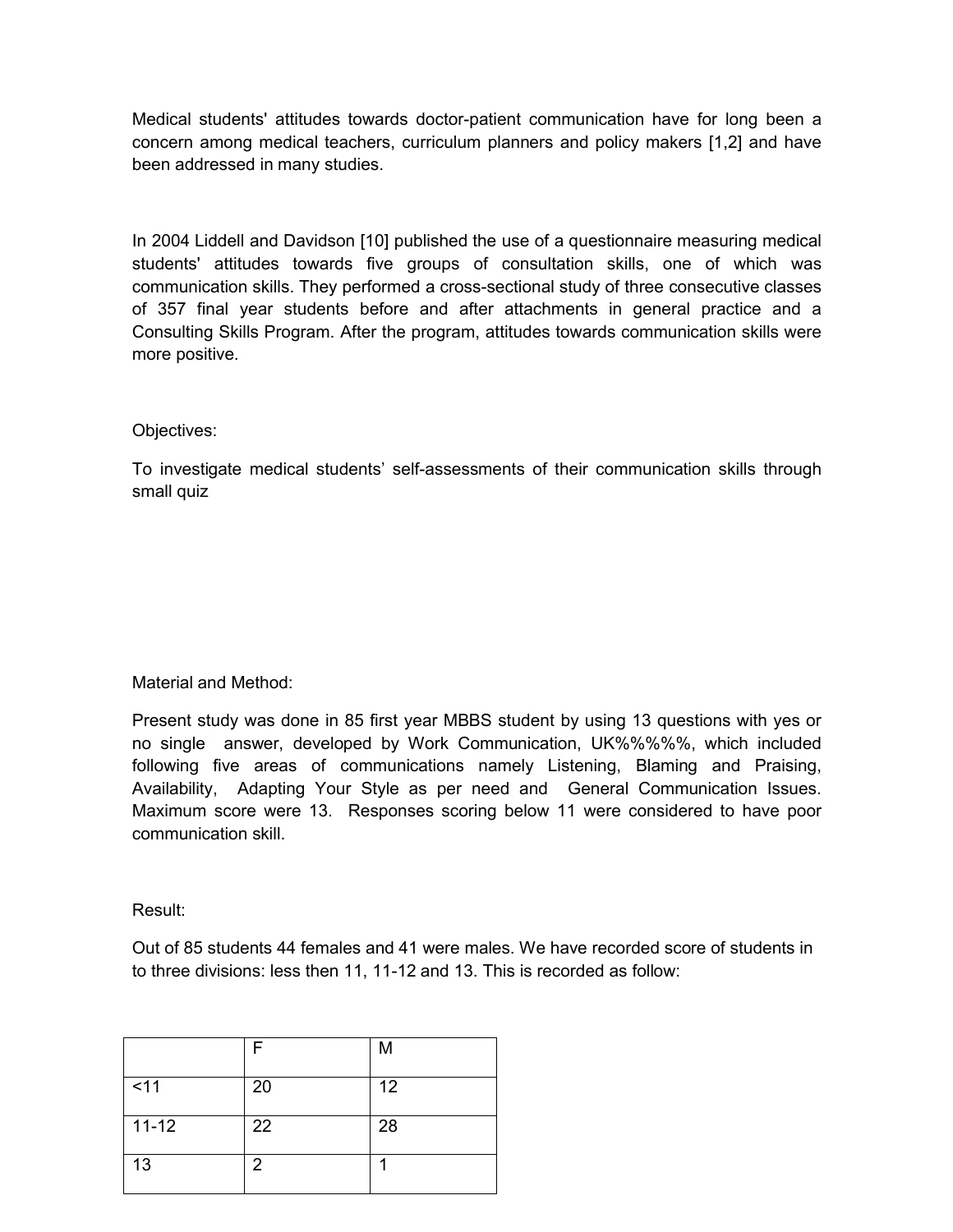Medical students' attitudes towards doctor-patient communication have for long been a concern among medical teachers, curriculum planners and policy makers [1,2] and have been addressed in many studies.

In 2004 Liddell and Davidson [10] published the use of a questionnaire measuring medical students' attitudes towards five groups of consultation skills, one of which was communication skills. They performed a cross-sectional study of three consecutive classes of 357 final year students before and after attachments in general practice and a Consulting Skills Program. After the program, attitudes towards communication skills were more positive.

#### Objectives:

To investigate medical students' self-assessments of their communication skills through small quiz

### Material and Method:

Present study was done in 85 first year MBBS student by using 13 questions with yes or no single answer, developed by Work Communication, UK%%%%%, which included following five areas of communications namely Listening, Blaming and Praising, Availability, Adapting Your Style as per need and General Communication Issues. Maximum score were 13. Responses scoring below 11 were considered to have poor communication skill.

Result:

Out of 85 students 44 females and 41 were males. We have recorded score of students in to three divisions: less then 11, 11-12 and 13. This is recorded as follow:

|           | F              | M  |
|-----------|----------------|----|
| $<$ 11    | 20             | 12 |
| $11 - 12$ | 22             | 28 |
| 13        | $\overline{2}$ |    |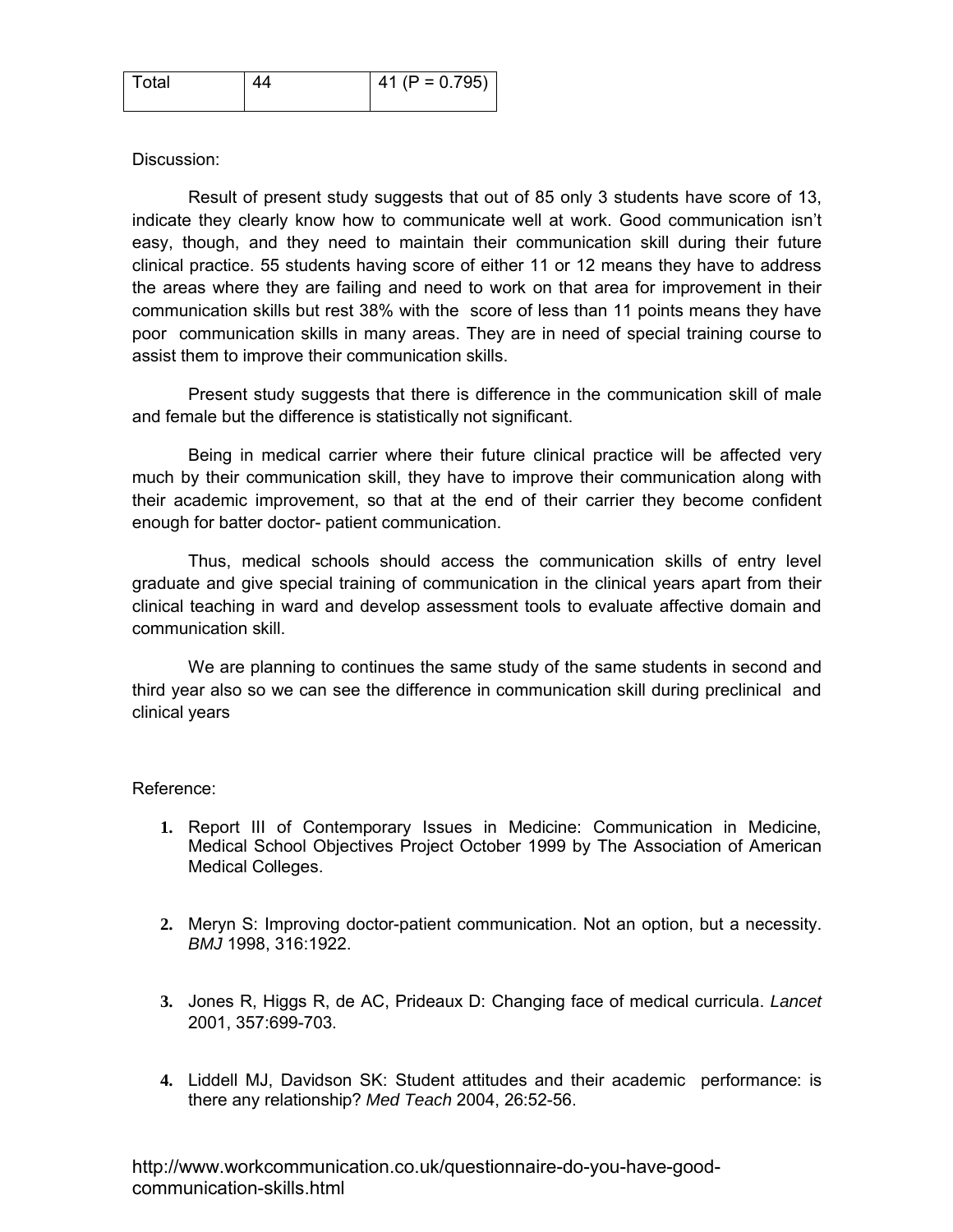| Total | Δ4 | 41 (P = $0.795$ ) |
|-------|----|-------------------|
|       |    |                   |

### Discussion:

Result of present study suggests that out of 85 only 3 students have score of 13, indicate they clearly know how to communicate well at work. Good communication isn't easy, though, and they need to maintain their communication skill during their future clinical practice. 55 students having score of either 11 or 12 means they have to address the areas where they are failing and need to work on that area for improvement in their communication skills but rest 38% with the score of less than 11 points means they have poor communication skills in many areas. They are in need of special training course to assist them to improve their communication skills.

Present study suggests that there is difference in the communication skill of male and female but the difference is statistically not significant.

Being in medical carrier where their future clinical practice will be affected very much by their communication skill, they have to improve their communication along with their academic improvement, so that at the end of their carrier they become confident enough for batter doctor- patient communication.

Thus, medical schools should access the communication skills of entry level graduate and give special training of communication in the clinical years apart from their clinical teaching in ward and develop assessment tools to evaluate affective domain and communication skill.

We are planning to continues the same study of the same students in second and third year also so we can see the difference in communication skill during preclinical and clinical years

#### Reference:

- **1.** Report III of Contemporary Issues in Medicine: Communication in Medicine, Medical School Objectives Project October 1999 by The Association of American Medical Colleges.
- **2.** Meryn S: Improving doctor-patient communication. Not an option, but a necessity. *BMJ* 1998, 316:1922.
- **3.** Jones R, Higgs R, de AC, Prideaux D: Changing face of medical curricula. *Lancet* 2001, 357:699-703.
- **4.** Liddell MJ, Davidson SK: Student attitudes and their academic performance: is there any relationship? *Med Teach* 2004, 26:52-56.

http://www.workcommunication.co.uk/questionnaire-do-you-have-goodcommunication-skills.html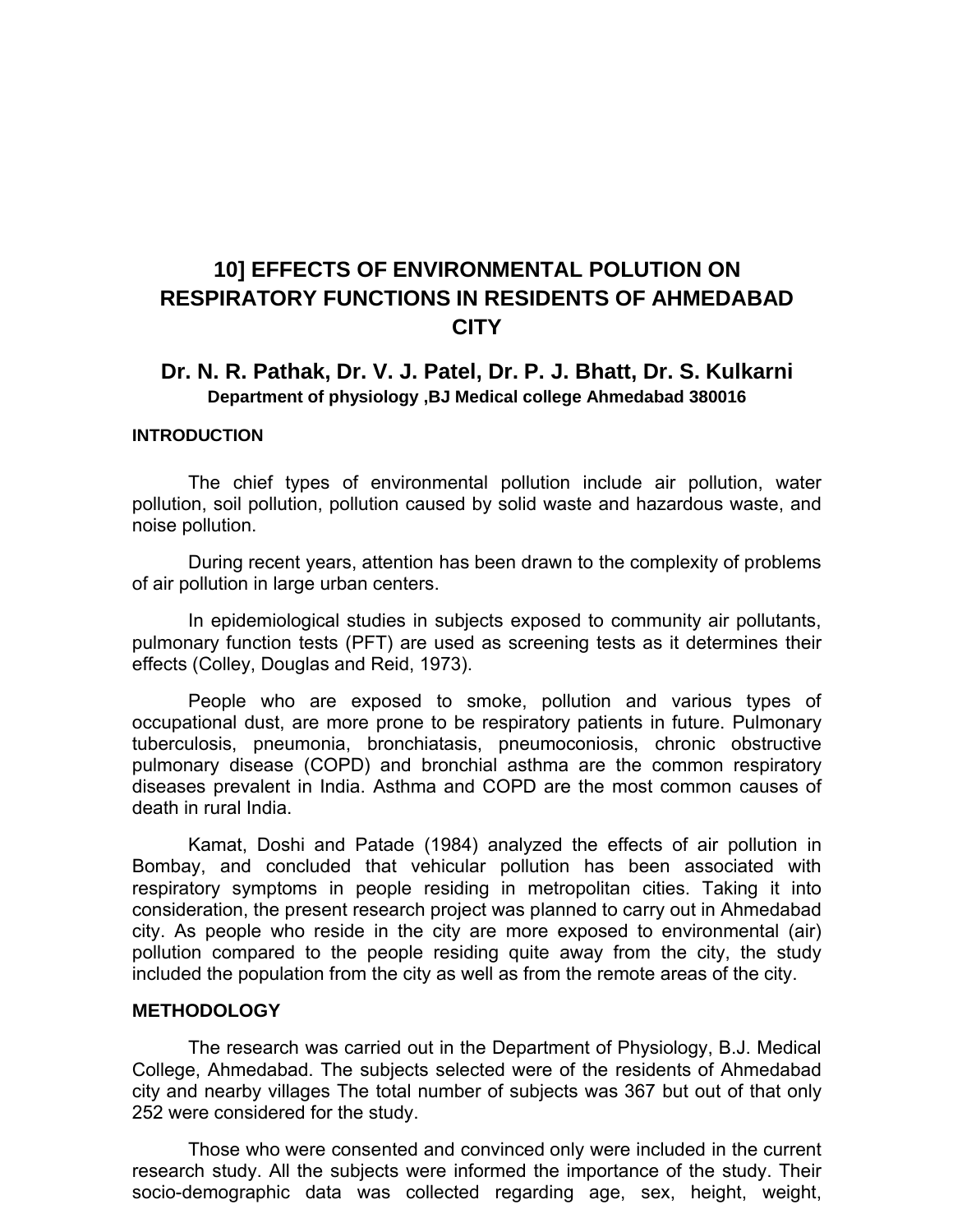# **10] EFFECTS OF ENVIRONMENTAL POLUTION ON RESPIRATORY FUNCTIONS IN RESIDENTS OF AHMEDABAD CITY**

### **Dr. N. R. Pathak, Dr. V. J. Patel, Dr. P. J. Bhatt, Dr. S. Kulkarni Department of physiology ,BJ Medical college Ahmedabad 380016**

#### **INTRODUCTION**

The chief types of environmental pollution include air pollution, water pollution, soil pollution, pollution caused by solid waste and hazardous waste, and noise pollution.

During recent years, attention has been drawn to the complexity of problems of air pollution in large urban centers.

In epidemiological studies in subjects exposed to community air pollutants, pulmonary function tests (PFT) are used as screening tests as it determines their effects (Colley, Douglas and Reid, 1973).

People who are exposed to smoke, pollution and various types of occupational dust, are more prone to be respiratory patients in future. Pulmonary tuberculosis, pneumonia, bronchiatasis, pneumoconiosis, chronic obstructive pulmonary disease (COPD) and bronchial asthma are the common respiratory diseases prevalent in India. Asthma and COPD are the most common causes of death in rural India.

Kamat, Doshi and Patade (1984) analyzed the effects of air pollution in Bombay, and concluded that vehicular pollution has been associated with respiratory symptoms in people residing in metropolitan cities. Taking it into consideration, the present research project was planned to carry out in Ahmedabad city. As people who reside in the city are more exposed to environmental (air) pollution compared to the people residing quite away from the city, the study included the population from the city as well as from the remote areas of the city.

#### **METHODOLOGY**

The research was carried out in the Department of Physiology, B.J. Medical College, Ahmedabad. The subjects selected were of the residents of Ahmedabad city and nearby villages The total number of subjects was 367 but out of that only 252 were considered for the study.

Those who were consented and convinced only were included in the current research study. All the subjects were informed the importance of the study. Their socio-demographic data was collected regarding age, sex, height, weight,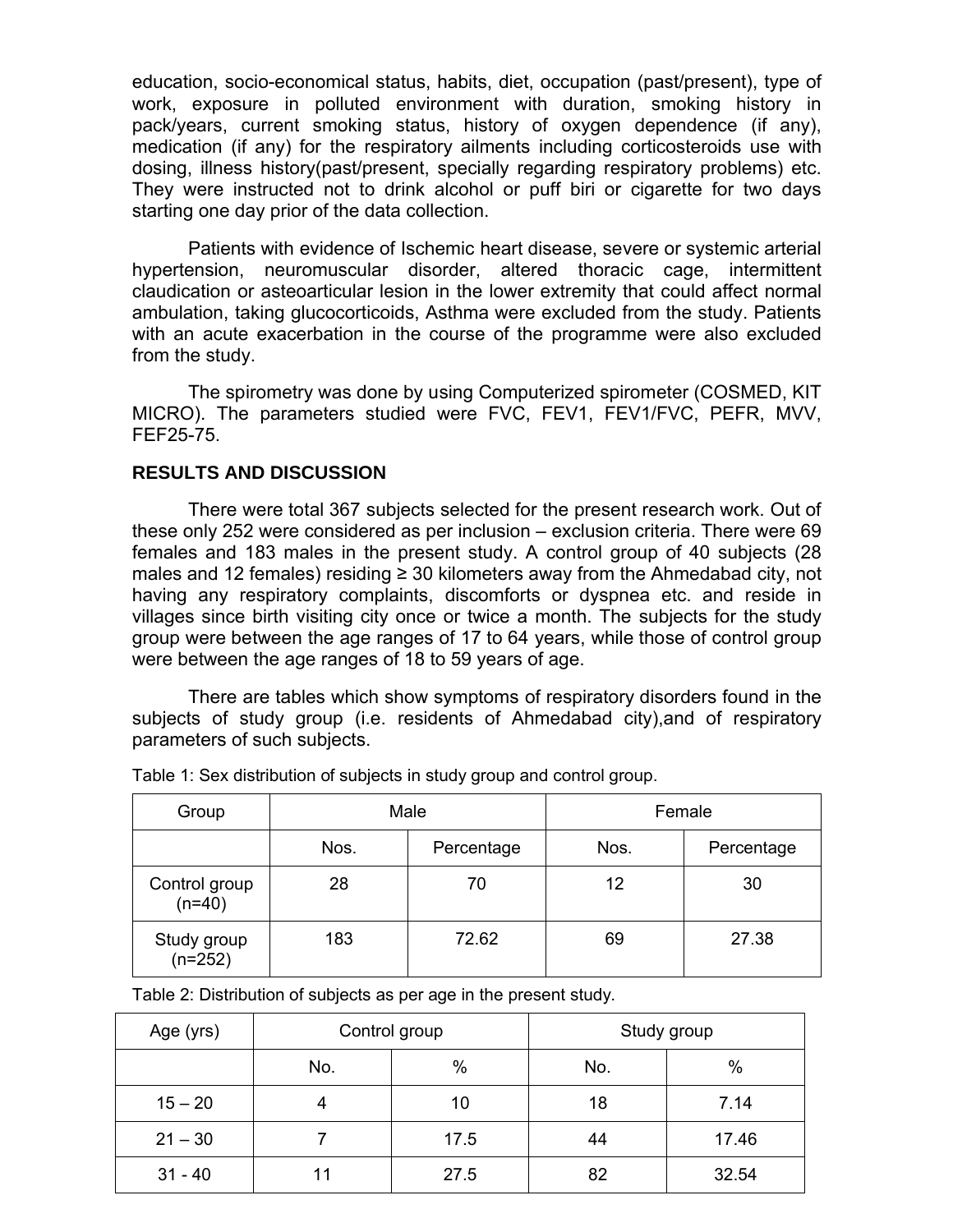education, socio-economical status, habits, diet, occupation (past/present), type of work, exposure in polluted environment with duration, smoking history in pack/years, current smoking status, history of oxygen dependence (if any), medication (if any) for the respiratory ailments including corticosteroids use with dosing, illness history(past/present, specially regarding respiratory problems) etc. They were instructed not to drink alcohol or puff biri or cigarette for two days starting one day prior of the data collection.

Patients with evidence of Ischemic heart disease, severe or systemic arterial hypertension, neuromuscular disorder, altered thoracic cage, intermittent claudication or asteoarticular lesion in the lower extremity that could affect normal ambulation, taking glucocorticoids, Asthma were excluded from the study. Patients with an acute exacerbation in the course of the programme were also excluded from the study.

The spirometry was done by using Computerized spirometer (COSMED, KIT MICRO). The parameters studied were FVC, FEV1, FEV1/FVC, PEFR, MVV, FEF25-75.

#### **RESULTS AND DISCUSSION**

There were total 367 subjects selected for the present research work. Out of these only 252 were considered as per inclusion – exclusion criteria. There were 69 females and 183 males in the present study. A control group of 40 subjects (28 males and 12 females) residing  $\geq$  30 kilometers away from the Ahmedabad city, not having any respiratory complaints, discomforts or dyspnea etc. and reside in villages since birth visiting city once or twice a month. The subjects for the study group were between the age ranges of 17 to 64 years, while those of control group were between the age ranges of 18 to 59 years of age.

There are tables which show symptoms of respiratory disorders found in the subjects of study group (i.e. residents of Ahmedabad city),and of respiratory parameters of such subjects.

| Group                     | Male               |       | Female |            |
|---------------------------|--------------------|-------|--------|------------|
|                           | Nos.<br>Percentage |       | Nos.   | Percentage |
| Control group<br>$(n=40)$ | 28                 | 70    | 12     | 30         |
| Study group<br>$(n=252)$  | 183                | 72.62 | 69     | 27.38      |

Table 1: Sex distribution of subjects in study group and control group.

Table 2: Distribution of subjects as per age in the present study.

| Age (yrs) | Control group |      | Study group |       |
|-----------|---------------|------|-------------|-------|
|           | $\%$<br>No.   |      | No.         | $\%$  |
| $15 - 20$ | 4             | 10   | 18          | 7.14  |
| $21 - 30$ |               | 17.5 | 44          | 17.46 |
| $31 - 40$ | 11            | 27.5 | 82          | 32.54 |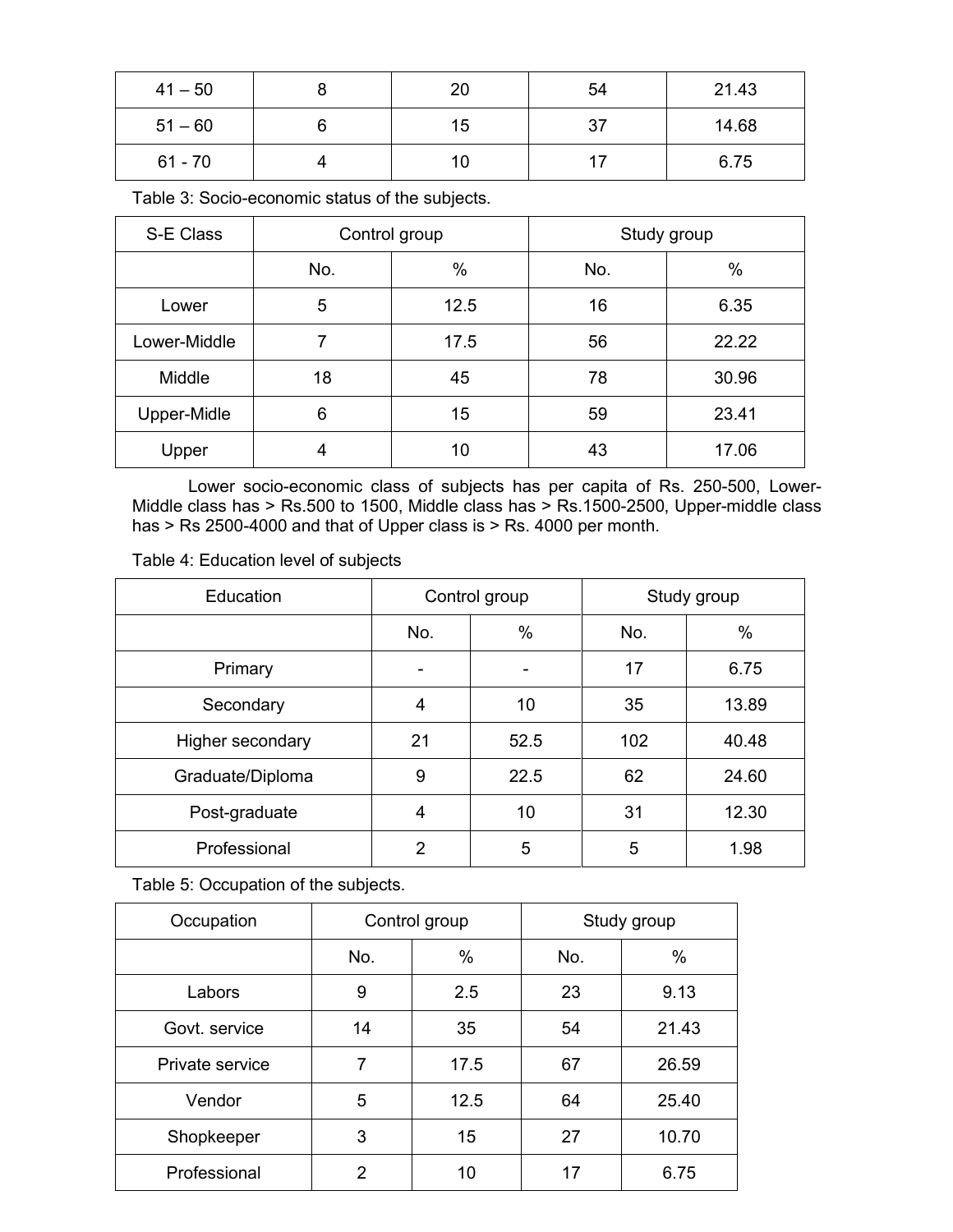| $41 - 50$ | 20 | 54  | 21.43 |
|-----------|----|-----|-------|
| $51 - 60$ | 15 | -37 | 14.68 |
| $61 - 70$ | 10 |     | 6.75  |

Table 3: Socio-economic status of the subjects.

| S-E Class    | Control group |      | Study group |       |
|--------------|---------------|------|-------------|-------|
|              | No.           | %    | No.         | %     |
| Lower        | 5             | 12.5 | 16          | 6.35  |
| Lower-Middle | 7             | 17.5 | 56          | 22.22 |
| Middle       | 18            | 45   | 78          | 30.96 |
| Upper-Midle  | 6             | 15   | 59          | 23.41 |
| Upper        | 4             | 10   | 43          | 17.06 |

Lower socio-economic class of subjects has per capita of Rs. 250-500, Lower-Middle class has > Rs.500 to 1500, Middle class has > Rs.1500-2500, Upper-middle class has > Rs 2500-4000 and that of Upper class is > Rs. 4000 per month.

Table 4: Education level of subjects

| Education        | Control group |      | Study group |       |
|------------------|---------------|------|-------------|-------|
|                  | No.           | $\%$ | No.         | %     |
| Primary          |               |      | 17          | 6.75  |
| Secondary        | 4             | 10   | 35          | 13.89 |
| Higher secondary | 21            | 52.5 | 102         | 40.48 |
| Graduate/Diploma | 9             | 22.5 | 62          | 24.60 |
| Post-graduate    | 4             | 10   | 31          | 12.30 |
| Professional     | 2             | 5    | 5           | 1.98  |

Table 5: Occupation of the subjects.

| Occupation      | Control group |      | Study group |       |
|-----------------|---------------|------|-------------|-------|
|                 | No.           | %    | No.         | $\%$  |
| Labors          | 9             | 2.5  | 23          | 9.13  |
| Govt. service   | 14            | 35   | 54          | 21.43 |
| Private service | 7             | 17.5 | 67          | 26.59 |
| Vendor          | 5             | 12.5 | 64          | 25.40 |
| Shopkeeper      | 3             | 15   | 27          | 10.70 |
| Professional    | $\mathcal{P}$ | 10   | 17          | 6.75  |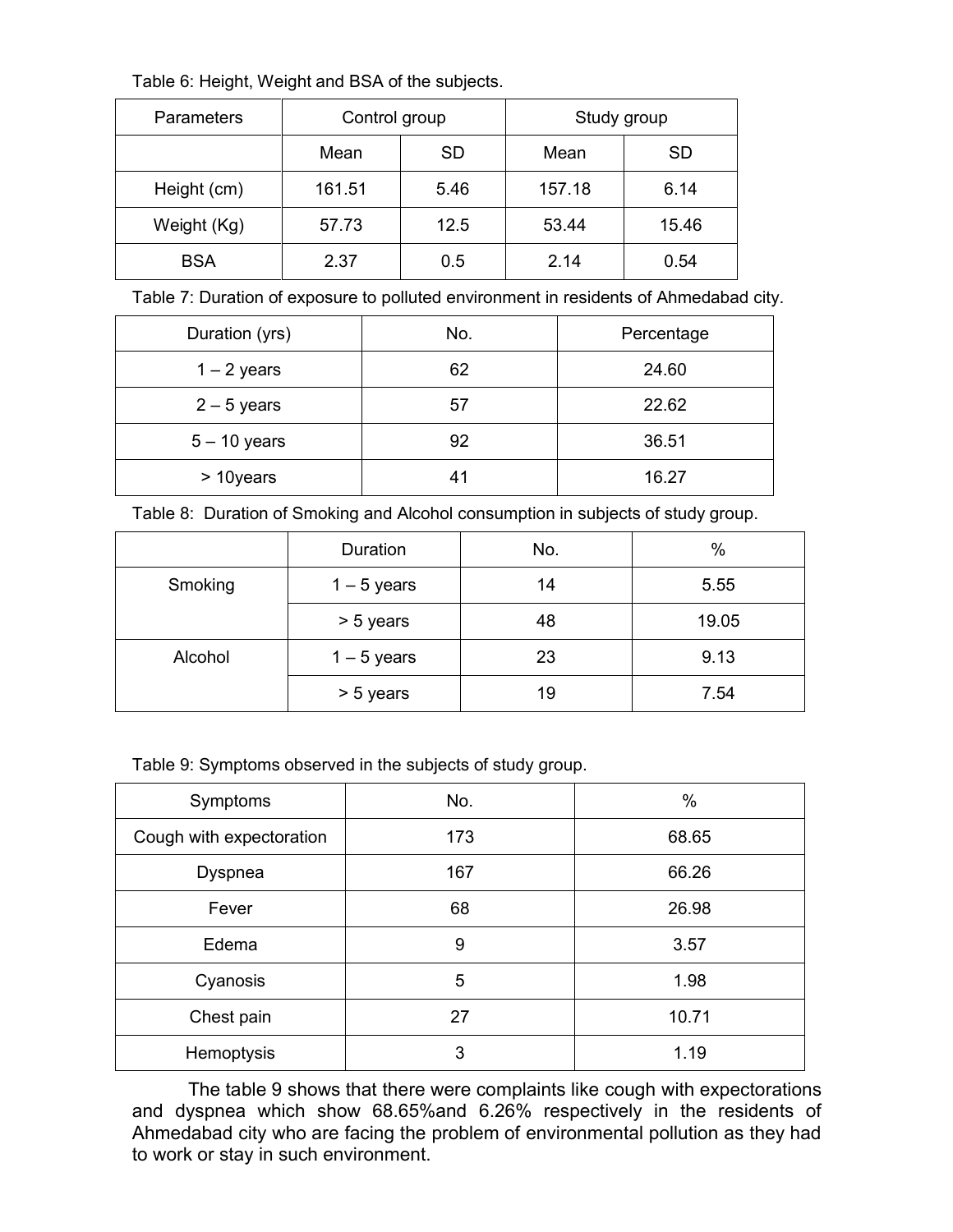Table 6: Height, Weight and BSA of the subjects.

| Parameters  | Control group |           | Study group |           |
|-------------|---------------|-----------|-------------|-----------|
|             | Mean          | <b>SD</b> | Mean        | <b>SD</b> |
| Height (cm) | 161.51        | 5.46      | 157.18      | 6.14      |
| Weight (Kg) | 57.73         | 12.5      | 53.44       | 15.46     |
| <b>BSA</b>  | 2.37          | 0.5       | 2.14        | 0.54      |

Table 7: Duration of exposure to polluted environment in residents of Ahmedabad city.

| Duration (yrs) | No.            | Percentage |
|----------------|----------------|------------|
| $1 - 2$ years  | 62             | 24.60      |
| $2 - 5$ years  | 57             | 22.62      |
| $5 - 10$ years | 92             | 36.51      |
| > 10years      | 4 <sup>1</sup> | 16.27      |

Table 8: Duration of Smoking and Alcohol consumption in subjects of study group.

|         | Duration      | No. | $\%$  |
|---------|---------------|-----|-------|
| Smoking | $1 - 5$ years | 14  | 5.55  |
|         | > 5 years     | 48  | 19.05 |
| Alcohol | $1 - 5$ years | 23  | 9.13  |
|         | > 5 years     | 19  | 7.54  |

Table 9: Symptoms observed in the subjects of study group.

| Symptoms                 | No. | %     |
|--------------------------|-----|-------|
| Cough with expectoration | 173 | 68.65 |
| <b>Dyspnea</b>           | 167 | 66.26 |
| Fever                    | 68  | 26.98 |
| Edema                    | 9   | 3.57  |
| Cyanosis                 | 5   | 1.98  |
| Chest pain               | 27  | 10.71 |
| Hemoptysis               | 3   | 1.19  |

The table 9 shows that there were complaints like cough with expectorations and dyspnea which show 68.65%and 6.26% respectively in the residents of Ahmedabad city who are facing the problem of environmental pollution as they had to work or stay in such environment.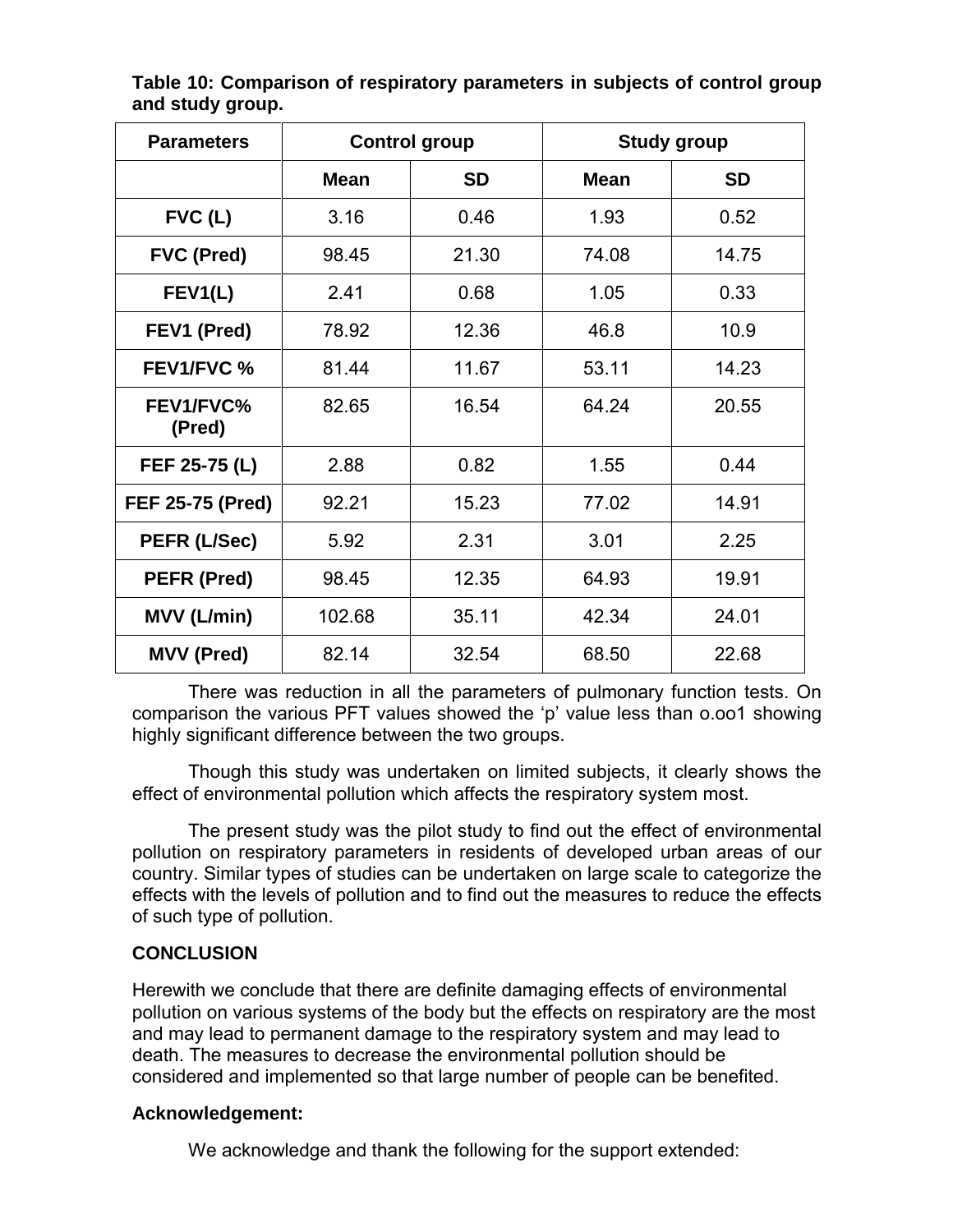| <b>Parameters</b>       | <b>Control group</b> |           | <b>Study group</b> |           |
|-------------------------|----------------------|-----------|--------------------|-----------|
|                         | <b>Mean</b>          | <b>SD</b> | <b>Mean</b>        | <b>SD</b> |
| $FVC$ (L)               | 3.16                 | 0.46      | 1.93               | 0.52      |
| <b>FVC (Pred)</b>       | 98.45                | 21.30     | 74.08              | 14.75     |
| FEV1(L)                 | 2.41                 | 0.68      | 1.05               | 0.33      |
| FEV1 (Pred)             | 78.92                | 12.36     | 46.8               | 10.9      |
| <b>FEV1/FVC %</b>       | 81.44                | 11.67     | 53.11              | 14.23     |
| FEV1/FVC%<br>(Pred)     | 82.65                | 16.54     | 64.24              | 20.55     |
| FEF 25-75 (L)           | 2.88                 | 0.82      | 1.55               | 0.44      |
| <b>FEF 25-75 (Pred)</b> | 92.21                | 15.23     | 77.02              | 14.91     |
| PEFR (L/Sec)            | 5.92                 | 2.31      | 3.01               | 2.25      |
| PEFR (Pred)             | 98.45                | 12.35     | 64.93              | 19.91     |
| <b>MVV (L/min)</b>      | 102.68               | 35.11     | 42.34              | 24.01     |
| <b>MVV (Pred)</b>       | 82.14                | 32.54     | 68.50              | 22.68     |

**Table 10: Comparison of respiratory parameters in subjects of control group and study group.**

There was reduction in all the parameters of pulmonary function tests. On comparison the various PFT values showed the 'p' value less than o.oo1 showing highly significant difference between the two groups.

Though this study was undertaken on limited subjects, it clearly shows the effect of environmental pollution which affects the respiratory system most.

The present study was the pilot study to find out the effect of environmental pollution on respiratory parameters in residents of developed urban areas of our country. Similar types of studies can be undertaken on large scale to categorize the effects with the levels of pollution and to find out the measures to reduce the effects of such type of pollution.

### **CONCLUSION**

Herewith we conclude that there are definite damaging effects of environmental pollution on various systems of the body but the effects on respiratory are the most and may lead to permanent damage to the respiratory system and may lead to death. The measures to decrease the environmental pollution should be considered and implemented so that large number of people can be benefited.

### **Acknowledgement:**

We acknowledge and thank the following for the support extended: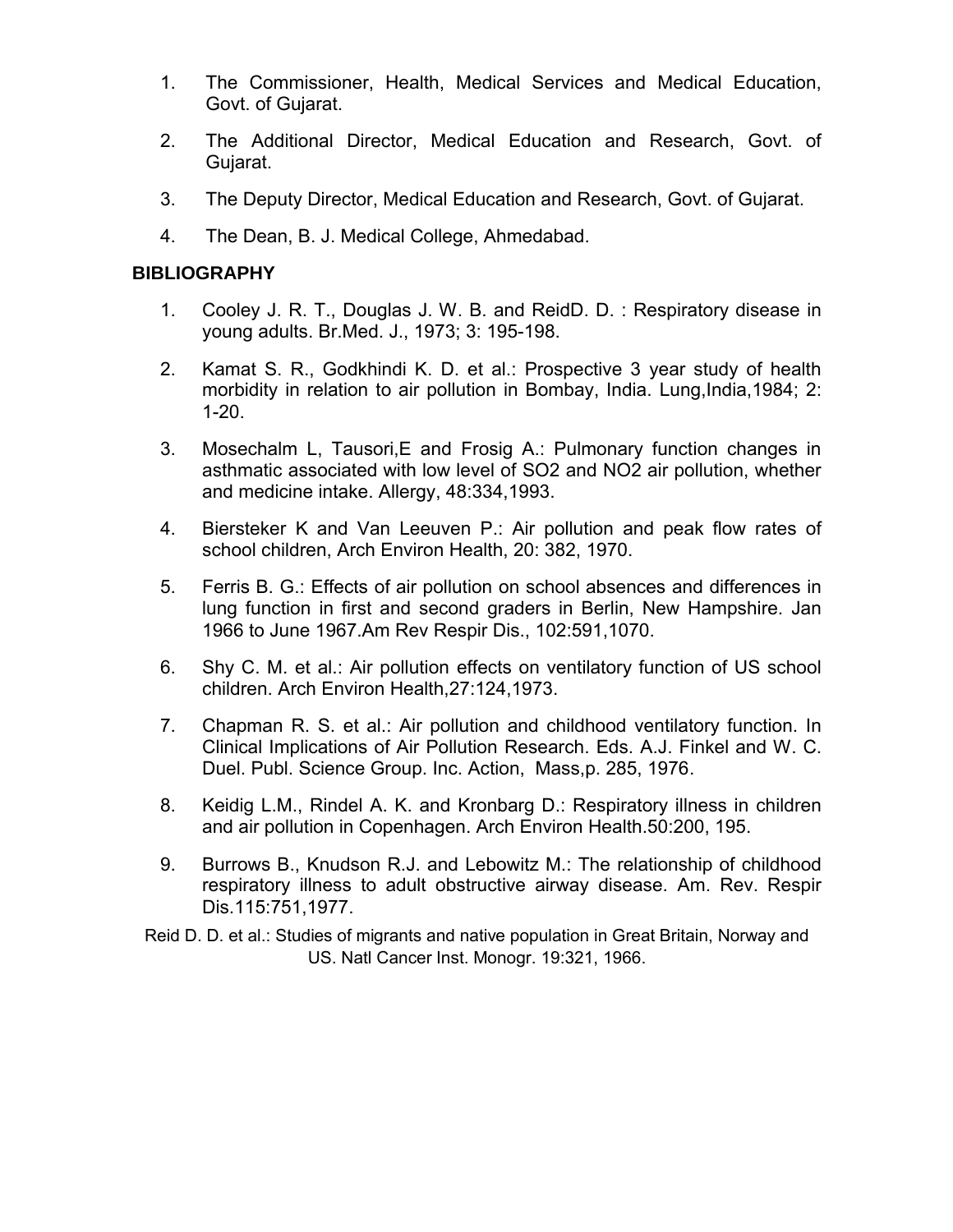- 1. The Commissioner, Health, Medical Services and Medical Education, Govt. of Gujarat.
- 2. The Additional Director, Medical Education and Research, Govt. of Gujarat.
- 3. The Deputy Director, Medical Education and Research, Govt. of Gujarat.
- 4. The Dean, B. J. Medical College, Ahmedabad.

### **BIBLIOGRAPHY**

- 1. Cooley J. R. T., Douglas J. W. B. and ReidD. D. : Respiratory disease in young adults. Br.Med. J., 1973; 3: 195-198.
- 2. Kamat S. R., Godkhindi K. D. et al.: Prospective 3 year study of health morbidity in relation to air pollution in Bombay, India. Lung, India, 1984; 2: 1-20.
- 3. Mosechalm L, Tausori,E and Frosig A.: Pulmonary function changes in asthmatic associated with low level of SO2 and NO2 air pollution, whether and medicine intake. Allergy, 48:334,1993.
- 4. Biersteker K and Van Leeuven P.: Air pollution and peak flow rates of school children, Arch Environ Health, 20: 382, 1970.
- 5. Ferris B. G.: Effects of air pollution on school absences and differences in lung function in first and second graders in Berlin, New Hampshire. Jan 1966 to June 1967.Am Rev Respir Dis., 102:591,1070.
- 6. Shy C. M. et al.: Air pollution effects on ventilatory function of US school children. Arch Environ Health,27:124,1973.
- 7. Chapman R. S. et al.: Air pollution and childhood ventilatory function. In Clinical Implications of Air Pollution Research. Eds. A.J. Finkel and W. C. Duel. Publ. Science Group. Inc. Action, Mass,p. 285, 1976.
- 8. Keidig L.M., Rindel A. K. and Kronbarg D.: Respiratory illness in children and air pollution in Copenhagen. Arch Environ Health.50:200, 195.
- 9. Burrows B., Knudson R.J. and Lebowitz M.: The relationship of childhood respiratory illness to adult obstructive airway disease. Am. Rev. Respir Dis.115:751,1977.
- Reid D. D. et al.: Studies of migrants and native population in Great Britain, Norway and US. Natl Cancer Inst. Monogr. 19:321, 1966.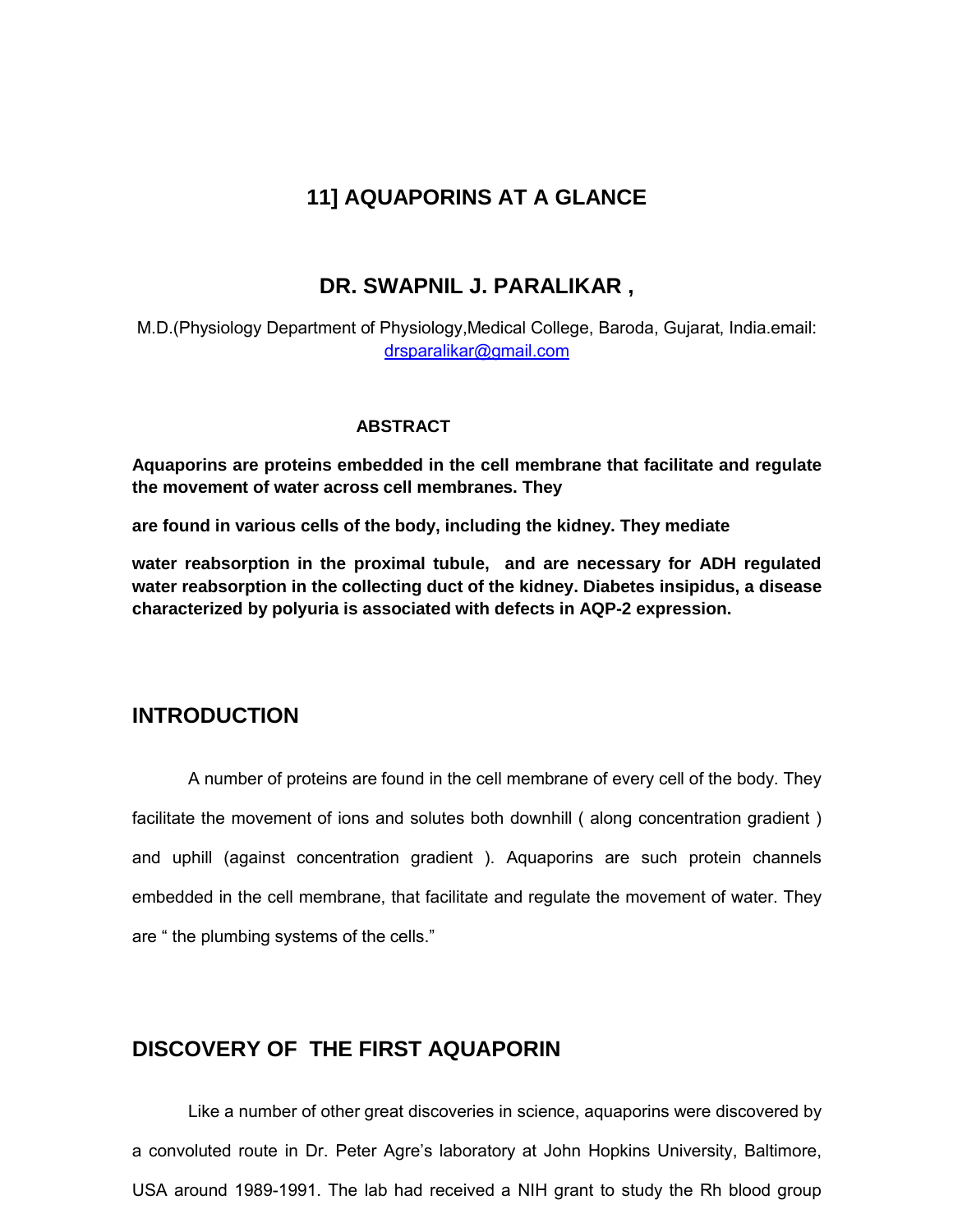# **11] AQUAPORINS AT A GLANCE**

### **DR. SWAPNIL J. PARALIKAR ,**

M.D.(Physiology Department of Physiology,Medical College, Baroda, Gujarat, India.email: drsparalikar@gmail.com

#### **ABSTRACT**

**Aquaporins are proteins embedded in the cell membrane that facilitate and regulate the movement of water across cell membranes. They** 

**are found in various cells of the body, including the kidney. They mediate**

**water reabsorption in the proximal tubule, and are necessary for ADH regulated water reabsorption in the collecting duct of the kidney. Diabetes insipidus, a disease characterized by polyuria is associated with defects in AQP-2 expression.**

### **INTRODUCTION**

A number of proteins are found in the cell membrane of every cell of the body. They facilitate the movement of ions and solutes both downhill ( along concentration gradient ) and uphill (against concentration gradient ). Aquaporins are such protein channels embedded in the cell membrane, that facilitate and regulate the movement of water. They are " the plumbing systems of the cells."

## **DISCOVERY OF THE FIRST AQUAPORIN**

Like a number of other great discoveries in science, aquaporins were discovered by a convoluted route in Dr. Peter Agre's laboratory at John Hopkins University, Baltimore, USA around 1989-1991. The lab had received a NIH grant to study the Rh blood group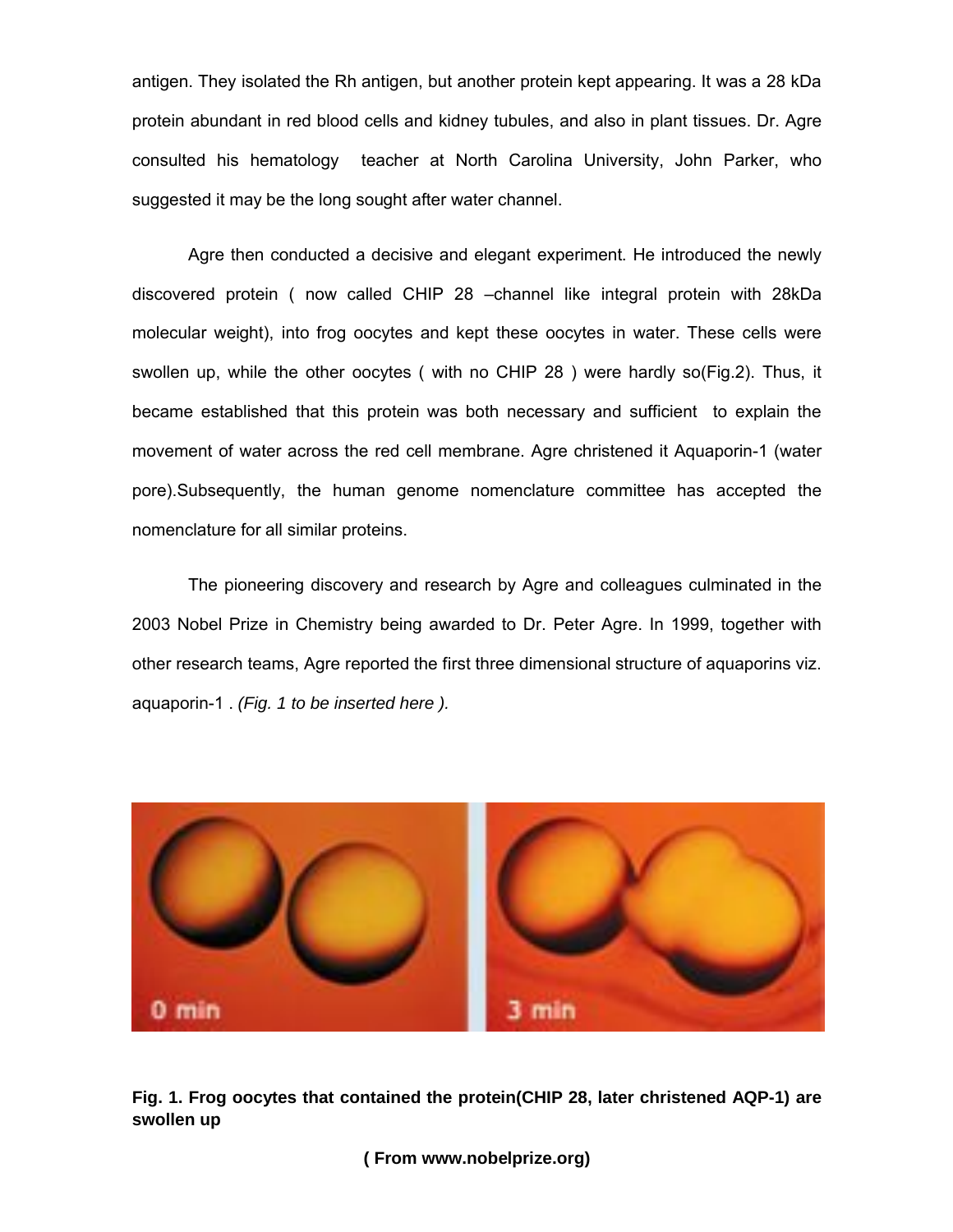antigen. They isolated the Rh antigen, but another protein kept appearing. It was a 28 kDa protein abundant in red blood cells and kidney tubules, and also in plant tissues. Dr. Agre consulted his hematology teacher at North Carolina University, John Parker, who suggested it may be the long sought after water channel.

Agre then conducted a decisive and elegant experiment. He introduced the newly discovered protein ( now called CHIP 28 –channel like integral protein with 28kDa molecular weight), into frog oocytes and kept these oocytes in water. These cells were swollen up, while the other oocytes ( with no CHIP 28 ) were hardly so(Fig.2). Thus, it became established that this protein was both necessary and sufficient to explain the movement of water across the red cell membrane. Agre christened it Aquaporin-1 (water pore).Subsequently, the human genome nomenclature committee has accepted the nomenclature for all similar proteins.

The pioneering discovery and research by Agre and colleagues culminated in the 2003 Nobel Prize in Chemistry being awarded to Dr. Peter Agre. In 1999, together with other research teams, Agre reported the first three dimensional structure of aquaporins viz. aquaporin-1 . *(Fig. 1 to be inserted here ).*



**Fig. 1. Frog oocytes that contained the protein(CHIP 28, later christened AQP-1) are swollen up**

**( From www.nobelprize.org)**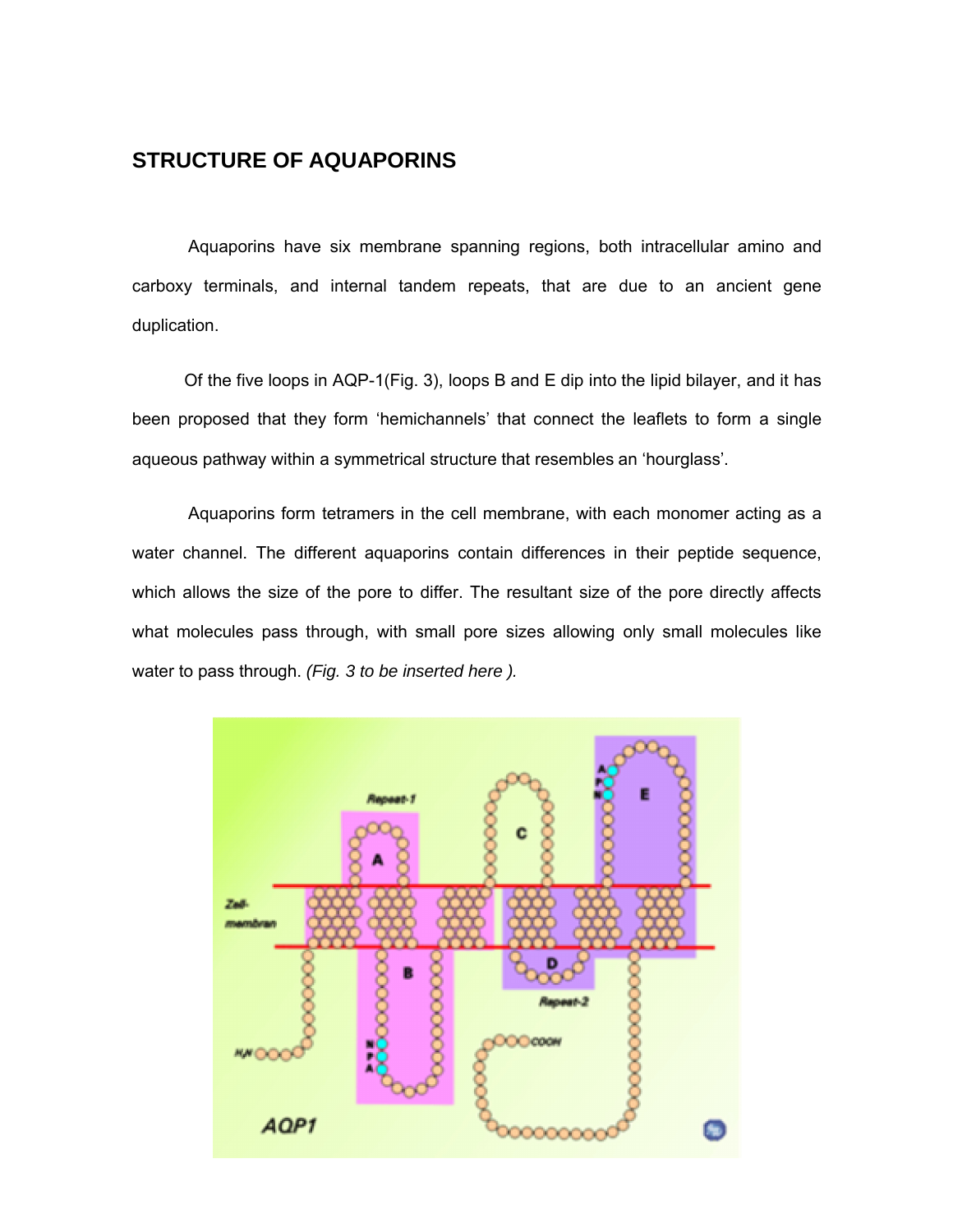# **STRUCTURE OF AQUAPORINS**

Aquaporins have six membrane spanning regions, both intracellular amino and carboxy terminals, and internal tandem repeats, that are due to an ancient gene duplication.

 Of the five loops in AQP-1(Fig. 3), loops B and E dip into the lipid bilayer, and it has been proposed that they form 'hemichannels' that connect the leaflets to form a single aqueous pathway within a symmetrical structure that resembles an 'hourglass'.

Aquaporins form tetramers in the cell membrane, with each monomer acting as a water channel. The different aquaporins contain differences in their peptide sequence, which allows the size of the pore to differ. The resultant size of the pore directly affects what molecules pass through, with small pore sizes allowing only small molecules like water to pass through. *(Fig. 3 to be inserted here ).*

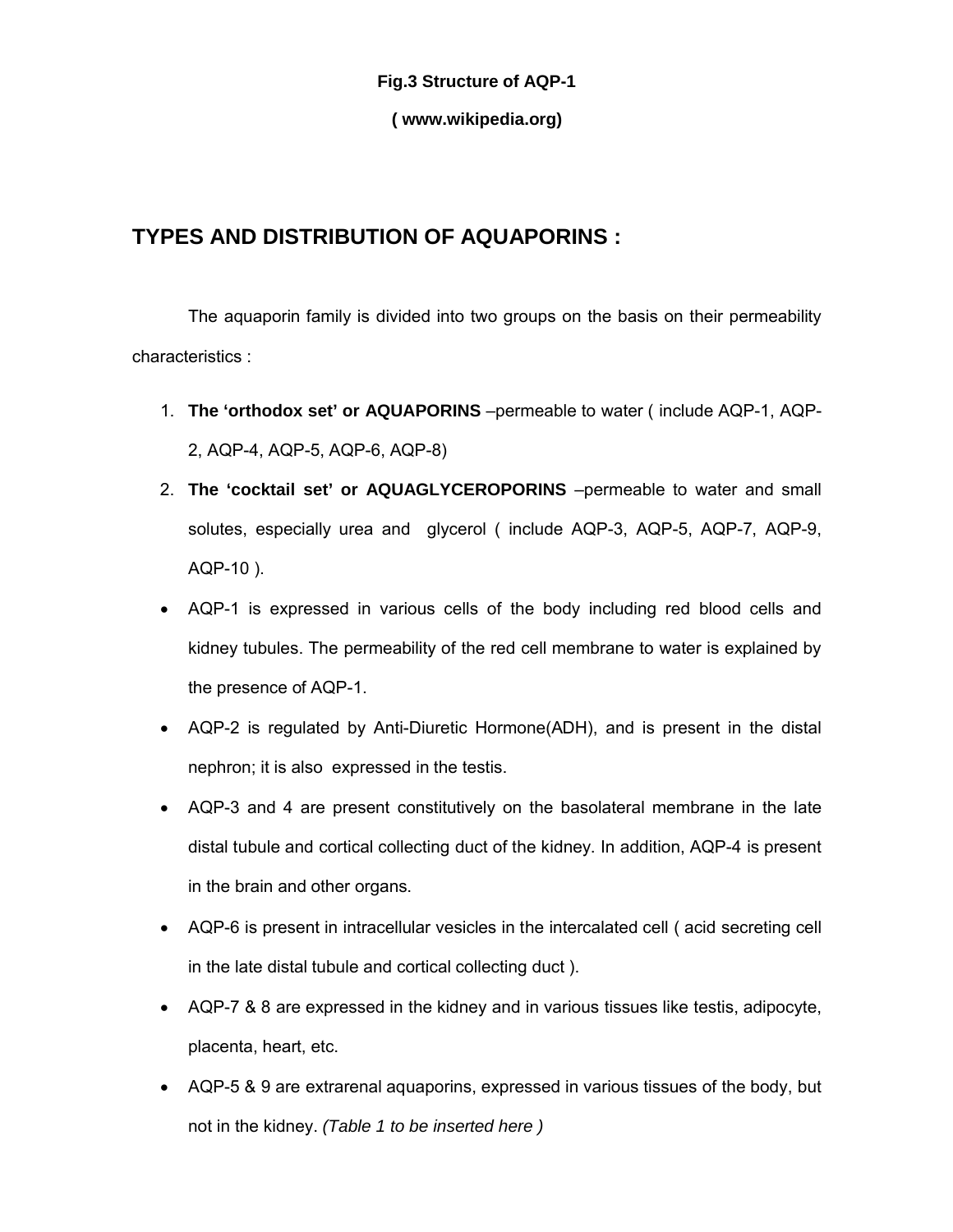#### **Fig.3 Structure of AQP-1**

#### **( www.wikipedia.org)**

# **TYPES AND DISTRIBUTION OF AQUAPORINS :**

The aquaporin family is divided into two groups on the basis on their permeability characteristics :

- 1. **The 'orthodox set' or AQUAPORINS** –permeable to water ( include AQP-1, AQP-2, AQP-4, AQP-5, AQP-6, AQP-8)
- 2. **The 'cocktail set' or AQUAGLYCEROPORINS** –permeable to water and small solutes, especially urea and glycerol ( include AQP-3, AQP-5, AQP-7, AQP-9, AQP-10 ).
- AQP-1 is expressed in various cells of the body including red blood cells and kidney tubules. The permeability of the red cell membrane to water is explained by the presence of AQP-1.
- AQP-2 is regulated by Anti-Diuretic Hormone(ADH), and is present in the distal nephron; it is also expressed in the testis.
- AQP-3 and 4 are present constitutively on the basolateral membrane in the late distal tubule and cortical collecting duct of the kidney. In addition, AQP-4 is present in the brain and other organs.
- AQP-6 is present in intracellular vesicles in the intercalated cell ( acid secreting cell in the late distal tubule and cortical collecting duct ).
- AQP-7 & 8 are expressed in the kidney and in various tissues like testis, adipocyte, placenta, heart, etc.
- AQP-5 & 9 are extrarenal aquaporins, expressed in various tissues of the body, but not in the kidney. *(Table 1 to be inserted here )*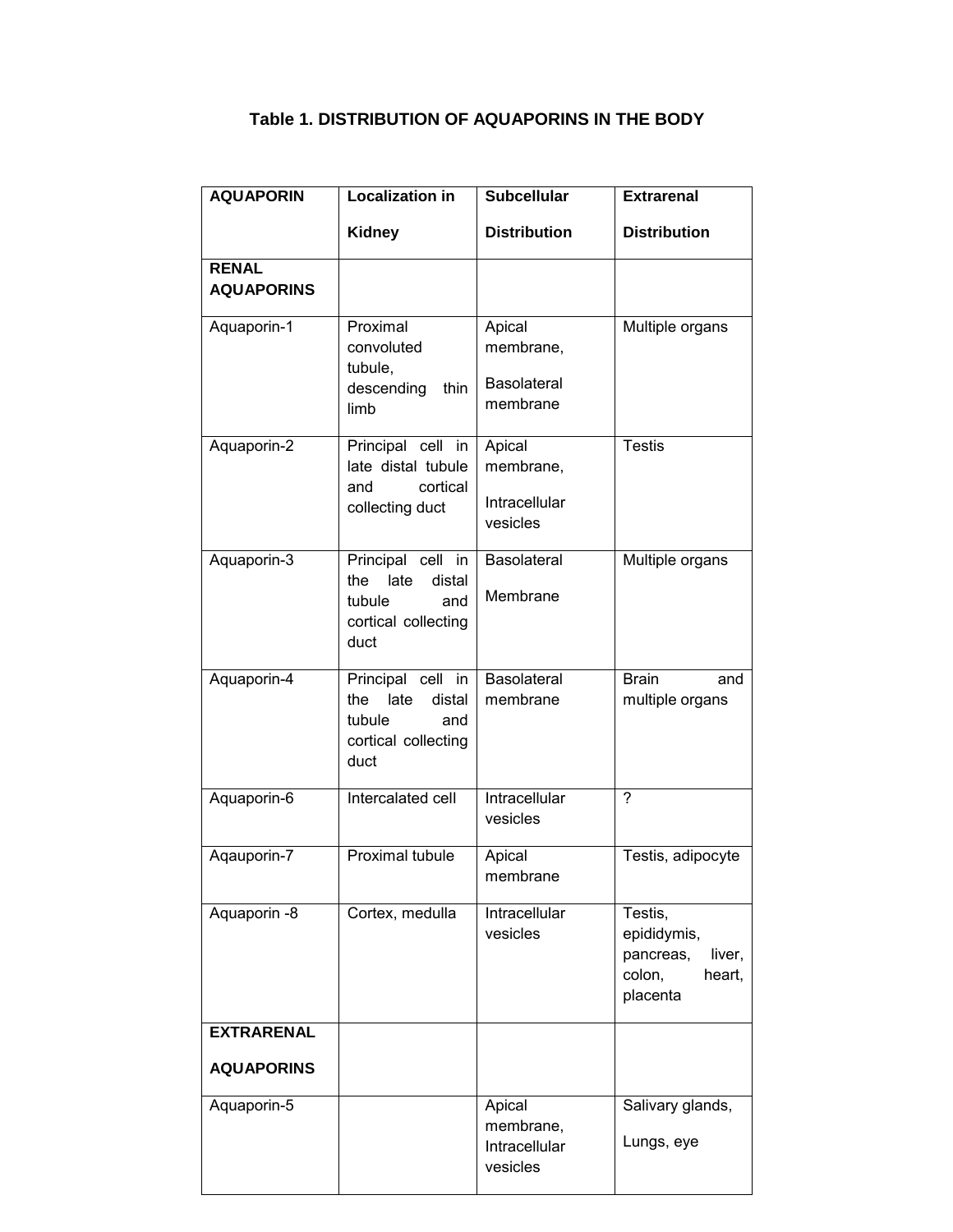| <b>AQUAPORIN</b>                       | <b>Localization in</b>                                                                     | <b>Subcellular</b>                                    | <b>Extrarenal</b>                                                             |
|----------------------------------------|--------------------------------------------------------------------------------------------|-------------------------------------------------------|-------------------------------------------------------------------------------|
|                                        | <b>Kidney</b>                                                                              | <b>Distribution</b>                                   | <b>Distribution</b>                                                           |
| <b>RENAL</b><br><b>AQUAPORINS</b>      |                                                                                            |                                                       |                                                                               |
| Aquaporin-1                            | Proximal<br>convoluted<br>tubule,<br>descending<br>thin<br>limb                            | Apical<br>membrane,<br><b>Basolateral</b><br>membrane | Multiple organs                                                               |
| Aquaporin-2                            | Principal cell in<br>late distal tubule<br>cortical<br>and<br>collecting duct              | Apical<br>membrane,<br>Intracellular<br>vesicles      | <b>Testis</b>                                                                 |
| Aquaporin-3                            | Principal cell in<br>the<br>late<br>distal<br>tubule<br>and<br>cortical collecting<br>duct | <b>Basolateral</b><br>Membrane                        | Multiple organs                                                               |
| Aquaporin-4                            | Principal cell in<br>late<br>distal<br>the<br>tubule<br>and<br>cortical collecting<br>duct | Basolateral<br>membrane                               | <b>Brain</b><br>and<br>multiple organs                                        |
| Aquaporin-6                            | Intercalated cell                                                                          | Intracellular<br>vesicles                             | $\overline{?}$                                                                |
| Aqauporin-7                            | <b>Proximal tubule</b>                                                                     | Apical<br>membrane                                    | Testis, adipocyte                                                             |
| Aquaporin -8                           | Cortex, medulla                                                                            | Intracellular<br>vesicles                             | Testis,<br>epididymis,<br>pancreas,<br>liver,<br>colon,<br>heart,<br>placenta |
| <b>EXTRARENAL</b><br><b>AQUAPORINS</b> |                                                                                            |                                                       |                                                                               |
| Aquaporin-5                            |                                                                                            | Apical<br>membrane,<br>Intracellular<br>vesicles      | Salivary glands,<br>Lungs, eye                                                |

## **Table 1. DISTRIBUTION OF AQUAPORINS IN THE BODY**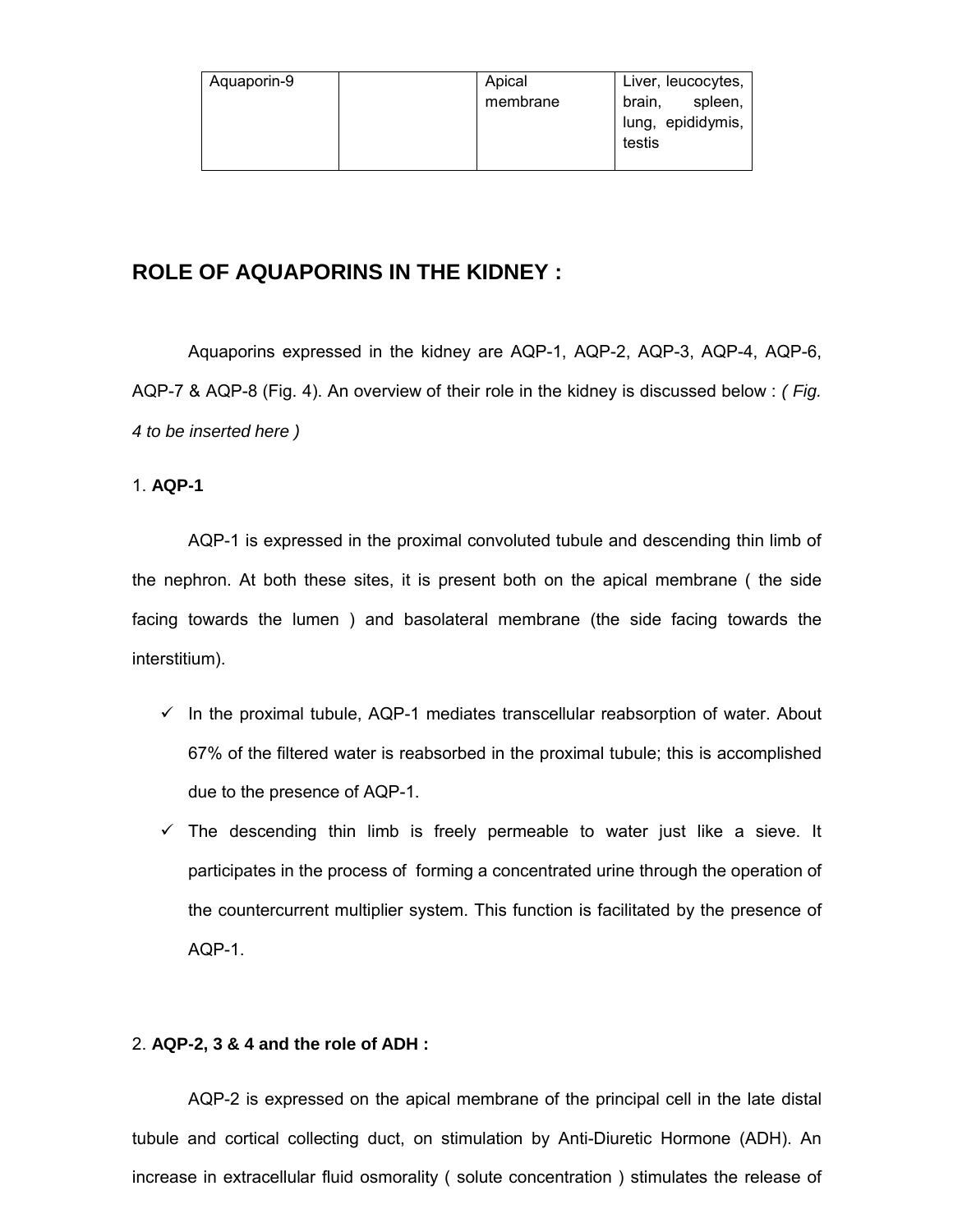| Aquaporin-9 | Apical   | Liver, leucocytes, |
|-------------|----------|--------------------|
|             | membrane | spleen,<br>brain,  |
|             |          | lung, epididymis,  |
|             |          | testis             |
|             |          |                    |

## **ROLE OF AQUAPORINS IN THE KIDNEY :**

Aquaporins expressed in the kidney are AQP-1, AQP-2, AQP-3, AQP-4, AQP-6, AQP-7 & AQP-8 (Fig. 4). An overview of their role in the kidney is discussed below : *( Fig. 4 to be inserted here )*

#### 1. **AQP-1**

AQP-1 is expressed in the proximal convoluted tubule and descending thin limb of the nephron. At both these sites, it is present both on the apical membrane ( the side facing towards the lumen ) and basolateral membrane (the side facing towards the interstitium).

- $\checkmark$  In the proximal tubule, AQP-1 mediates transcellular reabsorption of water. About 67% of the filtered water is reabsorbed in the proximal tubule; this is accomplished due to the presence of AQP-1.
- $\checkmark$  The descending thin limb is freely permeable to water just like a sieve. It participates in the process of forming a concentrated urine through the operation of the countercurrent multiplier system. This function is facilitated by the presence of AQP-1.

#### 2. **AQP-2, 3 & 4 and the role of ADH :**

AQP-2 is expressed on the apical membrane of the principal cell in the late distal tubule and cortical collecting duct, on stimulation by Anti-Diuretic Hormone (ADH). An increase in extracellular fluid osmorality ( solute concentration ) stimulates the release of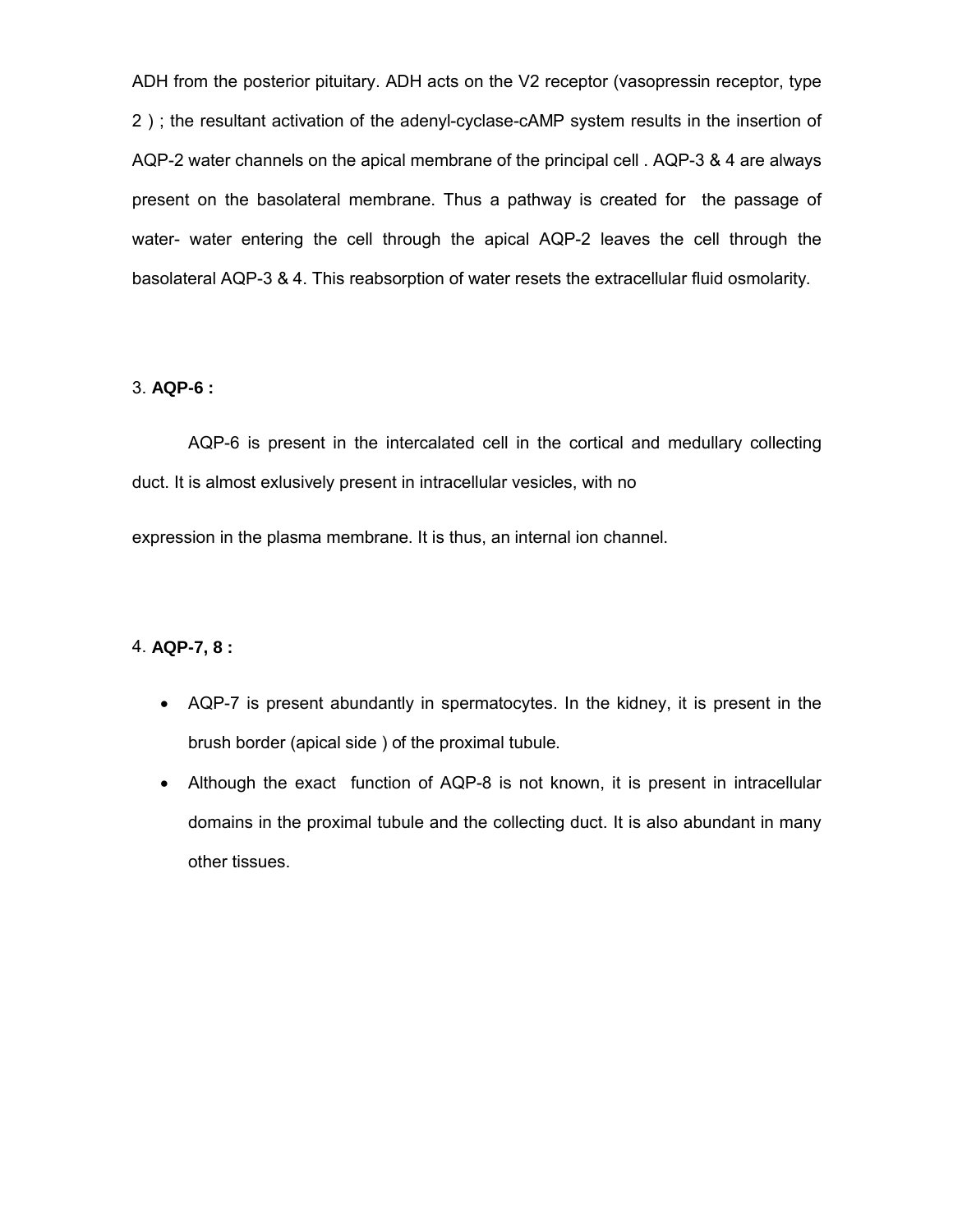ADH from the posterior pituitary. ADH acts on the V2 receptor (vasopressin receptor, type 2 ) ; the resultant activation of the adenyl-cyclase-cAMP system results in the insertion of AQP-2 water channels on the apical membrane of the principal cell . AQP-3 & 4 are always present on the basolateral membrane. Thus a pathway is created for the passage of water- water entering the cell through the apical AQP-2 leaves the cell through the basolateral AQP-3 & 4. This reabsorption of water resets the extracellular fluid osmolarity.

#### 3. **AQP-6 :**

AQP-6 is present in the intercalated cell in the cortical and medullary collecting duct. It is almost exlusively present in intracellular vesicles, with no

expression in the plasma membrane. It is thus, an internal ion channel.

#### 4. **AQP-7, 8 :**

- AQP-7 is present abundantly in spermatocytes. In the kidney, it is present in the brush border (apical side ) of the proximal tubule.
- Although the exact function of AQP-8 is not known, it is present in intracellular domains in the proximal tubule and the collecting duct. It is also abundant in many other tissues.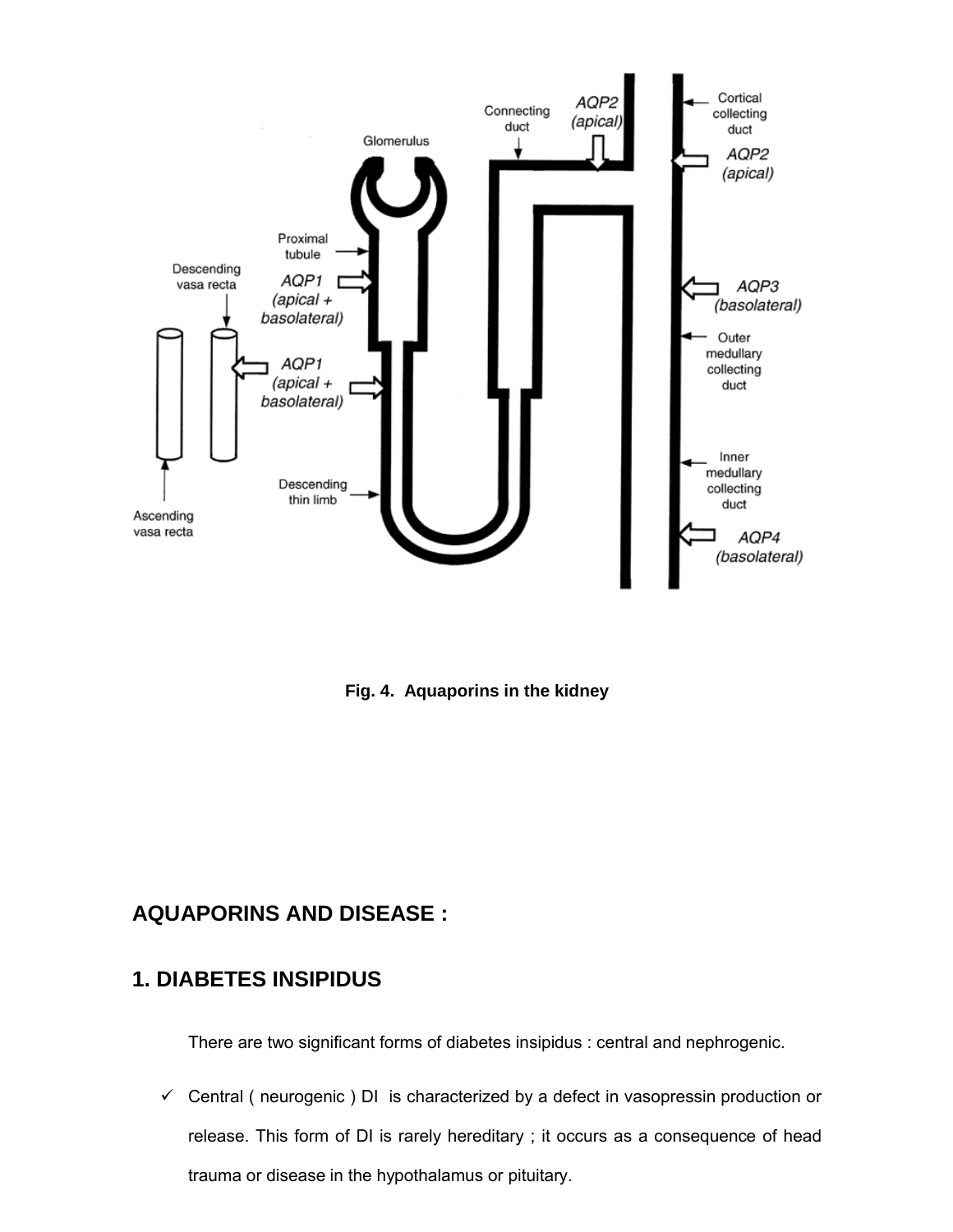

**Fig. 4. Aquaporins in the kidney**

## **AQUAPORINS AND DISEASE :**

## **1. DIABETES INSIPIDUS**

There are two significant forms of diabetes insipidus : central and nephrogenic.

 $\checkmark$  Central ( neurogenic ) DI is characterized by a defect in vasopressin production or release. This form of DI is rarely hereditary ; it occurs as a consequence of head trauma or disease in the hypothalamus or pituitary.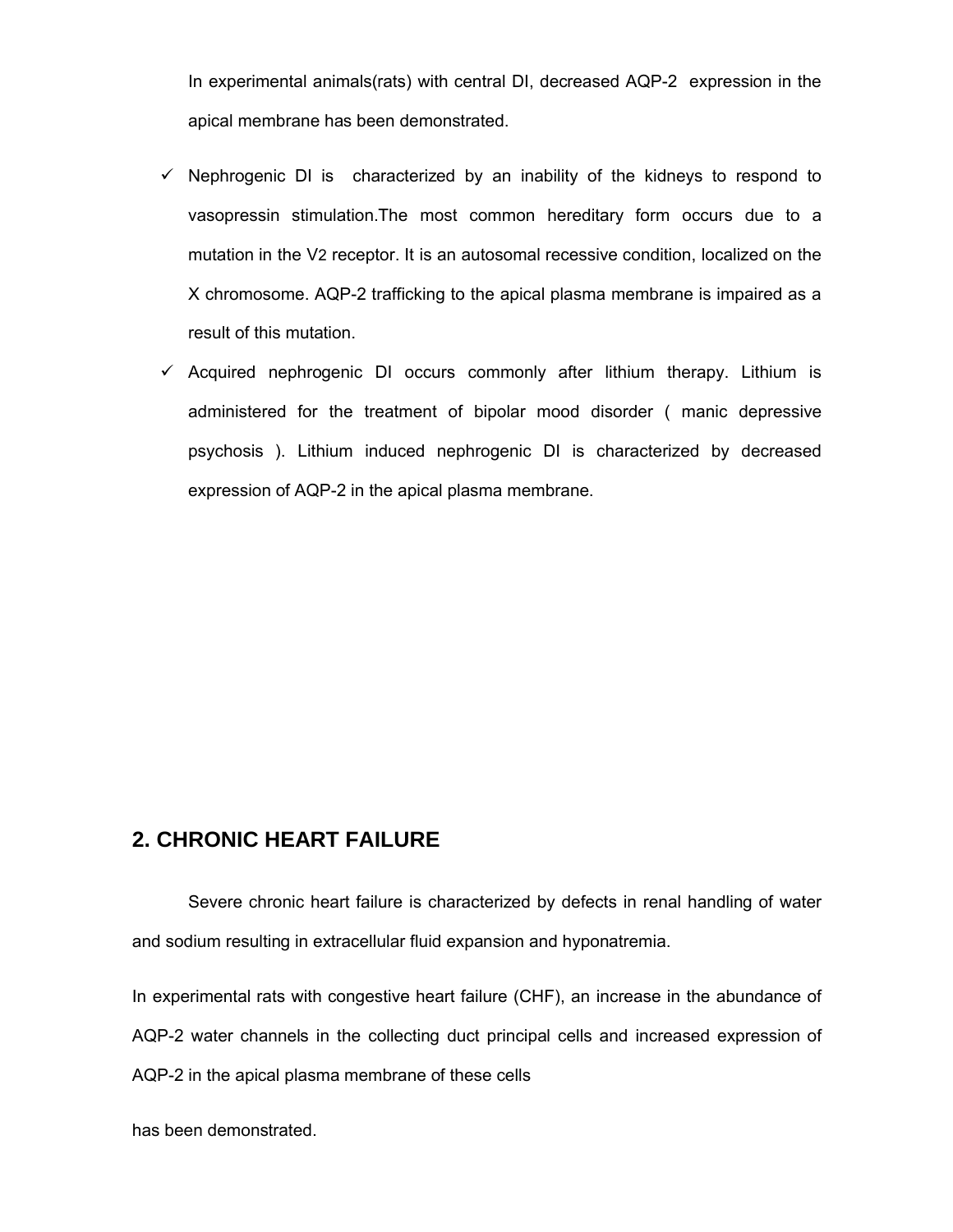In experimental animals(rats) with central DI, decreased AQP-2 expression in the apical membrane has been demonstrated.

- $\checkmark$  Nephrogenic DI is characterized by an inability of the kidneys to respond to vasopressin stimulation.The most common hereditary form occurs due to a mutation in the V2 receptor. It is an autosomal recessive condition, localized on the X chromosome. AQP-2 trafficking to the apical plasma membrane is impaired as a result of this mutation.
- $\checkmark$  Acquired nephrogenic DI occurs commonly after lithium therapy. Lithium is administered for the treatment of bipolar mood disorder ( manic depressive psychosis ). Lithium induced nephrogenic DI is characterized by decreased expression of AQP-2 in the apical plasma membrane.

# **2. CHRONIC HEART FAILURE**

Severe chronic heart failure is characterized by defects in renal handling of water and sodium resulting in extracellular fluid expansion and hyponatremia.

In experimental rats with congestive heart failure (CHF), an increase in the abundance of AQP-2 water channels in the collecting duct principal cells and increased expression of AQP-2 in the apical plasma membrane of these cells

has been demonstrated.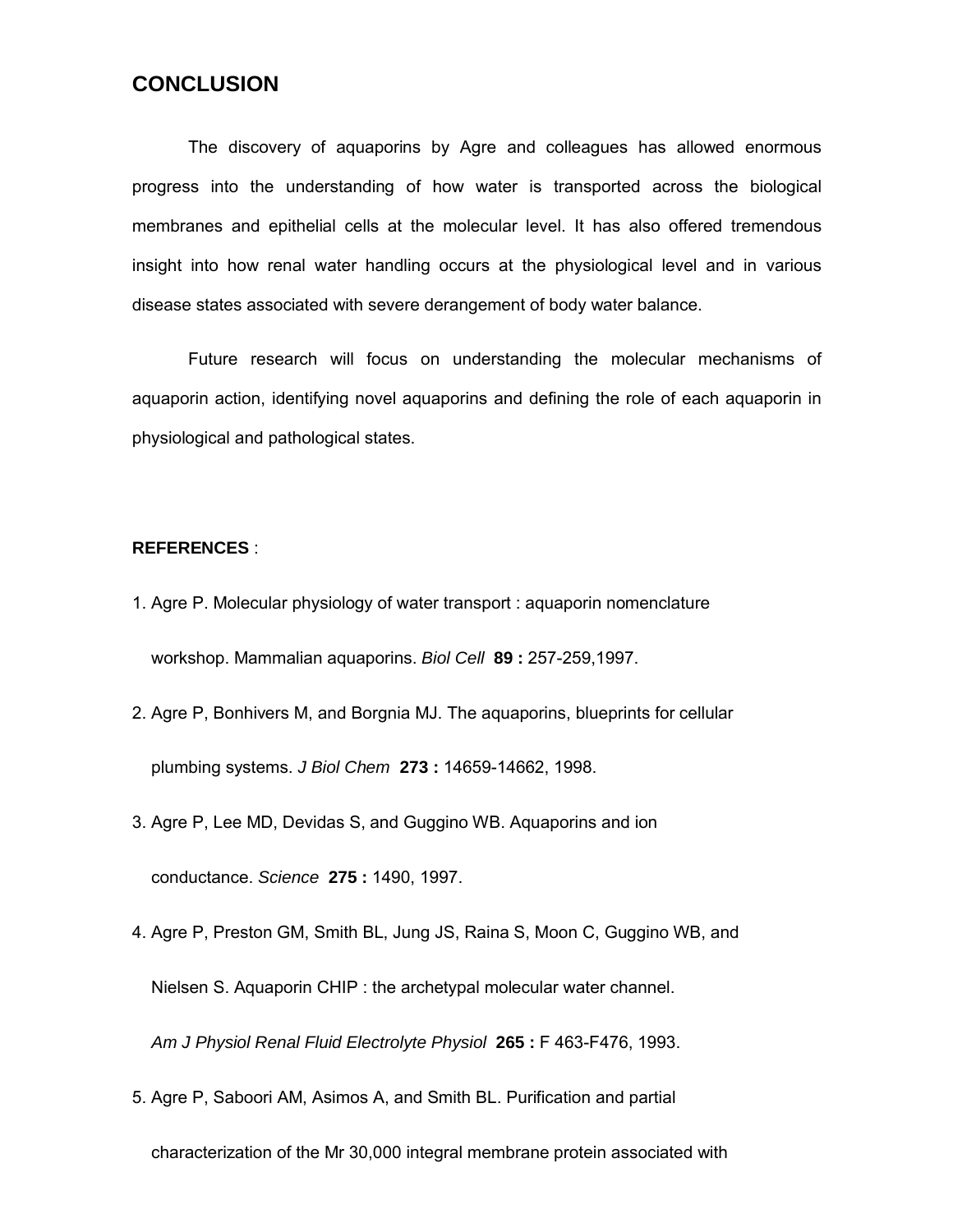### **CONCLUSION**

The discovery of aquaporins by Agre and colleagues has allowed enormous progress into the understanding of how water is transported across the biological membranes and epithelial cells at the molecular level. It has also offered tremendous insight into how renal water handling occurs at the physiological level and in various disease states associated with severe derangement of body water balance.

Future research will focus on understanding the molecular mechanisms of aquaporin action, identifying novel aquaporins and defining the role of each aquaporin in physiological and pathological states.

#### **REFERENCES** :

- 1. Agre P. Molecular physiology of water transport : aquaporin nomenclature workshop. Mammalian aquaporins. *Biol Cell* **89 :** 257-259,1997.
- 2. Agre P, Bonhivers M, and Borgnia MJ. The aquaporins, blueprints for cellular plumbing systems. *J Biol Chem* **273 :** 14659-14662, 1998.
- 3. Agre P, Lee MD, Devidas S, and Guggino WB. Aquaporins and ion conductance. *Science* **275 :** 1490, 1997.
- 4. Agre P, Preston GM, Smith BL, Jung JS, Raina S, Moon C, Guggino WB, and Nielsen S. Aquaporin CHIP : the archetypal molecular water channel. *Am J Physiol Renal Fluid Electrolyte Physiol* **265 :** F 463-F476, 1993.
- 5. Agre P, Saboori AM, Asimos A, and Smith BL. Purification and partial

characterization of the Mr 30,000 integral membrane protein associated with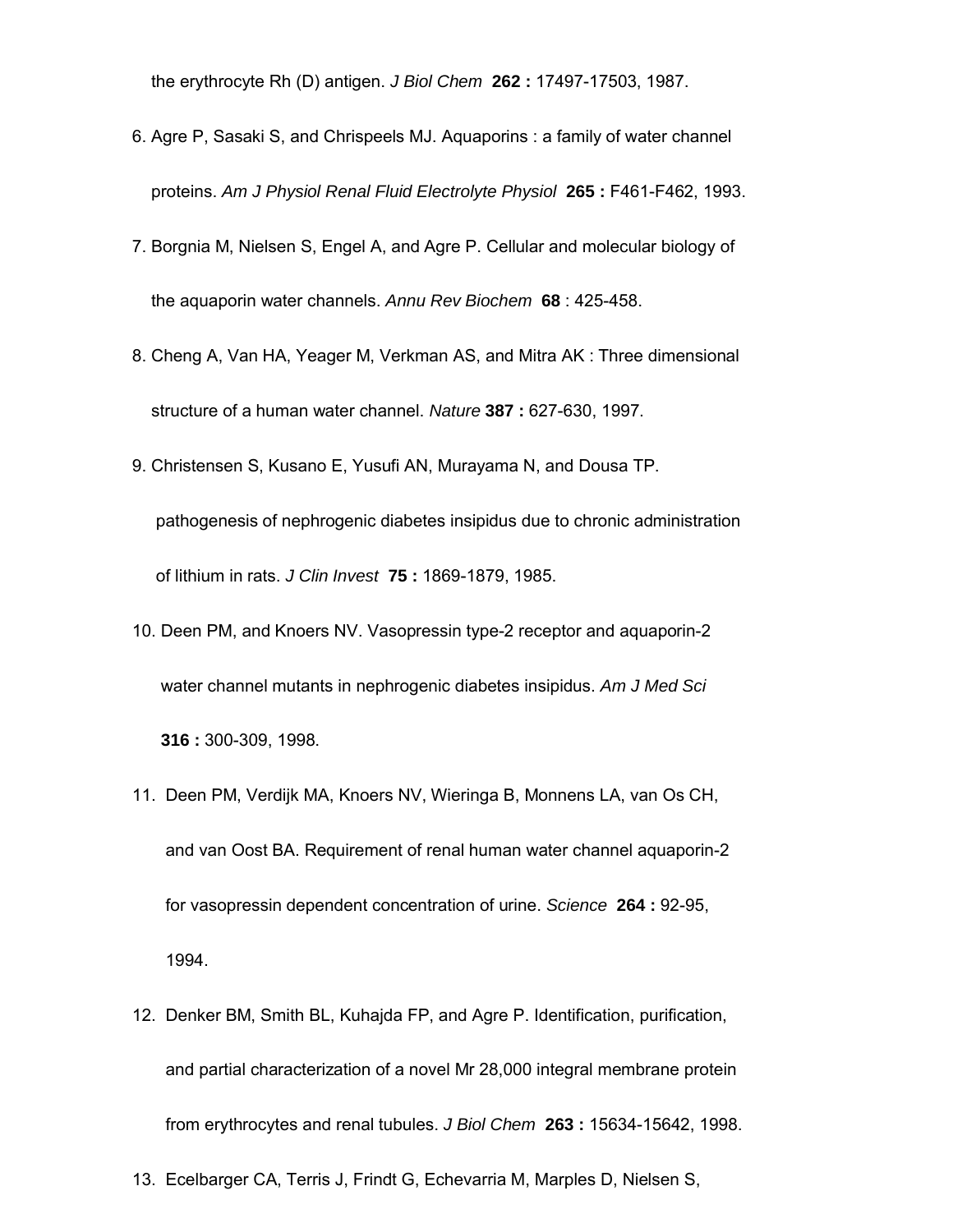the erythrocyte Rh (D) antigen. *J Biol Chem* **262 :** 17497-17503, 1987.

- 6. Agre P, Sasaki S, and Chrispeels MJ. Aquaporins : a family of water channel proteins. *Am J Physiol Renal Fluid Electrolyte Physiol* **265 :** F461-F462, 1993.
- 7. Borgnia M, Nielsen S, Engel A, and Agre P. Cellular and molecular biology of the aquaporin water channels. *Annu Rev Biochem* **68** : 425-458.
- 8. Cheng A, Van HA, Yeager M, Verkman AS, and Mitra AK : Three dimensional structure of a human water channel. *Nature* **387 :** 627-630, 1997.
- 9. Christensen S, Kusano E, Yusufi AN, Murayama N, and Dousa TP.
	- pathogenesis of nephrogenic diabetes insipidus due to chronic administration of lithium in rats. *J Clin Invest* **75 :** 1869-1879, 1985.
- 10. Deen PM, and Knoers NV. Vasopressin type-2 receptor and aquaporin-2 water channel mutants in nephrogenic diabetes insipidus. *Am J Med Sci* **316 :** 300-309, 1998.
- 11. Deen PM, Verdijk MA, Knoers NV, Wieringa B, Monnens LA, van Os CH, and van Oost BA. Requirement of renal human water channel aquaporin-2 for vasopressin dependent concentration of urine. *Science* **264 :** 92-95, 1994.
- 12. Denker BM, Smith BL, Kuhajda FP, and Agre P. Identification, purification, and partial characterization of a novel Mr 28,000 integral membrane protein from erythrocytes and renal tubules. *J Biol Chem* **263 :** 15634-15642, 1998.
- 13. Ecelbarger CA, Terris J, Frindt G, Echevarria M, Marples D, Nielsen S,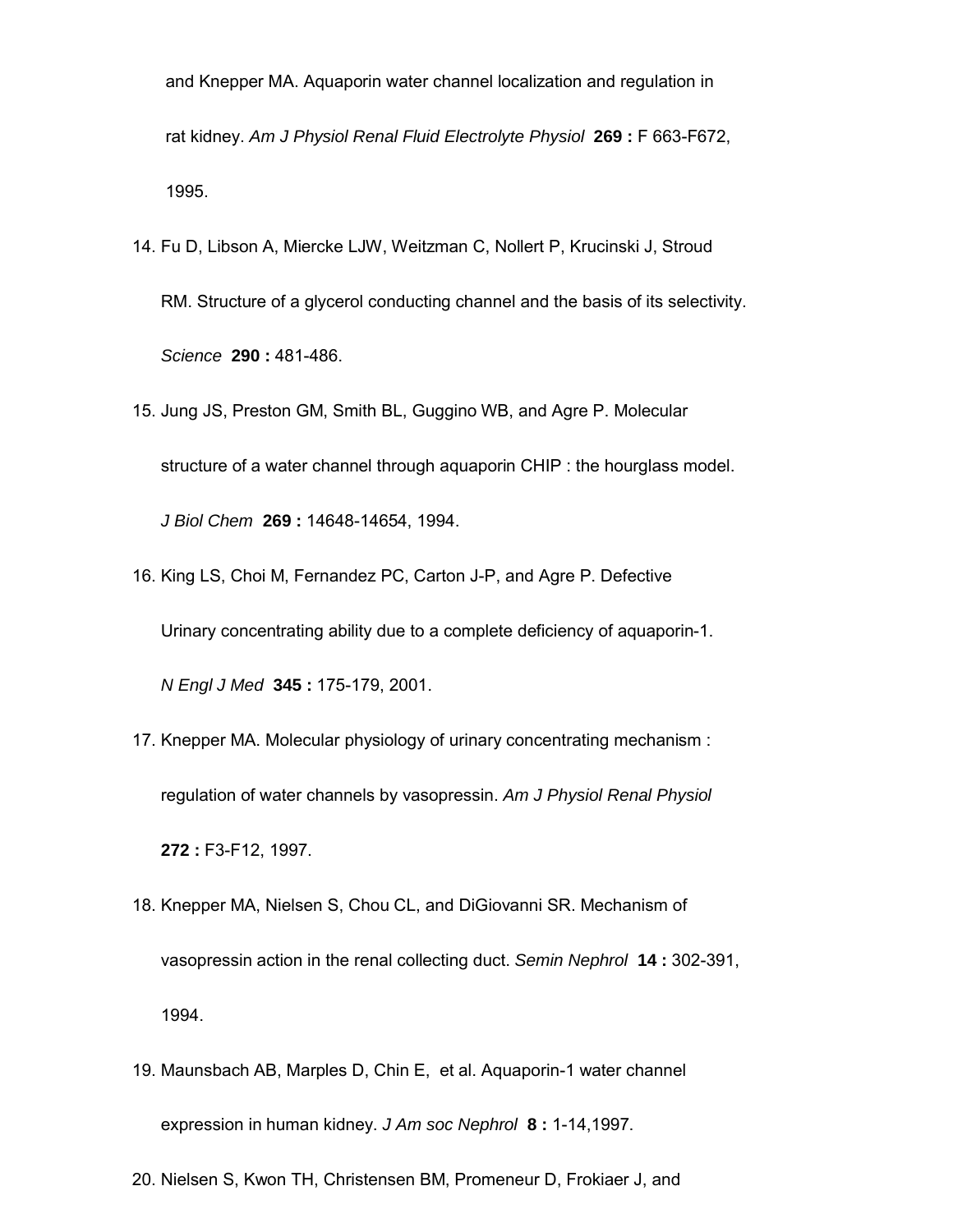and Knepper MA. Aquaporin water channel localization and regulation in rat kidney. *Am J Physiol Renal Fluid Electrolyte Physiol* **269 :** F 663-F672, 1995.

- 14. Fu D, Libson A, Miercke LJW, Weitzman C, Nollert P, Krucinski J, Stroud RM. Structure of a glycerol conducting channel and the basis of its selectivity. *Science* **290 :** 481-486.
- 15. Jung JS, Preston GM, Smith BL, Guggino WB, and Agre P. Molecular structure of a water channel through aquaporin CHIP : the hourglass model. *J Biol Chem* **269 :** 14648-14654, 1994.
- 16. King LS, Choi M, Fernandez PC, Carton J-P, and Agre P. Defective Urinary concentrating ability due to a complete deficiency of aquaporin-1. *N Engl J Med* **345 :** 175-179, 2001.
- 17. Knepper MA. Molecular physiology of urinary concentrating mechanism : regulation of water channels by vasopressin. *Am J Physiol Renal Physiol*  **272 :** F3-F12, 1997.
- 18. Knepper MA, Nielsen S, Chou CL, and DiGiovanni SR. Mechanism of vasopressin action in the renal collecting duct. *Semin Nephrol* **14 :** 302-391, 1994.
- 19. Maunsbach AB, Marples D, Chin E, et al. Aquaporin-1 water channel expression in human kidney. *J Am soc Nephrol* **8 :** 1-14,1997.
- 20. Nielsen S, Kwon TH, Christensen BM, Promeneur D, Frokiaer J, and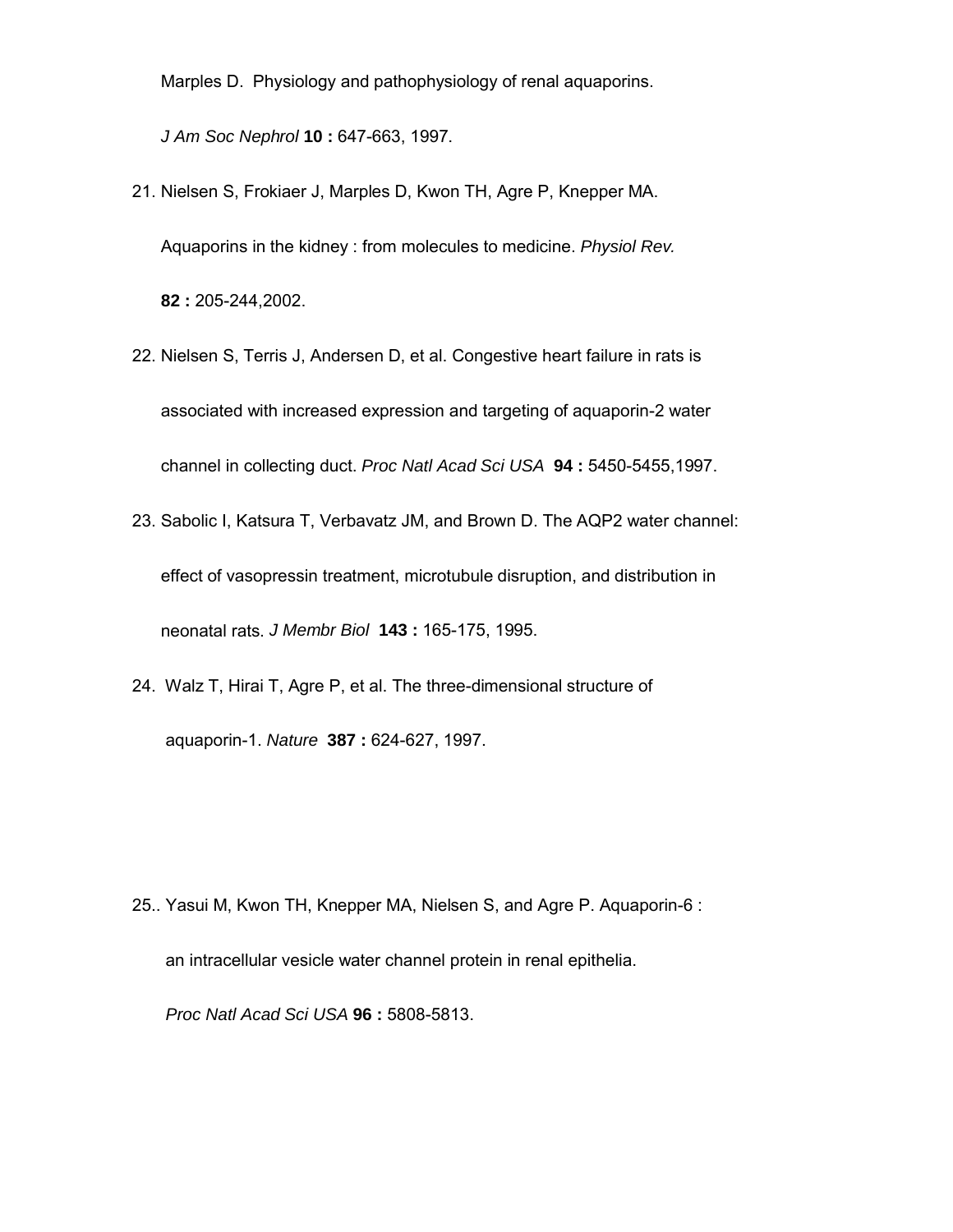Marples D. Physiology and pathophysiology of renal aquaporins.

*J Am Soc Nephrol* **10 :** 647-663, 1997.

- 21. Nielsen S, Frokiaer J, Marples D, Kwon TH, Agre P, Knepper MA. Aquaporins in the kidney : from molecules to medicine. *Physiol Rev.* **82 :** 205-244,2002.
- 22. Nielsen S, Terris J, Andersen D, et al. Congestive heart failure in rats is associated with increased expression and targeting of aquaporin-2 water channel in collecting duct. *Proc Natl Acad Sci USA* **94 :** 5450-5455,1997.
- 23. Sabolic I, Katsura T, Verbavatz JM, and Brown D. The AQP2 water channel: effect of vasopressin treatment, microtubule disruption, and distribution in neonatal rats. *J Membr Biol* **143 :** 165-175, 1995.
- 24. Walz T, Hirai T, Agre P, et al. The three-dimensional structure of aquaporin-1. *Nature* **387 :** 624-627, 1997.

25.. Yasui M, Kwon TH, Knepper MA, Nielsen S, and Agre P. Aquaporin-6 : an intracellular vesicle water channel protein in renal epithelia. *Proc Natl Acad Sci USA* **96 :** 5808-5813.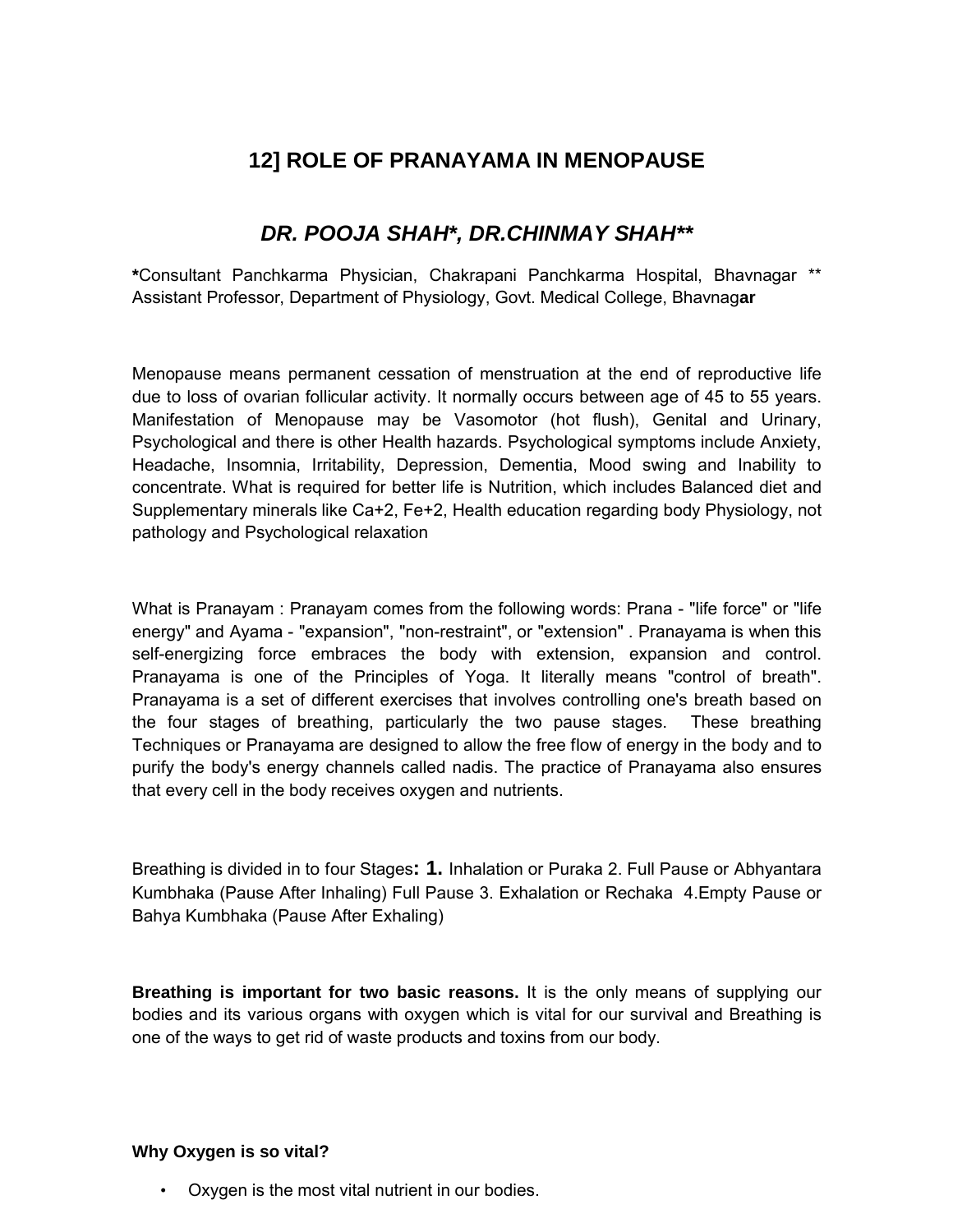# **12] ROLE OF PRANAYAMA IN MENOPAUSE**

# *DR. POOJA SHAH\*, DR.CHINMAY SHAH\*\**

**\***Consultant Panchkarma Physician, Chakrapani Panchkarma Hospital, Bhavnagar \*\* Assistant Professor, Department of Physiology, Govt. Medical College, Bhavnag**ar**

Menopause means permanent cessation of menstruation at the end of reproductive life due to loss of ovarian follicular activity. It normally occurs between age of 45 to 55 years. Manifestation of Menopause may be Vasomotor (hot flush), Genital and Urinary, Psychological and there is other Health hazards. Psychological symptoms include Anxiety, Headache, Insomnia, Irritability, Depression, Dementia, Mood swing and Inability to concentrate. What is required for better life is Nutrition, which includes Balanced diet and Supplementary minerals like Ca+2, Fe+2, Health education regarding body Physiology, not pathology and Psychological relaxation

What is Pranayam : Pranayam comes from the following words: Prana - "life force" or "life energy" and Ayama - "expansion", "non-restraint", or "extension" . Pranayama is when this self-energizing force embraces the body with extension, expansion and control. Pranayama is one of the Principles of Yoga. It literally means "control of breath". Pranayama is a set of different exercises that involves controlling one's breath based on the four stages of breathing, particularly the two pause stages. These breathing Techniques or Pranayama are designed to allow the free flow of energy in the body and to purify the body's energy channels called nadis. The practice of Pranayama also ensures that every cell in the body receives oxygen and nutrients.

Breathing is divided in to four Stages**: 1.** Inhalation or Puraka 2. Full Pause or Abhyantara Kumbhaka (Pause After Inhaling) Full Pause 3. Exhalation or Rechaka 4.Empty Pause or Bahya Kumbhaka (Pause After Exhaling)

**Breathing is important for two basic reasons.** It is the only means of supplying our bodies and its various organs with oxygen which is vital for our survival and Breathing is one of the ways to get rid of waste products and toxins from our body.

#### **Why Oxygen is so vital?**

Oxygen is the most vital nutrient in our bodies.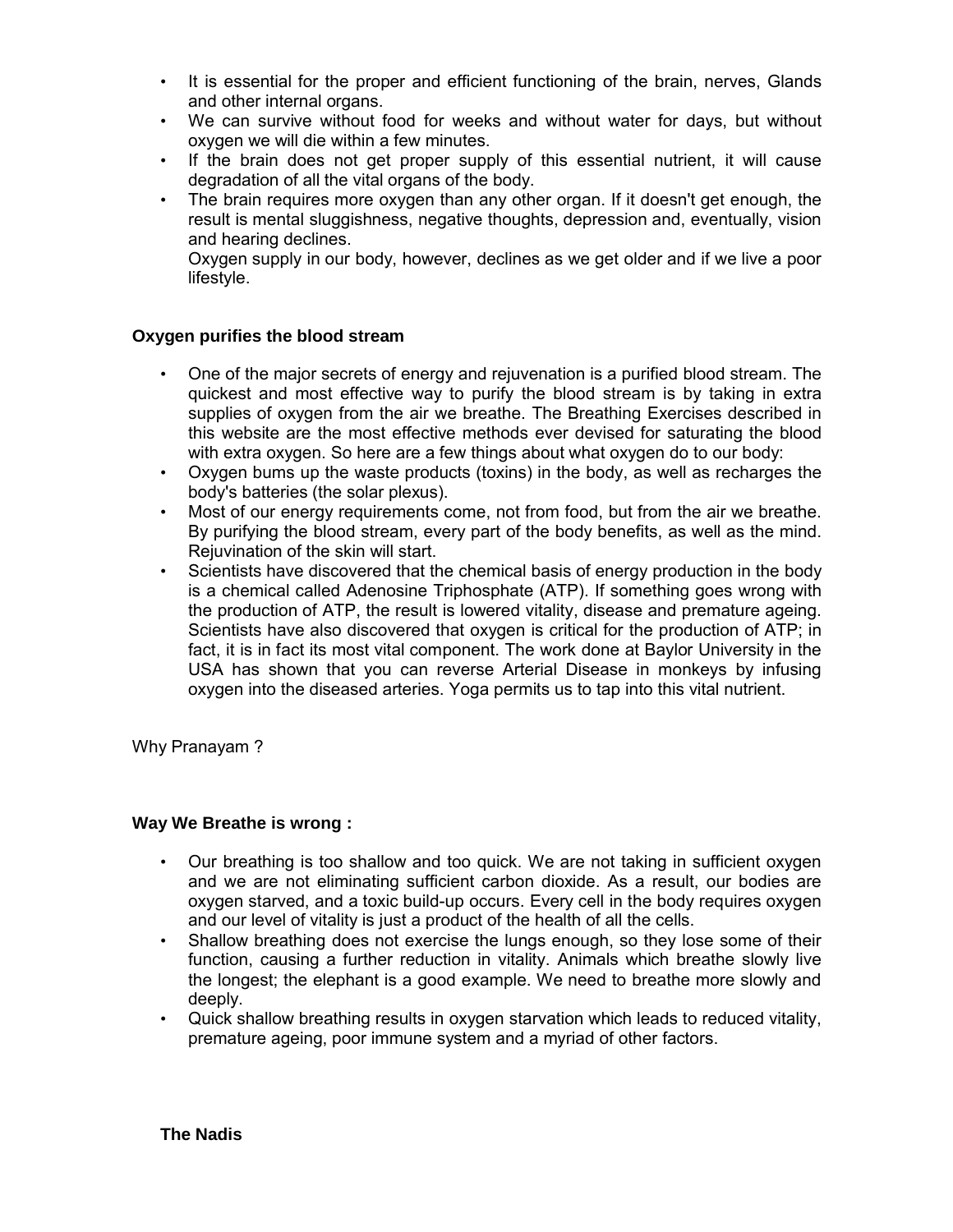- It is essential for the proper and efficient functioning of the brain, nerves, Glands and other internal organs.
- We can survive without food for weeks and without water for days, but without oxygen we will die within a few minutes.
- If the brain does not get proper supply of this essential nutrient, it will cause degradation of all the vital organs of the body.
- The brain requires more oxygen than any other organ. If it doesn't get enough, the result is mental sluggishness, negative thoughts, depression and, eventually, vision and hearing declines.

Oxygen supply in our body, however, declines as we get older and if we live a poor lifestyle.

#### **Oxygen purifies the blood stream**

- One of the major secrets of energy and rejuvenation is a purified blood stream. The quickest and most effective way to purify the blood stream is by taking in extra supplies of oxygen from the air we breathe. The Breathing Exercises described in this website are the most effective methods ever devised for saturating the blood with extra oxygen. So here are a few things about what oxygen do to our body:
- Oxygen bums up the waste products (toxins) in the body, as well as recharges the body's batteries (the solar plexus).
- Most of our energy requirements come, not from food, but from the air we breathe. By purifying the blood stream, every part of the body benefits, as well as the mind. Rejuvination of the skin will start.
- Scientists have discovered that the chemical basis of energy production in the body is a chemical called Adenosine Triphosphate (ATP). If something goes wrong with the production of ATP, the result is lowered vitality, disease and premature ageing. Scientists have also discovered that oxygen is critical for the production of ATP; in fact, it is in fact its most vital component. The work done at Baylor University in the USA has shown that you can reverse Arterial Disease in monkeys by infusing oxygen into the diseased arteries. Yoga permits us to tap into this vital nutrient.

Why Pranayam ?

#### **Way We Breathe is wrong :**

- Our breathing is too shallow and too quick. We are not taking in sufficient oxygen and we are not eliminating sufficient carbon dioxide. As a result, our bodies are oxygen starved, and a toxic build-up occurs. Every cell in the body requires oxygen and our level of vitality is just a product of the health of all the cells.
- Shallow breathing does not exercise the lungs enough, so they lose some of their function, causing a further reduction in vitality. Animals which breathe slowly live the longest; the elephant is a good example. We need to breathe more slowly and deeply.
- Quick shallow breathing results in oxygen starvation which leads to reduced vitality, premature ageing, poor immune system and a myriad of other factors.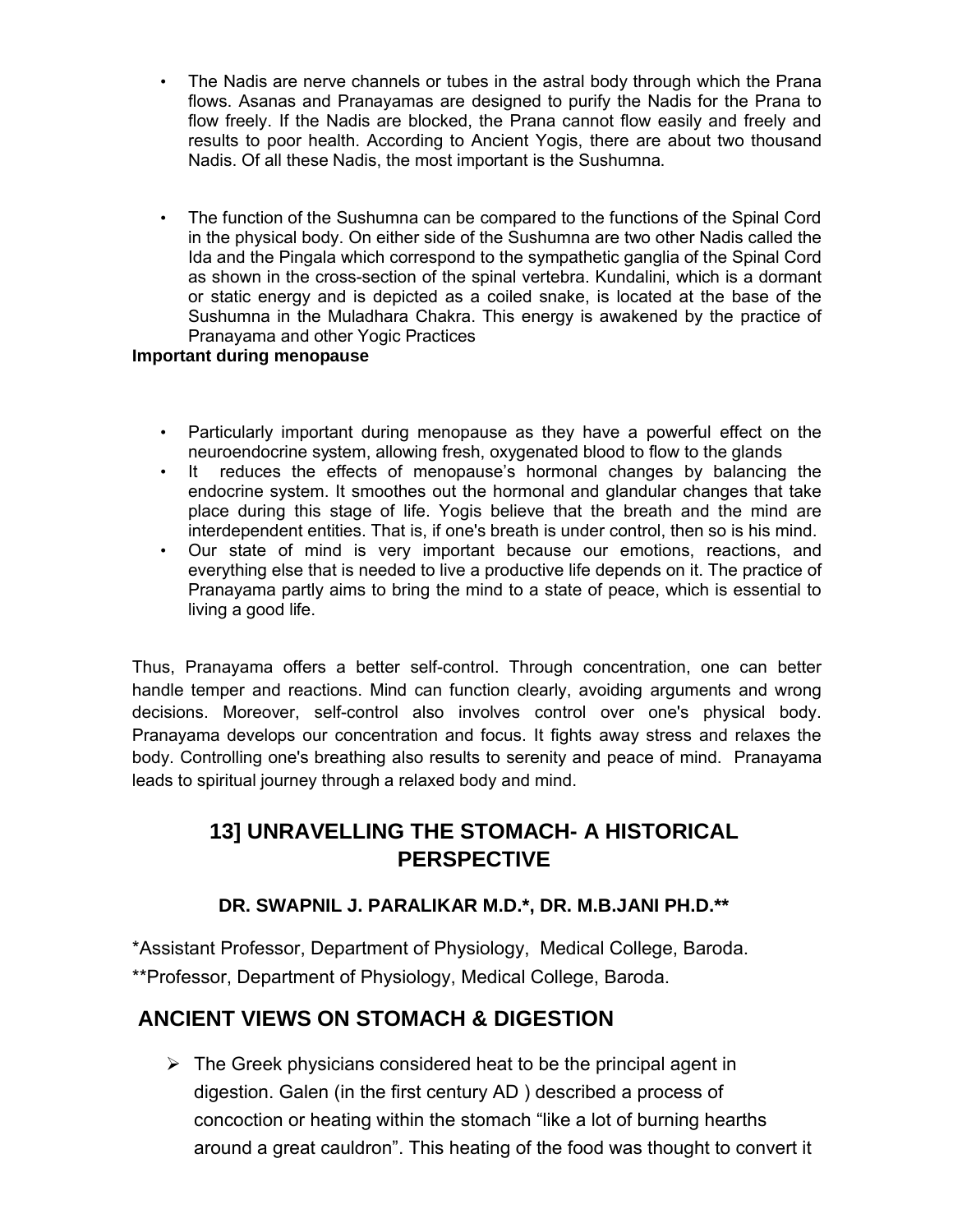- The Nadis are nerve channels or tubes in the astral body through which the Prana flows. Asanas and Pranayamas are designed to purify the Nadis for the Prana to flow freely. If the Nadis are blocked, the Prana cannot flow easily and freely and results to poor health. According to Ancient Yogis, there are about two thousand Nadis. Of all these Nadis, the most important is the Sushumna.
- The function of the Sushumna can be compared to the functions of the Spinal Cord in the physical body. On either side of the Sushumna are two other Nadis called the Ida and the Pingala which correspond to the sympathetic ganglia of the Spinal Cord as shown in the cross-section of the spinal vertebra. Kundalini, which is a dormant or static energy and is depicted as a coiled snake, is located at the base of the Sushumna in the Muladhara Chakra. This energy is awakened by the practice of Pranayama and other Yogic Practices

### **Important during menopause**

- Particularly important during menopause as they have a powerful effect on the neuroendocrine system, allowing fresh, oxygenated blood to flow to the glands
- It reduces the effects of menopause's hormonal changes by balancing the endocrine system. It smoothes out the hormonal and glandular changes that take place during this stage of life. Yogis believe that the breath and the mind are interdependent entities. That is, if one's breath is under control, then so is his mind.
- Our state of mind is very important because our emotions, reactions, and everything else that is needed to live a productive life depends on it. The practice of Pranayama partly aims to bring the mind to a state of peace, which is essential to living a good life.

Thus, Pranayama offers a better self-control. Through concentration, one can better handle temper and reactions. Mind can function clearly, avoiding arguments and wrong decisions. Moreover, self-control also involves control over one's physical body. Pranayama develops our concentration and focus. It fights away stress and relaxes the body. Controlling one's breathing also results to serenity and peace of mind. Pranayama leads to spiritual journey through a relaxed body and mind.

# **13] UNRAVELLING THE STOMACH- A HISTORICAL PERSPECTIVE**

### **DR. SWAPNIL J. PARALIKAR M.D.\*, DR. M.B.JANI PH.D.\*\***

\*Assistant Professor, Department of Physiology, Medical College, Baroda. \*\*Professor, Department of Physiology, Medical College, Baroda.

# **ANCIENT VIEWS ON STOMACH & DIGESTION**

 $\triangleright$  The Greek physicians considered heat to be the principal agent in digestion. Galen (in the first century AD ) described a process of concoction or heating within the stomach "like a lot of burning hearths around a great cauldron". This heating of the food was thought to convert it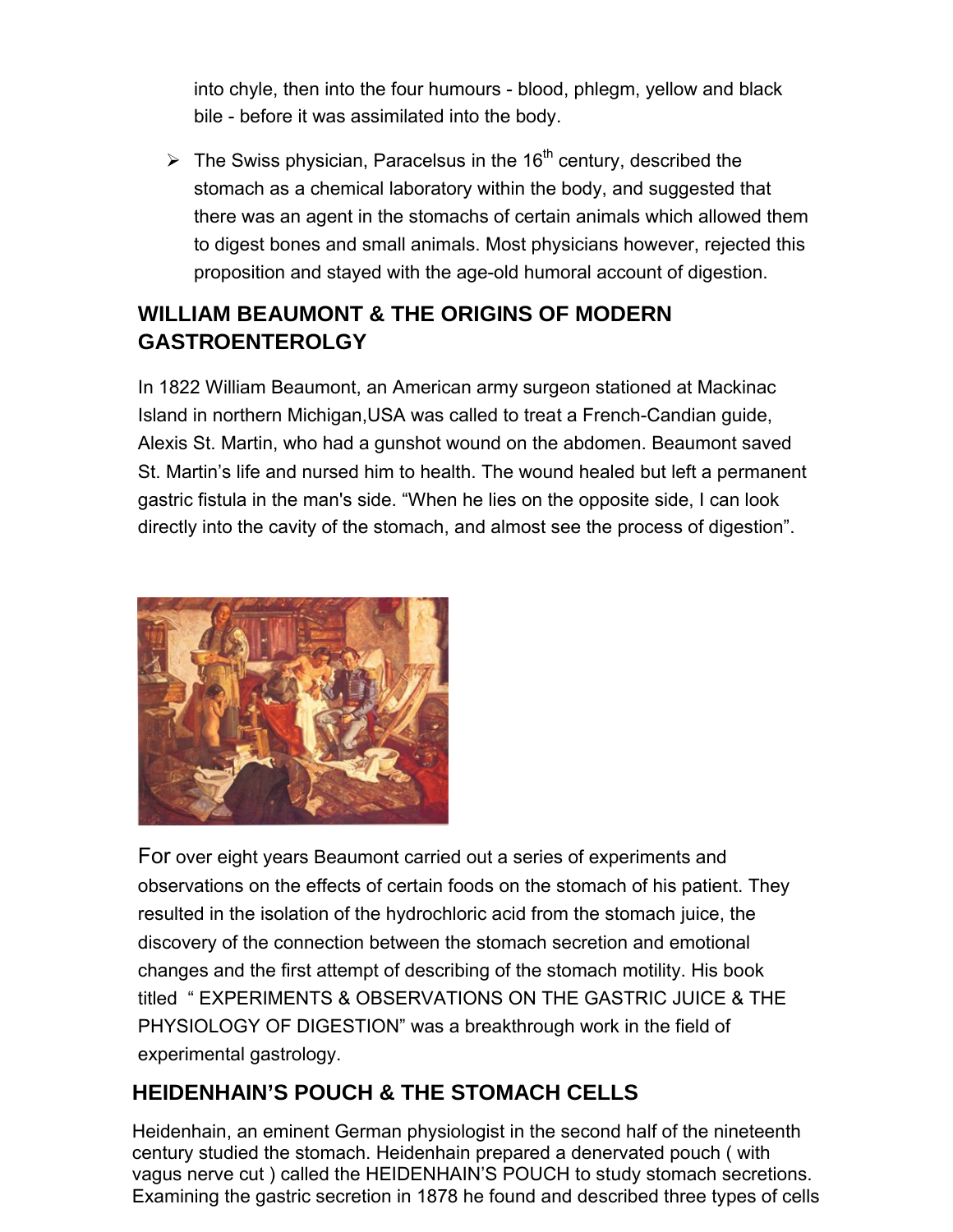into chyle, then into the four humours - blood, phlegm, yellow and black bile - before it was assimilated into the body.

 $\triangleright$  The Swiss physician, Paracelsus in the 16<sup>th</sup> century, described the stomach as a chemical laboratory within the body, and suggested that there was an agent in the stomachs of certain animals which allowed them to digest bones and small animals. Most physicians however, rejected this proposition and stayed with the age-old humoral account of digestion.

# **WILLIAM BEAUMONT & THE ORIGINS OF MODERN GASTROENTEROLGY**

In 1822 William Beaumont, an American army surgeon stationed at Mackinac Island in northern Michigan,USA was called to treat a French-Candian guide, Alexis St. Martin, who had a gunshot wound on the abdomen. Beaumont saved St. Martin's life and nursed him to health. The wound healed but left a permanent gastric fistula in the man's side. "When he lies on the opposite side, I can look directly into the cavity of the stomach, and almost see the process of digestion".



For over eight years Beaumont carried out a series of experiments and observations on the effects of certain foods on the stomach of his patient. They resulted in the isolation of the hydrochloric acid from the stomach juice, the discovery of the connection between the stomach secretion and emotional changes and the first attempt of describing of the stomach motility. His book titled " EXPERIMENTS & OBSERVATIONS ON THE GASTRIC JUICE & THE PHYSIOLOGY OF DIGESTION" was a breakthrough work in the field of experimental gastrology.

# **HEIDENHAIN'S POUCH & THE STOMACH CELLS**

Heidenhain, an eminent German physiologist in the second half of the nineteenth century studied the stomach. Heidenhain prepared a denervated pouch ( with vagus nerve cut ) called the HEIDENHAIN'S POUCH to study stomach secretions. Examining the gastric secretion in 1878 he found and described three types of cells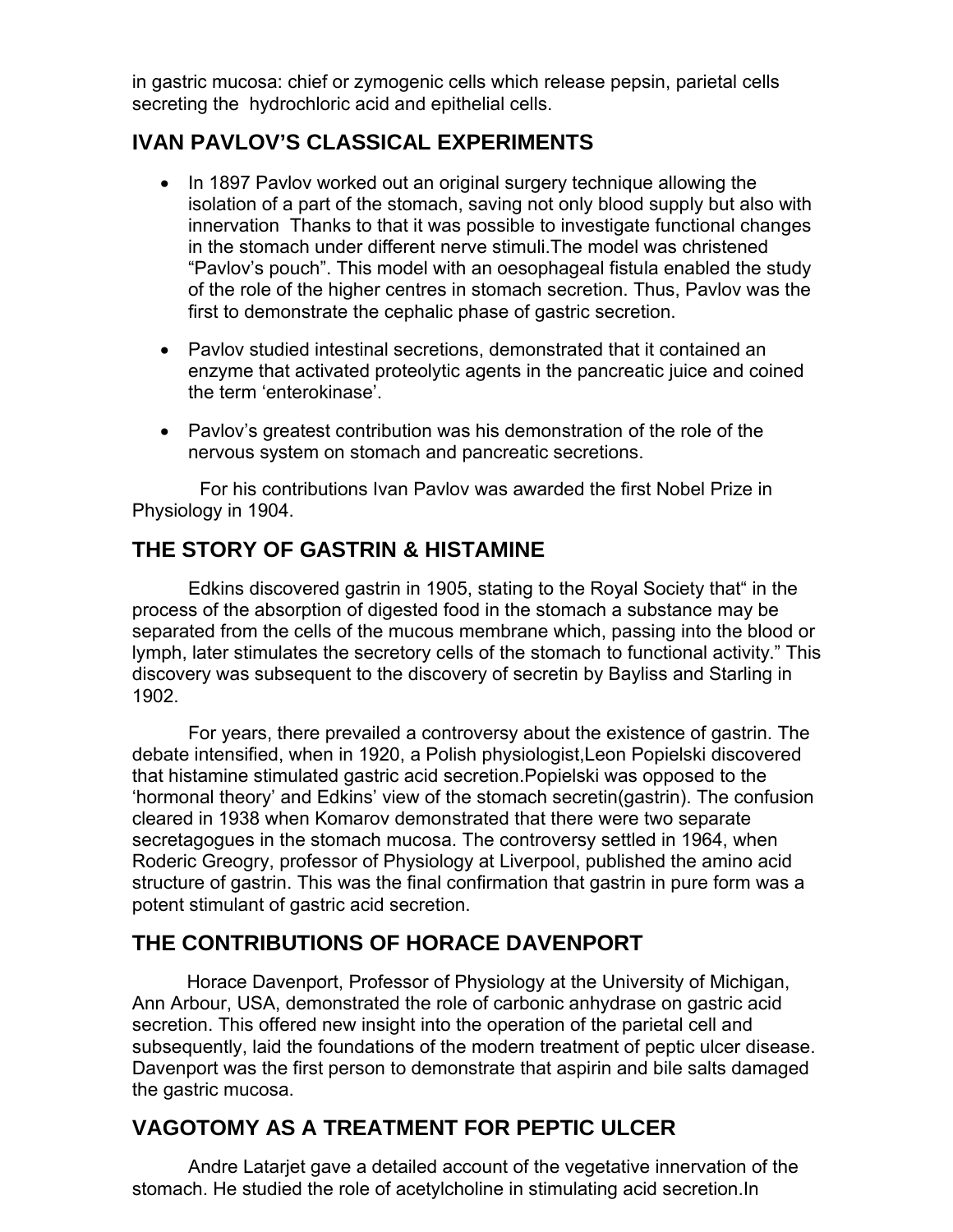in gastric mucosa: chief or zymogenic cells which release pepsin, parietal cells secreting the hydrochloric acid and epithelial cells.

# **IVAN PAVLOV'S CLASSICAL EXPERIMENTS**

- In 1897 Pavlov worked out an original surgery technique allowing the isolation of a part of the stomach, saving not only blood supply but also with innervation Thanks to that it was possible to investigate functional changes in the stomach under different nerve stimuli.The model was christened "Pavlov's pouch". This model with an oesophageal fistula enabled the study of the role of the higher centres in stomach secretion. Thus, Pavlov was the first to demonstrate the cephalic phase of gastric secretion.
- Pavlov studied intestinal secretions, demonstrated that it contained an enzyme that activated proteolytic agents in the pancreatic juice and coined the term 'enterokinase'.
- Pavlov's greatest contribution was his demonstration of the role of the nervous system on stomach and pancreatic secretions.

 For his contributions Ivan Pavlov was awarded the first Nobel Prize in Physiology in 1904.

# **THE STORY OF GASTRIN & HISTAMINE**

Edkins discovered gastrin in 1905, stating to the Royal Society that" in the process of the absorption of digested food in the stomach a substance may be separated from the cells of the mucous membrane which, passing into the blood or lymph, later stimulates the secretory cells of the stomach to functional activity." This discovery was subsequent to the discovery of secretin by Bayliss and Starling in 1902.

For years, there prevailed a controversy about the existence of gastrin. The debate intensified, when in 1920, a Polish physiologist,Leon Popielski discovered that histamine stimulated gastric acid secretion.Popielski was opposed to the 'hormonal theory' and Edkins' view of the stomach secretin(gastrin). The confusion cleared in 1938 when Komarov demonstrated that there were two separate secretagogues in the stomach mucosa. The controversy settled in 1964, when Roderic Greogry, professor of Physiology at Liverpool, published the amino acid structure of gastrin. This was the final confirmation that gastrin in pure form was a potent stimulant of gastric acid secretion.

# **THE CONTRIBUTIONS OF HORACE DAVENPORT**

 Horace Davenport, Professor of Physiology at the University of Michigan, Ann Arbour, USA, demonstrated the role of carbonic anhydrase on gastric acid secretion. This offered new insight into the operation of the parietal cell and subsequently, laid the foundations of the modern treatment of peptic ulcer disease. Davenport was the first person to demonstrate that aspirin and bile salts damaged the gastric mucosa.

# **VAGOTOMY AS A TREATMENT FOR PEPTIC ULCER**

Andre Latarjet gave a detailed account of the vegetative innervation of the stomach. He studied the role of acetylcholine in stimulating acid secretion.In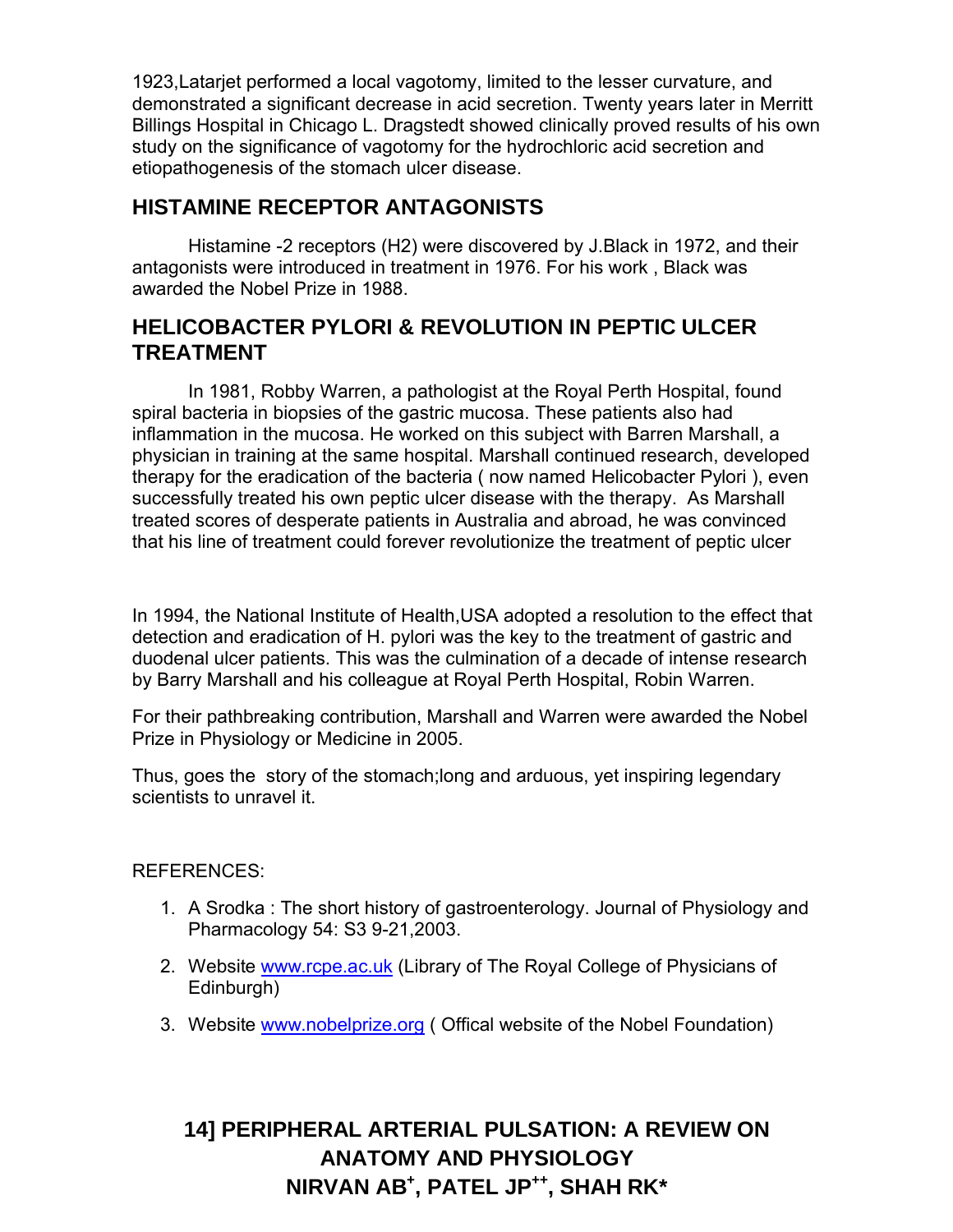1923,Latarjet performed a local vagotomy, limited to the lesser curvature, and demonstrated a significant decrease in acid secretion. Twenty years later in Merritt Billings Hospital in Chicago L. Dragstedt showed clinically proved results of his own study on the significance of vagotomy for the hydrochloric acid secretion and etiopathogenesis of the stomach ulcer disease.

# **HISTAMINE RECEPTOR ANTAGONISTS**

Histamine -2 receptors (H2) were discovered by J.Black in 1972, and their antagonists were introduced in treatment in 1976. For his work , Black was awarded the Nobel Prize in 1988.

# **HELICOBACTER PYLORI & REVOLUTION IN PEPTIC ULCER TREATMENT**

In 1981, Robby Warren, a pathologist at the Royal Perth Hospital, found spiral bacteria in biopsies of the gastric mucosa. These patients also had inflammation in the mucosa. He worked on this subject with Barren Marshall, a physician in training at the same hospital. Marshall continued research, developed therapy for the eradication of the bacteria ( now named Helicobacter Pylori ), even successfully treated his own peptic ulcer disease with the therapy. As Marshall treated scores of desperate patients in Australia and abroad, he was convinced that his line of treatment could forever revolutionize the treatment of peptic ulcer

In 1994, the National Institute of Health,USA adopted a resolution to the effect that detection and eradication of H. pylori was the key to the treatment of gastric and duodenal ulcer patients. This was the culmination of a decade of intense research by Barry Marshall and his colleague at Royal Perth Hospital, Robin Warren.

For their pathbreaking contribution, Marshall and Warren were awarded the Nobel Prize in Physiology or Medicine in 2005.

Thus, goes the story of the stomach;long and arduous, yet inspiring legendary scientists to unravel it.

### REFERENCES:

- 1. A Srodka : The short history of gastroenterology. Journal of Physiology and Pharmacology 54: S3 9-21,2003.
- 2. Website www.rcpe.ac.uk (Library of The Royal College of Physicians of Edinburgh)
- 3. Website www.nobelprize.org ( Offical website of the Nobel Foundation)

# **14] PERIPHERAL ARTERIAL PULSATION: A REVIEW ON ANATOMY AND PHYSIOLOGY NIRVAN AB+ , PATEL JP++, SHAH RK\***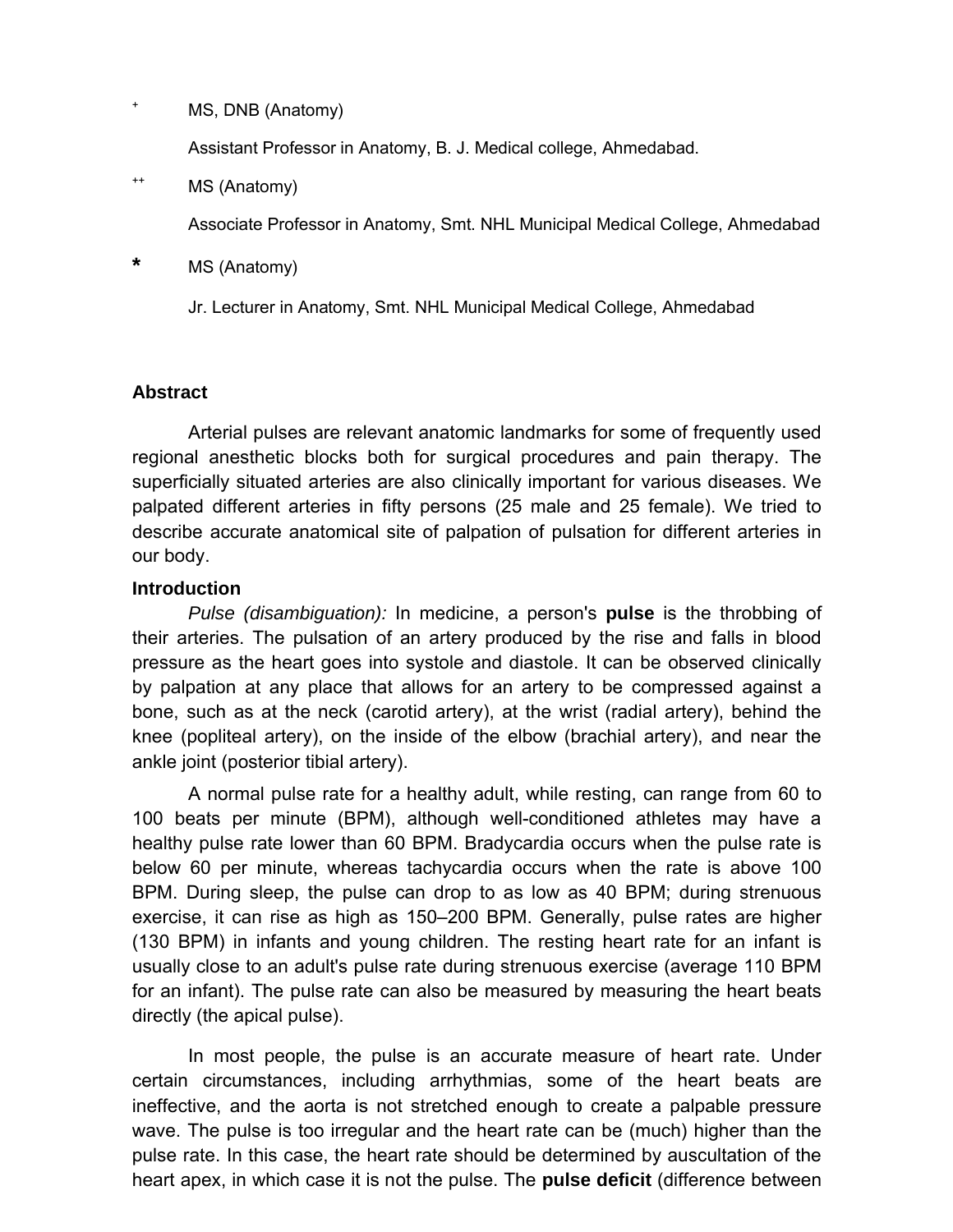MS, DNB (Anatomy)

Assistant Professor in Anatomy, B. J. Medical college, Ahmedabad.

++ MS (Anatomy)

Associate Professor in Anatomy, Smt. NHL Municipal Medical College, Ahmedabad

**\*** MS (Anatomy)

Jr. Lecturer in Anatomy, Smt. NHL Municipal Medical College, Ahmedabad

### **Abstract**

Arterial pulses are relevant anatomic landmarks for some of frequently used regional anesthetic blocks both for surgical procedures and pain therapy. The superficially situated arteries are also clinically important for various diseases. We palpated different arteries in fifty persons (25 male and 25 female). We tried to describe accurate anatomical site of palpation of pulsation for different arteries in our body.

### **Introduction**

*Pulse (disambiguation):* In medicine, a person's **pulse** is the throbbing of their arteries. The pulsation of an artery produced by the rise and falls in blood pressure as the heart goes into systole and diastole. It can be observed clinically by palpation at any place that allows for an artery to be compressed against a bone, such as at the neck (carotid artery), at the wrist (radial artery), behind the knee (popliteal artery), on the inside of the elbow (brachial artery), and near the ankle joint (posterior tibial artery).

A normal pulse rate for a healthy adult, while resting, can range from 60 to 100 beats per minute (BPM), although well-conditioned athletes may have a healthy pulse rate lower than 60 BPM. Bradycardia occurs when the pulse rate is below 60 per minute, whereas tachycardia occurs when the rate is above 100 BPM. During sleep, the pulse can drop to as low as 40 BPM; during strenuous exercise, it can rise as high as 150–200 BPM. Generally, pulse rates are higher (130 BPM) in infants and young children. The resting heart rate for an infant is usually close to an adult's pulse rate during strenuous exercise (average 110 BPM for an infant). The pulse rate can also be measured by measuring the heart beats directly (the apical pulse).

In most people, the pulse is an accurate measure of heart rate. Under certain circumstances, including arrhythmias, some of the heart beats are ineffective, and the aorta is not stretched enough to create a palpable pressure wave. The pulse is too irregular and the heart rate can be (much) higher than the pulse rate. In this case, the heart rate should be determined by auscultation of the heart apex, in which case it is not the pulse. The **pulse deficit** (difference between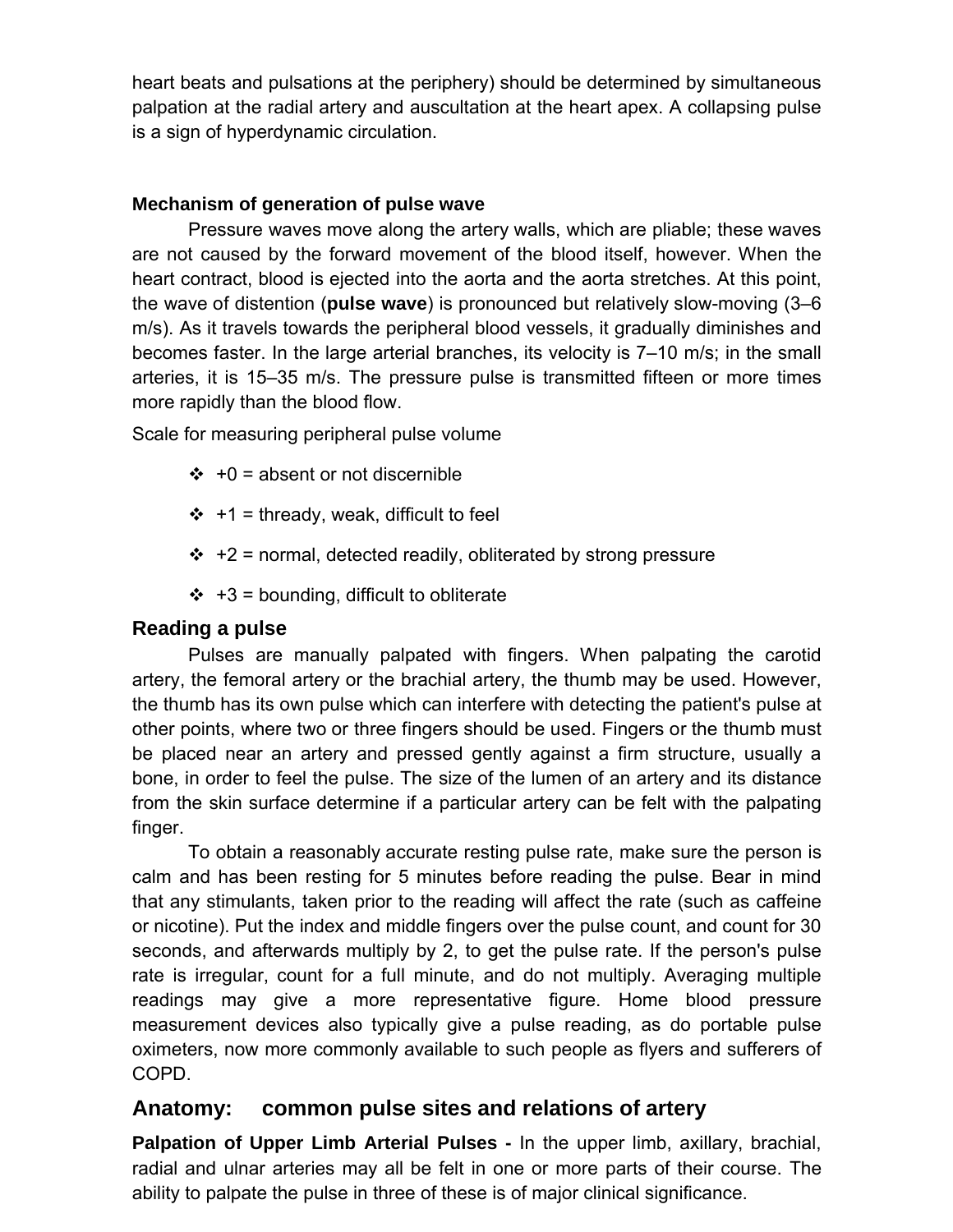heart beats and pulsations at the periphery) should be determined by simultaneous palpation at the radial artery and auscultation at the heart apex. A collapsing pulse is a sign of hyperdynamic circulation.

### **Mechanism of generation of pulse wave**

Pressure waves move along the artery walls, which are pliable; these waves are not caused by the forward movement of the blood itself, however. When the heart contract, blood is ejected into the aorta and the aorta stretches. At this point, the wave of distention (**pulse wave**) is pronounced but relatively slow-moving (3–6 m/s). As it travels towards the peripheral blood vessels, it gradually diminishes and becomes faster. In the large arterial branches, its velocity is 7–10 m/s; in the small arteries, it is 15–35 m/s. The pressure pulse is transmitted fifteen or more times more rapidly than the blood flow.

Scale for measuring peripheral pulse volume

- $\div$  +0 = absent or not discernible
- $\div$  +1 = thready, weak, difficult to feel
- $\div$  +2 = normal, detected readily, obliterated by strong pressure
- $\div$  +3 = bounding, difficult to obliterate

### **Reading a pulse**

Pulses are manually palpated with fingers. When palpating the carotid artery, the femoral artery or the brachial artery, the thumb may be used. However, the thumb has its own pulse which can interfere with detecting the patient's pulse at other points, where two or three fingers should be used. Fingers or the thumb must be placed near an artery and pressed gently against a firm structure, usually a bone, in order to feel the pulse. The size of the lumen of an artery and its distance from the skin surface determine if a particular artery can be felt with the palpating finger.

To obtain a reasonably accurate resting pulse rate, make sure the person is calm and has been resting for 5 minutes before reading the pulse. Bear in mind that any stimulants, taken prior to the reading will affect the rate (such as caffeine or nicotine). Put the index and middle fingers over the pulse count, and count for 30 seconds, and afterwards multiply by 2, to get the pulse rate. If the person's pulse rate is irregular, count for a full minute, and do not multiply. Averaging multiple readings may give a more representative figure. Home blood pressure measurement devices also typically give a pulse reading, as do portable pulse oximeters, now more commonly available to such people as flyers and sufferers of COPD.

## **Anatomy: common pulse sites and relations of artery**

**Palpation of Upper Limb Arterial Pulses -** In the upper limb, axillary, brachial, radial and ulnar arteries may all be felt in one or more parts of their course. The ability to palpate the pulse in three of these is of major clinical significance.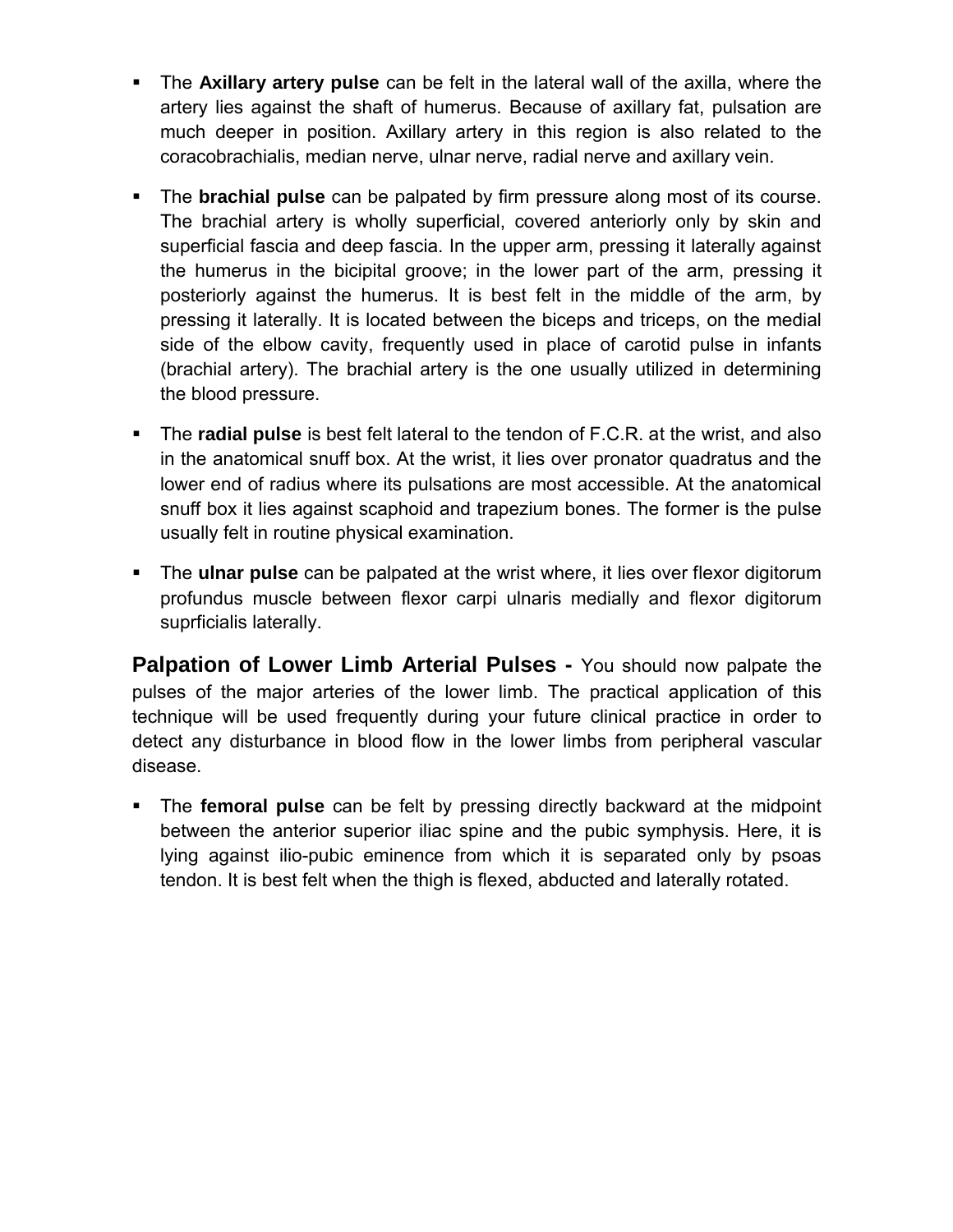- The **Axillary artery pulse** can be felt in the lateral wall of the axilla, where the artery lies against the shaft of humerus. Because of axillary fat, pulsation are much deeper in position. Axillary artery in this region is also related to the coracobrachialis, median nerve, ulnar nerve, radial nerve and axillary vein.
- The **brachial pulse** can be palpated by firm pressure along most of its course. The brachial artery is wholly superficial, covered anteriorly only by skin and superficial fascia and deep fascia. In the upper arm, pressing it laterally against the humerus in the bicipital groove; in the lower part of the arm, pressing it posteriorly against the humerus. It is best felt in the middle of the arm, by pressing it laterally. It is located between the biceps and triceps, on the medial side of the elbow cavity, frequently used in place of carotid pulse in infants (brachial artery). The brachial artery is the one usually utilized in determining the blood pressure.
- The **radial pulse** is best felt lateral to the tendon of F.C.R. at the wrist, and also in the anatomical snuff box. At the wrist, it lies over pronator quadratus and the lower end of radius where its pulsations are most accessible. At the anatomical snuff box it lies against scaphoid and trapezium bones. The former is the pulse usually felt in routine physical examination.
- The **ulnar pulse** can be palpated at the wrist where, it lies over flexor digitorum profundus muscle between flexor carpi ulnaris medially and flexor digitorum suprficialis laterally.

**Palpation of Lower Limb Arterial Pulses -** You should now palpate the pulses of the major arteries of the lower limb. The practical application of this technique will be used frequently during your future clinical practice in order to detect any disturbance in blood flow in the lower limbs from peripheral vascular disease.

 The **femoral pulse** can be felt by pressing directly backward at the midpoint between the anterior superior iliac spine and the pubic symphysis. Here, it is lying against ilio-pubic eminence from which it is separated only by psoas tendon. It is best felt when the thigh is flexed, abducted and laterally rotated.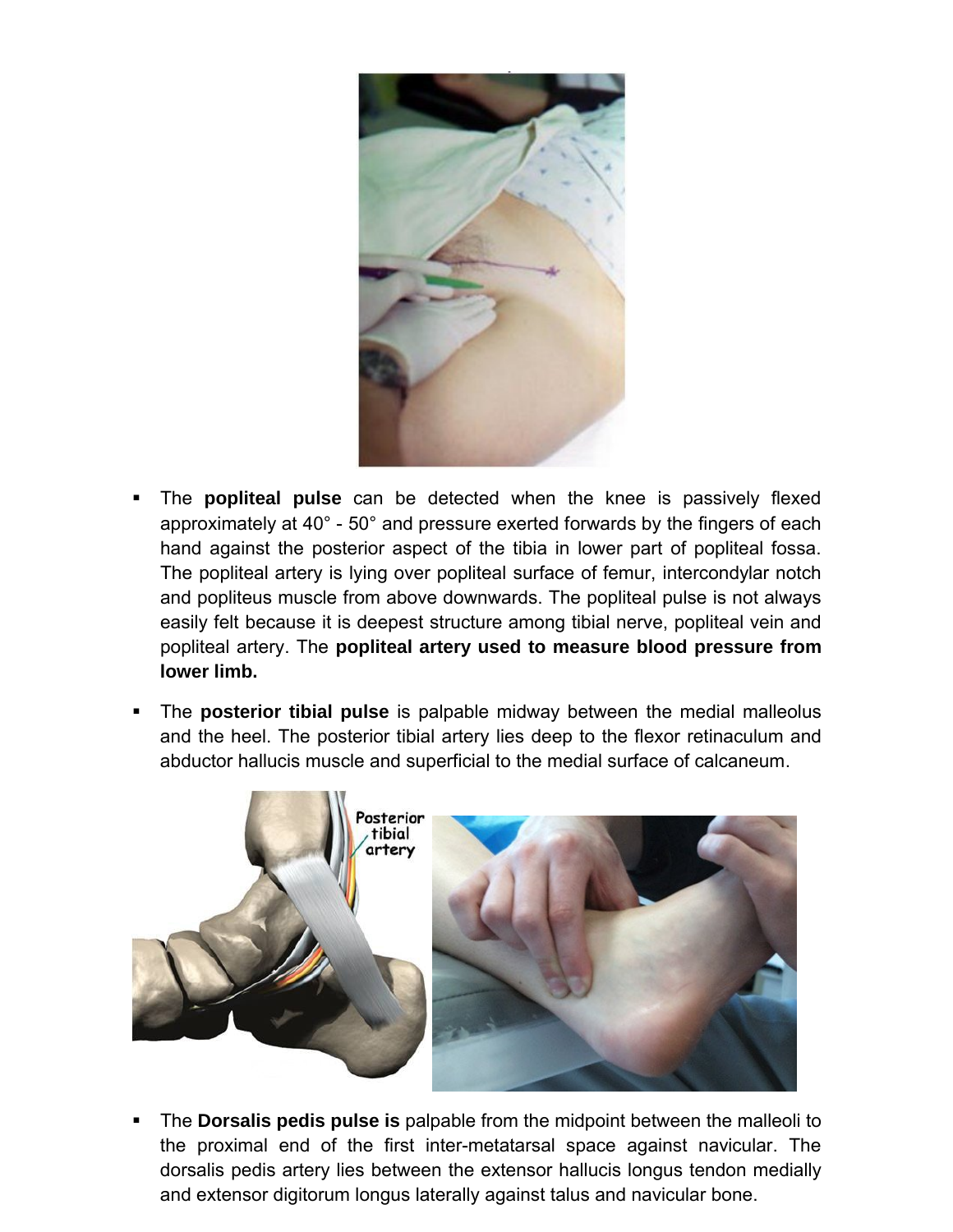

- The **popliteal pulse** can be detected when the knee is passively flexed approximately at 40° - 50° and pressure exerted forwards by the fingers of each hand against the posterior aspect of the tibia in lower part of popliteal fossa. The popliteal artery is lying over popliteal surface of femur, intercondylar notch and popliteus muscle from above downwards. The popliteal pulse is not always easily felt because it is deepest structure among tibial nerve, popliteal vein and popliteal artery. The **popliteal artery used to measure blood pressure from lower limb.**
- The **posterior tibial pulse** is palpable midway between the medial malleolus and the heel. The posterior tibial artery lies deep to the flexor retinaculum and abductor hallucis muscle and superficial to the medial surface of calcaneum.



 The **Dorsalis pedis pulse is** palpable from the midpoint between the malleoli to the proximal end of the first inter-metatarsal space against navicular. The dorsalis pedis artery lies between the extensor hallucis longus tendon medially and extensor digitorum longus laterally against talus and navicular bone.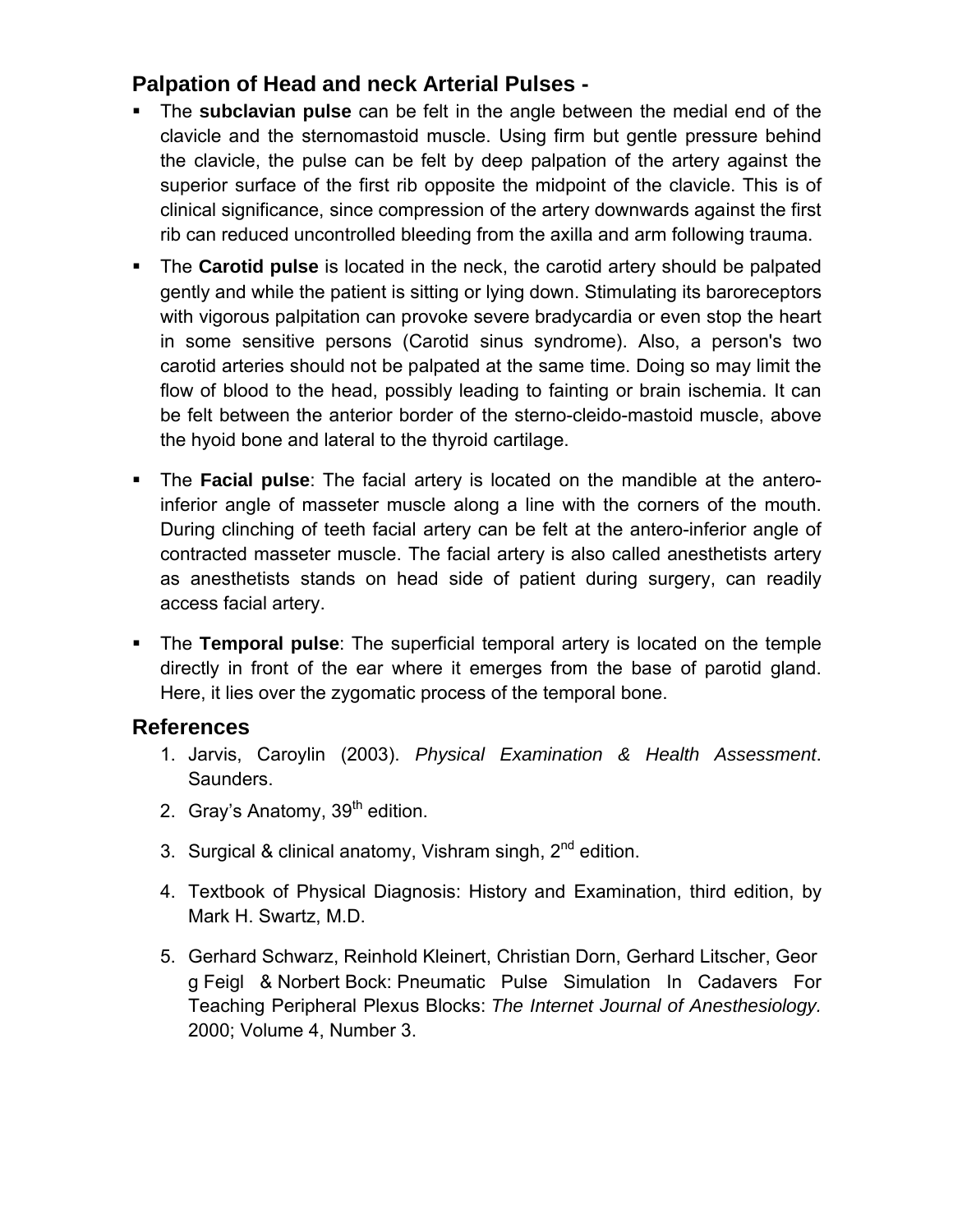## **Palpation of Head and neck Arterial Pulses -**

- The **subclavian pulse** can be felt in the angle between the medial end of the clavicle and the sternomastoid muscle. Using firm but gentle pressure behind the clavicle, the pulse can be felt by deep palpation of the artery against the superior surface of the first rib opposite the midpoint of the clavicle. This is of clinical significance, since compression of the artery downwards against the first rib can reduced uncontrolled bleeding from the axilla and arm following trauma.
- The **Carotid pulse** is located in the neck, the carotid artery should be palpated gently and while the patient is sitting or lying down. Stimulating its baroreceptors with vigorous palpitation can provoke severe bradycardia or even stop the heart in some sensitive persons (Carotid sinus syndrome). Also, a person's two carotid arteries should not be palpated at the same time. Doing so may limit the flow of blood to the head, possibly leading to fainting or brain ischemia. It can be felt between the anterior border of the sterno-cleido-mastoid muscle, above the hyoid bone and lateral to the thyroid cartilage.
- The **Facial pulse**: The facial artery is located on the mandible at the anteroinferior angle of masseter muscle along a line with the corners of the mouth. During clinching of teeth facial artery can be felt at the antero-inferior angle of contracted masseter muscle. The facial artery is also called anesthetists artery as anesthetists stands on head side of patient during surgery, can readily access facial artery.
- The **Temporal pulse**: The superficial temporal artery is located on the temple directly in front of the ear where it emerges from the base of parotid gland. Here, it lies over the zygomatic process of the temporal bone.

## **References**

- 1. Jarvis, Caroylin (2003). *Physical Examination & Health Assessment*. Saunders.
- 2. Gray's Anatomy,  $39<sup>th</sup>$  edition.
- 3. Surgical & clinical anatomy, Vishram singh, 2<sup>nd</sup> edition.
- 4. Textbook of Physical Diagnosis: History and Examination, third edition, by Mark H. Swartz, M.D.
- 5. Gerhard Schwarz, Reinhold Kleinert, Christian Dorn, Gerhard Litscher, Geor g Feigl & Norbert Bock: Pneumatic Pulse Simulation In Cadavers For Teaching Peripheral Plexus Blocks: *The Internet Journal of Anesthesiology.*  2000; Volume 4, Number 3.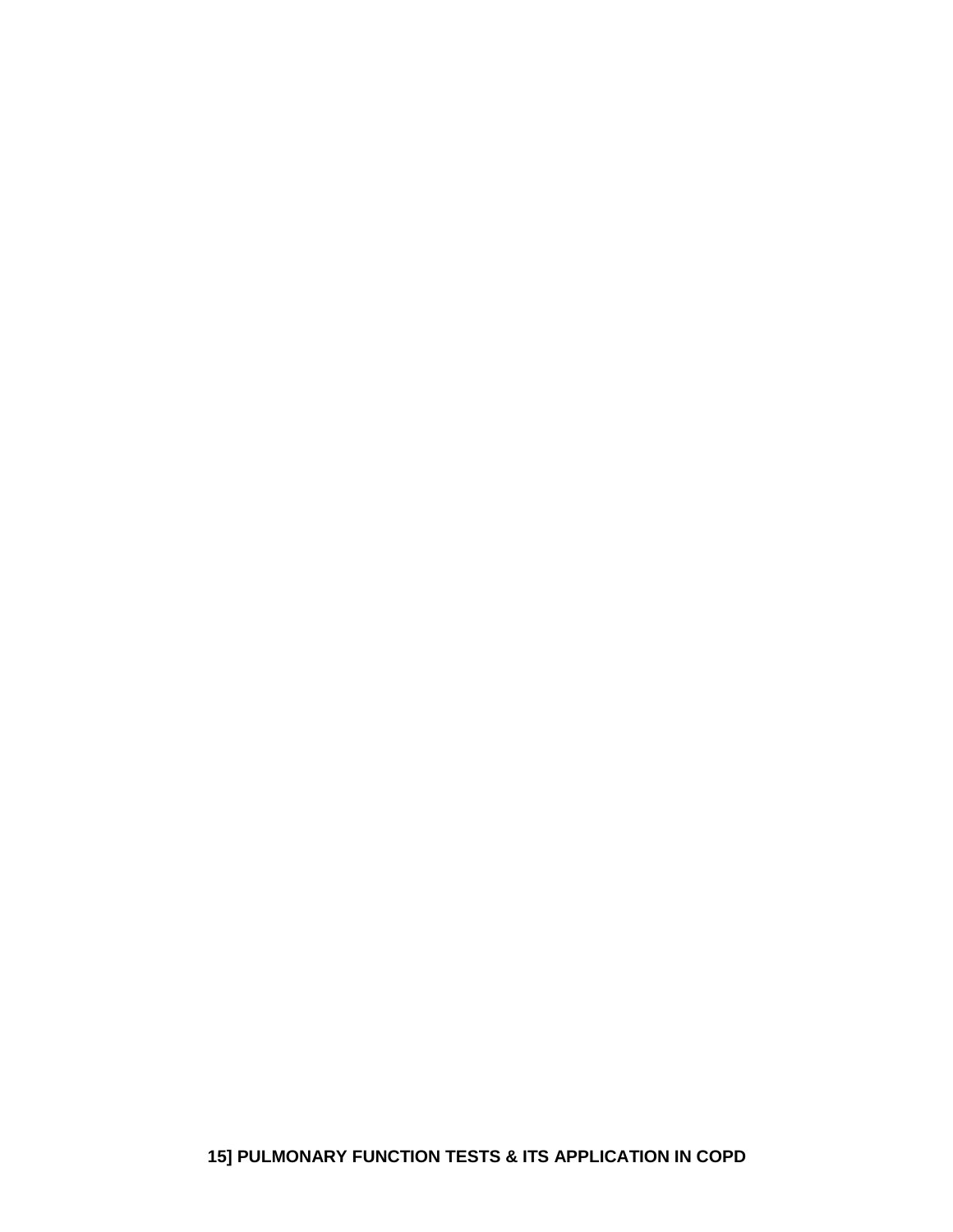**15] PULMONARY FUNCTION TESTS & ITS APPLICATION IN COPD**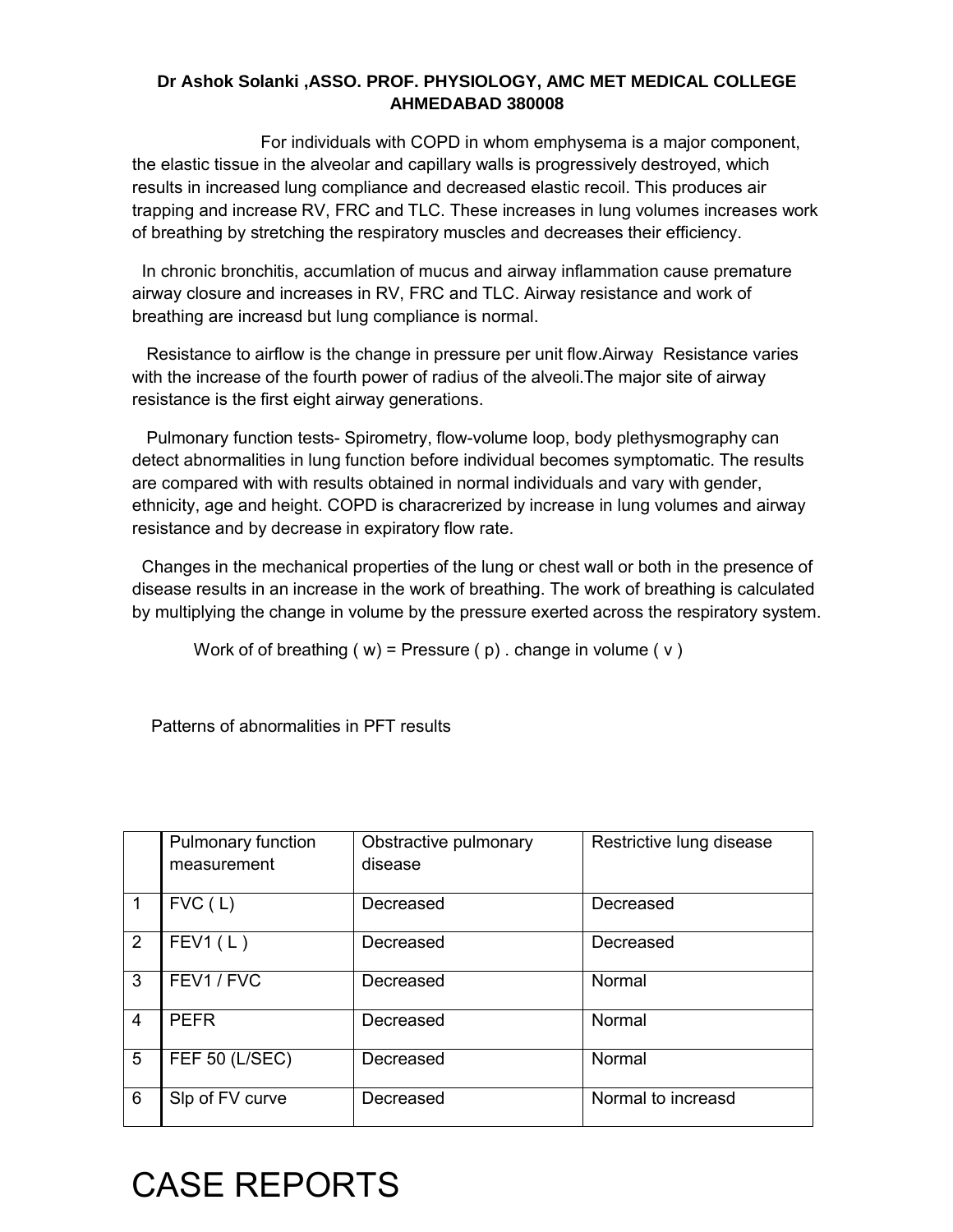#### **Dr Ashok Solanki ,ASSO. PROF. PHYSIOLOGY, AMC MET MEDICAL COLLEGE AHMEDABAD 380008**

 For individuals with COPD in whom emphysema is a major component, the elastic tissue in the alveolar and capillary walls is progressively destroyed, which results in increased lung compliance and decreased elastic recoil. This produces air trapping and increase RV, FRC and TLC. These increases in lung volumes increases work of breathing by stretching the respiratory muscles and decreases their efficiency.

 In chronic bronchitis, accumlation of mucus and airway inflammation cause premature airway closure and increases in RV, FRC and TLC. Airway resistance and work of breathing are increasd but lung compliance is normal.

 Resistance to airflow is the change in pressure per unit flow.Airway Resistance varies with the increase of the fourth power of radius of the alveoli.The major site of airway resistance is the first eight airway generations.

 Pulmonary function tests- Spirometry, flow-volume loop, body plethysmography can detect abnormalities in lung function before individual becomes symptomatic. The results are compared with with results obtained in normal individuals and vary with gender, ethnicity, age and height. COPD is characrerized by increase in lung volumes and airway resistance and by decrease in expiratory flow rate.

Changes in the mechanical properties of the lung or chest wall or both in the presence of disease results in an increase in the work of breathing. The work of breathing is calculated by multiplying the change in volume by the pressure exerted across the respiratory system.

Work of of breathing ( $w$ ) = Pressure ( $p$ ). change in volume ( $v$ )

Patterns of abnormalities in PFT results

|                | Pulmonary function<br>measurement | Obstractive pulmonary<br>disease | Restrictive lung disease |
|----------------|-----------------------------------|----------------------------------|--------------------------|
| $\mathbf 1$    | FVC(L)                            | Decreased                        | Decreased                |
| 2              | FEV1(L)                           | Decreased                        | Decreased                |
| 3              | FEV1 / FVC                        | Decreased                        | Normal                   |
| $\overline{4}$ | <b>PEFR</b>                       | Decreased                        | Normal                   |
| 5              | FEF 50 (L/SEC)                    | Decreased                        | Normal                   |
| 6              | Slp of FV curve                   | Decreased                        | Normal to increasd       |

# CASE REPORTS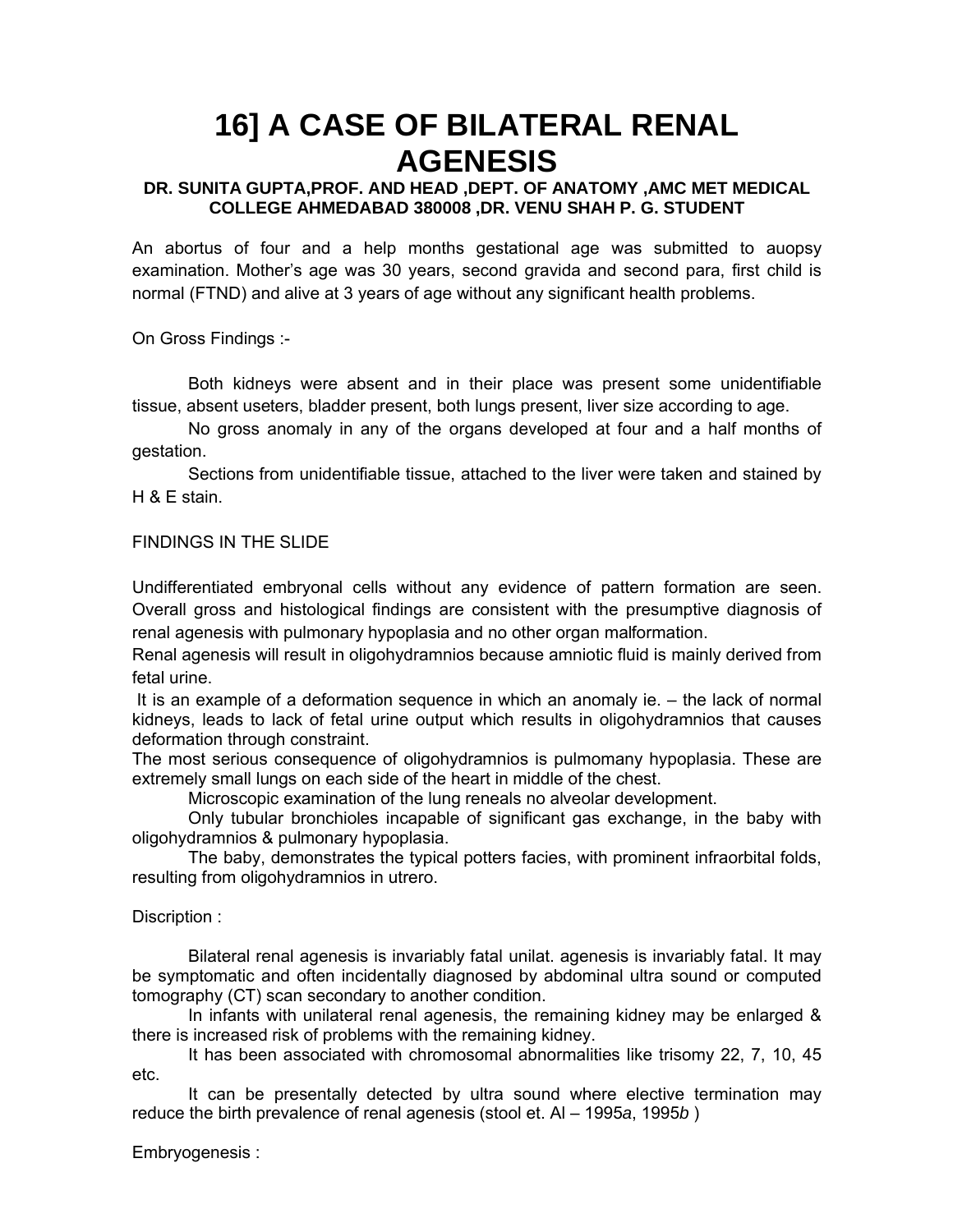## **16] A CASE OF BILATERAL RENAL AGENESIS**

#### **DR. SUNITA GUPTA,PROF. AND HEAD ,DEPT. OF ANATOMY ,AMC MET MEDICAL COLLEGE AHMEDABAD 380008 ,DR. VENU SHAH P. G. STUDENT**

An abortus of four and a help months gestational age was submitted to auopsy examination. Mother's age was 30 years, second gravida and second para, first child is normal (FTND) and alive at 3 years of age without any significant health problems.

On Gross Findings :-

Both kidneys were absent and in their place was present some unidentifiable tissue, absent useters, bladder present, both lungs present, liver size according to age.

No gross anomaly in any of the organs developed at four and a half months of gestation.

Sections from unidentifiable tissue, attached to the liver were taken and stained by H & E stain.

#### FINDINGS IN THE SLIDE

Undifferentiated embryonal cells without any evidence of pattern formation are seen. Overall gross and histological findings are consistent with the presumptive diagnosis of renal agenesis with pulmonary hypoplasia and no other organ malformation.

Renal agenesis will result in oligohydramnios because amniotic fluid is mainly derived from fetal urine.

It is an example of a deformation sequence in which an anomaly ie. – the lack of normal kidneys, leads to lack of fetal urine output which results in oligohydramnios that causes deformation through constraint.

The most serious consequence of oligohydramnios is pulmomany hypoplasia. These are extremely small lungs on each side of the heart in middle of the chest.

Microscopic examination of the lung reneals no alveolar development.

Only tubular bronchioles incapable of significant gas exchange, in the baby with oligohydramnios & pulmonary hypoplasia.

The baby, demonstrates the typical potters facies, with prominent infraorbital folds, resulting from oligohydramnios in utrero.

#### Discription :

Bilateral renal agenesis is invariably fatal unilat. agenesis is invariably fatal. It may be symptomatic and often incidentally diagnosed by abdominal ultra sound or computed tomography (CT) scan secondary to another condition.

In infants with unilateral renal agenesis, the remaining kidney may be enlarged & there is increased risk of problems with the remaining kidney.

It has been associated with chromosomal abnormalities like trisomy 22, 7, 10, 45 etc.

It can be presentally detected by ultra sound where elective termination may reduce the birth prevalence of renal agenesis (stool et. Al – 1995*a*, 1995*b* )

Embryogenesis :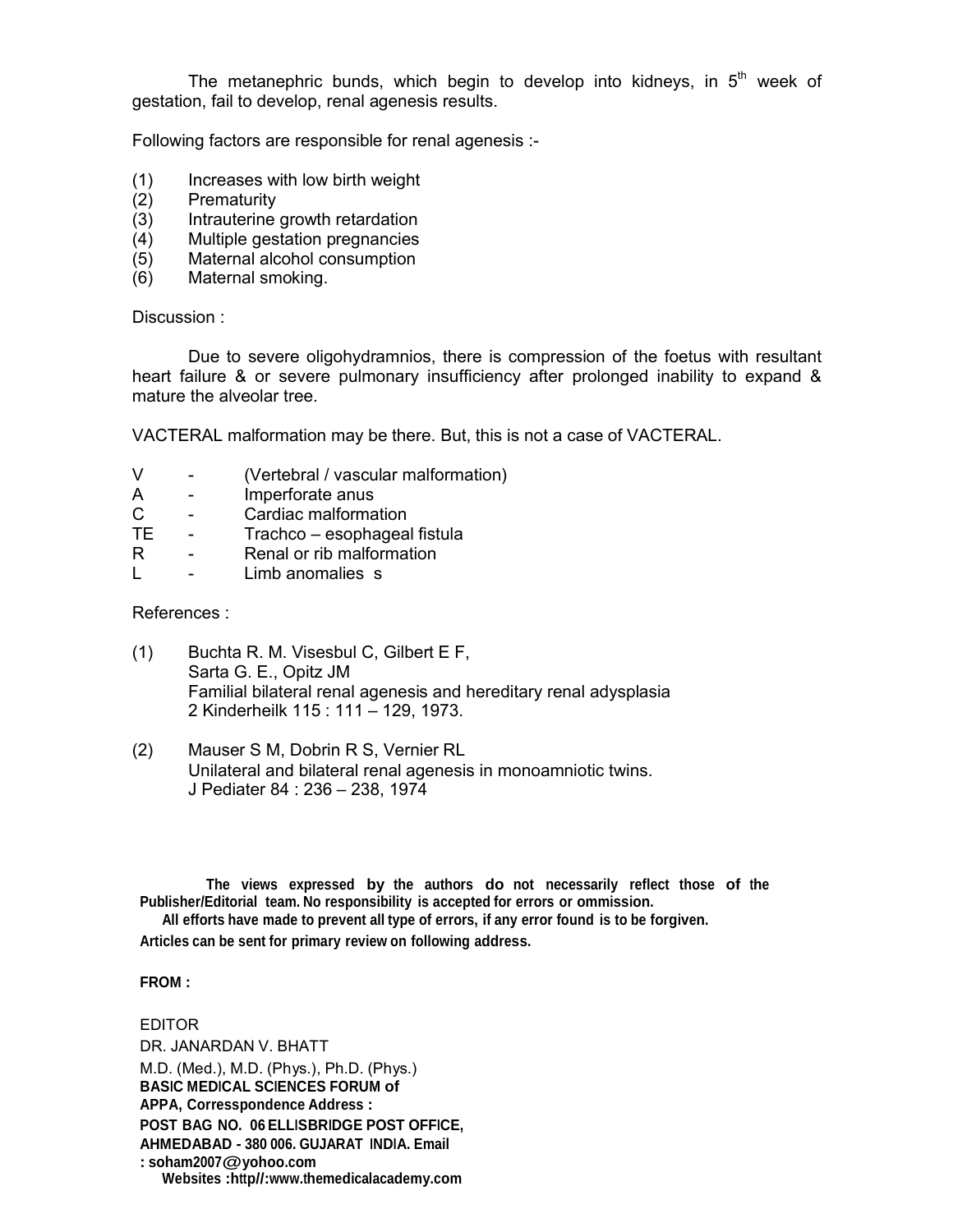The metanephric bunds, which begin to develop into kidneys, in  $5<sup>th</sup>$  week of gestation, fail to develop, renal agenesis results.

Following factors are responsible for renal agenesis :-

- (1) Increases with low birth weight
- (2) Prematurity
- (3) Intrauterine growth retardation
- (4) Multiple gestation pregnancies
- (5) Maternal alcohol consumption
- (6) Maternal smoking.

#### Discussion :

Due to severe oligohydramnios, there is compression of the foetus with resultant heart failure & or severe pulmonary insufficiency after prolonged inability to expand & mature the alveolar tree.

VACTERAL malformation may be there. But, this is not a case of VACTERAL.

- V (Vertebral / vascular malformation)
- A Imperforate anus
- C Cardiac malformation<br>TE Trachco esophageal
- Trachco esophageal fistula
- R Renal or rib malformation
- L Limb anomalies s

References :

- (1) Buchta R. M. Visesbul C, Gilbert E F, Sarta G. E., Opitz JM Familial bilateral renal agenesis and hereditary renal adysplasia 2 Kinderheilk 115 : 111 – 129, 1973.
- (2) Mauser S M, Dobrin R S, Vernier RL Unilateral and bilateral renal agenesis in monoamniotic twins. J Pediater 84 : 236 – 238, 1974

**The views expressed by the authors do not necessarily reflect those of the Publisher/Editorial team. No responsibility is accepted for errors or ommission.**

**All efforts have made to prevent all type of errors, if any error found is to be forgiven.**

**Articles can be sent for primary review on following address.**

#### **FROM :**

#### EDITOR DR. JANARDAN V. BHATT M.D. (Med.), M.D. (Phys.), Ph.D. (Phys.) **BASIC MEDICAL SCIENCES FORUM of APPA, Corresspondence Address : POST BAG NO. 06 ELLISBRIDGE POST OFFICE, AHMEDABAD - 380 006. GUJARAT INDIA. Email : soham2007@yohoo.com Websites :http//:www.themedicalacademy.com**